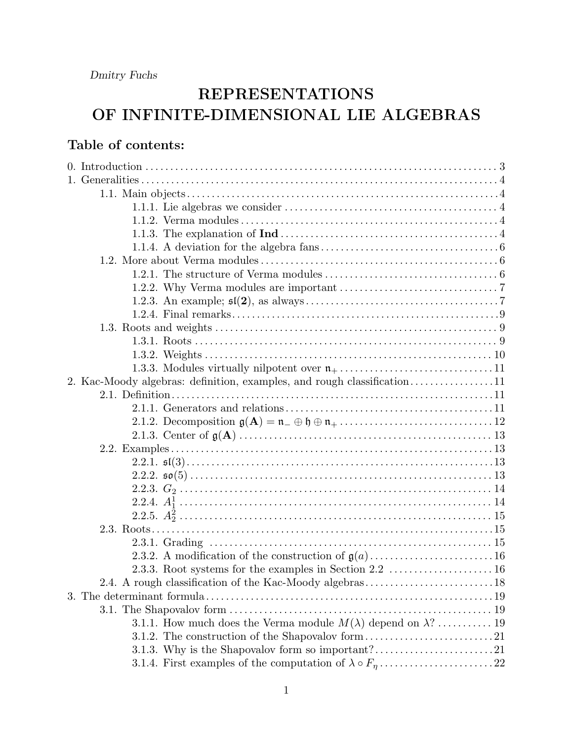# REPRESENTATIONS OF INFINITE-DIMENSIONAL LIE ALGEBRAS

## Table of contents:

|  | 1.1.1. Lie algebras we consider $\dots \dots \dots \dots \dots \dots \dots \dots \dots \dots \dots \dots \dots$                                                       |  |
|--|-----------------------------------------------------------------------------------------------------------------------------------------------------------------------|--|
|  |                                                                                                                                                                       |  |
|  |                                                                                                                                                                       |  |
|  |                                                                                                                                                                       |  |
|  |                                                                                                                                                                       |  |
|  |                                                                                                                                                                       |  |
|  |                                                                                                                                                                       |  |
|  |                                                                                                                                                                       |  |
|  |                                                                                                                                                                       |  |
|  |                                                                                                                                                                       |  |
|  |                                                                                                                                                                       |  |
|  |                                                                                                                                                                       |  |
|  |                                                                                                                                                                       |  |
|  | 2. Kac-Moody algebras: definition, examples, and rough classification11                                                                                               |  |
|  |                                                                                                                                                                       |  |
|  |                                                                                                                                                                       |  |
|  | 2.1.2. Decomposition $\mathfrak{g}(\mathbf{A}) = \mathfrak{n}_- \oplus \mathfrak{h} \oplus \mathfrak{n}_+ \ldots \ldots \ldots \ldots \ldots \ldots \ldots \ldots 12$ |  |
|  |                                                                                                                                                                       |  |
|  |                                                                                                                                                                       |  |
|  |                                                                                                                                                                       |  |
|  |                                                                                                                                                                       |  |
|  |                                                                                                                                                                       |  |
|  |                                                                                                                                                                       |  |
|  |                                                                                                                                                                       |  |
|  |                                                                                                                                                                       |  |
|  |                                                                                                                                                                       |  |
|  |                                                                                                                                                                       |  |
|  |                                                                                                                                                                       |  |
|  |                                                                                                                                                                       |  |
|  |                                                                                                                                                                       |  |
|  |                                                                                                                                                                       |  |
|  | 3.1.1. How much does the Verma module $M(\lambda)$ depend on $\lambda$ ?  19                                                                                          |  |
|  |                                                                                                                                                                       |  |
|  |                                                                                                                                                                       |  |
|  |                                                                                                                                                                       |  |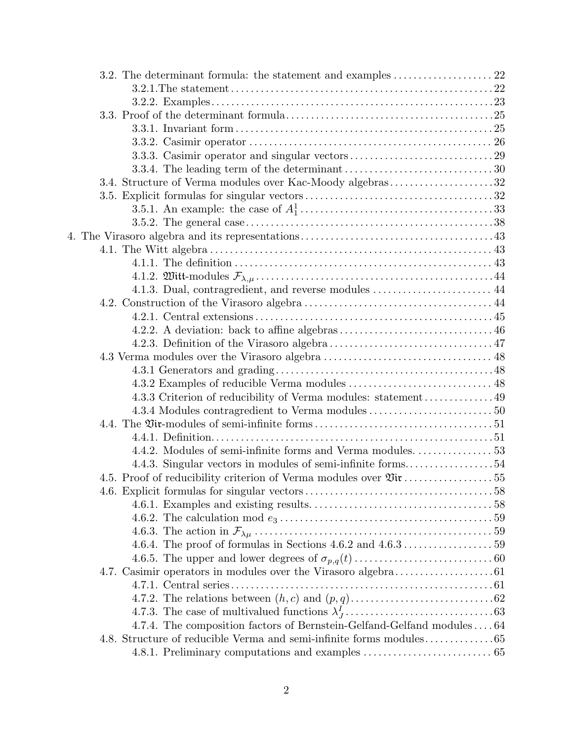| 3.3.4. The leading term of the determinant $\dots \dots \dots \dots \dots \dots \dots \dots \dots \dots 30$ |  |
|-------------------------------------------------------------------------------------------------------------|--|
| 3.4. Structure of Verma modules over Kac-Moody algebras32                                                   |  |
|                                                                                                             |  |
|                                                                                                             |  |
|                                                                                                             |  |
|                                                                                                             |  |
|                                                                                                             |  |
|                                                                                                             |  |
|                                                                                                             |  |
| 4.1.3. Dual, contragredient, and reverse modules  44                                                        |  |
|                                                                                                             |  |
|                                                                                                             |  |
|                                                                                                             |  |
|                                                                                                             |  |
|                                                                                                             |  |
|                                                                                                             |  |
|                                                                                                             |  |
| 4.3.3 Criterion of reducibility of Verma modules: statement49                                               |  |
|                                                                                                             |  |
|                                                                                                             |  |
|                                                                                                             |  |
|                                                                                                             |  |
| 4.4.3. Singular vectors in modules of semi-infinite forms54                                                 |  |
|                                                                                                             |  |
|                                                                                                             |  |
|                                                                                                             |  |
|                                                                                                             |  |
|                                                                                                             |  |
|                                                                                                             |  |
|                                                                                                             |  |
|                                                                                                             |  |
|                                                                                                             |  |
|                                                                                                             |  |
|                                                                                                             |  |
| 4.7.4. The composition factors of Bernstein-Gelfand-Gelfand modules $\ldots$ $64$                           |  |
|                                                                                                             |  |
|                                                                                                             |  |
|                                                                                                             |  |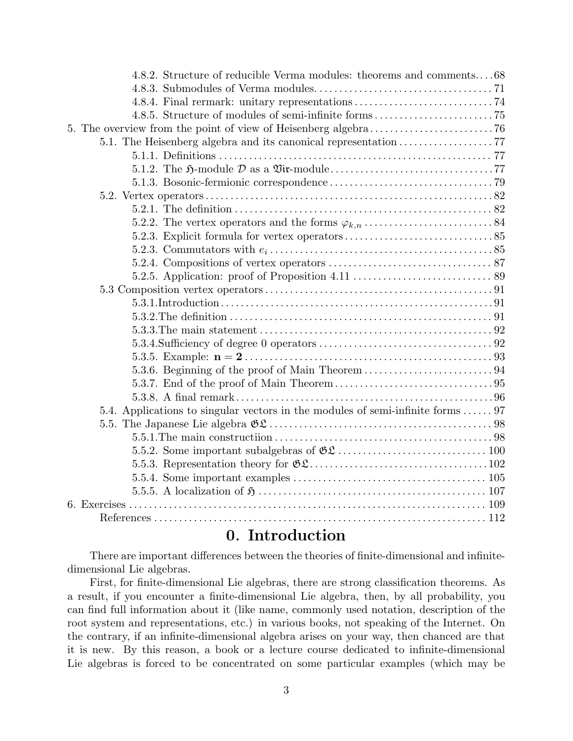| 4.8.2. Structure of reducible Verma modules: theorems and comments68            |
|---------------------------------------------------------------------------------|
|                                                                                 |
|                                                                                 |
|                                                                                 |
|                                                                                 |
|                                                                                 |
|                                                                                 |
|                                                                                 |
|                                                                                 |
|                                                                                 |
|                                                                                 |
|                                                                                 |
|                                                                                 |
|                                                                                 |
|                                                                                 |
|                                                                                 |
|                                                                                 |
|                                                                                 |
|                                                                                 |
|                                                                                 |
|                                                                                 |
|                                                                                 |
|                                                                                 |
|                                                                                 |
|                                                                                 |
| 5.4. Applications to singular vectors in the modules of semi-infinite forms  97 |
|                                                                                 |
|                                                                                 |
|                                                                                 |
|                                                                                 |
|                                                                                 |
|                                                                                 |
|                                                                                 |
|                                                                                 |
|                                                                                 |

### 0. Introduction

There are important differences between the theories of finite-dimensional and infinitedimensional Lie algebras.

First, for finite-dimensional Lie algebras, there are strong classification theorems. As a result, if you encounter a finite-dimensional Lie algebra, then, by all probability, you can find full information about it (like name, commonly used notation, description of the root system and representations, etc.) in various books, not speaking of the Internet. On the contrary, if an infinite-dimensional algebra arises on your way, then chanced are that it is new. By this reason, a book or a lecture course dedicated to infinite-dimensional Lie algebras is forced to be concentrated on some particular examples (which may be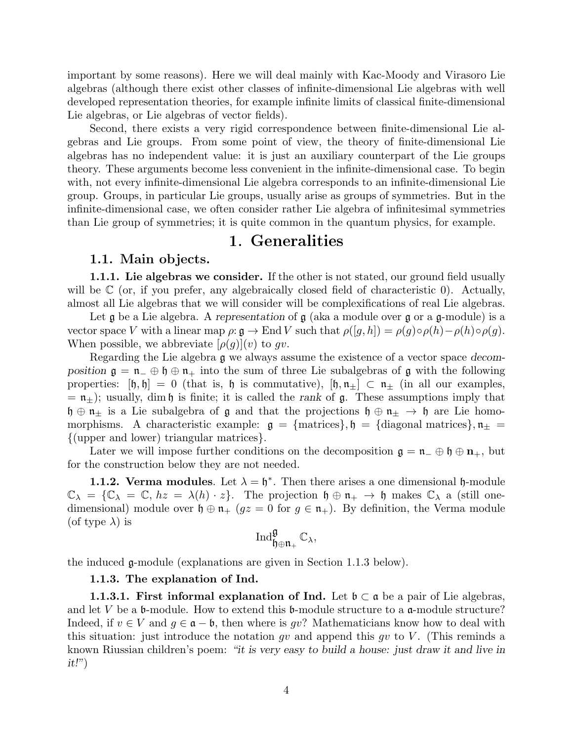important by some reasons). Here we will deal mainly with Kac-Moody and Virasoro Lie algebras (although there exist other classes of infinite-dimensional Lie algebras with well developed representation theories, for example infinite limits of classical finite-dimensional Lie algebras, or Lie algebras of vector fields).

Second, there exists a very rigid correspondence between finite-dimensional Lie algebras and Lie groups. From some point of view, the theory of finite-dimensional Lie algebras has no independent value: it is just an auxiliary counterpart of the Lie groups theory. These arguments become less convenient in the infinite-dimensional case. To begin with, not every infinite-dimensional Lie algebra corresponds to an infinite-dimensional Lie group. Groups, in particular Lie groups, usually arise as groups of symmetries. But in the infinite-dimensional case, we often consider rather Lie algebra of infinitesimal symmetries than Lie group of symmetries; it is quite common in the quantum physics, for example.

# 1. Generalities

#### 1.1. Main objects.

1.1.1. Lie algebras we consider. If the other is not stated, our ground field usually will be  $\mathbb C$  (or, if you prefer, any algebraically closed field of characteristic 0). Actually, almost all Lie algebras that we will consider will be complexifications of real Lie algebras.

Let  $\mathfrak g$  be a Lie algebra. A representation of  $\mathfrak g$  (aka a module over  $\mathfrak g$  or a  $\mathfrak g$ -module) is a vector space V with a linear map  $\rho: \mathfrak{g} \to \text{End } V$  such that  $\rho([g,h]) = \rho(g) \circ \rho(h) - \rho(h) \circ \rho(g)$ . When possible, we abbreviate  $[\rho(g)](v)$  to gv.

Regarding the Lie algebra g we always assume the existence of a vector space decomposition  $\mathfrak{g} = \mathfrak{n}$   $\oplus$   $\mathfrak{h} \oplus \mathfrak{n}$  into the sum of three Lie subalgebras of g with the following properties:  $[\mathfrak{h}, \mathfrak{h}] = 0$  (that is,  $\mathfrak{h}$  is commutative),  $[\mathfrak{h}, \mathfrak{n}_{\pm}] \subset \mathfrak{n}_{\pm}$  (in all our examples,  $= \mathfrak{n}_{\pm}$ ); usually, dim h is finite; it is called the rank of g. These assumptions imply that  $\mathfrak{h} \oplus \mathfrak{n}_\pm$  is a Lie subalgebra of  $\mathfrak{g}$  and that the projections  $\mathfrak{h} \oplus \mathfrak{n}_\pm \to \mathfrak{h}$  are Lie homomorphisms. A characteristic example:  $g = \{\text{matrices}\}\,$ ,  $\mathfrak{h} = \{\text{diagonal matrices}\}\,$ ,  $\mathfrak{n}_{\pm} =$ {(upper and lower) triangular matrices}.

Later we will impose further conditions on the decomposition  $\mathfrak{g} = \mathfrak{n}_- \oplus \mathfrak{h} \oplus \mathfrak{n}_+$ , but for the construction below they are not needed.

**1.1.2. Verma modules**. Let  $\lambda = \mathfrak{h}^*$ . Then there arises a one dimensional  $\mathfrak{h}$ -module  $\mathbb{C}_{\lambda} = \{\mathbb{C}_{\lambda} = \mathbb{C}, hz = \lambda(h) \cdot z\}.$  The projection  $\mathfrak{h} \oplus \mathfrak{n}_{+} \to \mathfrak{h}$  makes  $\mathbb{C}_{\lambda}$  a (still onedimensional) module over  $\mathfrak{h} \oplus \mathfrak{n}_+$  ( $gz = 0$  for  $g \in \mathfrak{n}_+$ ). By definition, the Verma module (of type  $\lambda$ ) is

$$
\operatorname{Ind}_{\mathfrak{h}\oplus\mathfrak{n}_+}^{\mathfrak{g}}\mathbb{C}_\lambda,
$$

the induced g-module (explanations are given in Section 1.1.3 below).

#### 1.1.3. The explanation of Ind.

**1.1.3.1. First informal explanation of Ind.** Let  $\mathfrak{b} \subset \mathfrak{a}$  be a pair of Lie algebras, and let V be a  $\mathfrak b$ -module. How to extend this  $\mathfrak b$ -module structure to a  $\mathfrak a$ -module structure? Indeed, if  $v \in V$  and  $g \in \mathfrak{a} - \mathfrak{b}$ , then where is gv? Mathematicians know how to deal with this situation: just introduce the notation gv and append this gv to V. (This reminds a known Riussian children's poem: "it is very easy to build a house: just draw it and live in  $it!$ "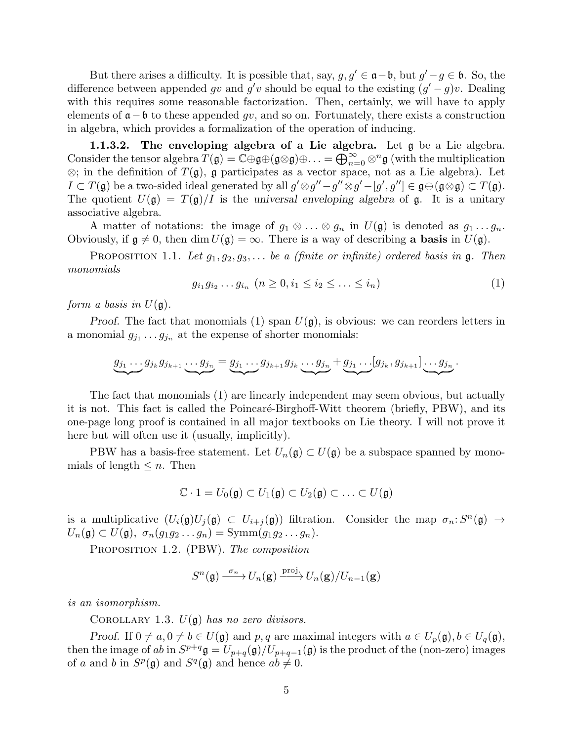But there arises a difficulty. It is possible that, say,  $g, g' \in \mathfrak{a} - \mathfrak{b}$ , but  $g' - g \in \mathfrak{b}$ . So, the difference between appended gv and g'v should be equal to the existing  $(g'-g)v$ . Dealing with this requires some reasonable factorization. Then, certainly, we will have to apply elements of  $\mathfrak{a}-\mathfrak{b}$  to these appended qv, and so on. Fortunately, there exists a construction in algebra, which provides a formalization of the operation of inducing.

1.1.3.2. The enveloping algebra of a Lie algebra. Let g be a Lie algebra. Consider the tensor algebra  $T(\mathfrak{g}) = \mathbb{C} \oplus \mathfrak{g} \oplus (\mathfrak{g} \otimes \mathfrak{g}) \oplus \ldots = \bigoplus_{n=0}^{\infty} \otimes^{n} \mathfrak{g}$  (with the multiplication  $\otimes$ ; in the definition of  $T(\mathfrak{g})$ ,  $\mathfrak{g}$  participates as a vector space, not as a Lie algebra). Let  $I \subset T(\mathfrak{g})$  be a two-sided ideal generated by all  $g' \otimes g'' - g'' \otimes g' - [g', g''] \in \mathfrak{g} \oplus (\mathfrak{g} \otimes \mathfrak{g}) \subset T(\mathfrak{g})$ . The quotient  $U(\mathfrak{g}) = T(\mathfrak{g})/I$  is the universal enveloping algebra of  $\mathfrak{g}$ . It is a unitary associative algebra.

A matter of notations: the image of  $g_1 \otimes \ldots \otimes g_n$  in  $U(\mathfrak{g})$  is denoted as  $g_1 \ldots g_n$ . Obviously, if  $\mathfrak{g} \neq 0$ , then dim  $U(\mathfrak{g}) = \infty$ . There is a way of describing a basis in  $U(\mathfrak{g})$ .

PROPOSITION 1.1. Let  $g_1, g_2, g_3, \ldots$  be a (finite or infinite) ordered basis in  $\mathfrak{g}$ . Then monomials

$$
g_{i_1}g_{i_2}\dots g_{i_n} \ (n \ge 0, i_1 \le i_2 \le \dots \le i_n)
$$
\n<sup>(1)</sup>

form a basis in  $U(\mathfrak{g})$ .

Proof. The fact that monomials (1) span  $U(\mathfrak{g})$ , is obvious: we can reorders letters in a monomial  $g_{j_1} \dots g_{j_n}$  at the expense of shorter monomials:

$$
\underbrace{g_{j_1}\ldots g_{j_k}g_{j_{k+1}}\ldots g_{j_n}} = \underbrace{g_{j_1}\ldots g_{j_{k+1}}g_{j_k}\ldots g_{j_n}} + \underbrace{g_{j_1}\ldots [g_{j_k}, g_{j_{k+1}}]\ldots g_{j_n}}.
$$

The fact that monomials (1) are linearly independent may seem obvious, but actually it is not. This fact is called the Poincaré-Birghoff-Witt theorem (briefly, PBW), and its one-page long proof is contained in all major textbooks on Lie theory. I will not prove it here but will often use it (usually, implicitly).

PBW has a basis-free statement. Let  $U_n(\mathfrak{g}) \subset U(\mathfrak{g})$  be a subspace spanned by monomials of length  $\leq n$ . Then

$$
\mathbb{C} \cdot 1 = U_0(\mathfrak{g}) \subset U_1(\mathfrak{g}) \subset U_2(\mathfrak{g}) \subset \ldots \subset U(\mathfrak{g})
$$

is a multiplicative  $(U_i(\mathfrak{g})U_j(\mathfrak{g}) \subset U_{i+j}(\mathfrak{g}))$  filtration. Consider the map  $\sigma_n: S^n(\mathfrak{g}) \to$  $U_n(\mathfrak{g}) \subset U(\mathfrak{g}), \sigma_n(g_1g_2\ldots g_n) = \text{Symm}(g_1g_2\ldots g_n).$ 

PROPOSITION 1.2. (PBW). The composition

$$
S^{n}(\mathfrak{g}) \xrightarrow{\sigma_n} U_n(\mathbf{g}) \xrightarrow{\text{proj.}} U_n(\mathbf{g})/U_{n-1}(\mathbf{g})
$$

is an isomorphism.

COROLLARY 1.3.  $U(\mathfrak{g})$  has no zero divisors.

Proof. If  $0 \neq a, 0 \neq b \in U(\mathfrak{g})$  and p, q are maximal integers with  $a \in U_p(\mathfrak{g}), b \in U_q(\mathfrak{g}),$ then the image of ab in  $S^{p+q}$   $\mathfrak{g} = U_{p+q}(\mathfrak{g})/U_{p+q-1}(\mathfrak{g})$  is the product of the (non-zero) images of a and b in  $S^p(\mathfrak{g})$  and  $S^q(\mathfrak{g})$  and hence  $ab \neq 0$ .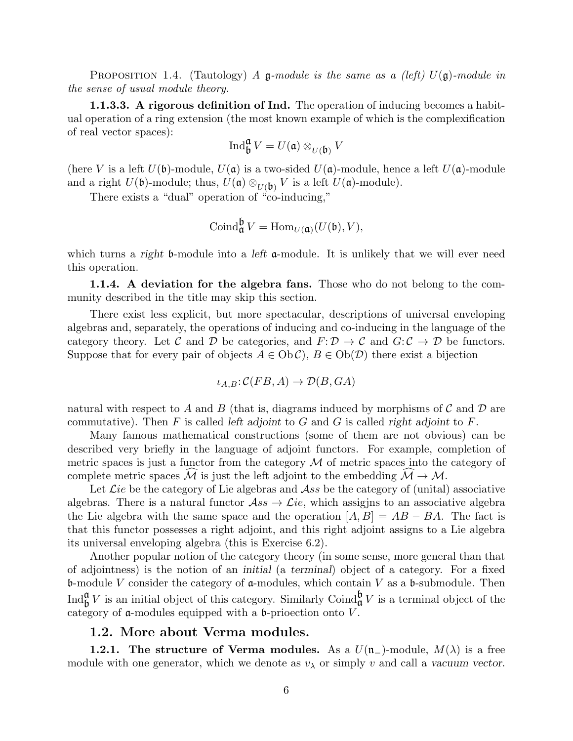PROPOSITION 1.4. (Tautology) A g-module is the same as a (left)  $U(\mathfrak{g})$ -module in the sense of usual module theory.

**1.1.3.3.** A rigorous definition of Ind. The operation of inducing becomes a habitual operation of a ring extension (the most known example of which is the complexification of real vector spaces):

$$
\operatorname{Ind}^{\mathfrak{a}}_{\mathfrak{b}}V = U(\mathfrak{a}) \otimes_{U(\mathfrak{b})} V
$$

(here V is a left  $U(\mathfrak{b})$ -module,  $U(\mathfrak{a})$  is a two-sided  $U(\mathfrak{a})$ -module, hence a left  $U(\mathfrak{a})$ -module and a right  $U(\mathfrak{b})$ -module; thus,  $U(\mathfrak{a}) \otimes_{U(\mathfrak{b})} V$  is a left  $U(\mathfrak{a})$ -module).

There exists a "dual" operation of "co-inducing,"

$$
\operatorname{Coind}_{\mathfrak{a}}^{\mathfrak{b}} V = \operatorname{Hom}_{U(\mathfrak{a})}(U(\mathfrak{b}), V),
$$

which turns a right b-module into a left  $\alpha$ -module. It is unlikely that we will ever need this operation.

1.1.4. A deviation for the algebra fans. Those who do not belong to the community described in the title may skip this section.

There exist less explicit, but more spectacular, descriptions of universal enveloping algebras and, separately, the operations of inducing and co-inducing in the language of the category theory. Let C and D be categories, and  $F: \mathcal{D} \to \mathcal{C}$  and  $G: \mathcal{C} \to \mathcal{D}$  be functors. Suppose that for every pair of objects  $A \in Ob\mathcal{C}$ ,  $B \in Ob(\mathcal{D})$  there exist a bijection

$$
\iota_{A,B}\!:\!\mathcal{C}(FB,A)\to\mathcal{D}(B,GA)
$$

natural with respect to A and B (that is, diagrams induced by morphisms of C and D are commutative). Then F is called left adjoint to G and G is called right adjoint to F.

Many famous mathematical constructions (some of them are not obvious) can be described very briefly in the language of adjoint functors. For example, completion of metric spaces is just a functor from the category  $\mathcal M$  of metric spaces into the category of complete metric spaces M is just the left adjoint to the embedding  $M \to M$ .

Let  $\mathcal{L}ie$  be the category of Lie algebras and  $\mathcal{A}ss$  be the category of (unital) associative algebras. There is a natural functor  $\mathcal{A}ss \to \mathcal{L}ie$ , which assigins to an associative algebra the Lie algebra with the same space and the operation  $[A, B] = AB - BA$ . The fact is that this functor possesses a right adjoint, and this right adjoint assigns to a Lie algebra its universal enveloping algebra (this is Exercise 6.2).

Another popular notion of the category theory (in some sense, more general than that of adjointness) is the notion of an initial (a terminal) object of a category. For a fixed b-module V consider the category of  $\alpha$ -modules, which contain V as a b-submodule. Then Ind<sub> $\mathfrak{g}^{\mathfrak{a}} V$  is an initial object of this category. Similarly Coind $\mathfrak{g}^{\mathfrak{b}} V$  is a terminal object of the</sub> category of a-modules equipped with a b-prioection onto V .

#### 1.2. More about Verma modules.

**1.2.1.** The structure of Verma modules. As a  $U(\mathfrak{n}_-)$ -module,  $M(\lambda)$  is a free module with one generator, which we denote as  $v_{\lambda}$  or simply v and call a vacuum vector.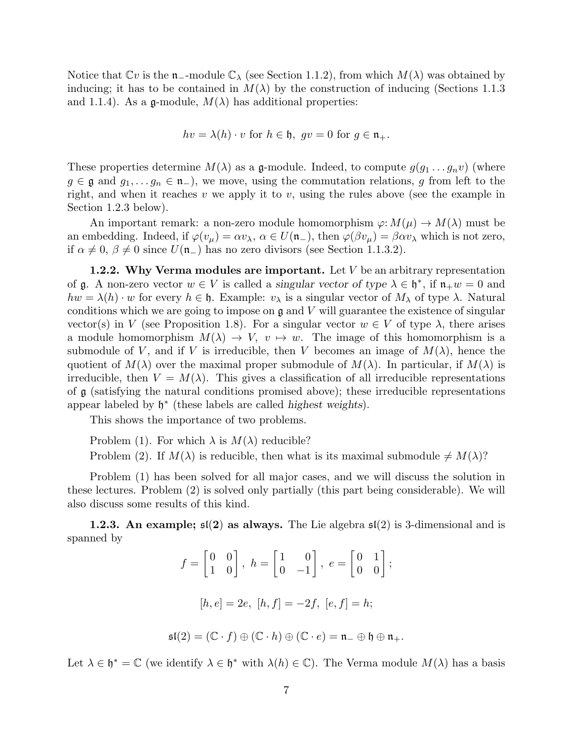Notice that  $\mathbb{C}v$  is the **n**<sub>-</sub>-module  $\mathbb{C}_{\lambda}$  (see Section 1.1.2), from which  $M(\lambda)$  was obtained by inducing; it has to be contained in  $M(\lambda)$  by the construction of inducing (Sections 1.1.3) and 1.1.4). As a g-module,  $M(\lambda)$  has additional properties:

$$
hv = \lambda(h) \cdot v
$$
 for  $h \in \mathfrak{h}$ ,  $gv = 0$  for  $g \in \mathfrak{n}_+$ .

These properties determine  $M(\lambda)$  as a g-module. Indeed, to compute  $g(g_1 \ldots g_n v)$  (where  $g \in \mathfrak{g}$  and  $g_1, \ldots, g_n \in \mathfrak{n}_-$ , we move, using the commutation relations, g from left to the right, and when it reaches v we apply it to v, using the rules above (see the example in Section 1.2.3 below).

An important remark: a non-zero module homomorphism  $\varphi: M(\mu) \to M(\lambda)$  must be an embedding. Indeed, if  $\varphi(v_\mu) = \alpha v_\lambda, \ \alpha \in U(\mathfrak{n}_-),$  then  $\varphi(\beta v_\mu) = \beta \alpha v_\lambda$  which is not zero, if  $\alpha \neq 0$ ,  $\beta \neq 0$  since  $U(\mathfrak{n}_-)$  has no zero divisors (see Section 1.1.3.2).

**1.2.2.** Why Verma modules are important. Let  $V$  be an arbitrary representation of  $\mathfrak g$ . A non-zero vector  $w \in V$  is called a singular vector of type  $\lambda \in \mathfrak h^*$ , if  $\mathfrak n_+w=0$  and  $hw = \lambda(h) \cdot w$  for every  $h \in \mathfrak{h}$ . Example:  $v_{\lambda}$  is a singular vector of  $M_{\lambda}$  of type  $\lambda$ . Natural conditions which we are going to impose on  $\mathfrak g$  and  $V$  will guarantee the existence of singular vector(s) in V (see Proposition 1.8). For a singular vector  $w \in V$  of type  $\lambda$ , there arises a module homomorphism  $M(\lambda) \to V$ ,  $v \mapsto w$ . The image of this homomorphism is a submodule of V, and if V is irreducible, then V becomes an image of  $M(\lambda)$ , hence the quotient of  $M(\lambda)$  over the maximal proper submodule of  $M(\lambda)$ . In particular, if  $M(\lambda)$  is irreducible, then  $V = M(\lambda)$ . This gives a classification of all irreducible representations of  $\alpha$  (satisfying the natural conditions promised above); these irreducible representations appear labeled by  $\mathfrak{h}^*$  (these labels are called *highest weights*).

This shows the importance of two problems.

Problem (1). For which  $\lambda$  is  $M(\lambda)$  reducible?

Problem (2). If  $M(\lambda)$  is reducible, then what is its maximal submodule  $\neq M(\lambda)$ ?

Problem (1) has been solved for all major cases, and we will discuss the solution in these lectures. Problem (2) is solved only partially (this part being considerable). We will also discuss some results of this kind.

**1.2.3.** An example;  $\mathfrak{sl}(2)$  as always. The Lie algebra  $\mathfrak{sl}(2)$  is 3-dimensional and is spanned by

$$
f = \begin{bmatrix} 0 & 0 \\ 1 & 0 \end{bmatrix}, h = \begin{bmatrix} 1 & 0 \\ 0 & -1 \end{bmatrix}, e = \begin{bmatrix} 0 & 1 \\ 0 & 0 \end{bmatrix};
$$
  

$$
[h, e] = 2e, [h, f] = -2f, [e, f] = h;
$$
  

$$
\mathfrak{sl}(2) = (\mathbb{C} \cdot f) \oplus (\mathbb{C} \cdot h) \oplus (\mathbb{C} \cdot e) = \mathfrak{n}_{-} \oplus \mathfrak{h} \oplus \mathfrak{n}_{+}.
$$

Let  $\lambda \in \mathfrak{h}^* = \mathbb{C}$  (we identify  $\lambda \in \mathfrak{h}^*$  with  $\lambda(h) \in \mathbb{C}$ ). The Verma module  $M(\lambda)$  has a basis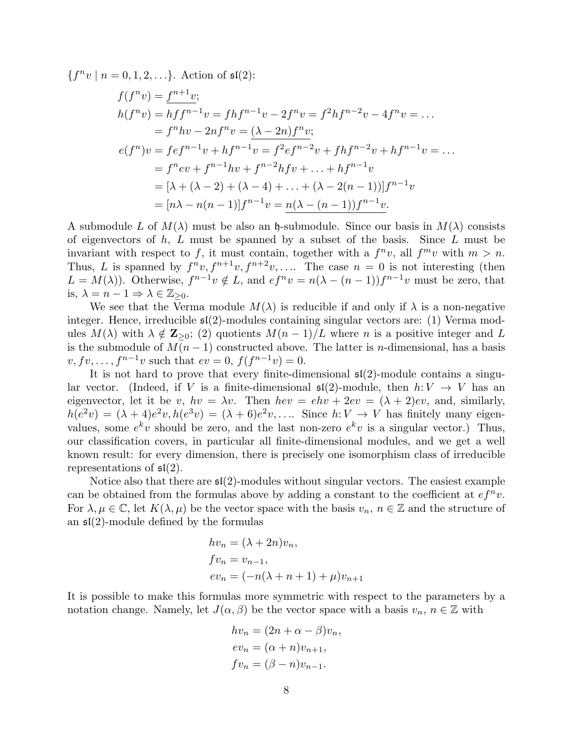${f^n v \mid n = 0, 1, 2, \ldots}.$  Action of  $\mathfrak{sl}(2)$ :

$$
f(f^{n}v) = \frac{f^{n+1}v}{h(f^{n}v)};
$$
  
\n
$$
h(f^{n}v) = hf^{n-1}v = fhf^{n-1}v - 2f^{n}v = f^{2}hf^{n-2}v - 4f^{n}v = ...
$$
  
\n
$$
= f^{n}hv - 2nf^{n}v = (\lambda - 2n)f^{n}v;
$$
  
\n
$$
e(f^{n})v = fef^{n-1}v + hf^{n-1}v = f^{2}ef^{n-2}v + fhf^{n-2}v + hf^{n-1}v = ...
$$
  
\n
$$
= f^{n}ev + f^{n-1}hv + f^{n-2}hfv + ... + hf^{n-1}v
$$
  
\n
$$
= [\lambda + (\lambda - 2) + (\lambda - 4) + ... + (\lambda - 2(n - 1))]f^{n-1}v
$$
  
\n
$$
= [n\lambda - n(n - 1)]f^{n-1}v = \frac{n(\lambda - (n - 1))f^{n-1}v}{n!}.
$$

A submodule L of  $M(\lambda)$  must be also an h-submodule. Since our basis in  $M(\lambda)$  consists of eigenvectors of  $h, L$  must be spanned by a subset of the basis. Since  $L$  must be invariant with respect to f, it must contain, together with a  $f^nv$ , all  $f^mv$  with  $m > n$ . Thus, L is spanned by  $f^n v, f^{n+1} v, f^{n+2} v, \ldots$  The case  $n = 0$  is not interesting (then  $L = M(\lambda)$ ). Otherwise,  $f^{n-1}v \notin L$ , and  $ef^{n}v = n(\lambda - (n-1))f^{n-1}v$  must be zero, that is,  $\lambda = n - 1 \Rightarrow \lambda \in \mathbb{Z}_{\geq 0}$ .

We see that the Verma module  $M(\lambda)$  is reducible if and only if  $\lambda$  is a non-negative integer. Hence, irreducible  $\mathfrak{sl}(2)$ -modules containing singular vectors are: (1) Verma modules  $M(\lambda)$  with  $\lambda \notin \mathbb{Z}_{\geq 0}$ ; (2) quotients  $M(n-1)/L$  where n is a positive integer and L is the submodule of  $M(n-1)$  constructed above. The latter is *n*-dimensional, has a basis  $v, fv, ..., f^{n-1}v$  such that  $ev = 0, f(f^{n-1}v) = 0.$ 

It is not hard to prove that every finite-dimensional  $\mathfrak{sl}(2)$ -module contains a singular vector. (Indeed, if V is a finite-dimensional  $\mathfrak{sl}(2)$ -module, then  $h: V \to V$  has an eigenvector, let it be v,  $hv = \lambda v$ . Then  $hev = ehv + 2ev = (\lambda + 2)ev$ , and, similarly,  $h(e^2v) = (\lambda + 4)e^2v, h(e^3v) = (\lambda + 6)e^2v, \dots$  Since  $h: V \to V$  has finitely many eigenvalues, some  $e^k v$  should be zero, and the last non-zero  $e^k v$  is a singular vector.) Thus, our classification covers, in particular all finite-dimensional modules, and we get a well known result: for every dimension, there is precisely one isomorphism class of irreducible representations of  $\mathfrak{sl}(2)$ .

Notice also that there are  $\mathfrak{sl}(2)$ -modules without singular vectors. The easiest example can be obtained from the formulas above by adding a constant to the coefficient at  $e f^n v$ . For  $\lambda, \mu \in \mathbb{C}$ , let  $K(\lambda, \mu)$  be the vector space with the basis  $v_n, n \in \mathbb{Z}$  and the structure of an  $\mathfrak{sl}(2)$ -module defined by the formulas

$$
hv_n = (\lambda + 2n)v_n,
$$
  
\n
$$
fv_n = v_{n-1},
$$
  
\n
$$
ev_n = (-n(\lambda + n + 1) + \mu)v_{n+1}
$$

It is possible to make this formulas more symmetric with respect to the parameters by a notation change. Namely, let  $J(\alpha, \beta)$  be the vector space with a basis  $v_n, n \in \mathbb{Z}$  with

$$
hv_n = (2n + \alpha - \beta)v_n,
$$
  
\n
$$
ev_n = (\alpha + n)v_{n+1},
$$
  
\n
$$
fv_n = (\beta - n)v_{n-1}.
$$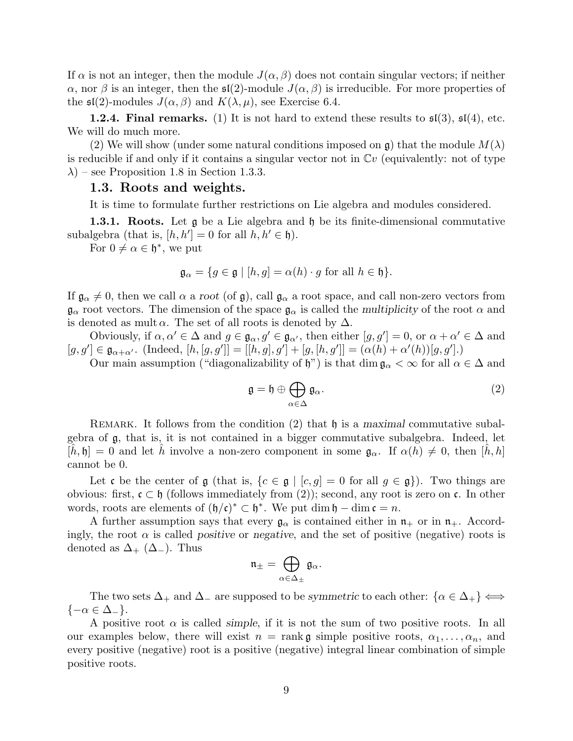If  $\alpha$  is not an integer, then the module  $J(\alpha, \beta)$  does not contain singular vectors; if neither  $\alpha$ , nor  $\beta$  is an integer, then the  $\mathfrak{sl}(2)$ -module  $J(\alpha, \beta)$  is irreducible. For more properties of the  $\mathfrak{sl}(2)$ -modules  $J(\alpha, \beta)$  and  $K(\lambda, \mu)$ , see Exercise 6.4.

**1.2.4. Final remarks.** (1) It is not hard to extend these results to  $\mathfrak{sl}(3)$ ,  $\mathfrak{sl}(4)$ , etc. We will do much more.

(2) We will show (under some natural conditions imposed on  $\mathfrak{g}$ ) that the module  $M(\lambda)$ is reducible if and only if it contains a singular vector not in  $\mathbb{C}v$  (equivalently: not of type  $\lambda$ ) – see Proposition 1.8 in Section 1.3.3.

#### 1.3. Roots and weights.

It is time to formulate further restrictions on Lie algebra and modules considered.

**1.3.1. Roots.** Let  $\mathfrak{g}$  be a Lie algebra and  $\mathfrak{h}$  be its finite-dimensional commutative subalgebra (that is,  $[h, h'] = 0$  for all  $h, h' \in \mathfrak{h}$ ).

For  $0 \neq \alpha \in \mathfrak{h}^*$ , we put

$$
\mathfrak{g}_{\alpha} = \{ g \in \mathfrak{g} \mid [h, g] = \alpha(h) \cdot g \text{ for all } h \in \mathfrak{h} \}.
$$

If  $\mathfrak{g}_{\alpha} \neq 0$ , then we call  $\alpha$  a root (of  $\mathfrak{g}$ ), call  $\mathfrak{g}_{\alpha}$  a root space, and call non-zero vectors from  $\mathfrak{g}_{\alpha}$  root vectors. The dimension of the space  $\mathfrak{g}_{\alpha}$  is called the multiplicity of the root  $\alpha$  and is denoted as mult  $\alpha$ . The set of all roots is denoted by  $\Delta$ .

Obviously, if  $\alpha, \alpha' \in \Delta$  and  $g \in \mathfrak{g}_{\alpha}, g' \in \mathfrak{g}_{\alpha'}$ , then either  $[g, g'] = 0$ , or  $\alpha + \alpha' \in \Delta$  and  $[g, g'] \in \mathfrak{g}_{\alpha+\alpha'}$ . (Indeed,  $[h, [g, g']] = [[h, g], g'] + [g, [h, g']] = (\alpha(h) + \alpha'(h))[g, g']$ .)

Our main assumption ("diagonalizability of  $\mathfrak{h}$ ") is that dim  $\mathfrak{g}_{\alpha} < \infty$  for all  $\alpha \in \Delta$  and

$$
\mathfrak{g} = \mathfrak{h} \oplus \bigoplus_{\alpha \in \Delta} \mathfrak{g}_{\alpha}.\tag{2}
$$

REMARK. It follows from the condition  $(2)$  that  $\mathfrak h$  is a maximal commutative subalgebra of g, that is, it is not contained in a bigger commutative subalgebra. Indeed, let  $[h, \mathfrak{h}] = 0$  and let h involve a non-zero component in some  $\mathfrak{g}_{\alpha}$ . If  $\alpha(h) \neq 0$ , then  $[h, h]$ cannot be 0.

Let c be the center of  $\mathfrak g$  (that is,  $\{c \in \mathfrak g \mid [c, g] = 0 \text{ for all } g \in \mathfrak g\}$ ). Two things are obvious: first,  $\mathfrak{c} \subset \mathfrak{h}$  (follows immediately from (2)); second, any root is zero on  $\mathfrak{c}$ . In other words, roots are elements of  $(\mathfrak{h}/\mathfrak{c})^* \subset \mathfrak{h}^*$ . We put dim  $\mathfrak{h} - \dim \mathfrak{c} = n$ .

A further assumption says that every  $\mathfrak{g}_{\alpha}$  is contained either in  $\mathfrak{n}_+$  or in  $\mathfrak{n}_+$ . Accordingly, the root  $\alpha$  is called *positive* or *negative*, and the set of positive (negative) roots is denoted as  $\Delta_{+}$  ( $\Delta_{-}$ ). Thus

$$
\mathfrak{n}_{\pm}=\bigoplus_{\alpha\in\Delta_{\pm}}\mathfrak{g}_{\alpha}.
$$

The two sets  $\Delta_+$  and  $\Delta_-$  are supposed to be symmetric to each other:  $\{\alpha \in \Delta_+\} \Longleftrightarrow$  $\{-\alpha \in \Delta_-\}.$ 

A positive root  $\alpha$  is called *simple*, if it is not the sum of two positive roots. In all our examples below, there will exist  $n = \text{rank } \mathfrak{g}$  simple positive roots,  $\alpha_1, \ldots, \alpha_n$ , and every positive (negative) root is a positive (negative) integral linear combination of simple positive roots.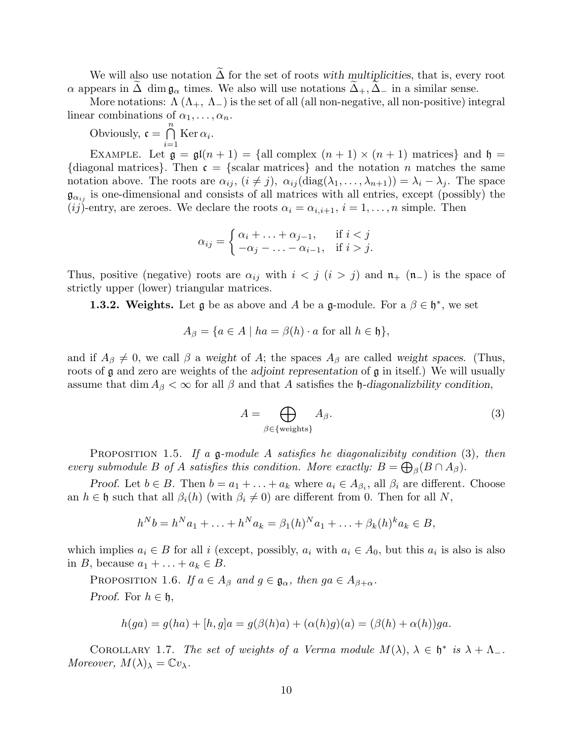We will also use notation  $\Delta$  for the set of roots with multiplicities, that is, every root  $\alpha$  appears in  $\Delta$  dim  $\mathfrak{g}_{\alpha}$  times. We also will use notations  $\Delta_{+}, \Delta_{-}$  in a similar sense.

More notations:  $\Lambda(\Lambda_+, \Lambda_-)$  is the set of all (all non-negative, all non-positive) integral linear combinations of  $\alpha_1, \ldots, \alpha_n$ .

Obviously,  $\mathfrak{c} = \bigcap^{n}$  $i=1$  $\mathrm{Ker}\,\alpha_i.$ 

EXAMPLE. Let  $\mathfrak{g} = \mathfrak{gl}(n+1) = \{ \text{all complex } (n+1) \times (n+1) \text{ matrices} \}$  and  $\mathfrak{h} =$ {diagonal matrices}. Then  $\mathfrak{c} = \{ \text{scalar matrices} \}$  and the notation n matches the same notation above. The roots are  $\alpha_{ij}$ ,  $(i \neq j)$ ,  $\alpha_{ij}$  (diag( $\lambda_1, \ldots, \lambda_{n+1}$ )) =  $\lambda_i - \lambda_j$ . The space  $\mathfrak{g}_{\alpha_{ij}}$  is one-dimensional and consists of all matrices with all entries, except (possibly) the (ij)-entry, are zeroes. We declare the roots  $\alpha_i = \alpha_{i,i+1}, i = 1, \ldots, n$  simple. Then

$$
\alpha_{ij} = \begin{cases} \alpha_i + \ldots + \alpha_{j-1}, & \text{if } i < j \\ -\alpha_j - \ldots - \alpha_{i-1}, & \text{if } i > j. \end{cases}
$$

Thus, positive (negative) roots are  $\alpha_{ij}$  with  $i < j$  ( $i > j$ ) and  $\mathfrak{n}_+$  ( $\mathfrak{n}_-$ ) is the space of strictly upper (lower) triangular matrices.

**1.3.2. Weights.** Let  $\mathfrak{g}$  be as above and A be a  $\mathfrak{g}\text{-module}$ . For a  $\beta \in \mathfrak{h}^*$ , we set

$$
A_{\beta} = \{ a \in A \mid ha = \beta(h) \cdot a \text{ for all } h \in \mathfrak{h} \},
$$

and if  $A_{\beta} \neq 0$ , we call  $\beta$  a weight of A; the spaces  $A_{\beta}$  are called weight spaces. (Thus, roots of  $\mathfrak g$  and zero are weights of the adjoint representation of  $\mathfrak g$  in itself.) We will usually assume that dim  $A_{\beta} < \infty$  for all  $\beta$  and that A satisfies the h-diagonalizability condition,

$$
A = \bigoplus_{\beta \in \{\text{weights}\}} A_{\beta}.
$$
 (3)

**PROPOSITION** 1.5. If a  $\mathfrak{g}\text{-module}$  A satisfies he diagonalizibity condition (3), then every submodule B of A satisfies this condition. More exactly:  $B = \bigoplus_{\beta} (B \cap A_{\beta})$ .

*Proof.* Let  $b \in B$ . Then  $b = a_1 + \ldots + a_k$  where  $a_i \in A_{\beta_i}$ , all  $\beta_i$  are different. Choose an  $h \in \mathfrak{h}$  such that all  $\beta_i(h)$  (with  $\beta_i \neq 0$ ) are different from 0. Then for all N,

$$
h^N b = h^N a_1 + \ldots + h^N a_k = \beta_1(h)^N a_1 + \ldots + \beta_k(h)^k a_k \in B,
$$

which implies  $a_i \in B$  for all i (except, possibly,  $a_i$  with  $a_i \in A_0$ , but this  $a_i$  is also is also in B, because  $a_1 + \ldots + a_k \in B$ .

PROPOSITION 1.6. If  $a \in A_\beta$  and  $g \in \mathfrak{g}_\alpha$ , then  $ga \in A_{\beta+\alpha}$ .

*Proof.* For  $h \in \mathfrak{h}$ ,

$$
h(ga) = g(ha) + [h, g]a = g(\beta(h)a) + (\alpha(h)g)(a) = (\beta(h) + \alpha(h))ga.
$$

COROLLARY 1.7. The set of weights of a Verma module  $M(\lambda)$ ,  $\lambda \in \mathfrak{h}^*$  is  $\lambda + \Lambda_-$ . Moreover,  $M(\lambda)_{\lambda} = \mathbb{C}v_{\lambda}$ .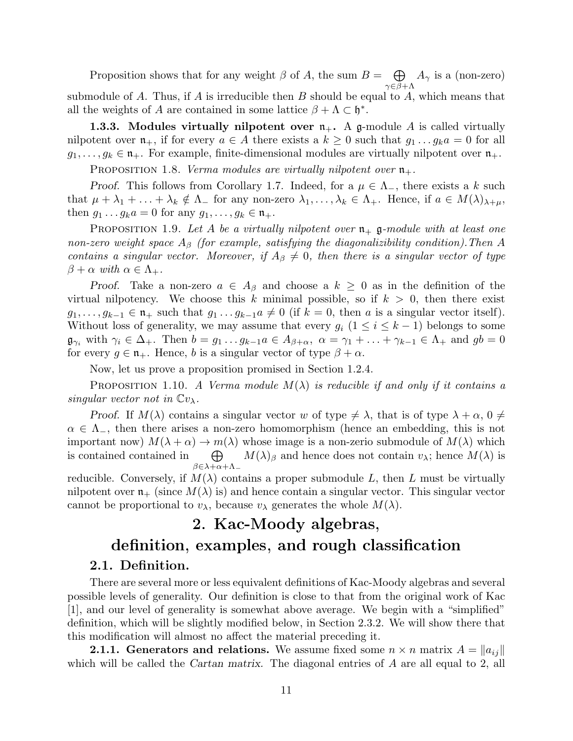Proposition shows that for any weight  $\beta$  of A, the sum  $B = \bigoplus$  $\gamma \in \beta + \Lambda$  $A_{\gamma}$  is a (non-zero) submodule of  $A$ . Thus, if  $A$  is irreducible then  $B$  should be equal to  $A$ , which means that all the weights of A are contained in some lattice  $\beta + \Lambda \subset \mathfrak{h}^*$ .

**1.3.3.** Modules virtually nilpotent over  $n_{+}$ . A g-module A is called virtually nilpotent over  $\mathfrak{n}_+$ , if for every  $a \in A$  there exists a  $k \geq 0$  such that  $g_1 \dots g_k a = 0$  for all  $g_1, \ldots, g_k \in \mathfrak{n}_+$ . For example, finite-dimensional modules are virtually nilpotent over  $\mathfrak{n}_+$ .

PROPOSITION 1.8. Verma modules are virtually nilpotent over  $\mathfrak{n}_+$ .

*Proof.* This follows from Corollary 1.7. Indeed, for a  $\mu \in \Lambda_{-}$ , there exists a k such that  $\mu + \lambda_1 + \ldots + \lambda_k \notin \Lambda$  for any non-zero  $\lambda_1, \ldots, \lambda_k \in \Lambda_+$ . Hence, if  $a \in M(\lambda)_{\lambda+\mu}$ , then  $g_1 \dots g_k a = 0$  for any  $g_1, \dots, g_k \in \mathfrak{n}_+$ .

PROPOSITION 1.9. Let A be a virtually nilpotent over  $\mathfrak{n}_+$  g-module with at least one non-zero weight space  $A_\beta$  (for example, satisfying the diagonalizibility condition). Then A contains a singular vector. Moreover, if  $A_\beta \neq 0$ , then there is a singular vector of type  $\beta + \alpha$  with  $\alpha \in \Lambda_+$ .

Proof. Take a non-zero  $a \in A_\beta$  and choose a  $k \geq 0$  as in the definition of the virtual nilpotency. We choose this k minimal possible, so if  $k > 0$ , then there exist  $g_1, \ldots, g_{k-1} \in \mathfrak{n}_+$  such that  $g_1 \ldots g_{k-1}a \neq 0$  (if  $k=0$ , then a is a singular vector itself). Without loss of generality, we may assume that every  $g_i$  ( $1 \le i \le k-1$ ) belongs to some  $\mathfrak{g}_{\gamma_i}$  with  $\gamma_i \in \Delta_+$ . Then  $b = g_1 \dots g_{k-1} a \in A_{\beta+\alpha}, \ \alpha = \gamma_1 + \dots + \gamma_{k-1} \in \Lambda_+$  and  $gb = 0$ for every  $g \in \mathfrak{n}_+$ . Hence, b is a singular vector of type  $\beta + \alpha$ .

Now, let us prove a proposition promised in Section 1.2.4.

PROPOSITION 1.10. A Verma module  $M(\lambda)$  is reducible if and only if it contains a singular vector not in  $\mathbb{C}v_{\lambda}$ .

Proof. If  $M(\lambda)$  contains a singular vector w of type  $\neq \lambda$ , that is of type  $\lambda + \alpha$ ,  $0 \neq \lambda$  $\alpha \in \Lambda_{-}$ , then there arises a non-zero homomorphism (hence an embedding, this is not important now)  $M(\lambda + \alpha) \to m(\lambda)$  whose image is a non-zerio submodule of  $M(\lambda)$  which is contained contained in  $\bigoplus$  $\beta \in \lambda + \alpha + \Lambda$ <sub>-</sub>  $M(\lambda)_{\beta}$  and hence does not contain  $v_{\lambda}$ ; hence  $M(\lambda)$  is

reducible. Conversely, if  $M(\lambda)$  contains a proper submodule L, then L must be virtually nilpotent over  $\mathfrak{n}_+$  (since  $M(\lambda)$  is) and hence contain a singular vector. This singular vector cannot be proportional to  $v_{\lambda}$ , because  $v_{\lambda}$  generates the whole  $M(\lambda)$ .

# 2. Kac-Moody algebras,

## definition, examples, and rough classification 2.1. Definition.

There are several more or less equivalent definitions of Kac-Moody algebras and several possible levels of generality. Our definition is close to that from the original work of Kac [1], and our level of generality is somewhat above average. We begin with a "simplified" definition, which will be slightly modified below, in Section 2.3.2. We will show there that this modification will almost no affect the material preceding it.

**2.1.1.** Generators and relations. We assume fixed some  $n \times n$  matrix  $A = ||a_{ij}||$ which will be called the *Cartan matrix*. The diagonal entries of A are all equal to 2, all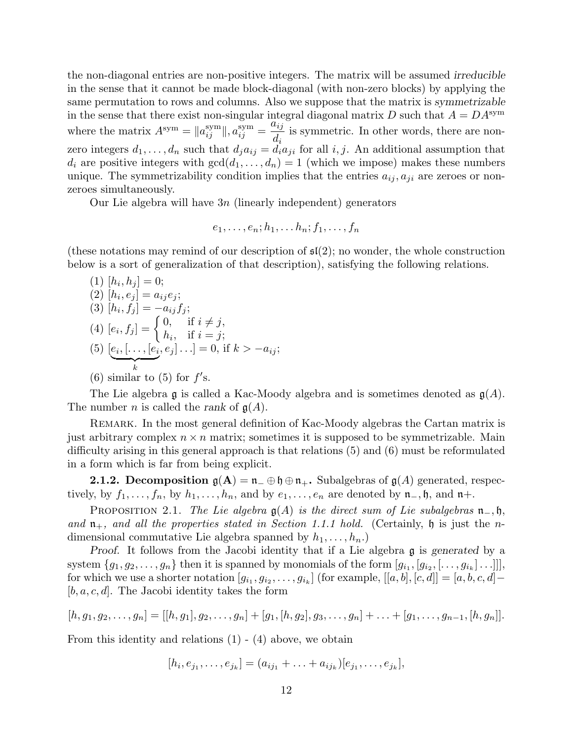the non-diagonal entries are non-positive integers. The matrix will be assumed irreducible in the sense that it cannot be made block-diagonal (with non-zero blocks) by applying the same permutation to rows and columns. Also we suppose that the matrix is symmetrizable in the sense that there exist non-singular integral diagonal matrix D such that  $A = DA^{sym}$ where the matrix  $A^{sym} = ||a_{ij}^{sym}||, a_{ij}^{sym} =$  $a_{ij}$  $d_i$ is symmetric. In other words, there are nonzero integers  $d_1, \ldots, d_n$  such that  $d_j a_{ij} = d_i a_{ji}$  for all i, j. An additional assumption that  $d_i$  are positive integers with  $gcd(d_1, \ldots, d_n) = 1$  (which we impose) makes these numbers unique. The symmetrizability condition implies that the entries  $a_{ij}, a_{ji}$  are zeroes or nonzeroes simultaneously.

Our Lie algebra will have  $3n$  (linearly independent) generators

$$
e_1,\ldots,e_n;h_1,\ldots h_n;f_1,\ldots,f_n
$$

(these notations may remind of our description of  $\mathfrak{sl}(2)$ ; no wonder, the whole construction below is a sort of generalization of that description), satisfying the following relations.

- $(1)$   $[h_i, h_j] = 0;$  $(2)$   $[h_i, e_j] = a_{ij}e_j;$  $(3)$   $[h_i, f_j] = -a_{ij}f_j;$ (4)  $[e_i, f_j] = \begin{cases} 0, & \text{if } i \neq j, \\ b, & \text{if } i = j. \end{cases}$  $h_i$ , if  $i = j$ ;  $(5)$   $[e_i, [\ldots, [e_i]]$  $\overbrace{k}$  $, e_j ] \ldots ] = 0$ , if  $k > -a_{ij};$
- (6) similar to (5) for  $f$ 's.

The Lie algebra g is called a Kac-Moody algebra and is sometimes denoted as  $g(A)$ . The number *n* is called the *rank* of  $g(A)$ .

Remark. In the most general definition of Kac-Moody algebras the Cartan matrix is just arbitrary complex  $n \times n$  matrix; sometimes it is supposed to be symmetrizable. Main difficulty arising in this general approach is that relations (5) and (6) must be reformulated in a form which is far from being explicit.

**2.1.2. Decomposition**  $\mathfrak{g}(A) = \mathfrak{n} - \oplus \mathfrak{h} \oplus \mathfrak{n}$ . Subalgebras of  $\mathfrak{g}(A)$  generated, respectively, by  $f_1, \ldots, f_n$ , by  $h_1, \ldots, h_n$ , and by  $e_1, \ldots, e_n$  are denoted by  $\mathfrak{n}_-, \mathfrak{h}$ , and  $\mathfrak{n}_+$ .

PROPOSITION 2.1. The Lie algebra  $g(A)$  is the direct sum of Lie subalgebras  $\mathfrak{n}_-, \mathfrak{h}$ , and  $\mathfrak{n}_+$ , and all the properties stated in Section 1.1.1 hold. (Certainly,  $\mathfrak{h}$  is just the ndimensional commutative Lie algebra spanned by  $h_1, \ldots, h_n$ .

Proof. It follows from the Jacobi identity that if a Lie algebra g is generated by a system  $\{g_1, g_2, \ldots, g_n\}$  then it is spanned by monomials of the form  $[g_{i_1}, [g_{i_2}, [\ldots, g_{i_k}] \ldots]]$ , for which we use a shorter notation  $[g_{i_1}, g_{i_2}, \ldots, g_{i_k}]$  (for example,  $[[a, b], [c, d]] = [a, b, c, d] [b, a, c, d]$ . The Jacobi identity takes the form

$$
[h,g_1,g_2,\ldots,g_n]=[[h,g_1],g_2,\ldots,g_n]+[g_1,[h,g_2],g_3,\ldots,g_n]+\ldots+[g_1,\ldots,g_{n-1},[h,g_n]].
$$

From this identity and relations (1) - (4) above, we obtain

$$
[h_i, e_{j_1}, \ldots, e_{j_k}] = (a_{ij_1} + \ldots + a_{ij_k})[e_{j_1}, \ldots, e_{j_k}],
$$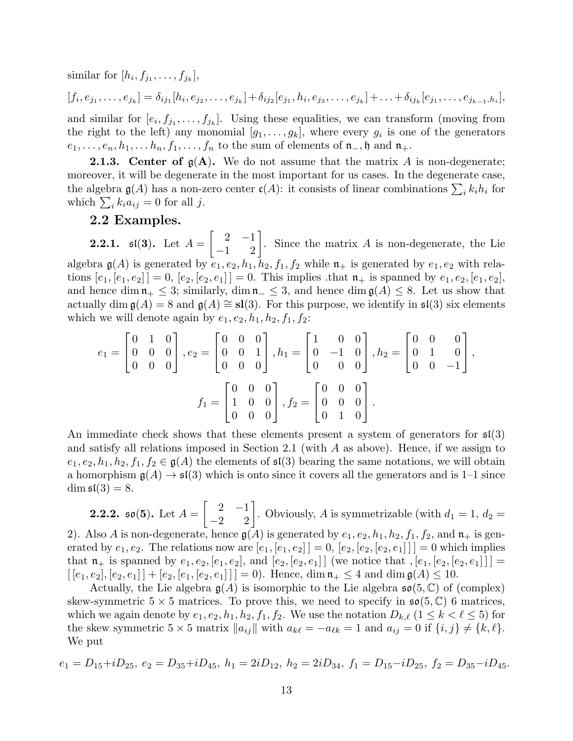similar for  $[h_i, f_{j_1}, \ldots, f_{j_k}],$ 

$$
[f_i, e_{j_1}, \ldots, e_{j_k}] = \delta_{ij_1} [h_i, e_{j_2}, \ldots, e_{j_k}] + \delta_{ij_2} [e_{j_1}, h_i, e_{j_3}, \ldots, e_{j_k}] + \ldots + \delta_{ij_k} [e_{j_1}, \ldots, e_{j_{k-1}, h_i}],
$$

and similar for  $[e_i, f_{j_1}, \ldots, f_{j_k}]$ . Using these equalities, we can transform (moving from the right to the left) any monomial  $[g_1, \ldots, g_k]$ , where every  $g_i$  is one of the generators  $e_1, \ldots, e_n, h_1, \ldots, h_n, f_1, \ldots, f_n$  to the sum of elements of  $\mathfrak{n}_-, \mathfrak{h}$  and  $\mathfrak{n}_+$ .

**2.1.3.** Center of  $g(A)$ . We do not assume that the matrix A is non-degenerate; moreover, it will be degenerate in the most important for us cases. In the degenerate case, the algebra  $\mathfrak{g}(A)$  has a non-zero center  $\mathfrak{c}(A)$ : it consists of linear combinations  $\sum_i k_i h_i$  for which  $\sum_i k_i a_{ij} = 0$  for all j.

#### 2.2 Examples.

**2.2.1.**  $\mathfrak{sl}(3)$ . Let  $A =$  $\begin{bmatrix} 2 & -1 \\ -1 & 2 \end{bmatrix}$ . Since the matrix A is non-degenerate, the Lie algebra  $\mathfrak{g}(A)$  is generated by  $e_1, e_2, h_1, h_2, f_1, f_2$  while  $\mathfrak{n}_+$  is generated by  $e_1, e_2$  with relations  $[e_1, [e_1, e_2]] = 0$ ,  $[e_2, [e_2, e_1]] = 0$ . This implies that  $\mathfrak{n}_+$  is spanned by  $e_1, e_2, [e_1, e_2]$ , and hence dim  $\mathfrak{n}_+ \leq 3$ ; similarly, dim  $\mathfrak{n}_- \leq 3$ , and hence dim  $\mathfrak{g}(A) \leq 8$ . Let us show that actually dim  $g(A) = 8$  and  $g(A) \cong sl(3)$ . For this purpose, we identify in  $\mathfrak{sl}(3)$  six elements which we will denote again by  $e_1, e_2, h_1, h_2, f_1, f_2$ :

$$
e_1 = \begin{bmatrix} 0 & 1 & 0 \\ 0 & 0 & 0 \\ 0 & 0 & 0 \end{bmatrix}, e_2 = \begin{bmatrix} 0 & 0 & 0 \\ 0 & 0 & 1 \\ 0 & 0 & 0 \end{bmatrix}, h_1 = \begin{bmatrix} 1 & 0 & 0 \\ 0 & -1 & 0 \\ 0 & 0 & 0 \end{bmatrix}, h_2 = \begin{bmatrix} 0 & 0 & 0 \\ 0 & 1 & 0 \\ 0 & 0 & -1 \end{bmatrix},
$$

$$
f_1 = \begin{bmatrix} 0 & 0 & 0 \\ 1 & 0 & 0 \\ 0 & 0 & 0 \end{bmatrix}, f_2 = \begin{bmatrix} 0 & 0 & 0 \\ 0 & 0 & 0 \\ 0 & 1 & 0 \end{bmatrix}.
$$

An immediate check shows that these elements present a system of generators for  $\mathfrak{sl}(3)$ and satisfy all relations imposed in Section 2.1 (with  $A$  as above). Hence, if we assign to  $e_1, e_2, h_1, h_2, f_1, f_2 \in \mathfrak{g}(A)$  the elements of  $\mathfrak{sl}(3)$  bearing the same notations, we will obtain a homorphism  $g(A) \to \mathfrak{sl}(3)$  which is onto since it covers all the generators and is 1–1 since  $\dim \mathfrak{sl}(3) = 8.$ 

**2.2.2.** so(5). Let  $A =$  $\begin{bmatrix} 2 & -1 \\ -2 & 2 \end{bmatrix}$ . Obviously, A is symmetrizable (with  $d_1 = 1$ ,  $d_2 =$ 

2). Also A is non-degenerate, hence  $g(A)$  is generated by  $e_1, e_2, h_1, h_2, f_1, f_2$ , and  $\mathfrak{n}_+$  is generated by  $e_1, e_2$ . The relations now are  $[e_1, [e_1, e_2]] = 0$ ,  $[e_2, [e_2, [e_2, e_1]]] = 0$  which implies that  $\mathfrak{n}_+$  is spanned by  $e_1, e_2, [e_1, e_2]$ , and  $[e_2, [e_2, e_1]]$  (we notice that  $,[e_1, [e_2, [e_2, e_1]]] =$  $[[e_1, e_2], [e_2, e_1]] + [e_2, [e_1, [e_2, e_1]]] = 0$ . Hence,  $\dim \mathfrak{n}_+ \leq 4$  and  $\dim \mathfrak{g}(A) \leq 10$ .

Actually, the Lie algebra  $g(A)$  is isomorphic to the Lie algebra  $\mathfrak{so}(5,\mathbb{C})$  of (complex) skew-symmetric  $5 \times 5$  matrices. To prove this, we need to specify in  $\mathfrak{so}(5, \mathbb{C})$  6 matrices, which we again denote by  $e_1, e_2, h_1, h_2, f_1, f_2$ . We use the notation  $D_{k,\ell}$   $(1 \leq k < \ell \leq 5)$  for the skew symmetric 5 × 5 matrix  $||a_{ij}||$  with  $a_{k\ell} = -a_{\ell k} = 1$  and  $a_{ij} = 0$  if  $\{i, j\} \neq \{k, \ell\}.$ We put

$$
e_1 = D_{15} + i D_{25}, \ e_2 = D_{35} + i D_{45}, \ h_1 = 2i D_{12}, \ h_2 = 2i D_{34}, \ f_1 = D_{15} - i D_{25}, \ f_2 = D_{35} - i D_{45}.
$$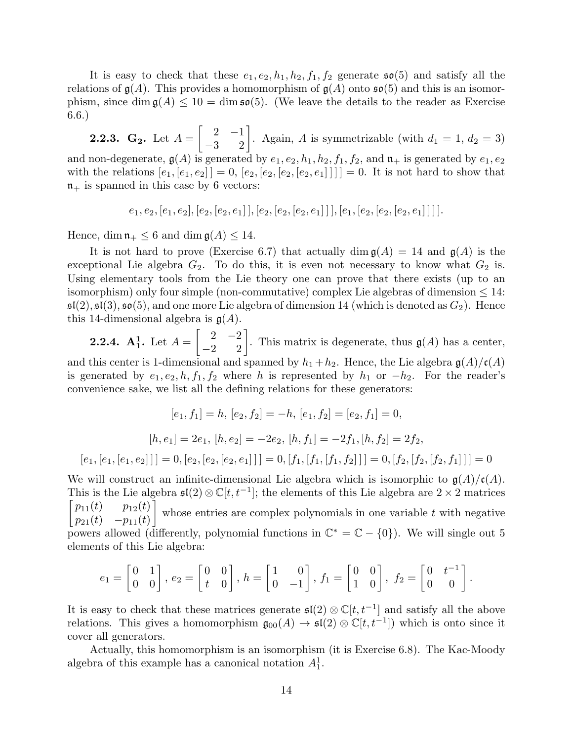It is easy to check that these  $e_1, e_2, h_1, h_2, f_1, f_2$  generate  $\mathfrak{so}(5)$  and satisfy all the relations of  $g(A)$ . This provides a homomorphism of  $g(A)$  onto  $\mathfrak{so}(5)$  and this is an isomorphism, since dim  $\mathfrak{g}(A) \leq 10 = \dim \mathfrak{so}(5)$ . (We leave the details to the reader as Exercise 6.6.)

**2.2.3.**  $G_2$ . Let  $A =$  $\begin{bmatrix} 2 & -1 \\ -3 & 2 \end{bmatrix}$ . Again, A is symmetrizable (with  $d_1 = 1, d_2 = 3$ ) and non-degenerate,  $g(A)$  is generated by  $e_1, e_2, h_1, h_2, f_1, f_2$ , and  $\mathfrak{n}_+$  is generated by  $e_1, e_2$ with the relations  $[e_1, [e_1, e_2]] = 0$ ,  $[e_2, [e_2, [e_2, e_1]]]] = 0$ . It is not hard to show that  $n_{+}$  is spanned in this case by 6 vectors:

$$
e_1, e_2, [e_1, e_2], [e_2, [e_2, e_1]], [e_2, [e_2, [e_2, e_1]]], [e_1, [e_2, [e_2, [e_2, e_1]]]].
$$

Hence, dim  $\mathfrak{n}_+ \leq 6$  and dim  $\mathfrak{g}(A) \leq 14$ .

It is not hard to prove (Exercise 6.7) that actually dim  $g(A) = 14$  and  $g(A)$  is the exceptional Lie algebra  $G_2$ . To do this, it is even not necessary to know what  $G_2$  is. Using elementary tools from the Lie theory one can prove that there exists (up to an isomorphism) only four simple (non-commutative) complex Lie algebras of dimension  $\leq 14$ :  $\mathfrak{sl}(2)$ ,  $\mathfrak{sl}(3)$ ,  $\mathfrak{so}(5)$ , and one more Lie algebra of dimension 14 (which is denoted as  $G_2$ ). Hence this 14-dimensional algebra is  $g(A)$ .

**2.2.4.**  $A_1^1$ . Let  $A =$  $\begin{bmatrix} 2 & -2 \\ -2 & 2 \end{bmatrix}$ . This matrix is degenerate, thus  $\mathfrak{g}(A)$  has a center, and this center is 1-dimensional and spanned by  $h_1 + h_2$ . Hence, the Lie algebra  $\mathfrak{g}(A)/\mathfrak{c}(A)$ is generated by  $e_1, e_2, h, f_1, f_2$  where h is represented by  $h_1$  or  $-h_2$ . For the reader's convenience sake, we list all the defining relations for these generators:

$$
[e_1, f_1] = h, [e_2, f_2] = -h, [e_1, f_2] = [e_2, f_1] = 0,
$$
  

$$
[h, e_1] = 2e_1, [h, e_2] = -2e_2, [h, f_1] = -2f_1, [h, f_2] = 2f_2,
$$
  

$$
[e_1, [e_1, [e_1, e_2]]] = 0, [e_2, [e_2, e_1]]] = 0, [f_1, [f_1, [f_1, f_2]]] = 0, [f_2, [f_2, [f_2, f_1]]] = 0
$$

We will construct an infinite-dimensional Lie algebra which is isomorphic to  $\mathfrak{g}(A)/\mathfrak{c}(A)$ . This is the Lie algebra  $\mathfrak{sl}(2)\otimes \mathbb{C}[t,t^{-1}]$ ; the elements of this Lie algebra are  $2\times 2$  matrices  $\lceil p_{11}(t) \rceil_{12}(t)$  $p_{21}(t) -p_{11}(t)$ 1 whose entries are complex polynomials in one variable  $t$  with negative powers allowed (differently, polynomial functions in  $\mathbb{C}^* = \mathbb{C} - \{0\}$ ). We will single out 5 elements of this Lie algebra:

$$
e_1 = \begin{bmatrix} 0 & 1 \\ 0 & 0 \end{bmatrix}, e_2 = \begin{bmatrix} 0 & 0 \\ t & 0 \end{bmatrix}, h = \begin{bmatrix} 1 & 0 \\ 0 & -1 \end{bmatrix}, f_1 = \begin{bmatrix} 0 & 0 \\ 1 & 0 \end{bmatrix}, f_2 = \begin{bmatrix} 0 & t^{-1} \\ 0 & 0 \end{bmatrix}.
$$

It is easy to check that these matrices generate  $\mathfrak{sl}(2)\otimes \mathbb{C}[t,t^{-1}]$  and satisfy all the above relations. This gives a homomorphism  $\mathfrak{g}_{00}(A) \to \mathfrak{sl}(2) \otimes \mathbb{C}[t, t^{-1}]$  which is onto since it cover all generators.

Actually, this homomorphism is an isomorphism (it is Exercise 6.8). The Kac-Moody algebra of this example has a canonical notation  $A_1^1$ .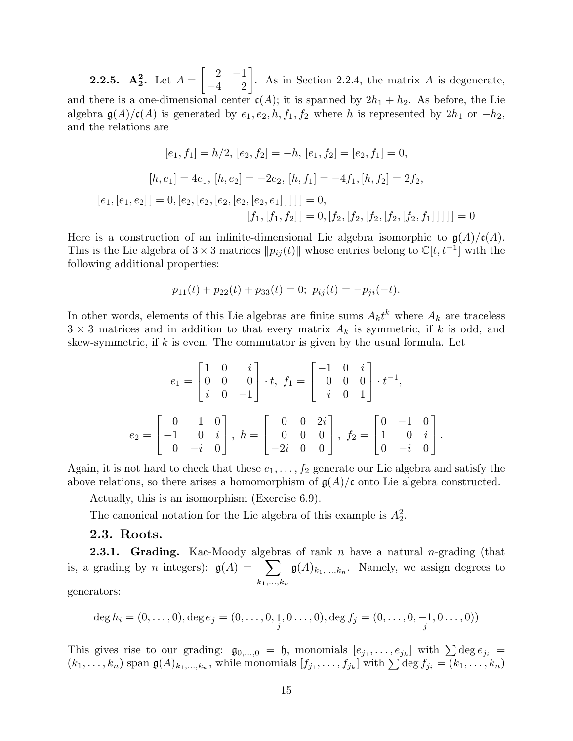**2.2.5.**  $A_2^2$ . Let  $A =$  $\begin{bmatrix} 2 & -1 \\ -4 & 2 \end{bmatrix}$ . As in Section 2.2.4, the matrix A is degenerate, and there is a one-dimensional center  $c(A)$ ; it is spanned by  $2h_1 + h_2$ . As before, the Lie algebra  $\mathfrak{g}(A)/\mathfrak{c}(A)$  is generated by  $e_1, e_2, h, f_1, f_2$  where h is represented by  $2h_1$  or  $-h_2$ , and the relations are

$$
[e_1, f_1] = h/2, [e_2, f_2] = -h, [e_1, f_2] = [e_2, f_1] = 0,
$$
  
\n
$$
[h, e_1] = 4e_1, [h, e_2] = -2e_2, [h, f_1] = -4f_1, [h, f_2] = 2f_2,
$$
  
\n
$$
[e_1, [e_1, e_2]] = 0, [e_2, [e_2, [e_2, [e_2, e_1]]]]] = 0,
$$
  
\n
$$
[f_1, [f_1, f_2]] = 0, [f_2, [f_2, [f_2, [f_2, f_1]]]]] = 0
$$

Here is a construction of an infinite-dimensional Lie algebra isomorphic to  $\mathfrak{g}(A)/\mathfrak{c}(A)$ . This is the Lie algebra of 3 × 3 matrices  $||p_{ij}(t)||$  whose entries belong to  $\mathbb{C}[t, t^{-1}]$  with the following additional properties:

$$
p_{11}(t) + p_{22}(t) + p_{33}(t) = 0; \ p_{ij}(t) = -p_{ji}(-t).
$$

In other words, elements of this Lie algebras are finite sums  $A_k t^k$  where  $A_k$  are traceless  $3 \times 3$  matrices and in addition to that every matrix  $A_k$  is symmetric, if k is odd, and skew-symmetric, if  $k$  is even. The commutator is given by the usual formula. Let

$$
e_1 = \begin{bmatrix} 1 & 0 & i \\ 0 & 0 & 0 \\ i & 0 & -1 \end{bmatrix} \cdot t, \ f_1 = \begin{bmatrix} -1 & 0 & i \\ 0 & 0 & 0 \\ i & 0 & 1 \end{bmatrix} \cdot t^{-1},
$$

$$
e_2 = \begin{bmatrix} 0 & 1 & 0 \\ -1 & 0 & i \\ 0 & -i & 0 \end{bmatrix}, \ h = \begin{bmatrix} 0 & 0 & 2i \\ 0 & 0 & 0 \\ -2i & 0 & 0 \end{bmatrix}, \ f_2 = \begin{bmatrix} 0 & -1 & 0 \\ 1 & 0 & i \\ 0 & -i & 0 \end{bmatrix}.
$$

Again, it is not hard to check that these  $e_1, \ldots, f_2$  generate our Lie algebra and satisfy the above relations, so there arises a homomorphism of  $g(A)/c$  onto Lie algebra constructed.

Actually, this is an isomorphism (Exercise 6.9).

The canonical notation for the Lie algebra of this example is  $A_2^2$ .

#### 2.3. Roots.

**2.3.1.** Grading. Kac-Moody algebras of rank n have a natural n-grading (that is, a grading by *n* integers):  $g(A) = \sum$  $k_1,...,k_n$  $\mathfrak{g}(A)_{k_1,\ldots,k_n}$ . Namely, we assign degrees to

generators:

$$
\deg h_i = (0, \ldots, 0), \deg e_j = (0, \ldots, 0, \underset{j}{1}, 0 \ldots, 0), \deg f_j = (0, \ldots, 0, -1, 0 \ldots, 0))
$$

This gives rise to our grading:  $\mathfrak{g}_{0,\dots,0} = \mathfrak{h}$ , monomials  $[e_{j_1},\dots,e_{j_k}]$  with  $\sum \deg e_{j_i} =$  $(k_1,\ldots,k_n)$  span  $\mathfrak{g}(A)_{k_1,\ldots,k_n}$ , while monomials  $[f_{j_1},\ldots,f_{j_k}]$  with  $\sum \deg f_{j_i} = (k_1,\ldots,k_n)$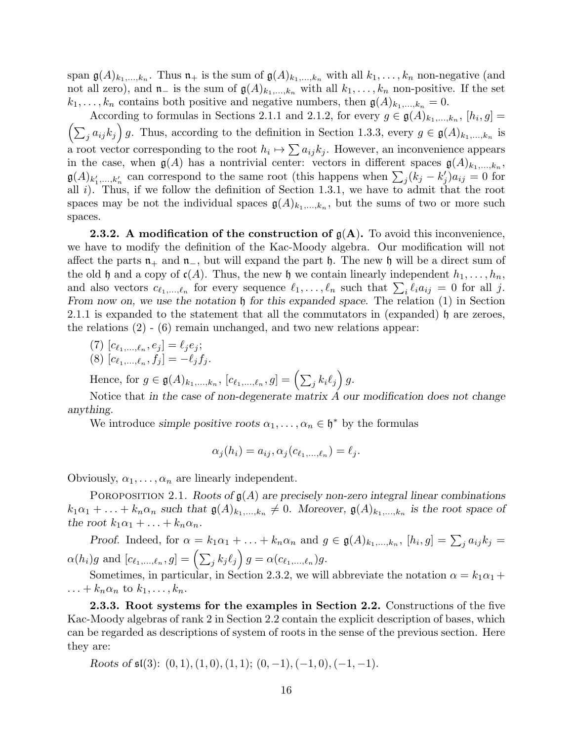span  $\mathfrak{g}(A)_{k_1,\ldots,k_n}$ . Thus  $\mathfrak{n}_+$  is the sum of  $\mathfrak{g}(A)_{k_1,\ldots,k_n}$  with all  $k_1,\ldots,k_n$  non-negative (and not all zero), and  $\mathfrak{n}_-$  is the sum of  $\mathfrak{g}(A)_{k_1,\ldots,k_n}$  with all  $k_1,\ldots,k_n$  non-positive. If the set  $k_1, \ldots, k_n$  contains both positive and negative numbers, then  $\mathfrak{g}(A)_{k_1,\ldots,k_n} = 0$ .

According to formulas in Sections 2.1.1 and 2.1.2, for every  $g \in \mathfrak{g}(A)_{k_1,\ldots,k_n}$ ,  $[h_i,g] =$  $\left(\sum_j a_{ij} k_j\right) g$ . Thus, according to the definition in Section 1.3.3, every  $g \in \mathfrak{g}(A)_{k_1,\dots,k_n}$  is a root vector corresponding to the root  $h_i \mapsto \sum a_{ij} k_j$ . However, an inconvenience appears in the case, when  $\mathfrak{g}(A)$  has a nontrivial center: vectors in different spaces  $\mathfrak{g}(A)_{k_1,\ldots,k_n}$ ,  $\mathfrak{g}(A)_{k'_1,\dots,k'_n}$  can correspond to the same root (this happens when  $\sum_j (k_j - k'_j) a_{ij} = 0$  for all  $i$ ). Thus, if we follow the definition of Section 1.3.1, we have to admit that the root spaces may be not the individual spaces  $\mathfrak{g}(A)_{k_1,\dots,k_n}$ , but the sums of two or more such spaces.

**2.3.2.** A modification of the construction of  $g(A)$ . To avoid this inconvenience, we have to modify the definition of the Kac-Moody algebra. Our modification will not affect the parts  $n_+$  and  $n_-$ , but will expand the part h. The new h will be a direct sum of the old h and a copy of  $c(A)$ . Thus, the new h we contain linearly independent  $h_1, \ldots, h_n$ , and also vectors  $c_{\ell_1,\ldots,\ell_n}$  for every sequence  $\ell_1,\ldots,\ell_n$  such that  $\sum_i \ell_i a_{ij} = 0$  for all j. From now on, we use the notation  $\mathfrak h$  for this expanded space. The relation  $(1)$  in Section 2.1.1 is expanded to the statement that all the commutators in (expanded)  $\mathfrak h$  are zeroes, the relations (2) - (6) remain unchanged, and two new relations appear:

- (7)  $[c_{\ell_1,...,\ell_n}, e_j] = \ell_j e_j;$
- (8)  $[c_{\ell_1,\ldots,\ell_n}, f_j] = -\ell_j f_j.$

Hence, for  $g \in \mathfrak{g}(A)_{k_1,\ldots,k_n}$ ,  $[c_{\ell_1,\ldots,\ell_n}, g] = \left(\sum_j k_i \ell_j\right) g$ .

Notice that in the case of non-degenerate matrix A our modification does not change anything.

We introduce simple positive roots  $\alpha_1, \dots, \alpha_n \in \mathfrak{h}^*$  by the formulas

$$
\alpha_j(h_i) = a_{ij}, \alpha_j(c_{\ell_1,\ldots,\ell_n}) = \ell_j.
$$

Obviously,  $\alpha_1, \ldots, \alpha_n$  are linearly independent.

POROPOSITION 2.1. Roots of  $g(A)$  are precisely non-zero integral linear combinations  $k_1\alpha_1+\ldots+k_n\alpha_n$  such that  $\mathfrak{g}(A)_{k_1,\ldots,k_n}\neq 0$ . Moreover,  $\mathfrak{g}(A)_{k_1,\ldots,k_n}$  is the root space of the root  $k_1\alpha_1 + \ldots + k_n\alpha_n$ .

Proof. Indeed, for  $\alpha = k_1 \alpha_1 + \ldots + k_n \alpha_n$  and  $g \in \mathfrak{g}(A)_{k_1,\ldots,k_n}$ ,  $[h_i,g] = \sum_j a_{ij} k_j =$  $\alpha(h_i)g \,\,\text{and}\,\, [c_{\ell_1,...,\ell_n}, g] = \left(\sum_j k_j \ell_j\right)g = \alpha(c_{\ell_1,...,\ell_n})g.$ 

Sometimes, in particular, in Section 2.3.2, we will abbreviate the notation  $\alpha = k_1 \alpha_1 +$  $\ldots + k_n \alpha_n$  to  $k_1, \ldots, k_n$ .

2.3.3. Root systems for the examples in Section 2.2. Constructions of the five Kac-Moody algebras of rank 2 in Section 2.2 contain the explicit description of bases, which can be regarded as descriptions of system of roots in the sense of the previous section. Here they are:

Roots of  $\mathfrak{sl}(3)$ :  $(0, 1), (1, 0), (1, 1)$ ;  $(0, -1), (-1, 0), (-1, -1)$ .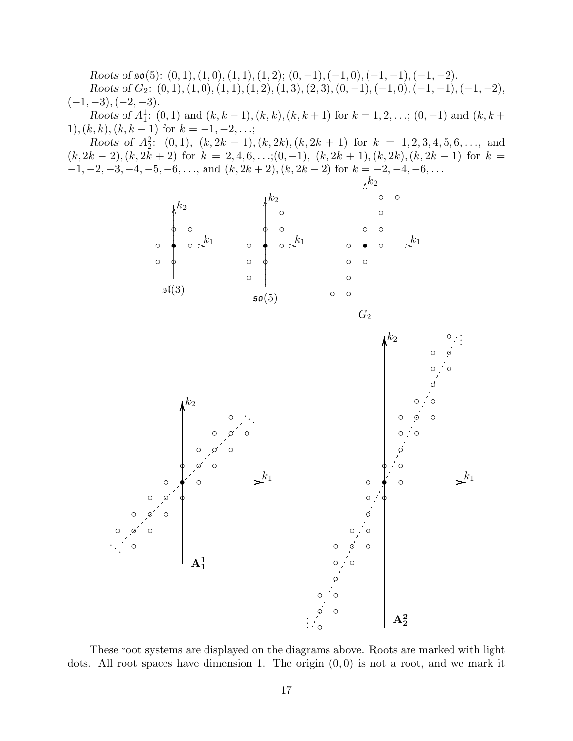Roots of  $\mathfrak{so}(5)$ :  $(0,1), (1,0), (1,1), (1,2)$ ;  $(0,-1), (-1,0), (-1,-1), (-1,-2)$ . Roots of  $G_2$ :  $(0, 1), (1, 0), (1, 1), (1, 2), (1, 3), (2, 3), (0, -1), (-1, 0), (-1, -1), (-1, -2),$  $(-1, -3), (-2, -3).$ 

Roots of  $A_1^1$ : (0, 1) and  $(k, k-1)$ ,  $(k, k)$ ,  $(k, k+1)$  for  $k = 1, 2, \ldots$ ; (0, -1) and  $(k, k+1)$ 1),  $(k, k)$ ,  $(k, k - 1)$  for  $k = -1, -2, \ldots;$ 

Roots of  $A_2^2$ : (0,1),  $(k, 2k - 1)$ ,  $(k, 2k)$ ,  $(k, 2k + 1)$  for  $k = 1, 2, 3, 4, 5, 6, \ldots$ , and  $(k, 2k-2), (k, 2k+2)$  for  $k = 2, 4, 6, \ldots; (0, -1), (k, 2k+1), (k, 2k), (k, 2k-1)$  for  $k =$  $-1, -2, -3, -4, -5, -6, \ldots$ , and  $(k, 2k + 2), (k, 2k - 2)$  for  $k = -2, -4, -6, \ldots$ 



These root systems are displayed on the diagrams above. Roots are marked with light dots. All root spaces have dimension 1. The origin  $(0,0)$  is not a root, and we mark it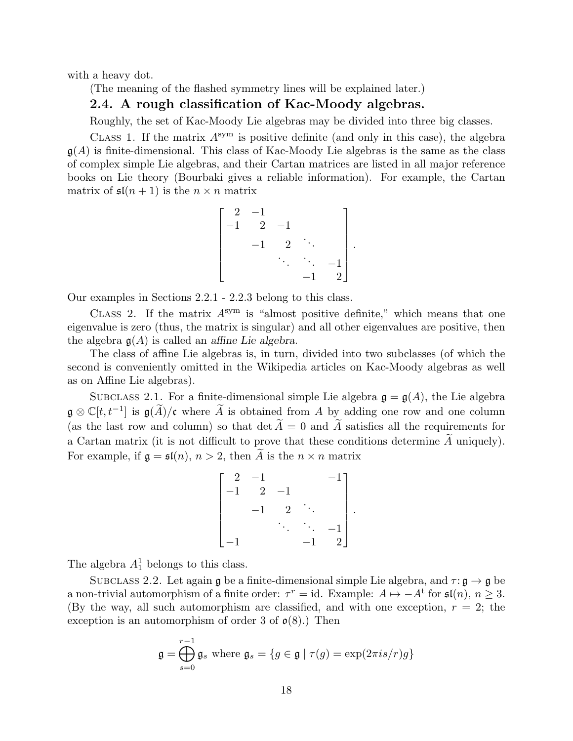with a heavy dot.

(The meaning of the flashed symmetry lines will be explained later.)

#### 2.4. A rough classification of Kac-Moody algebras.

Roughly, the set of Kac-Moody Lie algebras may be divided into three big classes.

CLASS 1. If the matrix  $A^{sym}$  is positive definite (and only in this case), the algebra  $g(A)$  is finite-dimensional. This class of Kac-Moody Lie algebras is the same as the class of complex simple Lie algebras, and their Cartan matrices are listed in all major reference books on Lie theory (Bourbaki gives a reliable information). For example, the Cartan matrix of  $\mathfrak{sl}(n+1)$  is the  $n \times n$  matrix

$$
\begin{bmatrix} 2 & -1 & & & \\ -1 & 2 & -1 & & \\ & -1 & 2 & \ddots & \\ & & \ddots & \ddots & -1 \\ & & & -1 & 2 \end{bmatrix}.
$$

Our examples in Sections 2.2.1 - 2.2.3 belong to this class.

CLASS 2. If the matrix  $A^{sym}$  is "almost positive definite," which means that one eigenvalue is zero (thus, the matrix is singular) and all other eigenvalues are positive, then the algebra  $g(A)$  is called an affine Lie algebra.

The class of affine Lie algebras is, in turn, divided into two subclasses (of which the second is conveniently omitted in the Wikipedia articles on Kac-Moody algebras as well as on Affine Lie algebras).

SUBCLASS 2.1. For a finite-dimensional simple Lie algebra  $\mathfrak{g} = \mathfrak{g}(A)$ , the Lie algebra  $\mathfrak{g} \otimes \mathbb{C}[t, t^{-1}]$  is  $\mathfrak{g}(\widetilde{A})/\mathfrak{c}$  where  $\widetilde{A}$  is obtained from A by adding one row and one column (as the last row and column) so that  $\det A = 0$  and A satisfies all the requirements for a Cartan matrix (it is not difficult to prove that these conditions determine  $A$  uniquely). For example, if  $\mathfrak{g} = \mathfrak{sl}(n)$ ,  $n > 2$ , then A is the  $n \times n$  matrix

$$
\begin{bmatrix} 2 & -1 & & & & -1 \\ -1 & 2 & -1 & & & \\ & -1 & 2 & \ddots & & \\ & & \ddots & \ddots & -1 \\ -1 & & & -1 & 2 \end{bmatrix}.
$$

The algebra  $A_1^1$  belongs to this class.

SUBCLASS 2.2. Let again g be a finite-dimensional simple Lie algebra, and  $\tau : \mathfrak{g} \to \mathfrak{g}$  be a non-trivial automorphism of a finite order:  $\tau^r = id$ . Example:  $A \mapsto -A^t$  for  $\mathfrak{sl}(n)$ ,  $n \geq 3$ . (By the way, all such automorphism are classified, and with one exception,  $r = 2$ ; the exception is an automorphism of order 3 of  $\mathfrak{o}(8)$ .) Then

$$
\mathfrak{g} = \bigoplus_{s=0}^{r-1} \mathfrak{g}_s \text{ where } \mathfrak{g}_s = \{ g \in \mathfrak{g} \mid \tau(g) = \exp(2\pi i s/r)g \}
$$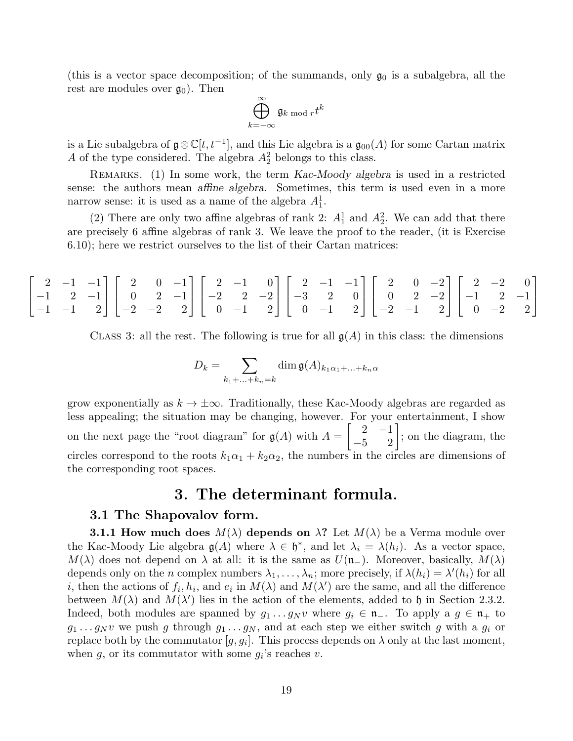(this is a vector space decomposition; of the summands, only  $\mathfrak{g}_0$  is a subalgebra, all the rest are modules over  $\mathfrak{g}_0$ . Then

$$
\bigoplus_{k=-\infty}^{\infty} \mathfrak{g}_{k \bmod r} t^k
$$

is a Lie subalgebra of  $\mathfrak{g} \otimes \mathbb{C}[t, t^{-1}]$ , and this Lie algebra is a  $\mathfrak{g}_{00}(A)$  for some Cartan matrix A of the type considered. The algebra  $A_2^2$  belongs to this class.

Remarks. (1) In some work, the term Kac-Moody algebra is used in a restricted sense: the authors mean affine algebra. Sometimes, this term is used even in a more narrow sense: it is used as a name of the algebra  $A_1^1$ .

(2) There are only two affine algebras of rank 2:  $A_1^1$  and  $A_2^2$ . We can add that there are precisely 6 affine algebras of rank 3. We leave the proof to the reader, (it is Exercise 6.10); here we restrict ourselves to the list of their Cartan matrices:

|  | $\begin{bmatrix} 2 & -1 & -1 \\ -1 & 2 & -1 \\ -1 & -1 & 2 \end{bmatrix} \begin{bmatrix} 2 & 0 & -1 \\ 0 & 2 & -1 \\ -2 & -2 & 2 \end{bmatrix} \begin{bmatrix} 2 & -1 & 0 \\ -2 & 2 & -2 \\ 0 & -1 & 2 \end{bmatrix} \begin{bmatrix} 2 & -1 & -1 \\ -3 & 2 & 0 \\ 0 & -1 & 2 \end{bmatrix} \begin{bmatrix} 2 & 0 & -2 \\ 0 & 2 & -2 \\ -2 & -1 & 2 \end{bmatrix} \begin{bmatrix} 2 & -2 & 0 \\ -1 & 2 & -1 \\ 0 & -2 &$ |  |  |  |  |  |  |  |  |  |  |
|--|-------------------------------------------------------------------------------------------------------------------------------------------------------------------------------------------------------------------------------------------------------------------------------------------------------------------------------------------------------------------------------------------------------------------------|--|--|--|--|--|--|--|--|--|--|

CLASS 3: all the rest. The following is true for all  $\mathfrak{g}(A)$  in this class: the dimensions

$$
D_k = \sum_{k_1 + \ldots + k_n = k} \dim \mathfrak{g}(A)_{k_1 \alpha_1 + \ldots + k_n \alpha}
$$

grow exponentially as  $k \to \pm \infty$ . Traditionally, these Kac-Moody algebras are regarded as less appealing; the situation may be changing, however. For your entertainment, I show on the next page the "root diagram" for  $g(A)$  with  $A =$  $\begin{bmatrix} 2 & -1 \\ -5 & 2 \end{bmatrix}$ ; on the diagram, the circles correspond to the roots  $k_1\alpha_1 + k_2\alpha_2$ , the numbers in the circles are dimensions of the corresponding root spaces.

### 3. The determinant formula.

#### 3.1 The Shapovalov form.

**3.1.1 How much does**  $M(\lambda)$  depends on  $\lambda$ ? Let  $M(\lambda)$  be a Verma module over the Kac-Moody Lie algebra  $\mathfrak{g}(A)$  where  $\lambda \in \mathfrak{h}^*$ , and let  $\lambda_i = \lambda(h_i)$ . As a vector space,  $M(\lambda)$  does not depend on  $\lambda$  at all: it is the same as  $U(\mathfrak{n}_-)$ . Moreover, basically,  $M(\lambda)$ depends only on the *n* complex numbers  $\lambda_1, \ldots, \lambda_n$ ; more precisely, if  $\lambda(h_i) = \lambda'(h_i)$  for all *i*, then the actions of  $f_i, h_i$ , and  $e_i$  in  $M(\lambda)$  and  $M(\lambda')$  are the same, and all the difference between  $M(\lambda)$  and  $M(\lambda')$  lies in the action of the elements, added to h in Section 2.3.2. Indeed, both modules are spanned by  $g_1 \tildot g_1 \tildot g_N$  where  $g_i \tildot g_i \tildot g_n$ . To apply a  $g \tildot g_n + t$  $g_1 \ldots g_N v$  we push g through  $g_1 \ldots g_N$ , and at each step we either switch g with a  $g_i$  or replace both by the commutator  $[g, g_i]$ . This process depends on  $\lambda$  only at the last moment, when  $g$ , or its commutator with some  $g_i$ 's reaches  $v$ .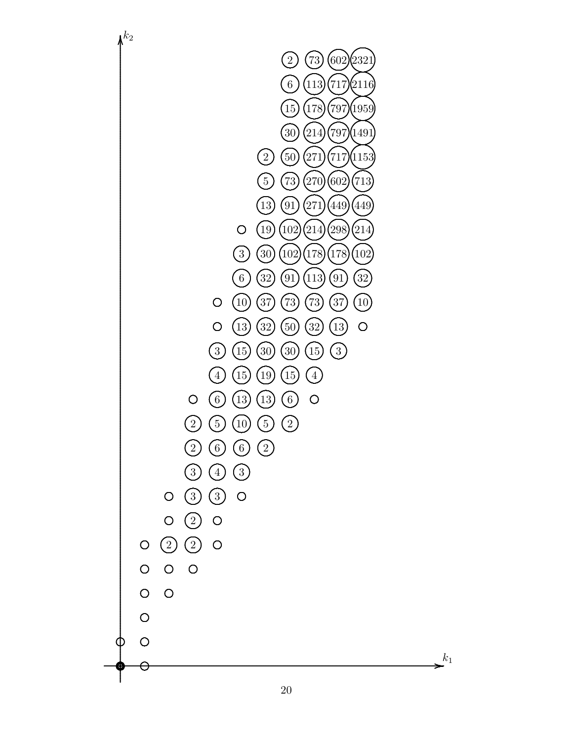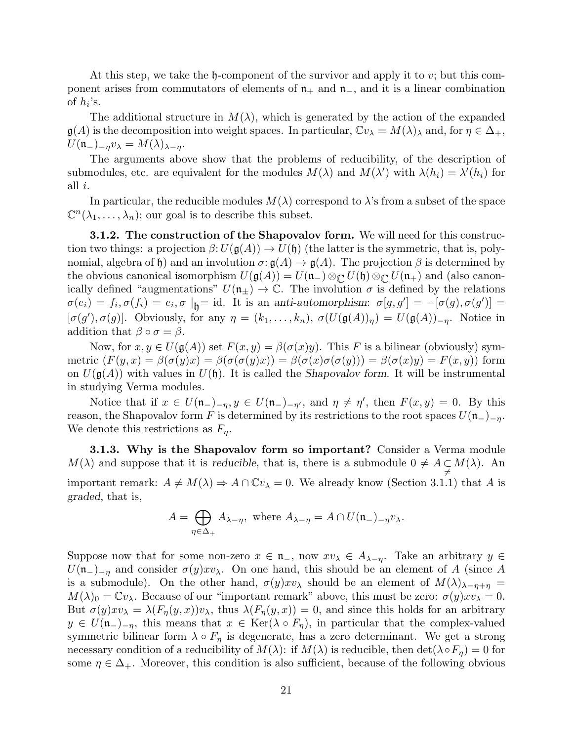At this step, we take the  $\mathfrak{h}$ -component of the survivor and apply it to v; but this component arises from commutators of elements of  $n_+$  and  $n_-$ , and it is a linear combination of  $h_i$ 's.

The additional structure in  $M(\lambda)$ , which is generated by the action of the expanded  $\mathfrak{g}(A)$  is the decomposition into weight spaces. In particular,  $\mathbb{C}v_{\lambda} = M(\lambda)_{\lambda}$  and, for  $\eta \in \Delta_{+}$ ,  $U(\mathfrak{n}_{-})_{-\eta}v_{\lambda}=M(\lambda)_{\lambda-\eta}.$ 

The arguments above show that the problems of reducibility, of the description of submodules, etc. are equivalent for the modules  $M(\lambda)$  and  $M(\lambda')$  with  $\lambda(h_i) = \lambda'(h_i)$  for all i.

In particular, the reducible modules  $M(\lambda)$  correspond to  $\lambda$ 's from a subset of the space  $\mathbb{C}^n(\lambda_1,\ldots,\lambda_n)$ ; our goal is to describe this subset.

**3.1.2. The construction of the Shapovalov form.** We will need for this construction two things: a projection  $\beta: U(\mathfrak{g}(A)) \to U(\mathfrak{h})$  (the latter is the symmetric, that is, polynomial, algebra of h) and an involution  $\sigma: \mathfrak{g}(A) \to \mathfrak{g}(A)$ . The projection  $\beta$  is determined by the obvious canonical isomorphism  $U(\mathfrak{g}(A)) = U(\mathfrak{n}_{-}) \otimes_{\mathbb{C}} U(\mathfrak{h}) \otimes_{\mathbb{C}} U(\mathfrak{n}_{+})$  and (also canonically defined "augmentations"  $U(\mathfrak{n}_{\pm}) \to \mathbb{C}$ . The involution  $\sigma$  is defined by the relations  $\sigma(e_i) = f_i$ ,  $\sigma(f_i) = e_i$ ,  $\sigma |_{\mathfrak{h}} = id$ . It is an anti-automorphism:  $\sigma[g, g'] = -[\sigma(g), \sigma(g')] =$  $[\sigma(g'), \sigma(g)]$ . Obviously, for any  $\eta = (k_1, \ldots, k_n)$ ,  $\sigma(U(\mathfrak{g}(A))_{\eta}) = U(\mathfrak{g}(A))_{-\eta}$ . Notice in addition that  $\beta \circ \sigma = \beta$ .

Now, for  $x, y \in U(\mathfrak{g}(A))$  set  $F(x, y) = \beta(\sigma(x)y)$ . This F is a bilinear (obviously) symmetric  $(F(y, x) = \beta(\sigma(y)x) = \beta(\sigma(\sigma(y)x)) = \beta(\sigma(x)\sigma(\sigma(y))) = \beta(\sigma(x)y) = F(x, y)$  form on  $U(\mathfrak{g}(A))$  with values in  $U(\mathfrak{h})$ . It is called the Shapovalov form. It will be instrumental in studying Verma modules.

Notice that if  $x \in U(\mathfrak{n}_{-})_{-\eta}, y \in U(\mathfrak{n}_{-})_{-\eta'}$ , and  $\eta \neq \eta'$ , then  $F(x, y) = 0$ . By this reason, the Shapovalov form F is determined by its restrictions to the root spaces  $U(\mathfrak{n}_-)_{-n}$ . We denote this restrictions as  $F_{\eta}$ .

**3.1.3. Why is the Shapovalov form so important?** Consider a Verma module  $M(\lambda)$  and suppose that it is reducible, that is, there is a submodule  $0 \neq A \subseteq M(\lambda)$ . An important remark:  $A \neq M(\lambda) \Rightarrow A \cap \mathbb{C}v_{\lambda} = 0$ . We already know (Section 3.1.1) that A is graded, that is,

$$
A = \bigoplus_{\eta \in \Delta_+} A_{\lambda - \eta}, \text{ where } A_{\lambda - \eta} = A \cap U(\mathfrak{n}_-)_{-\eta} v_{\lambda}.
$$

Suppose now that for some non-zero  $x \in \mathfrak{n}_-$ , now  $xv_\lambda \in A_{\lambda-n}$ . Take an arbitrary  $y \in$  $U(\mathfrak{n}_{-})_{-\eta}$  and consider  $\sigma(y)xv_{\lambda}$ . On one hand, this should be an element of A (since A is a submodule). On the other hand,  $\sigma(y) x v_\lambda$  should be an element of  $M(\lambda)_{\lambda-\eta+\eta} =$  $M(\lambda)_0 = \mathbb{C}v_\lambda$ . Because of our "important remark" above, this must be zero:  $\sigma(y) x v_\lambda = 0$ . But  $\sigma(y) x v_\lambda = \lambda(F_\eta(y,x)) v_\lambda$ , thus  $\lambda(F_\eta(y,x)) = 0$ , and since this holds for an arbitrary  $y \in U(\mathfrak{n}_-)_{-\eta}$ , this means that  $x \in \text{Ker}(\lambda \circ F_{\eta})$ , in particular that the complex-valued symmetric bilinear form  $\lambda \circ F_{\eta}$  is degenerate, has a zero determinant. We get a strong necessary condition of a reducibility of  $M(\lambda)$ : if  $M(\lambda)$  is reducible, then  $\det(\lambda \circ F_\eta) = 0$  for some  $\eta \in \Delta_+$ . Moreover, this condition is also sufficient, because of the following obvious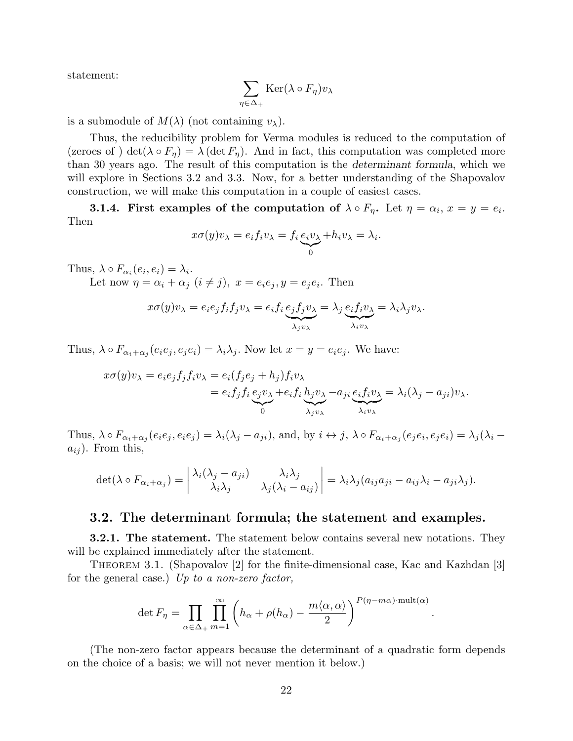statement:

$$
\sum_{\eta \in \Delta_+} \text{Ker}(\lambda \circ F_{\eta}) v_{\lambda}
$$

is a submodule of  $M(\lambda)$  (not containing  $v_{\lambda}$ ).

Thus, the reducibility problem for Verma modules is reduced to the computation of (zeroes of) det( $\lambda \circ F_{\eta}$ ) =  $\lambda$  (det  $F_{\eta}$ ). And in fact, this computation was completed more than 30 years ago. The result of this computation is the determinant formula, which we will explore in Sections 3.2 and 3.3. Now, for a better understanding of the Shapovalov construction, we will make this computation in a couple of easiest cases.

**3.1.4.** First examples of the computation of  $\lambda \circ F_{\eta}$ . Let  $\eta = \alpha_i$ ,  $x = y = e_i$ . Then

$$
x\sigma(y)v_{\lambda} = e_i f_i v_{\lambda} = f_i \underbrace{e_i v_{\lambda}}_{0} + h_i v_{\lambda} = \lambda_i.
$$

Thus,  $\lambda \circ F_{\alpha_i}(e_i, e_i) = \lambda_i$ .

Let now  $\eta = \alpha_i + \alpha_j \ (i \neq j), \ x = e_i e_j, y = e_j e_i.$  Then

$$
x\sigma(y)v_{\lambda} = e_i e_j f_i f_j v_{\lambda} = e_i f_i \underbrace{e_j f_j v_{\lambda}}_{\lambda_j v_{\lambda}} = \lambda_j \underbrace{e_i f_i v_{\lambda}}_{\lambda_i v_{\lambda}} = \lambda_i \lambda_j v_{\lambda}.
$$

Thus,  $\lambda \circ F_{\alpha_i+\alpha_j}(e_i e_j, e_j e_i) = \lambda_i \lambda_j$ . Now let  $x = y = e_i e_j$ . We have:

$$
x\sigma(y)v_{\lambda} = e_i e_j f_j f_i v_{\lambda} = e_i (f_j e_j + h_j) f_i v_{\lambda}
$$
  
= 
$$
e_i f_j f_i \underbrace{e_j v_{\lambda} + e_i f_i h_j v_{\lambda}}_{0} - a_{ji} \underbrace{e_i f_i v_{\lambda}}_{\lambda_i v_{\lambda}} = \lambda_i (\lambda_j - a_{ji}) v_{\lambda}.
$$

Thus,  $\lambda \circ F_{\alpha_i+\alpha_j}(e_ie_j, e_ie_j) = \lambda_i(\lambda_j - a_{ji})$ , and, by  $i \leftrightarrow j$ ,  $\lambda \circ F_{\alpha_i+\alpha_j}(e_je_i, e_je_i) = \lambda_j(\lambda_i - a_{ji})$  $a_{ij}$ ). From this,

$$
\det(\lambda \circ F_{\alpha_i + \alpha_j}) = \begin{vmatrix} \lambda_i(\lambda_j - a_{ji}) & \lambda_i \lambda_j \\ \lambda_i \lambda_j & \lambda_j(\lambda_i - a_{ij}) \end{vmatrix} = \lambda_i \lambda_j (a_{ij}a_{ji} - a_{ij} \lambda_i - a_{ji} \lambda_j).
$$

#### 3.2. The determinant formula; the statement and examples.

**3.2.1. The statement.** The statement below contains several new notations. They will be explained immediately after the statement.

THEOREM 3.1. (Shapovalov [2] for the finite-dimensional case, Kac and Kazhdan [3] for the general case.) Up to a non-zero factor,

$$
\det F_{\eta} = \prod_{\alpha \in \Delta_+} \prod_{m=1}^{\infty} \left( h_{\alpha} + \rho(h_{\alpha}) - \frac{m \langle \alpha, \alpha \rangle}{2} \right)^{P(\eta - m\alpha) \cdot \text{mult}(\alpha)}
$$

.

(The non-zero factor appears because the determinant of a quadratic form depends on the choice of a basis; we will not never mention it below.)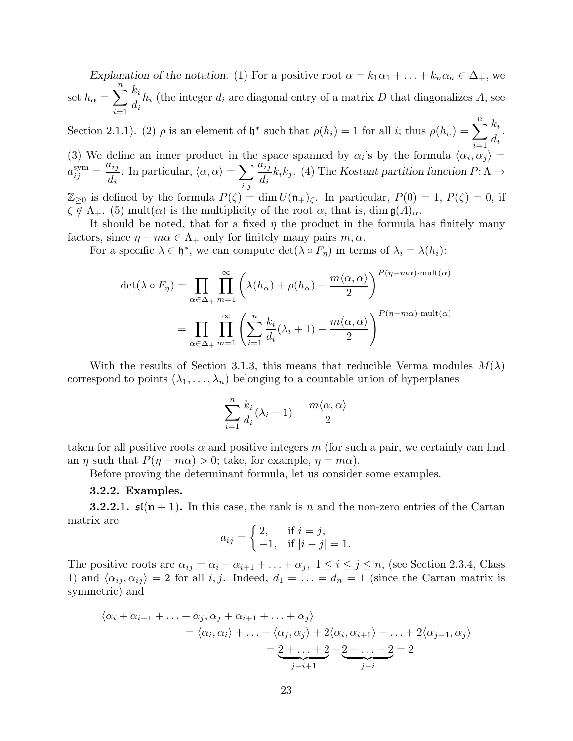Explanation of the notation. (1) For a positive root  $\alpha = k_1 \alpha_1 + \ldots + k_n \alpha_n \in \Delta_+$ , we set  $h_{\alpha} = \sum_{n=1}^{n}$  $i=1$  $k_i$  $d_i$  $h_i$  (the integer  $d_i$  are diagonal entry of a matrix D that diagonalizes A, see

Section 2.1.1). (2)  $\rho$  is an element of  $\mathfrak{h}^*$  such that  $\rho(h_i) = 1$  for all *i*; thus  $\rho(h_\alpha) = \sum_{i=1}^n \frac{k_i}{l_i}$  $i=1$  $d_i$ . (3) We define an inner product in the space spanned by  $\alpha_i$ 's by the formula  $\langle \alpha_i, \alpha_j \rangle =$ 

 $a_{ij}^{\rm sym} =$  $a_{ij}$  $d_i$ . In particular,  $\langle \alpha, \alpha \rangle = \sum$  $_{i,j}$  $a_{ij}$  $d_i$  $k_i k_j$ . (4) The Kostant partition function  $P: \Lambda \to$  $\mathbb{Z}_{\geq 0}$  is defined by the formula  $P(\zeta) = \dim U(\mathfrak{n}_+)_\zeta$ . In particular,  $P(0) = 1, P(\zeta) = 0$ , if

 $\zeta \notin \Lambda_+$ . (5) mult $(\alpha)$  is the multiplicity of the root  $\alpha$ , that is, dim  $\mathfrak{g}(A)_{\alpha}$ .

It should be noted, that for a fixed  $\eta$  the product in the formula has finitely many factors, since  $\eta - m\alpha \in \Lambda_+$  only for finitely many pairs  $m, \alpha$ .

For a specific  $\lambda \in \mathfrak{h}^*$ , we can compute  $\det(\lambda \circ F_{\eta})$  in terms of  $\lambda_i = \lambda(h_i)$ :

$$
\det(\lambda \circ F_{\eta}) = \prod_{\alpha \in \Delta_+} \prod_{m=1}^{\infty} \left( \lambda(h_{\alpha}) + \rho(h_{\alpha}) - \frac{m \langle \alpha, \alpha \rangle}{2} \right)^{p(\eta - m\alpha) \cdot \text{mult}(\alpha)}
$$

$$
= \prod_{\alpha \in \Delta_+} \prod_{m=1}^{\infty} \left( \sum_{i=1}^{n} \frac{k_i}{d_i} (\lambda_i + 1) - \frac{m \langle \alpha, \alpha \rangle}{2} \right)^{p(\eta - m\alpha) \cdot \text{mult}(\alpha)}
$$

With the results of Section 3.1.3, this means that reducible Verma modules  $M(\lambda)$ correspond to points  $(\lambda_1, \ldots, \lambda_n)$  belonging to a countable union of hyperplanes

$$
\sum_{i=1}^{n} \frac{k_i}{d_i} (\lambda_i + 1) = \frac{m \langle \alpha, \alpha \rangle}{2}
$$

taken for all positive roots  $\alpha$  and positive integers m (for such a pair, we certainly can find an  $\eta$  such that  $P(\eta - m\alpha) > 0$ ; take, for example,  $\eta = m\alpha$ ).

Before proving the determinant formula, let us consider some examples.

#### 3.2.2. Examples.

**3.2.2.1.**  $\mathfrak{sl}(n+1)$ . In this case, the rank is n and the non-zero entries of the Cartan matrix are

$$
a_{ij} = \begin{cases} 2, & \text{if } i = j, \\ -1, & \text{if } |i - j| = 1. \end{cases}
$$

The positive roots are  $\alpha_{ij} = \alpha_i + \alpha_{i+1} + \ldots + \alpha_j$ ,  $1 \le i \le j \le n$ , (see Section 2.3.4, Class 1) and  $\langle \alpha_{ij}, \alpha_{ij} \rangle = 2$  for all i, j. Indeed,  $d_1 = \ldots = d_n = 1$  (since the Cartan matrix is symmetric) and

$$
\langle \alpha_i + \alpha_{i+1} + \ldots + \alpha_j, \alpha_j + \alpha_{i+1} + \ldots + \alpha_j \rangle
$$
  
=  $\langle \alpha_i, \alpha_i \rangle + \ldots + \langle \alpha_j, \alpha_j \rangle + 2 \langle \alpha_i, \alpha_{i+1} \rangle + \ldots + 2 \langle \alpha_{j-1}, \alpha_j \rangle$   
=  $\underbrace{2 + \ldots + 2}_{j-i+1} - \underbrace{2 - \ldots - 2}_{j-i} = 2$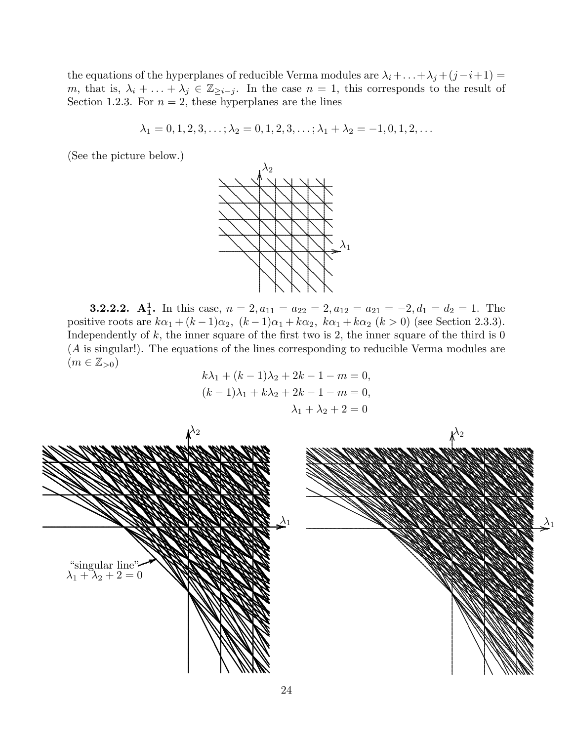the equations of the hyperplanes of reducible Verma modules are  $\lambda_i + \ldots + \lambda_j + (j - i + 1) =$ m, that is,  $\lambda_i + \ldots + \lambda_j \in \mathbb{Z}_{\geq i-j}$ . In the case  $n = 1$ , this corresponds to the result of Section 1.2.3. For  $n = 2$ , these hyperplanes are the lines

$$
\lambda_1 = 0, 1, 2, 3, \ldots; \lambda_2 = 0, 1, 2, 3, \ldots; \lambda_1 + \lambda_2 = -1, 0, 1, 2, \ldots
$$

(See the picture below.)



**3.2.2.2.** A<sub>1</sub>. In this case,  $n = 2, a_{11} = a_{22} = 2, a_{12} = a_{21} = -2, d_1 = d_2 = 1$ . The positive roots are  $k\alpha_1 + (k-1)\alpha_2$ ,  $(k-1)\alpha_1 + k\alpha_2$ ,  $k\alpha_1 + k\alpha_2$   $(k > 0)$  (see Section 2.3.3). Independently of  $k$ , the inner square of the first two is 2, the inner square of the third is 0  $(A \text{ is singular})$ . The equations of the lines corresponding to reducible Verma modules are  $(m \in \mathbb{Z}_{>0})$ 

$$
k\lambda_1 + (k-1)\lambda_2 + 2k - 1 - m = 0,
$$
  
\n
$$
(k-1)\lambda_1 + k\lambda_2 + 2k - 1 - m = 0,
$$
  
\n
$$
\lambda_1 + \lambda_2 + 2 = 0
$$

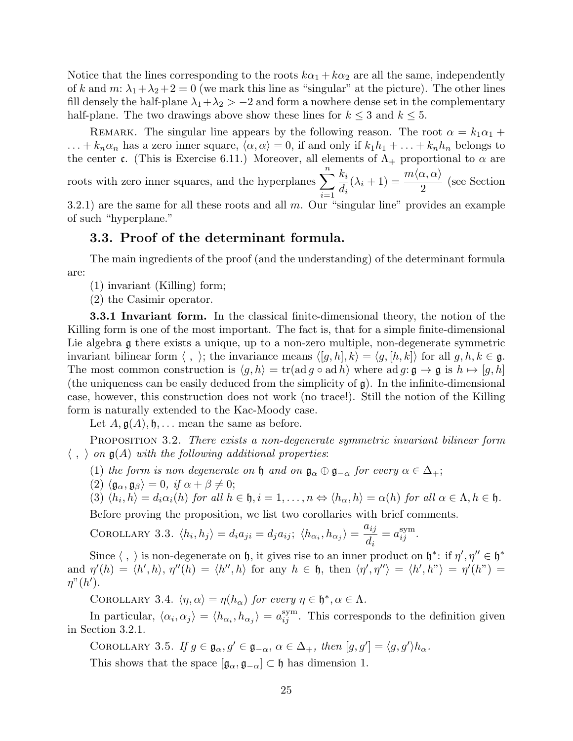Notice that the lines corresponding to the roots  $k\alpha_1 + k\alpha_2$  are all the same, independently of k and m:  $\lambda_1 + \lambda_2 + 2 = 0$  (we mark this line as "singular" at the picture). The other lines fill densely the half-plane  $\lambda_1 + \lambda_2 > -2$  and form a nowhere dense set in the complementary half-plane. The two drawings above show these lines for  $k \leq 3$  and  $k \leq 5$ .

REMARK. The singular line appears by the following reason. The root  $\alpha = k_1 \alpha_1 +$  $\ldots + k_n \alpha_n$  has a zero inner square,  $\langle \alpha, \alpha \rangle = 0$ , if and only if  $k_1h_1 + \ldots + k_nh_n$  belongs to the center c. (This is Exercise 6.11.) Moreover, all elements of  $\Lambda_{+}$  proportional to  $\alpha$  are roots with zero inner squares, and the hyperplanes  $\sum_{n=1}^n$  $i=1$  $k_i$  $d_i$  $(\lambda_i + 1) = \frac{m \langle \alpha, \alpha \rangle}{2}$ (see Section

3.2.1) are the same for all these roots and all  $m$ . Our "singular line" provides an example of such "hyperplane."

#### 3.3. Proof of the determinant formula.

The main ingredients of the proof (and the understanding) of the determinant formula are:

- (1) invariant (Killing) form;
- (2) the Casimir operator.

3.3.1 Invariant form. In the classical finite-dimensional theory, the notion of the Killing form is one of the most important. The fact is, that for a simple finite-dimensional Lie algebra g there exists a unique, up to a non-zero multiple, non-degenerate symmetric invariant bilinear form  $\langle , \rangle$ ; the invariance means  $\langle [g, h], k \rangle = \langle g, [h, k] \rangle$  for all  $g, h, k \in \mathfrak{g}$ . The most common construction is  $\langle g, h \rangle = \text{tr}(\text{ad } g \circ \text{ad } h)$  where  $\text{ad } g: \mathfrak{g} \to \mathfrak{g}$  is  $h \mapsto [g, h]$ (the uniqueness can be easily deduced from the simplicity of  $\mathfrak{g}$ ). In the infinite-dimensional case, however, this construction does not work (no trace!). Still the notion of the Killing form is naturally extended to the Kac-Moody case.

Let  $A, \mathfrak{g}(A), \mathfrak{h}, \ldots$  mean the same as before.

Proposition 3.2. There exists a non-degenerate symmetric invariant bilinear form  $\langle , \rangle$  on  $\mathfrak{g}(A)$  with the following additional properties:

- (1) the form is non degenerate on  $\mathfrak h$  and on  $\mathfrak g_\alpha \oplus \mathfrak g_{-\alpha}$  for every  $\alpha \in \Delta_+$ ;
- (2)  $\langle \mathfrak{g}_{\alpha}, \mathfrak{g}_{\beta} \rangle = 0$ , if  $\alpha + \beta \neq 0$ ;
- (3)  $\langle h_i, h \rangle = d_i \alpha_i(h)$  for all  $h \in \mathfrak{h}, i = 1, \ldots, n \Leftrightarrow \langle h_\alpha, h \rangle = \alpha(h)$  for all  $\alpha \in \Lambda, h \in \mathfrak{h}$ .

Before proving the proposition, we list two corollaries with brief comments.

COROLLARY 3.3. 
$$
\langle h_i, h_j \rangle = d_i a_{ji} = d_j a_{ij}; \langle h_{\alpha_i}, h_{\alpha_j} \rangle = \frac{a_{ij}}{d_i} = a_{ij}^{\text{sym}}.
$$

Since  $\langle , \rangle$  is non-degenerate on h, it gives rise to an inner product on  $\mathfrak{h}^*$ : if  $\eta', \eta'' \in \mathfrak{h}^*$ and  $\eta'(h) = \langle h', h \rangle$ ,  $\eta''(h) = \langle h'', h \rangle$  for any  $h \in \mathfrak{h}$ , then  $\langle \eta', \eta'' \rangle = \langle h', h'' \rangle = \eta'(h'') =$  $\eta$ " $(h')$ .

COROLLARY 3.4.  $\langle \eta, \alpha \rangle = \eta(h_{\alpha})$  for every  $\eta \in \mathfrak{h}^*, \alpha \in \Lambda$ .

In particular,  $\langle \alpha_i, \alpha_j \rangle = \langle h_{\alpha_i}, h_{\alpha_j} \rangle = a_{ij}^{\text{sym}}$ . This corresponds to the definition given in Section 3.2.1.

COROLLARY 3.5. If  $g \in \mathfrak{g}_{\alpha}, g' \in \mathfrak{g}_{-\alpha}, \alpha \in \Delta_+$ , then  $[g, g'] = \langle g, g' \rangle h_{\alpha}$ .

This shows that the space  $[\mathfrak{g}_{\alpha}, \mathfrak{g}_{-\alpha}] \subset \mathfrak{h}$  has dimension 1.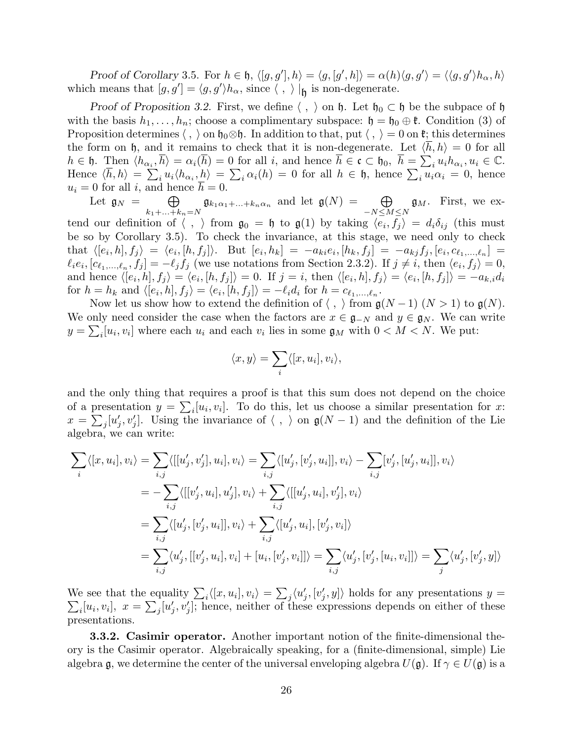Proof of Corollary 3.5. For  $h \in \mathfrak{h}, \langle [g, g'], h \rangle = \langle g, [g', h] \rangle = \alpha(h) \langle g, g' \rangle = \langle \langle g, g' \rangle h_\alpha, h \rangle$ which means that  $[g, g'] = \langle g, g' \rangle h_\alpha$ , since  $\langle , \rangle |_{\mathfrak{h}}$  is non-degenerate.

Proof of Proposition 3.2. First, we define  $\langle , \rangle$  on h. Let  $\mathfrak{h}_0 \subset \mathfrak{h}$  be the subpace of  $\mathfrak{h}$ with the basis  $h_1, \ldots, h_n$ ; choose a complimentary subspace:  $\mathfrak{h} = \mathfrak{h}_0 \oplus \mathfrak{k}$ . Condition (3) of Proposition determines  $\langle , \rangle$  on  $\mathfrak{h}_0 \otimes \mathfrak{h}$ . In addition to that, put  $\langle , \rangle = 0$  on  $\mathfrak{k}$ ; this determines the form on h, and it remains to check that it is non-degenerate. Let  $\langle h, h \rangle = 0$  for all  $h \in \mathfrak{h}$ . Then  $\langle h_{\alpha_i}, \overline{h} \rangle = \alpha_i(\overline{h}) = 0$  for all i, and hence  $\overline{h} \in \mathfrak{c} \subset \mathfrak{h}_0$ ,  $\overline{h} = \sum_i u_i h_{\alpha_i}, u_i \in \mathbb{C}$ . Hence  $\langle \overline{h}, h \rangle = \sum_i u_i \langle h_{\alpha_i}, h_i \rangle = \sum_i \alpha_i(h) = 0$  for all  $h \in \mathfrak{h}$ , hence  $\sum_i u_i \alpha_i = 0$ , hence  $u_i = 0$  for all i, and hence  $\overline{h} = 0$ .

Let  $\mathfrak{g}_N = \oplus$  $k_1 + ... + k_n = N$  $\mathfrak{g}_{k_1\alpha_1+\ldots+k_n\alpha_n}$  and let  $\mathfrak{g}(N) = \oplus$  $-N \leq M \leq N$  $\mathfrak{g}_M$ . First, we extend our definition of  $\langle , \rangle$  from  $\mathfrak{g}_0 = \mathfrak{h}$  to  $\mathfrak{g}(1)$  by taking  $\langle e_i, f_j \rangle = d_i \delta_{ij}$  (this must be so by Corollary 3.5). To check the invariance, at this stage, we need only to check  $\text{that} \ \langle [e_i, h], f_j \rangle \ = \ \langle e_i, [h, f_j] \rangle. \quad \text{But} \ \ [e_i, h_k] \ = \ -a_{ki}e_i, [h_k, f_j] \ = \ -a_{kj}f_j, [e_i, c_{\ell_1, \ldots, \ell_n}] \ =$  $\ell_i e_i, [c_{\ell_1,\ldots,\ell_n}, f_j] = -\ell_j f_j$  (we use notations from Section 2.3.2). If  $j \neq i$ , then  $\langle e_i, f_j \rangle = 0$ , and hence  $\langle [e_i, h], f_j \rangle = \langle e_i, [h, f_j] \rangle = 0$ . If  $j = i$ , then  $\langle [e_i, h], f_j \rangle = \langle e_i, [h, f_j] \rangle = -a_{k,i}d_i$ for  $h = h_k$  and  $\langle [e_i, h], f_j \rangle = \langle e_i, [h, f_j] \rangle = -\ell_i d_i$  for  $h = c_{\ell_1, \ldots, \ell_n}$ .

Now let us show how to extend the definition of  $\langle , \rangle$  from  $\mathfrak{g}(N-1)$   $(N > 1)$  to  $\mathfrak{g}(N)$ . We only need consider the case when the factors are  $x \in \mathfrak{g}_{-N}$  and  $y \in \mathfrak{g}_N$ . We can write  $y = \sum_i [u_i, v_i]$  where each  $u_i$  and each  $v_i$  lies in some  $\mathfrak{g}_M$  with  $0 < M < N$ . We put:

$$
\langle x, y \rangle = \sum_{i} \langle [x, u_i], v_i \rangle,
$$

and the only thing that requires a proof is that this sum does not depend on the choice of a presentation  $y = \sum_i [u_i, v_i]$ . To do this, let us choose a similar presentation for x:  $x = \sum_j [u'_j, v'_j]$ . Using the invariance of  $\langle , \rangle$  on  $\mathfrak{g}(N-1)$  and the definition of the Lie algebra, we can write:

$$
\sum_{i} \langle [x, u_i], v_i \rangle = \sum_{i,j} \langle [[u'_j, v'_j], u_i], v_i \rangle = \sum_{i,j} \langle [u'_j, [v'_j, u_i]], v_i \rangle - \sum_{i,j} [v'_j, [u'_j, u_i]], v_i \rangle
$$
  
\n
$$
= -\sum_{i,j} \langle [[v'_j, u_i], u'_j], v_i \rangle + \sum_{i,j} \langle [[u'_j, u_i], v'_j], v_i \rangle
$$
  
\n
$$
= \sum_{i,j} \langle [u'_j, [v'_j, u_i]], v_i \rangle + \sum_{i,j} \langle [u'_j, u_i], [v'_j, v_i] \rangle
$$
  
\n
$$
= \sum_{i,j} \langle u'_j, [[v'_j, u_i], v_i] + [u_i, [v'_j, v_i]] \rangle = \sum_{i,j} \langle u'_j, [u'_j, [u_i, v_i]] \rangle = \sum_{j} \langle u'_j, [v'_j, y] \rangle
$$

We see that the equality  $\sum_i \langle [x, u_i], v_i \rangle = \sum_j \langle u'_j, [v'_j, y] \rangle$  holds for any presentations  $y =$  $\sum_i [u_i, v_i], x = \sum_j [u'_j, v'_j];$  hence, neither of these expressions depends on either of these presentations.

**3.3.2. Casimir operator.** Another important notion of the finite-dimensional theory is the Casimir operator. Algebraically speaking, for a (finite-dimensional, simple) Lie algebra g, we determine the center of the universal enveloping algebra  $U(\mathfrak{g})$ . If  $\gamma \in U(\mathfrak{g})$  is a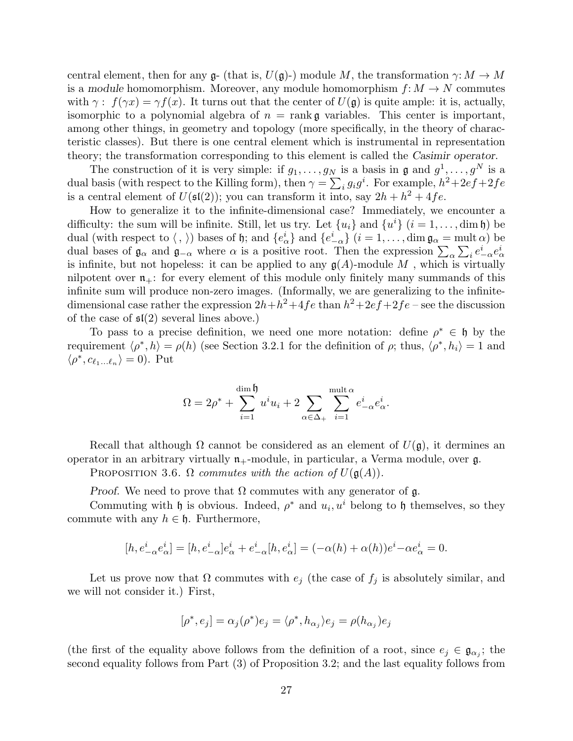central element, then for any  $\mathfrak{g}_1$  (that is,  $U(\mathfrak{g})$ ) module M, the transformation  $\gamma: M \to M$ is a module homomorphism. Moreover, any module homomorphism  $f: M \to N$  commutes with  $\gamma$ :  $f(\gamma x) = \gamma f(x)$ . It turns out that the center of  $U(\mathfrak{g})$  is quite ample: it is, actually, isomorphic to a polynomial algebra of  $n = \text{rank } \mathfrak{g}$  variables. This center is important, among other things, in geometry and topology (more specifically, in the theory of characteristic classes). But there is one central element which is instrumental in representation theory; the transformation corresponding to this element is called the Casimir operator.

The construction of it is very simple: if  $g_1, \ldots, g_N$  is a basis in  $\mathfrak{g}$  and  $g^1, \ldots, g^N$  is a dual basis (with respect to the Killing form), then  $\gamma = \sum_i g_i g^i$ . For example,  $h^2 + 2ef + 2fe$ is a central element of  $U(\mathfrak{sl}(2))$ ; you can transform it into, say  $2h + h^2 + 4fe$ .

How to generalize it to the infinite-dimensional case? Immediately, we encounter a difficulty: the sum will be infinite. Still, let us try. Let  $\{u_i\}$  and  $\{u^i\}$   $(i = 1, \ldots, \dim \mathfrak{h})$  be dual (with respect to  $\langle , \rangle$ ) bases of h; and  $\{e^i_\alpha\}$  and  $\{e^i_{-\alpha}\}\ (i=1,\ldots,\dim \mathfrak{g}_\alpha = \text{mult }\alpha)$  be dual bases of  $\mathfrak{g}_{\alpha}$  and  $\mathfrak{g}_{-\alpha}$  where  $\alpha$  is a positive root. Then the expression  $\sum_{\alpha}\sum_{i}e_{-\alpha}^{i}e_{\alpha}^{i}$ is infinite, but not hopeless: it can be applied to any  $g(A)$ -module M, which is virtually nilpotent over  $\mathfrak{n}_+$ : for every element of this module only finitely many summands of this infinite sum will produce non-zero images. (Informally, we are generalizing to the infinitedimensional case rather the expression  $2h + h^2 + 4fe$  than  $h^2 + 2ef + 2fe$  – see the discussion of the case of  $\mathfrak{sl}(2)$  several lines above.)

To pass to a precise definition, we need one more notation: define  $\rho^* \in \mathfrak{h}$  by the requirement  $\langle \rho^*, h \rangle = \rho(h)$  (see Section 3.2.1 for the definition of  $\rho$ ; thus,  $\langle \rho^*, h_i \rangle = 1$  and  $\langle \rho^*, c_{\ell_1...\ell_n} \rangle = 0$ ). Put

$$
\Omega=2\rho^*+\sum_{i=1}^{\dim{\mathfrak{h}}}u^iu_i+2\sum_{\alpha\in\Delta_+}\sum_{i=1}^{\mathrm{mult}\,\alpha}e_{-\alpha}^ie_{\alpha}^i.
$$

Recall that although  $\Omega$  cannot be considered as an element of  $U(\mathfrak{g})$ , it dermines an operator in an arbitrary virtually  $n_{+}$ -module, in particular, a Verma module, over  $\mathfrak{g}$ .

PROPOSITION 3.6.  $\Omega$  commutes with the action of  $U(\mathfrak{g}(A))$ .

Proof. We need to prove that  $\Omega$  commutes with any generator of  $\mathfrak{g}$ .

Commuting with h is obvious. Indeed,  $\rho^*$  and  $u_i, u^i$  belong to h themselves, so they commute with any  $h \in \mathfrak{h}$ . Furthermore,

$$
[h,e^i_{-\alpha}e^i_{\alpha}]=[h,e^i_{-\alpha}]e^i_{\alpha}+e^i_{-\alpha}[h,e^i_{\alpha}]=(-\alpha(h)+\alpha(h))e^i-\alpha e^i_{\alpha}=0.
$$

Let us prove now that  $\Omega$  commutes with  $e_j$  (the case of  $f_j$  is absolutely similar, and we will not consider it.) First,

$$
[\rho^*, e_j] = \alpha_j(\rho^*)e_j = \langle \rho^*, h_{\alpha_j} \rangle e_j = \rho(h_{\alpha_j})e_j
$$

(the first of the equality above follows from the definition of a root, since  $e_j \in \mathfrak{g}_{\alpha_j}$ ; the second equality follows from Part (3) of Proposition 3.2; and the last equality follows from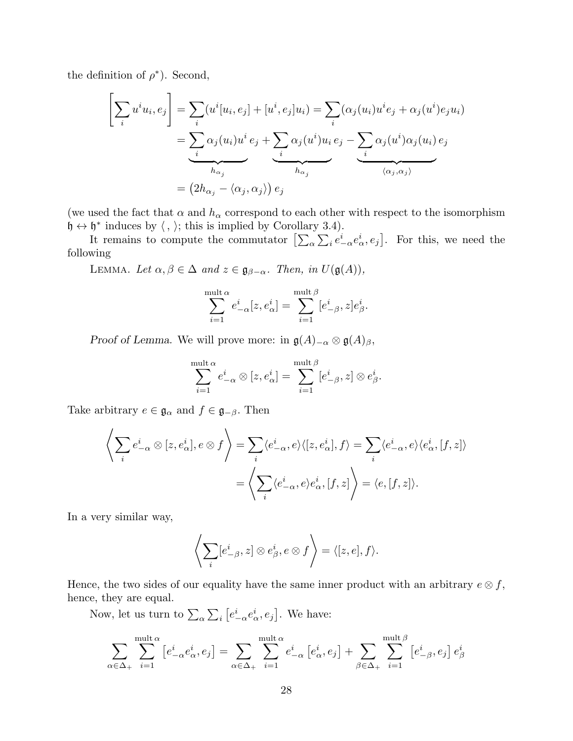the definition of  $\rho^*$ ). Second,

$$
\left[\sum_{i} u^{i} u_{i}, e_{j}\right] = \sum_{i} (u^{i}[u_{i}, e_{j}] + [u^{i}, e_{j}]u_{i}) = \sum_{i} (\alpha_{j}(u_{i}) u^{i} e_{j} + \alpha_{j}(u^{i}) e_{j} u_{i})
$$

$$
= \underbrace{\sum_{i} \alpha_{j}(u_{i}) u^{i} e_{j}}_{h_{\alpha_{j}}} + \underbrace{\sum_{i} \alpha_{j}(u^{i}) u_{i} e_{j}}_{h_{\alpha_{j}}} - \underbrace{\sum_{i} \alpha_{j}(u^{i}) \alpha_{j}(u_{i}) e_{j}}_{\langle \alpha_{j}, \alpha_{j} \rangle}
$$

$$
= (2h_{\alpha_{j}} - \langle \alpha_{j}, \alpha_{j} \rangle) e_{j}
$$

(we used the fact that  $\alpha$  and  $h_{\alpha}$  correspond to each other with respect to the isomorphism  $\mathfrak{h} \leftrightarrow \mathfrak{h}^*$  induces by  $\langle , \rangle$ ; this is implied by Corollary 3.4).

It remains to compute the commutator  $\left[\sum_{\alpha}\sum_{i}e_{-\alpha}^{i}e_{\alpha}^{i},e_{j}\right]$ . For this, we need the following

LEMMA. Let  $\alpha, \beta \in \Delta$  and  $z \in \mathfrak{g}_{\beta-\alpha}$ . Then, in  $U(\mathfrak{g}(A)),$ 

$$
\sum_{i=1}^{\text{mult }\alpha}e_{-\alpha}^i[z,e_{\alpha}^i]=\sum_{i=1}^{\text{mult }\beta}[e_{-\beta}^i,z]e_{\beta}^i.
$$

Proof of Lemma. We will prove more: in  $\mathfrak{g}(A)_{-\alpha} \otimes \mathfrak{g}(A)_{\beta}$ ,

$$
\sum_{i=1}^{\text{mult }\alpha} e_{-\alpha}^i \otimes [z,e_\alpha^i] = \sum_{i=1}^{\text{mult }\beta} [e_{-\beta}^i,z] \otimes e_\beta^i.
$$

Take arbitrary  $e \in \mathfrak{g}_{\alpha}$  and  $f \in \mathfrak{g}_{-\beta}$ . Then

$$
\left\langle \sum_{i} e_{-\alpha}^{i} \otimes [z, e_{\alpha}^{i}], e \otimes f \right\rangle = \sum_{i} \langle e_{-\alpha}^{i}, e \rangle \langle [z, e_{\alpha}^{i}], f \rangle = \sum_{i} \langle e_{-\alpha}^{i}, e \rangle \langle e_{\alpha}^{i}, [f, z] \rangle
$$

$$
= \left\langle \sum_{i} \langle e_{-\alpha}^{i}, e \rangle e_{\alpha}^{i}, [f, z] \right\rangle = \langle e, [f, z] \rangle.
$$

In a very similar way,

$$
\left\langle \sum_i [e_{-\beta}^i, z] \otimes e_{\beta}^i, e \otimes f \right\rangle = \langle [z, e], f \rangle.
$$

Hence, the two sides of our equality have the same inner product with an arbitrary  $e \otimes f$ , hence, they are equal.

Now, let us turn to  $\sum_{\alpha} \sum_{i} \left[ e_{-\alpha}^{i} e_{\alpha}^{i}, e_{j} \right]$ . We have:

$$
\sum_{\alpha \in \Delta_+} \sum_{i=1}^{\text{mult } \alpha} \left[ e^i_{-\alpha} e^i_{\alpha}, e_j \right] = \sum_{\alpha \in \Delta_+} \sum_{i=1}^{\text{mult } \alpha} e^i_{-\alpha} \left[ e^i_{\alpha}, e_j \right] + \sum_{\beta \in \Delta_+} \sum_{i=1}^{\text{mult } \beta} \left[ e^i_{-\beta}, e_j \right] e^i_{\beta}
$$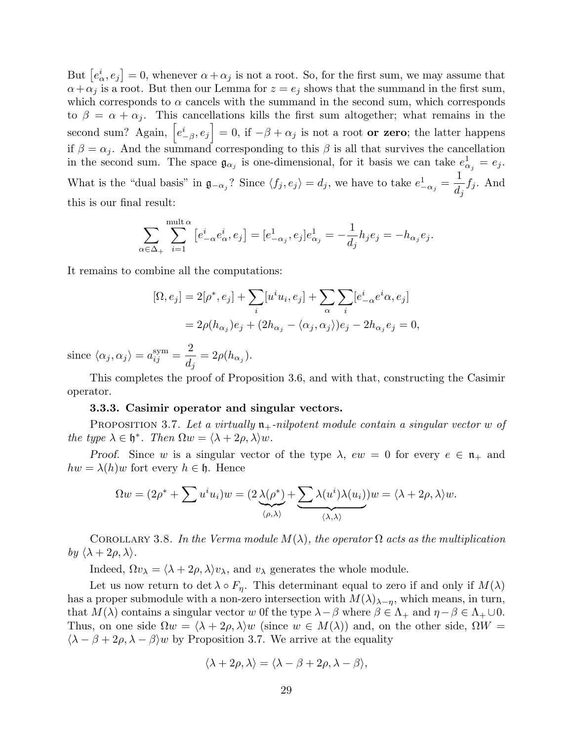But  $[e^i_\alpha, e_j] = 0$ , whenever  $\alpha + \alpha_j$  is not a root. So, for the first sum, we may assume that  $\alpha+\alpha_j$  is a root. But then our Lemma for  $z=e_j$  shows that the summand in the first sum, which corresponds to  $\alpha$  cancels with the summand in the second sum, which corresponds to  $\beta = \alpha + \alpha_i$ . This cancellations kills the first sum altogether; what remains in the second sum? Again,  $\left[e_{-\beta}^{i}, e_{j}\right] = 0$ , if  $-\beta + \alpha_{j}$  is not a root **or zero**; the latter happens if  $\beta = \alpha_j$ . And the summand corresponding to this  $\beta$  is all that survives the cancellation in the second sum. The space  $\mathfrak{g}_{\alpha_j}$  is one-dimensional, for it basis we can take  $e_{\alpha_j}^1 = e_j$ . What is the "dual basis" in  $\mathfrak{g}_{-\alpha_j}$ ? Since  $\langle f_j, e_j \rangle = d_j$ , we have to take  $e_{-\alpha_j}^1 =$ 1  $d_j$  $f_j$ . And this is our final result:

$$
\sum_{\alpha \in \Delta_+} \sum_{i=1}^{\text{mult }\alpha} \left[ e^i_{-\alpha}e^i_{\alpha}, e_j \right] = [e^1_{-\alpha_j}, e_j]e^1_{\alpha_j} = -\frac{1}{d_j}h_j e_j = -h_{\alpha_j}e_j.
$$

It remains to combine all the computations:

$$
[\Omega, e_j] = 2[\rho^*, e_j] + \sum_i [u^i u_i, e_j] + \sum_{\alpha} \sum_i [e^i_{-\alpha} e^i \alpha, e_j]
$$
  
=  $2\rho(h_{\alpha_j})e_j + (2h_{\alpha_j} - \langle \alpha_j, \alpha_j \rangle)e_j - 2h_{\alpha_j}e_j = 0,$ 

since  $\langle \alpha_j, \alpha_j \rangle = a_{ij}^{\text{sym}} =$ 2  $\frac{1}{d_j} = 2\rho(h_{\alpha_j}).$ 

This completes the proof of Proposition 3.6, and with that, constructing the Casimir operator.

#### 3.3.3. Casimir operator and singular vectors.

PROPOSITION 3.7. Let a virtually  $\mathfrak{n}_+$ -nilpotent module contain a singular vector w of the type  $\lambda \in \mathfrak{h}^*$ . Then  $\Omega w = \langle \lambda + 2\rho, \lambda \rangle w$ .

Proof. Since w is a singular vector of the type  $\lambda$ ,  $ew = 0$  for every  $e \in \mathfrak{n}_+$  and  $hw = \lambda(h)w$  fort every  $h \in \mathfrak{h}$ . Hence

$$
\Omega w = (2\rho^* + \sum u^i u_i) w = (2 \underbrace{\lambda(\rho^*)}_{\langle \rho, \lambda \rangle} + \underbrace{\sum \lambda(u^i) \lambda(u_i)}_{\langle \lambda, \lambda \rangle}) w = \langle \lambda + 2\rho, \lambda \rangle w.
$$

COROLLARY 3.8. In the Verma module  $M(\lambda)$ , the operator  $\Omega$  acts as the multiplication by  $\langle \lambda + 2\rho, \lambda \rangle$ .

Indeed,  $\Omega v_{\lambda} = \langle \lambda + 2\rho, \lambda \rangle v_{\lambda}$ , and  $v_{\lambda}$  generates the whole module.

Let us now return to det  $\lambda \circ F_{\eta}$ . This determinant equal to zero if and only if  $M(\lambda)$ has a proper submodule with a non-zero intersection with  $M(\lambda)_{\lambda-\eta}$ , which means, in turn, that  $M(\lambda)$  contains a singular vector w 0f the type  $\lambda - \beta$  where  $\beta \in \Lambda_+$  and  $\eta - \beta \in \Lambda_+ \cup 0$ . Thus, on one side  $\Omega w = \langle \lambda + 2\rho, \lambda \rangle w$  (since  $w \in M(\lambda)$ ) and, on the other side,  $\Omega W =$  $\langle \lambda - \beta + 2\rho, \lambda - \beta \rangle$  by Proposition 3.7. We arrive at the equality

$$
\langle \lambda + 2\rho, \lambda \rangle = \langle \lambda - \beta + 2\rho, \lambda - \beta \rangle,
$$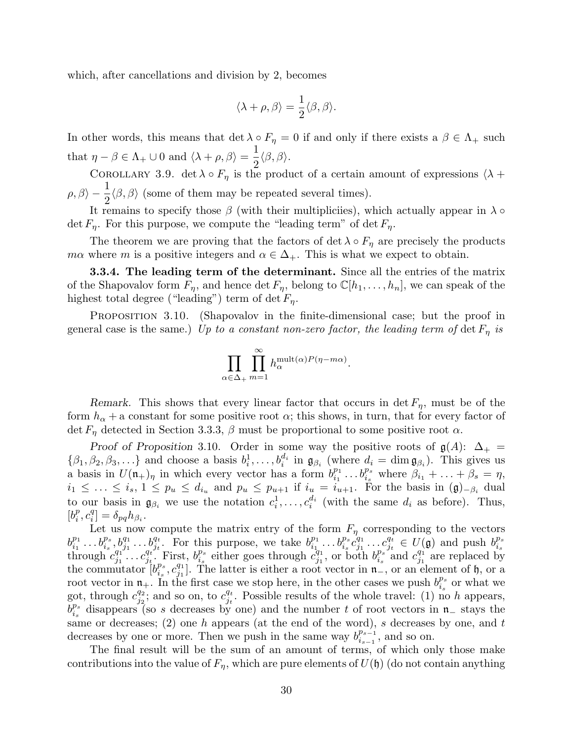which, after cancellations and division by 2, becomes

$$
\langle \lambda + \rho, \beta \rangle = \frac{1}{2} \langle \beta, \beta \rangle.
$$

In other words, this means that det  $\lambda \circ F_\eta = 0$  if and only if there exists a  $\beta \in \Lambda_+$  such that  $\eta - \beta \in \Lambda_+ \cup 0$  and  $\langle \lambda + \rho, \beta \rangle = \frac{1}{2}$ 2  $\langle \beta, \beta \rangle$ .

COROLLARY 3.9. det  $\lambda \circ F_n$  is the product of a certain amount of expressions  $\lambda +$  $\rho, \beta \rangle - \frac{1}{2}$ 2  $\langle \beta, \beta \rangle$  (some of them may be repeated several times).

It remains to specify those  $\beta$  (with their multipliciies), which actually appear in  $\lambda \circ$ det  $F_n$ . For this purpose, we compute the "leading term" of det  $F_n$ .

The theorem we are proving that the factors of det  $\lambda \circ F_\eta$  are precisely the products mα where m is a positive integers and  $\alpha \in \Delta_+$ . This is what we expect to obtain.

**3.3.4.** The leading term of the determinant. Since all the entries of the matrix of the Shapovalov form  $F_{\eta}$ , and hence det  $F_{\eta}$ , belong to  $\mathbb{C}[h_1,\ldots,h_n]$ , we can speak of the highest total degree ("leading") term of det  $F_n$ .

Proposition 3.10. (Shapovalov in the finite-dimensional case; but the proof in general case is the same.) Up to a constant non-zero factor, the leading term of det  $F_n$  is

$$
\prod_{\alpha \in \Delta_+} \prod_{m=1}^{\infty} h_{\alpha}^{\text{mult}(\alpha)P(\eta - m\alpha)}.
$$

Remark. This shows that every linear factor that occurs in det  $F_{\eta}$ , must be of the form  $h_{\alpha}$  + a constant for some positive root  $\alpha$ ; this shows, in turn, that for every factor of det  $F_n$  detected in Section 3.3.3,  $\beta$  must be proportional to some positive root  $\alpha$ .

Proof of Proposition 3.10. Order in some way the positive roots of  $g(A)$ :  $\Delta_+$  =  $\{\beta_1, \beta_2, \beta_3, \ldots\}$  and choose a basis  $b_i^1, \ldots, b_i^{d_i}$  in  $\mathfrak{g}_{\beta_i}$  (where  $d_i = \dim \mathfrak{g}_{\beta_i}$ ). This gives us a basis in  $U(\mathfrak{n}_+)_{\eta}$  in which every vector has a form  $b_{i_1}^{p_1}$  $\hat{b}_{i_1}^{p_1} \dots \hat{b}_{i_s}^{p_s}$  where  $\hat{\beta}_{i_1} + \dots + \hat{\beta}_s = \eta$ ,  $i_1 \leq \ldots \leq i_s, 1 \leq p_u \leq d_{i_u}$  and  $p_u \leq p_{u+1}$  if  $i_u = i_{u+1}$ . For the basis in  $(\mathfrak{g})_{-\beta_i}$  dual to our basis in  $\mathfrak{g}_{\beta_i}$  we use the notation  $c_i^1, \ldots, c_i^{d_i}$  (with the same  $d_i$  as before). Thus,  $[b_i^p]$  $_i^p, c_i^q$  $_{i}^{q}]=\delta _{pq}h_{\beta _{i}}.$ 

Let us now compute the matrix entry of the form  $F_{\eta}$  corresponding to the vectors  $b_{i_1}^{p_1}$  $\hat{b}_{i_1}^{p_1} \ldots \hat{b}_{i_s}^{p_s}, \hat{b}_{j_1}^{q_1} \ldots \hat{b}_{j_t}^{q_t}$ . For this purpose, we take  $b_{i_1}^{p_1}$  $\bar{b}^{p_1}_{i_1} \ldots \bar{b}^{p_s}_{i_s} c^{q_1}_{j_1}$  $\overline{e^{q_1}_{j_1}\ldots e^{q_t}_{j_t}}$  $\frac{q_t}{j_t} \in U(\mathfrak{g})$  and push  $b_{i_s}^{p_s}$  $i_s$ through  $c_{i_1}^{q_1}$  $\stackrel{q_1}{\stackrel{j_1}{\scriptstyle\cdot\cdot\cdot}}\ldots\stackrel{q_t}{\stackrel{j_t}{\scriptstyle\cdot\cdot\cdot}}$  $\frac{q_t}{j_t}$ . First,  $b_{i_s}^{p_s}$  $\frac{p_s}{i_s}$  either goes through  $c_{j_1}^{\overline{q}_1}$  $\hat{b}_{j_1}^{q_1}$ , or both  $b_{i_s}^{p_s}$  $\frac{p_s}{i_s}$  and  $c_{j_1}^{q_1}$  $_{j_1}^{q_1}$  are replaced by the commutator  $b_i^{p_s}$  $\frac{p_s}{i_s}, c_{j_1}^{q_1}$  $_{j_1}^{q_1}$ . The latter is either a root vector in  $\mathfrak{n}_-$ , or an element of  $\mathfrak{h}$ , or a root vector in  $\mathfrak{n}_+$ . In the first case we stop here, in the other cases we push  $b_i^{p_s}$ .  $\frac{p_s}{i_s}$  or what we got, through  $c_{i_2}^{q_2}$  $\frac{q_2}{j_2}$ ; and so on, to  $c_{j_t}^{q_t}$  $\frac{q_t}{j_t}$ . Possible results of the whole travel: (1) no h appears,  $\bar{b}^{p_s}_i$  $i_s^{p_s}$  disappears (so s decreases by one) and the number t of root vectors in n− stays the same or decreases;  $(2)$  one h appears (at the end of the word), s decreases by one, and t decreases by one or more. Then we push in the same way  $b^{p_{s-1}}_{i}$  $i_{s-1}^{p_{s-1}},$  and so on.

The final result will be the sum of an amount of terms, of which only those make contributions into the value of  $F_n$ , which are pure elements of  $U(\mathfrak{h})$  (do not contain anything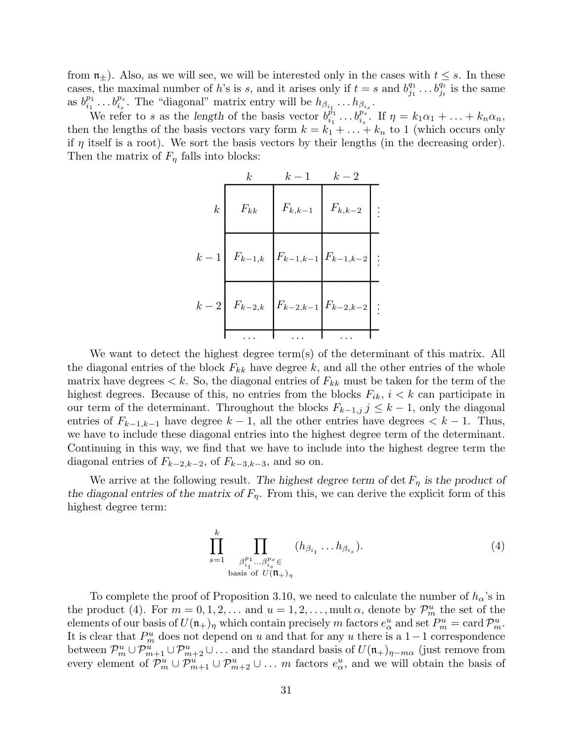from  $\mathfrak{n}_\pm$ ). Also, as we will see, we will be interested only in the cases with  $t \leq s$ . In these cases, the maximal number of h's is s, and it arises only if  $t = s$  and  $b_{j_1}^{q_1}$  $j_1^{q_1} \dots b_{j_t}^{q_t}$  is the same as  $b_{i_1}^{p_1}$  $i_1^{p_1} \ldots b_{i_s}^{p_s}$ . The "diagonal" matrix entry will be  $h_{\beta_{i_1}} \ldots h_{\beta_{i_s}}$ .

We refer to s as the length of the basis vector  $b_{i_1}^{p_1}$  $\hat{p}_i^{\bar{n}_1} \dots \hat{b}_{i_s}^{\bar{n}_s}$ . If  $\eta = k_1 \alpha_1 + \dots + k_n \alpha_n$ , then the lengths of the basis vectors vary form  $k = k_1 + \ldots + k_n$  to 1 (which occurs only if  $\eta$  itself is a root). We sort the basis vectors by their lengths (in the decreasing order). Then the matrix of  $F_{\eta}$  falls into blocks:

. ............................................................................................................................................................................ ............................................................................................................................................................................ ............................................................................................................................................................................ ............................................................................................................................................................................ . . . k k − 1 k − 2 k k − 1 k − 2 Fkk Fk,k−<sup>1</sup> Fk,k−<sup>2</sup> Fk−1,k Fk−1,k−<sup>1</sup> Fk−1,k−<sup>2</sup> Fk−2,k Fk−2,k−<sup>1</sup> Fk−2,k−<sup>2</sup> . . . . . . . . . . . . . . . . . .

We want to detect the highest degree term(s) of the determinant of this matrix. All the diagonal entries of the block  $F_{kk}$  have degree k, and all the other entries of the whole matrix have degrees  $\lt k$ . So, the diagonal entries of  $F_{kk}$  must be taken for the term of the highest degrees. Because of this, no entries from the blocks  $F_{ik}$ ,  $i < k$  can participate in our term of the determinant. Throughout the blocks  $F_{k-1,j}$  j  $\leq k-1$ , only the diagonal entries of  $F_{k-1,k-1}$  have degree  $k-1$ , all the other entries have degrees  $\lt k-1$ . Thus, we have to include these diagonal entries into the highest degree term of the determinant. Continuing in this way, we find that we have to include into the highest degree term the diagonal entries of  $F_{k-2,k-2}$ , of  $F_{k-3,k-3}$ , and so on.

We arrive at the following result. The highest degree term of det  $F_{\eta}$  is the product of the diagonal entries of the matrix of  $F_n$ . From this, we can derive the explicit form of this highest degree term:

$$
\prod_{s=1}^{k} \prod_{\substack{\beta_{i_1}^{p_1} \dots \beta_{i_s}^{p_s} \in \text{basis of } U(\mathfrak{m}_{+})_{\eta}}} (h_{\beta_{i_1}} \dots h_{\beta_{i_s}}).
$$
\n
$$
(4)
$$

To complete the proof of Proposition 3.10, we need to calculate the number of  $h_{\alpha}$ 's in the product (4). For  $m = 0, 1, 2, ...$  and  $u = 1, 2, ...$ , mult  $\alpha$ , denote by  $\mathcal{P}_m^u$  the set of the elements of our basis of  $U(\mathfrak{n}_+)_{\eta}$  which contain precisely m factors  $e^u_{\alpha}$  and set  $P^u_m = \text{card } \mathcal{P}^u_m$ . It is clear that  $P_m^u$  does not depend on u and that for any u there is a 1 – 1 correspondence between  $\mathcal{P}_m^u \cup \mathcal{P}_{m+1}^u \cup \mathcal{P}_{m+2}^u \cup \ldots$  and the standard basis of  $U(\mathfrak{n}_+)_{\eta-m\alpha}$  (just remove from every element of  $\mathcal{P}_m^u \cup \mathcal{P}_{m+1}^u \cup \mathcal{P}_{m+2}^u \cup \ldots$  *m* factors  $e_\alpha^u$ , and we will obtain the basis of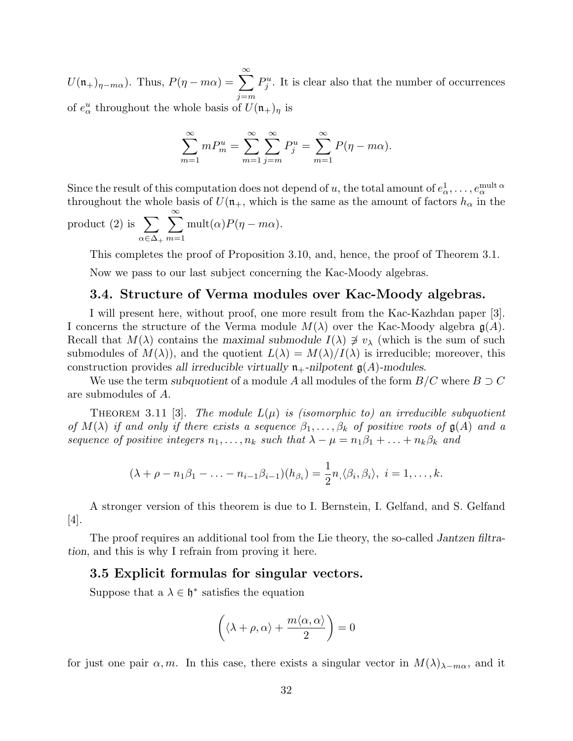$U(\mathfrak{n}_+)_{\eta-m\alpha}$ ). Thus,  $P(\eta-m\alpha) = \sum_{n=0}^{\infty}$  $j = m$  $P_j^u$ . It is clear also that the number of occurrences of  $e^u_\alpha$  throughout the whole basis of  $U(\mathfrak{n}_+)_\eta$  is

$$
\sum_{m=1}^{\infty} m P_m^u = \sum_{m=1}^{\infty} \sum_{j=m}^{\infty} P_j^u = \sum_{m=1}^{\infty} P(\eta - m\alpha).
$$

Since the result of this computation does not depend of  $u,$  the total amount of  $e_\alpha^1,\ldots,e_\alpha^{\mathrm{mult}\,\alpha}$ throughout the whole basis of  $U(\mathfrak{n}_+$ , which is the same as the amount of factors  $h_\alpha$  in the

product (2) is  $\sum$  $\alpha \in \Delta_+$  $\sum^{\infty}$  $m=1$ mult $(\alpha)P(\eta - m\alpha)$ .

This completes the proof of Proposition 3.10, and, hence, the proof of Theorem 3.1.

Now we pass to our last subject concerning the Kac-Moody algebras.

### 3.4. Structure of Verma modules over Kac-Moody algebras.

I will present here, without proof, one more result from the Kac-Kazhdan paper [3]. I concerns the structure of the Verma module  $M(\lambda)$  over the Kac-Moody algebra  $g(A)$ . Recall that  $M(\lambda)$  contains the maximal submodule  $I(\lambda) \not\ni v_\lambda$  (which is the sum of such submodules of  $M(\lambda)$ , and the quotient  $L(\lambda) = M(\lambda)/I(\lambda)$  is irreducible; moreover, this construction provides all irreducible virtually  $\mathfrak{n}_+$ -nilpotent  $\mathfrak{g}(A)$ -modules.

We use the term subquotient of a module A all modules of the form  $B/C$  where  $B\supset C$ are submodules of A.

THEOREM 3.11 [3]. The module  $L(\mu)$  is (isomorphic to) an irreducible subquotient of  $M(\lambda)$  if and only if there exists a sequence  $\beta_1, \ldots, \beta_k$  of positive roots of  $\mathfrak{g}(A)$  and a sequence of positive integers  $n_1, \ldots, n_k$  such that  $\lambda - \mu = n_1 \beta_1 + \ldots + n_k \beta_k$  and

$$
(\lambda + \rho - n_1 \beta_1 - \ldots - n_{i-1} \beta_{i-1})(h_{\beta_i}) = \frac{1}{2} n \langle \beta_i, \beta_i \rangle, \ i = 1, \ldots, k.
$$

A stronger version of this theorem is due to I. Bernstein, I. Gelfand, and S. Gelfand [4].

The proof requires an additional tool from the Lie theory, the so-called Jantzen filtration, and this is why I refrain from proving it here.

#### 3.5 Explicit formulas for singular vectors.

Suppose that a  $\lambda \in \mathfrak{h}^*$  satisfies the equation

$$
\left(\langle\lambda+\rho,\alpha\rangle+\frac{m\langle\alpha,\alpha\rangle}{2}\right)=0
$$

for just one pair  $\alpha, m$ . In this case, there exists a singular vector in  $M(\lambda)_{\lambda-m\alpha}$ , and it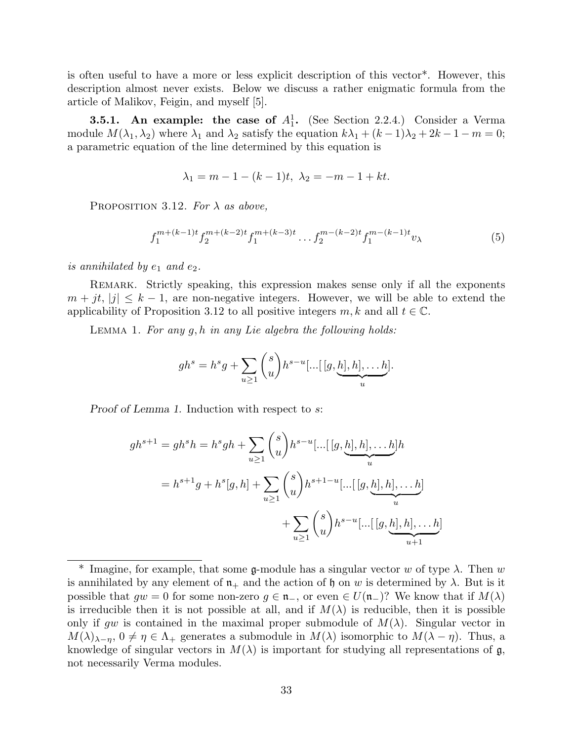is often useful to have a more or less explicit description of this vector\*. However, this description almost never exists. Below we discuss a rather enigmatic formula from the article of Malikov, Feigin, and myself [5].

**3.5.1.** An example: the case of  $A_1^1$ . (See Section 2.2.4.) Consider a Verma module  $M(\lambda_1, \lambda_2)$  where  $\lambda_1$  and  $\lambda_2$  satisfy the equation  $k\lambda_1 + (k-1)\lambda_2 + 2k - 1 - m = 0;$ a parametric equation of the line determined by this equation is

$$
\lambda_1 = m - 1 - (k - 1)t, \ \lambda_2 = -m - 1 + kt.
$$

PROPOSITION 3.12. For  $\lambda$  as above,

$$
f_1^{m+(k-1)t} f_2^{m+(k-2)t} f_1^{m+(k-3)t} \dots f_2^{m-(k-2)t} f_1^{m-(k-1)t} v_\lambda \tag{5}
$$

is annihilated by  $e_1$  and  $e_2$ .

Remark. Strictly speaking, this expression makes sense only if all the exponents  $m + jt$ ,  $|j| \leq k - 1$ , are non-negative integers. However, we will be able to extend the applicability of Proposition 3.12 to all positive integers  $m, k$  and all  $t \in \mathbb{C}$ .

LEMMA 1. For any  $q, h$  in any Lie algebra the following holds:

$$
gh^s = h^s g + \sum_{u \ge 1} {s \choose u} h^{s-u} \dots [[g, \underbrace{h], h], \dots h}_{u}].
$$

Proof of Lemma 1. Induction with respect to s:

$$
gh^{s+1} = gh^{s}h = h^{s}gh + \sum_{u \ge 1} {s \choose u} h^{s-u}[\dots[[g, \underbrace{h], h], \dots h}_{u}].
$$
  

$$
= h^{s+1}g + h^{s}[g, h] + \sum_{u \ge 1} {s \choose u} h^{s+1-u}[\dots[[g, \underbrace{h], h], \dots h}_{u}]
$$

$$
+ \sum_{u \ge 1} {s \choose u} h^{s-u}[\dots[[g, \underbrace{h], h], \dots h}_{u+1}]
$$

<sup>&</sup>lt;sup>\*</sup> Imagine, for example, that some g-module has a singular vector w of type  $\lambda$ . Then w is annihilated by any element of  $\mathfrak{n}_+$  and the action of h on w is determined by  $\lambda$ . But is it possible that  $gw = 0$  for some non-zero  $g \in \mathfrak{n}_-$ , or even  $\in U(\mathfrak{n}_-)$ ? We know that if  $M(\lambda)$ is irreducible then it is not possible at all, and if  $M(\lambda)$  is reducible, then it is possible only if gw is contained in the maximal proper submodule of  $M(\lambda)$ . Singular vector in  $M(\lambda)_{\lambda-\eta}, 0 \neq \eta \in \Lambda_+$  generates a submodule in  $M(\lambda)$  isomorphic to  $M(\lambda - \eta)$ . Thus, a knowledge of singular vectors in  $M(\lambda)$  is important for studying all representations of g, not necessarily Verma modules.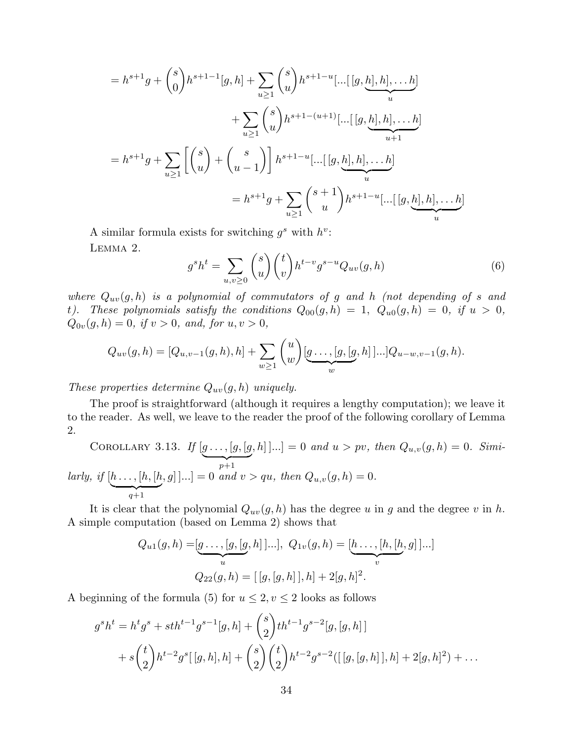$$
= h^{s+1}g + {s \choose 0}h^{s+1-1}[g,h] + \sum_{u \ge 1} {s \choose u}h^{s+1-u}[\dots[[g,\underbrace{h],h],\dots,h}_{u}]
$$
  
+ 
$$
\sum_{u \ge 1} {s \choose u}h^{s+1-(u+1)}[\dots[[g,\underbrace{h],h],\dots,h}_{u+1}]
$$
  
= 
$$
h^{s+1}g + \sum_{u \ge 1} \left[{s \choose u} + {s \choose u-1}\right]h^{s+1-u}[\dots[[g,\underbrace{h],h],\dots,h}_{u}]
$$
  
= 
$$
h^{s+1}g + \sum_{u \ge 1} {s+1 \choose u}h^{s+1-u}[\dots[[g,\underbrace{h],h],\dots,h}_{u}]
$$

A similar formula exists for switching  $g^s$  with  $h^v$ : Lemma 2.

$$
g^s h^t = \sum_{u,v \ge 0} \binom{s}{u} \binom{t}{v} h^{t-v} g^{s-u} Q_{uv}(g,h) \tag{6}
$$

where  $Q_{uv}(g,h)$  is a polynomial of commutators of g and h (not depending of s and t). These polynomials satisfy the conditions  $Q_{00}(g,h) = 1$ ,  $Q_{u0}(g,h) = 0$ , if  $u > 0$ ,  $Q_{0v}(g, h) = 0$ , if  $v > 0$ , and, for  $u, v > 0$ ,

$$
Q_{uv}(g,h) = [Q_{u,v-1}(g,h),h] + \sum_{w \ge 1} {u \choose w} [g \dots,[g,[g,h]]...] Q_{u-w,v-1}(g,h).
$$

These properties determine  $Q_{uv}(g,h)$  uniquely.

The proof is straightforward (although it requires a lengthy computation); we leave it to the reader. As well, we leave to the reader the proof of the following corollary of Lemma 2.

COROLLARY 3.13. If  $[g \dots, [g, [g$  $\overline{p+1}$  $[a, h]$ ...] = 0 and  $u > pv$ , then  $Q_{u,v}(g, h) = 0$ . Similarly, if  $[h \dots, [h, [h$  $q+1$  $[g, g]$ ...] = 0 and  $v > qu$ , then  $Q_{u,v}(g, h) = 0$ .

It is clear that the polynomial  $Q_{uv}(g, h)$  has the degree u in g and the degree v in h. A simple computation (based on Lemma 2) shows that

$$
Q_{u1}(g, h) = [\underbrace{g \dots, [g, [g, h]]...}_{u}], Q_{1v}(g, h) = [\underbrace{h \dots, [h, [h, g]]...}_{v}]
$$

$$
Q_{22}(g, h) = [[g, [g, h]], h] + 2[g, h]^2.
$$

A beginning of the formula (5) for  $u \leq 2, v \leq 2$  looks as follows

$$
g^{s}h^{t} = h^{t}g^{s} + sth^{t-1}g^{s-1}[g,h] + {s \choose 2}th^{t-1}g^{s-2}[g,[g,h]]
$$
  
+  $s {t \choose 2}h^{t-2}g^{s}[[g,h],h] + {s \choose 2}{t \choose 2}h^{t-2}g^{s-2}([[g,[g,h]],h] + 2[g,h]^{2}) + ...$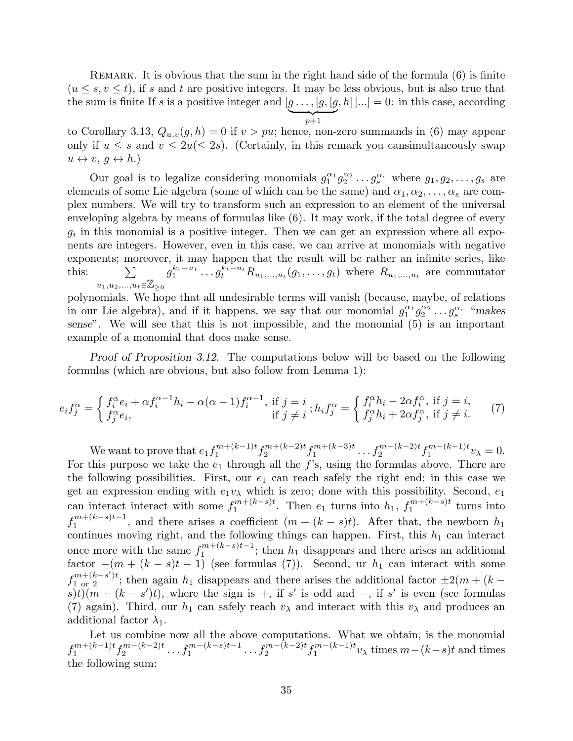Remark. It is obvious that the sum in the right hand side of the formula (6) is finite  $(u \leq s, v \leq t)$ , if s and t are positive integers. It may be less obvious, but is also true that the sum is finite If s is a positive integer and  $[g \dots, [g, [g, h] \dots] = 0$ : in this case, according  $\sum_{p+1}$ 

to Corollary 3.13,  $Q_{u,v}(g,h) = 0$  if  $v > pu$ ; hence, non-zero summands in (6) may appear only if  $u \leq s$  and  $v \leq 2u \leq 2s$ ). (Certainly, in this remark you cansimultaneously swap  $u \leftrightarrow v, g \leftrightarrow h.$ 

Our goal is to legalize considering monomials  $g_1^{\alpha_1} g_2^{\alpha_2} \dots g_s^{\alpha_s}$  where  $g_1, g_2, \dots, g_s$  are elements of some Lie algebra (some of which can be the same) and  $\alpha_1, \alpha_2, \ldots, \alpha_s$  are complex numbers. We will try to transform such an expression to an element of the universal enveloping algebra by means of formulas like (6). It may work, if the total degree of every  $g_i$  in this monomial is a positive integer. Then we can get an expression where all exponents are integers. However, even in this case, we can arrive at monomials with negative exponents; moreover, it may happen that the result will be rather an infinite series, like this:  $\sum$  $u_1, u_2,...,u_t \in \mathbb{Z}_{\geq 0}$  $g_1^{k_1-u_1} \dots g_t^{k_t-u_t} R_{u_1,\dots,u_t}(g_1,\dots,g_t)$  where  $R_{u_1,\dots,u_t}$  are commutator

polynomials. We hope that all undesirable terms will vanish (because, maybe, of relations in our Lie algebra), and if it happens, we say that our monomial  $g_1^{\alpha_1} g_2^{\alpha_2} \dots g_s^{\alpha_s}$  "makes sense". We will see that this is not impossible, and the monomial (5) is an important example of a monomial that does make sense.

Proof of Proposition 3.12. The computations below will be based on the following formulas (which are obvious, but also follow from Lemma 1):

$$
e_i f_j^{\alpha} = \begin{cases} f_i^{\alpha} e_i + \alpha f_i^{\alpha - 1} h_i - \alpha (\alpha - 1) f_i^{\alpha - 1}, & \text{if } j = i \\ f_j^{\alpha} e_i, & \text{if } j \neq i \end{cases}; h_i f_j^{\alpha} = \begin{cases} f_i^{\alpha} h_i - 2 \alpha f_i^{\alpha}, & \text{if } j = i, \\ f_j^{\alpha} h_i + 2 \alpha f_j^{\alpha}, & \text{if } j \neq i. \end{cases} (7)
$$

We want to prove that  $e_1 f_1^{m+(k-1)t}$  $m+(k-1)t$   $f_2^{m+(k-2)t}$  $\int_{2}^{m+(k-2)t} f_1^{m+(k-3)t}$  $t_1^{m+(k-3)t} \ldots t_2^{m-(k-2)t} t_1^{m-(k-1)t}$  $v_1^{m-(\kappa-1)t}v_\lambda=0.$ For this purpose we take the  $e_1$  through all the f's, using the formulas above. There are the following possibilities. First, our  $e_1$  can reach safely the right end; in this case we get an expression ending with  $e_1v_\lambda$  which is zero; done with this possibility. Second,  $e_1$ can interact interact with some  $f_1^{m+(k-s)t}$  $n^{m+(k-s)t}$ . Then  $e_1$  turns into  $h_1$ ,  $f_1^{m+(k-s)t}$  $\int_1^{m+(\kappa-s)t}$  turns into  $f_1^{m+(k-s)t-1}$  $\int_{1}^{m+(\kappa-s)t-1}$ , and there arises a coefficient  $(m+(k-s)t)$ . After that, the newborn  $h_1$ continues moving right, and the following things can happen. First, this  $h_1$  can interact once more with the same  $f_1^{m+(k-s)t-1}$  $\binom{m+\kappa-s}{1}$ ; then  $h_1$  disappears and there arises an additional factor  $-(m + (k - s)t - 1)$  (see formulas (7)). Second, ur  $h_1$  can interact with some  $f_{1 \text{ or } 2}^{m+(k-s')t}$ ; then again  $h_1$  disappears and there arises the additional factor  $\pm 2(m + (k$  $s(t)(m + (k - s')t)$ , where the sign is +, if s' is odd and -, if s' is even (see formulas (7) again). Third, our  $h_1$  can safely reach  $v_\lambda$  and interact with this  $v_\lambda$  and produces an additional factor  $\lambda_1$ .

Let us combine now all the above computations. What we obtain, is the monomial  $f_1^{m+(k-1)t}$  $f_1^{m+(k-1)t} f_2^{m-(k-2)t}$  $x_2^{m-(k-2)t} \ldots f_1^{m-(k-s)t-1} \ldots f_2^{m-(k-2)t} f_1^{m-(k-1)t}$  $\sum_{1}^{m-(\kappa-1)t}v_{\lambda}$  times  $m-(k-s)t$  and times the following sum: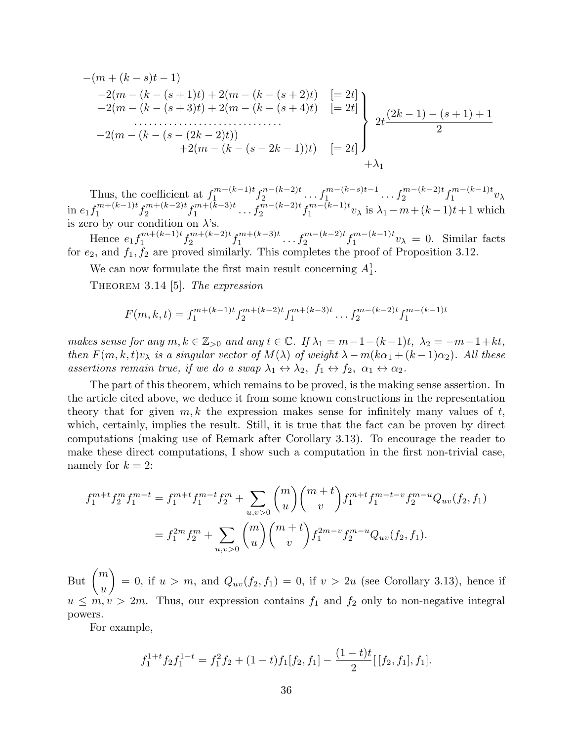$$
-(m + (k - s)t - 1)
$$
  
\n
$$
-2(m - (k - (s + 1)t) + 2(m - (k - (s + 2)t))
$$
  
\n
$$
-2(m - (k - (s + 3)t) + 2(m - (k - (s + 4)t))
$$
  
\n
$$
-2(m - (k - (s - (2k - 2)t))
$$
  
\n
$$
+2(m - (k - (s - 2k - 1))t)
$$
  
\n
$$
[-2t]
$$
  
\n
$$
2t \frac{(2k - 1) - (s + 1) + 1}{2}
$$
  
\n
$$
+ \lambda_1
$$

Thus, the coefficient at  $f_1^{m+(k-1)t}$  $\int_{1}^{m+(k-1)t} f_2^{n-(k-2)t}$  $x_2^{n-(k-2)t} \ldots f_1^{m-(k-s)t-1} \ldots f_2^{m-(k-2)t} f_1^{m-(k-1)t}$  $v_1^{m-(\kappa-1)t}v_\lambda$ in  $e_1 f_1^{m+(k-1)t}$  $f_1^{m+(k-1)t} f_2^{m+(k-2)t}$  $x_2^{m+(k-2)t} f_1^{m+(k-3)t}$  $t_1^{m+(k-3)t} \dots t_2^{m-(k-2)t} t_1^{m-(k-1)t}$  $\sum_{1}^{m-(k-1)t} v_{\lambda}$  is  $\lambda_1 - m + (k-1)t+1$  which is zero by our condition on  $\lambda$ 's.

Hence  $e_1 f_1^{m+(k-1)t}$  $f_1^{m+(k-1)t} f_2^{m+(k-2)t}$  $\int_{2}^{m+(k-2)t} f_1^{m+(k-3)t}$  $t_1^{m+(k-3)t} \ldots t_2^{m-(k-2)t} t_1^{m-(k-1)t}$  $v_1^{m-(\kappa-1)t}v_\lambda = 0$ . Similar facts for  $e_2$ , and  $f_1, f_2$  are proved similarly. This completes the proof of Proposition 3.12.

We can now formulate the first main result concerning  $A_1^1$ .

THEOREM 3.14 [5]. The expression

$$
F(m,k,t) = f_1^{m+(k-1)t} f_2^{m+(k-2)t} f_1^{m+(k-3)t} \dots f_2^{m-(k-2)t} f_1^{m-(k-1)t}
$$

makes sense for any  $m, k \in \mathbb{Z}_{>0}$  and any  $t \in \mathbb{C}$ . If  $\lambda_1 = m - 1 - (k-1)t$ ,  $\lambda_2 = -m - 1 + kt$ , then  $F(m, k, t)v_\lambda$  is a singular vector of  $M(\lambda)$  of weight  $\lambda - m(k\alpha_1 + (k-1)\alpha_2)$ . All these assertions remain true, if we do a swap  $\lambda_1 \leftrightarrow \lambda_2$ ,  $f_1 \leftrightarrow f_2$ ,  $\alpha_1 \leftrightarrow \alpha_2$ .

The part of this theorem, which remains to be proved, is the making sense assertion. In the article cited above, we deduce it from some known constructions in the representation theory that for given  $m, k$  the expression makes sense for infinitely many values of t, which, certainly, implies the result. Still, it is true that the fact can be proven by direct computations (making use of Remark after Corollary 3.13). To encourage the reader to make these direct computations, I show such a computation in the first non-trivial case, namely for  $k = 2$ :

$$
f_1^{m+t} f_2^m f_1^{m-t} = f_1^{m+t} f_1^{m-t} f_2^m + \sum_{u,v>0} \binom{m}{u} \binom{m+t}{v} f_1^{m+t} f_1^{m-t-v} f_2^{m-u} Q_{uv}(f_2, f_1)
$$
  
= 
$$
f_1^{2m} f_2^m + \sum_{u,v>0} \binom{m}{u} \binom{m+t}{v} f_1^{2m-v} f_2^{m-u} Q_{uv}(f_2, f_1).
$$

But  $\binom{m}{m}$  $\overline{u}$  $\setminus$  $= 0$ , if  $u > m$ , and  $Q_{uv}(f_2, f_1) = 0$ , if  $v > 2u$  (see Corollary 3.13), hence if  $u \leq m, v > 2m$ . Thus, our expression contains  $f_1$  and  $f_2$  only to non-negative integral powers.

For example,

$$
f_1^{1+t} f_2 f_1^{1-t} = f_1^2 f_2 + (1-t) f_1[f_2, f_1] - \frac{(1-t)t}{2} [[f_2, f_1], f_1].
$$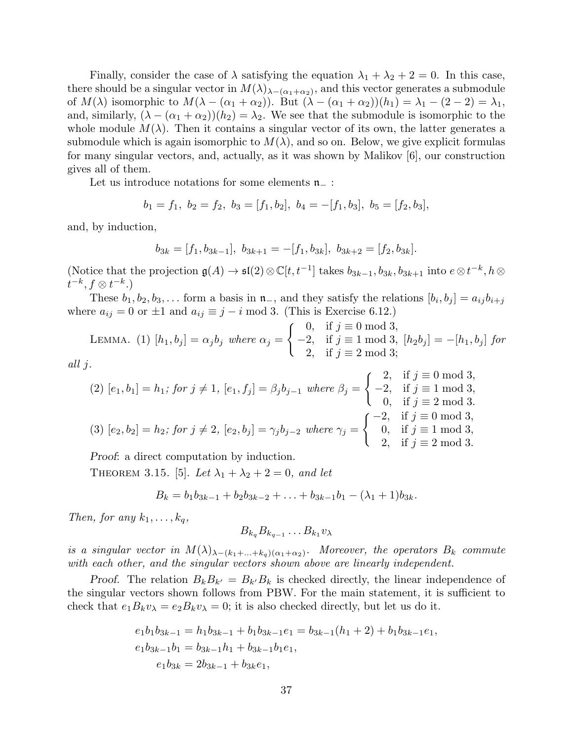Finally, consider the case of  $\lambda$  satisfying the equation  $\lambda_1 + \lambda_2 + 2 = 0$ . In this case, there should be a singular vector in  $M(\lambda)_{\lambda-(\alpha_1+\alpha_2)}$ , and this vector generates a submodule of  $M(\lambda)$  isomorphic to  $M(\lambda - (\alpha_1 + \alpha_2))$ . But  $(\lambda - (\alpha_1 + \alpha_2))(h_1) = \lambda_1 - (2 - 2) = \lambda_1$ , and, similarly,  $(\lambda - (\alpha_1 + \alpha_2))(h_2) = \lambda_2$ . We see that the submodule is isomorphic to the whole module  $M(\lambda)$ . Then it contains a singular vector of its own, the latter generates a submodule which is again isomorphic to  $M(\lambda)$ , and so on. Below, we give explicit formulas for many singular vectors, and, actually, as it was shown by Malikov [6], our construction gives all of them.

Let us introduce notations for some elements  $n_$  :

$$
b_1 = f_1, b_2 = f_2, b_3 = [f_1, b_2], b_4 = -[f_1, b_3], b_5 = [f_2, b_3],
$$

and, by induction,

$$
b_{3k} = [f_1, b_{3k-1}], b_{3k+1} = -[f_1, b_{3k}], b_{3k+2} = [f_2, b_{3k}].
$$

(Notice that the projection  $\mathfrak{g}(A) \to \mathfrak{sl}(2) \otimes \mathbb{C}[t, t^{-1}]$  takes  $b_{3k-1}, b_{3k}, b_{3k+1}$  into  $e \otimes t^{-k}, h \otimes$  $t^{-k}, f \otimes t^{-k}$ .)

These  $b_1, b_2, b_3, \ldots$  form a basis in  $\mathfrak{n}_-$ , and they satisfy the relations  $[b_i, b_j] = a_{ij}b_{i+j}$ where  $a_{ij} = 0$  or  $\pm 1$  and  $a_{ij} \equiv j - i \mod 3$ . (This is Exercise 6.12.)

LEMMA. (1) 
$$
[h_1, b_j] = \alpha_j b_j
$$
 where  $\alpha_j = \begin{cases} 0, & \text{if } j \equiv 0 \mod 3, \\ -2, & \text{if } j \equiv 1 \mod 3, \\ 2, & \text{if } j \equiv 2 \mod 3; \end{cases}$   
  $[h_2 b_j] = -[h_1, b_j]$  for

$$
all \; j.
$$

(2) 
$$
[e_1, b_1] = h_1
$$
; for  $j \neq 1$ ,  $[e_1, f_j] = \beta_j b_{j-1}$  where  $\beta_j = \begin{cases} 2, & \text{if } j \equiv 0 \text{ mod } 3, \\ -2, & \text{if } j \equiv 1 \text{ mod } 3, \\ 0, & \text{if } j \equiv 2 \text{ mod } 3. \end{cases}$   
\n(3)  $[e_2, b_2] = h_2$ ; for  $j \neq 2$ ,  $[e_2, b_j] = \gamma_j b_{j-2}$  where  $\gamma_j = \begin{cases} -2, & \text{if } j \equiv 0 \text{ mod } 3, \\ 0, & \text{if } j \equiv 1 \text{ mod } 3, \\ 2, & \text{if } j \equiv 2 \text{ mod } 3. \end{cases}$ 

Proof: a direct computation by induction.

THEOREM 3.15. [5]. Let  $\lambda_1 + \lambda_2 + 2 = 0$ , and let

$$
B_k = b_1b_{3k-1} + b_2b_{3k-2} + \ldots + b_{3k-1}b_1 - (\lambda_1 + 1)b_{3k}.
$$

Then, for any  $k_1, \ldots, k_q$ ,

$$
B_{k_q}B_{k_{q-1}}\ldots B_{k_1}v_\lambda
$$

is a singular vector in  $M(\lambda)_{\lambda-(k_1+\ldots+k_q)(\alpha_1+\alpha_2)}$ . Moreover, the operators  $B_k$  commute with each other, and the singular vectors shown above are linearly independent.

Proof. The relation  $B_k B_{k'} = B_{k'} B_k$  is checked directly, the linear independence of the singular vectors shown follows from PBW. For the main statement, it is sufficient to check that  $e_1B_kv_\lambda = e_2B_kv_\lambda = 0$ ; it is also checked directly, but let us do it.

$$
e_1b_1b_{3k-1} = h_1b_{3k-1} + b_1b_{3k-1}e_1 = b_{3k-1}(h_1 + 2) + b_1b_{3k-1}e_1,
$$
  
\n
$$
e_1b_{3k-1}b_1 = b_{3k-1}h_1 + b_{3k-1}b_1e_1,
$$
  
\n
$$
e_1b_{3k} = 2b_{3k-1} + b_{3k}e_1,
$$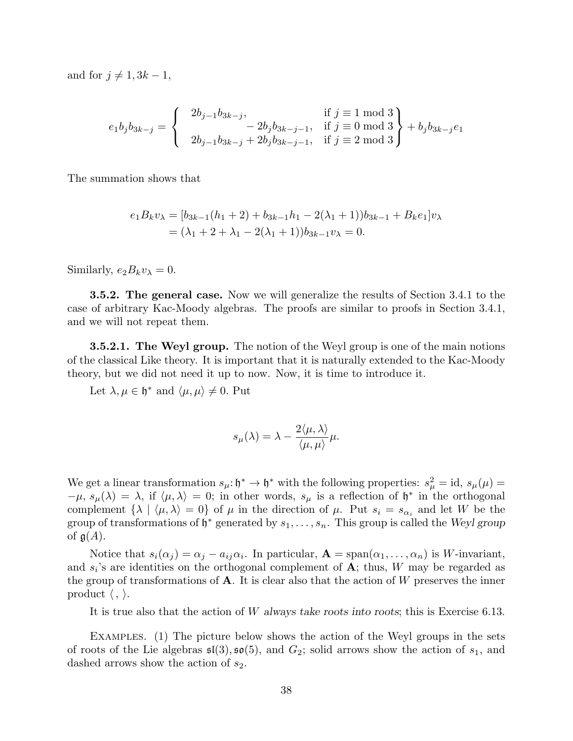and for  $j \neq 1, 3k - 1$ ,

$$
e_1 b_j b_{3k-j} = \begin{cases} 2b_{j-1}b_{3k-j}, & \text{if } j \equiv 1 \text{ mod } 3 \\ -2b_j b_{3k-j-1}, & \text{if } j \equiv 0 \text{ mod } 3 \\ 2b_{j-1}b_{3k-j} + 2b_j b_{3k-j-1}, & \text{if } j \equiv 2 \text{ mod } 3 \end{cases} + b_j b_{3k-j} e_1
$$

The summation shows that

$$
e_1 B_k v_\lambda = [b_{3k-1}(h_1 + 2) + b_{3k-1}h_1 - 2(\lambda_1 + 1))b_{3k-1} + B_k e_1]v_\lambda
$$
  
=  $(\lambda_1 + 2 + \lambda_1 - 2(\lambda_1 + 1))b_{3k-1}v_\lambda = 0.$ 

Similarly,  $e_2B_kv_\lambda = 0$ .

3.5.2. The general case. Now we will generalize the results of Section 3.4.1 to the case of arbitrary Kac-Moody algebras. The proofs are similar to proofs in Section 3.4.1, and we will not repeat them.

**3.5.2.1. The Weyl group.** The notion of the Weyl group is one of the main notions of the classical Like theory. It is important that it is naturally extended to the Kac-Moody theory, but we did not need it up to now. Now, it is time to introduce it.

Let  $\lambda, \mu \in \mathfrak{h}^*$  and  $\langle \mu, \mu \rangle \neq 0$ . Put

$$
s_{\mu}(\lambda) = \lambda - \frac{2\langle \mu, \lambda \rangle}{\langle \mu, \mu \rangle} \mu.
$$

We get a linear transformation  $s_{\mu} : \mathfrak{h}^* \to \mathfrak{h}^*$  with the following properties:  $s_{\mu}^2 = id$ ,  $s_{\mu}(\mu) =$  $-\mu$ ,  $s_{\mu}(\lambda) = \lambda$ , if  $\langle \mu, \lambda \rangle = 0$ ; in other words,  $s_{\mu}$  is a reflection of  $\mathfrak{h}^*$  in the orthogonal complement  $\{\lambda \mid \langle \mu, \lambda \rangle = 0\}$  of  $\mu$  in the direction of  $\mu$ . Put  $s_i = s_{\alpha_i}$  and let W be the group of transformations of  $\mathfrak{h}^*$  generated by  $s_1, \ldots, s_n$ . This group is called the Weyl group of  $g(A)$ .

Notice that  $s_i(\alpha_j) = \alpha_j - a_{ij}\alpha_i$ . In particular,  $\mathbf{A} = \text{span}(\alpha_1, \dots, \alpha_n)$  is W-invariant, and  $s_i$ 's are identities on the orthogonal complement of  $A$ ; thus, W may be regarded as the group of transformations of  $A$ . It is clear also that the action of W preserves the inner product  $\langle , \rangle$ .

It is true also that the action of W always take roots into roots; this is Exercise 6.13.

Examples. (1) The picture below shows the action of the Weyl groups in the sets of roots of the Lie algebras  $\mathfrak{sl}(3), \mathfrak{so}(5)$ , and  $G_2$ ; solid arrows show the action of  $s_1$ , and dashed arrows show the action of  $s_2$ .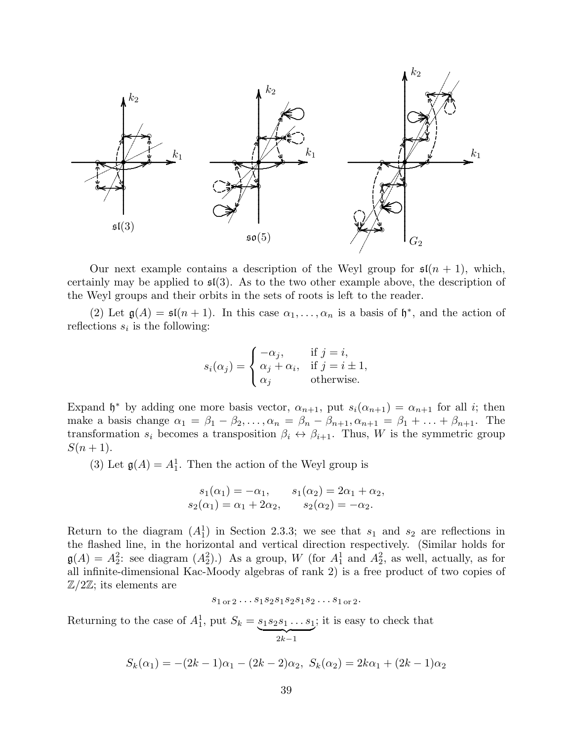

Our next example contains a description of the Weyl group for  $\mathfrak{sl}(n+1)$ , which, certainly may be applied to  $\mathfrak{sl}(3)$ . As to the two other example above, the description of the Weyl groups and their orbits in the sets of roots is left to the reader.

(2) Let  $\mathfrak{g}(A) = \mathfrak{sl}(n+1)$ . In this case  $\alpha_1, \ldots, \alpha_n$  is a basis of  $\mathfrak{h}^*$ , and the action of reflections  $s_i$  is the following:

$$
s_i(\alpha_j) = \begin{cases} -\alpha_j, & \text{if } j = i, \\ \alpha_j + \alpha_i, & \text{if } j = i \pm 1, \\ \alpha_j & \text{otherwise.} \end{cases}
$$

Expand  $\mathfrak{h}^*$  by adding one more basis vector,  $\alpha_{n+1}$ , put  $s_i(\alpha_{n+1}) = \alpha_{n+1}$  for all *i*; then make a basis change  $\alpha_1 = \beta_1 - \beta_2, \ldots, \alpha_n = \beta_n - \beta_{n+1}, \alpha_{n+1} = \beta_1 + \ldots + \beta_{n+1}$ . The transformation  $s_i$  becomes a transposition  $\beta_i \leftrightarrow \beta_{i+1}$ . Thus, W is the symmetric group  $S(n+1)$ .

(3) Let  $\mathfrak{g}(A) = A_1^1$ . Then the action of the Weyl group is

$$
s_1(\alpha_1) = -\alpha_1,
$$
  $s_1(\alpha_2) = 2\alpha_1 + \alpha_2,$   
\n $s_2(\alpha_1) = \alpha_1 + 2\alpha_2,$   $s_2(\alpha_2) = -\alpha_2.$ 

Return to the diagram  $(A_1^1)$  in Section 2.3.3; we see that  $s_1$  and  $s_2$  are reflections in the flashed line, in the horizontal and vertical direction respectively. (Similar holds for  $\mathfrak{g}(A) = A_2^2$ : see diagram  $(A_2^2)$ .) As a group, W (for  $A_1^1$  and  $A_2^2$ , as well, actually, as for all infinite-dimensional Kac-Moody algebras of rank 2) is a free product of two copies of  $\mathbb{Z}/2\mathbb{Z}$ ; its elements are

$$
s_{1 \text{ or } 2} \ldots s_1 s_2 s_1 s_2 s_1 s_2 \ldots s_{1 \text{ or } 2}.
$$

Returning to the case of  $A_1^1$ , put  $S_k = s_1 s_2 s_1 \dots s_1$  $\overline{\smash{2k-1}}$ ; it is easy to check that

$$
S_k(\alpha_1) = -(2k-1)\alpha_1 - (2k-2)\alpha_2, \ S_k(\alpha_2) = 2k\alpha_1 + (2k-1)\alpha_2
$$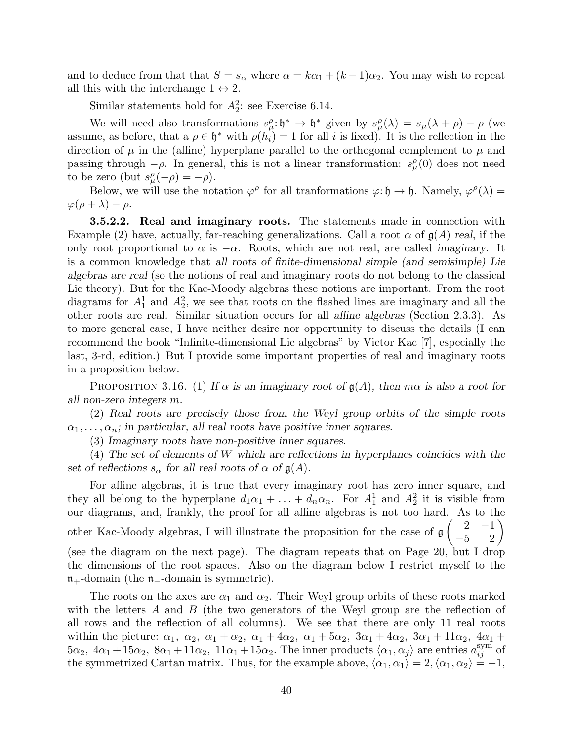and to deduce from that that  $S = s_{\alpha}$  where  $\alpha = k\alpha_1 + (k-1)\alpha_2$ . You may wish to repeat all this with the interchange  $1 \leftrightarrow 2$ .

Similar statements hold for  $A_2^2$ : see Exercise 6.14.

We will need also transformations  $s_\mu^{\rho} : \mathfrak{h}^* \to \mathfrak{h}^*$  given by  $s_\mu^{\rho}(\lambda) = s_\mu(\lambda + \rho) - \rho$  (we assume, as before, that a  $\rho \in \mathfrak{h}^*$  with  $\rho(h_i) = 1$  for all i is fixed). It is the reflection in the direction of  $\mu$  in the (affine) hyperplane parallel to the orthogonal complement to  $\mu$  and passing through  $-\rho$ . In general, this is not a linear transformation:  $s^{\rho}_{\mu}(0)$  does not need to be zero (but  $s^{\rho}_{\mu}(-\rho) = -\rho$ ).

Below, we will use the notation  $\varphi^{\rho}$  for all tranformations  $\varphi: \mathfrak{h} \to \mathfrak{h}$ . Namely,  $\varphi^{\rho}(\lambda) =$  $\varphi(\rho+\lambda)-\rho$ .

**3.5.2.2.** Real and imaginary roots. The statements made in connection with Example (2) have, actually, far-reaching generalizations. Call a root  $\alpha$  of  $\mathfrak{g}(A)$  real, if the only root proportional to  $\alpha$  is  $-\alpha$ . Roots, which are not real, are called *imaginary*. It is a common knowledge that all roots of finite-dimensional simple (and semisimple) Lie algebras are real (so the notions of real and imaginary roots do not belong to the classical Lie theory). But for the Kac-Moody algebras these notions are important. From the root diagrams for  $A_1^1$  and  $A_2^2$ , we see that roots on the flashed lines are imaginary and all the other roots are real. Similar situation occurs for all affine algebras (Section 2.3.3). As to more general case, I have neither desire nor opportunity to discuss the details (I can recommend the book "Infinite-dimensional Lie algebras" by Victor Kac [7], especially the last, 3-rd, edition.) But I provide some important properties of real and imaginary roots in a proposition below.

PROPOSITION 3.16. (1) If  $\alpha$  is an imaginary root of  $\mathfrak{g}(A)$ , then  $m\alpha$  is also a root for all non-zero integers m.

(2) Real roots are precisely those from the Weyl group orbits of the simple roots  $\alpha_1, \ldots, \alpha_n$ ; in particular, all real roots have positive inner squares.

(3) Imaginary roots have non-positive inner squares.

(4) The set of elements of W which are reflections in hyperplanes coincides with the set of reflections  $s_{\alpha}$  for all real roots of  $\alpha$  of  $\mathfrak{g}(A)$ .

For affine algebras, it is true that every imaginary root has zero inner square, and they all belong to the hyperplane  $d_1\alpha_1 + \ldots + d_n\alpha_n$ . For  $A_1^1$  and  $A_2^2$  it is visible from our diagrams, and, frankly, the proof for all affine algebras is not too hard. As to the other Kac-Moody algebras, I will illustrate the proposition for the case of g  $\begin{pmatrix} 2 & -1 \\ -5 & 2 \end{pmatrix}$ (see the diagram on the next page). The diagram repeats that on Page 20, but I drop the dimensions of the root spaces. Also on the diagram below I restrict myself to the  $n_{+}$ -domain (the  $n_{-}$ -domain is symmetric).

The roots on the axes are  $\alpha_1$  and  $\alpha_2$ . Their Weyl group orbits of these roots marked with the letters A and B (the two generators of the Weyl group are the reflection of all rows and the reflection of all columns). We see that there are only 11 real roots within the picture:  $\alpha_1$ ,  $\alpha_2$ ,  $\alpha_1 + \alpha_2$ ,  $\alpha_1 + 4\alpha_2$ ,  $\alpha_1 + 5\alpha_2$ ,  $3\alpha_1 + 4\alpha_2$ ,  $3\alpha_1 + 11\alpha_2$ ,  $4\alpha_1 +$  $5\alpha_2$ ,  $4\alpha_1+15\alpha_2$ ,  $8\alpha_1+11\alpha_2$ ,  $11\alpha_1+15\alpha_2$ . The inner products  $\langle \alpha_1, \alpha_j \rangle$  are entries  $a_{ij}^{\text{sym}}$  of the symmetrized Cartan matrix. Thus, for the example above,  $\langle \alpha_1, \alpha_1 \rangle = 2, \langle \alpha_1, \alpha_2 \rangle = -1$ ,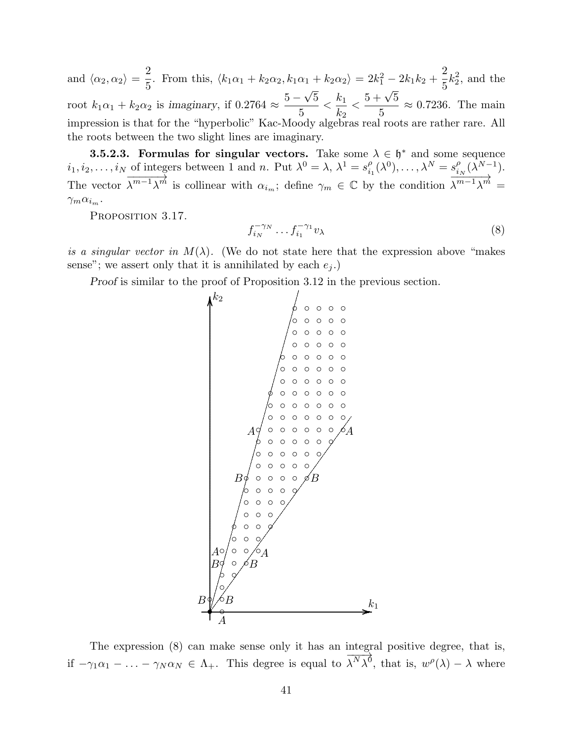and  $\langle \alpha_2, \alpha_2 \rangle = \frac{2}{5}$ 2. From this,  $\langle k_1 \alpha_1 + k_2 \alpha_2, k_1 \alpha_1 + k_2 \alpha_2 \rangle = 2k_1^2 - 2k_1k_2 + \frac{2}{5}$ 5  $k_2^2$ , and the root  $k_1\alpha_1 + k_2\alpha_2$  is imaginary, if  $0.2764 \approx$  $5-\sqrt{5}$ √ 5  $\frac{k_1}{k_1}$  $k_2$  $\lt$  $5 + \sqrt{5}$ 5  $\approx 0.7236$ . The main impression is that for the "hyperbolic" Kac-Moody algebras real roots are rather rare. All the roots between the two slight lines are imaginary.

**3.5.2.3. Formulas for singular vectors.** Take some  $\lambda \in \mathfrak{h}^*$  and some sequence  $i_1, i_2, \ldots, i_N$  of integers between 1 and n. Put  $\lambda^0 = \lambda, \, \lambda^1 = s_i^{\rho}$  $\chi_{i_1}^{\rho}(\lambda^0), \ldots, \lambda^N = s_i^{\rho}$  $^{\rho}_{i_N}(\lambda^{N-1}).$ The vector  $\frac{6}{\sqrt{m-1}\cdot m}$  $\overrightarrow{\lambda^{m-1}\lambda^{m}}$  is collinear with  $\alpha_{i_m}$ ; define  $\gamma_m \in \mathbb{C}$  by the condition  $\overrightarrow{\lambda^{m-1}\lambda^{m}}$  $\lambda^{m-1}\lambda^m =$  $\gamma_m \alpha_{i_m}$ .

PROPOSITION 3.17.

$$
f_{i_N}^{-\gamma_N} \dots f_{i_1}^{-\gamma_1} v_\lambda \tag{8}
$$

is a singular vector in  $M(\lambda)$ . (We do not state here that the expression above "makes" sense"; we assert only that it is annihilated by each  $e_i$ .)

Proof is similar to the proof of Proposition 3.12 in the previous section.



The expression (8) can make sense only it has an integral positive degree, that is, if  $-\gamma_1\alpha_1 - \ldots - \gamma_N\alpha_N \in \Lambda_+$ . This degree is equal to  $\frac{1000}{N_1}$  $\lambda^N \lambda^0$ , that is,  $w^{\rho}(\lambda) - \lambda$  where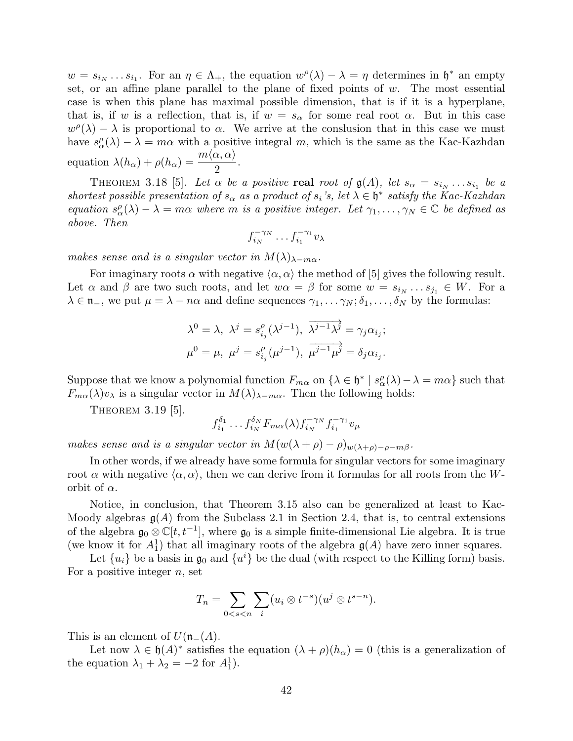$w = s_{i_N} \dots s_{i_1}$ . For an  $\eta \in \Lambda_+$ , the equation  $w^{\rho}(\lambda) - \lambda = \eta$  determines in  $\mathfrak{h}^*$  an empty set, or an affine plane parallel to the plane of fixed points of  $w$ . The most essential case is when this plane has maximal possible dimension, that is if it is a hyperplane, that is, if w is a reflection, that is, if  $w = s_\alpha$  for some real root  $\alpha$ . But in this case  $w^{\rho}(\lambda) - \lambda$  is proportional to  $\alpha$ . We arrive at the conslusion that in this case we must have  $s^{\rho}_{\alpha}(\lambda) - \lambda = m\alpha$  with a positive integral m, which is the same as the Kac-Kazhdan equation  $\lambda(h_{\alpha}) + \rho(h_{\alpha}) = \frac{m \langle \alpha, \alpha \rangle}{2}$ .

THEOREM 3.18 [5]. Let  $\alpha$  be a positive real root of  $\mathfrak{g}(A)$ , let  $s_{\alpha} = s_{i_{N}} \dots s_{i_{1}}$  be a shortest possible presentation of  $s_{\alpha}$  as a product of  $s_i$ 's, let  $\lambda \in \mathfrak{h}^*$  satisfy the Kac-Kazhdan equation  $s^{\rho}_{\alpha}(\lambda) - \lambda = m\alpha$  where m is a positive integer. Let  $\gamma_1, \ldots, \gamma_N \in \mathbb{C}$  be defined as above. Then

$$
f_{i_N}^{-\gamma_N}\ldots f_{i_1}^{-\gamma_1}v_\lambda
$$

makes sense and is a singular vector in  $M(\lambda)_{\lambda-m\alpha}$ .

For imaginary roots  $\alpha$  with negative  $\langle \alpha, \alpha \rangle$  the method of [5] gives the following result. Let  $\alpha$  and  $\beta$  are two such roots, and let  $w\alpha = \beta$  for some  $w = s_{i_N} \dots s_{j_1} \in W$ . For a  $\lambda \in \mathfrak{n}_-$ , we put  $\mu = \lambda - n\alpha$  and define sequences  $\gamma_1, \ldots, \gamma_N; \delta_1, \ldots, \delta_N$  by the formulas:

$$
\lambda^{0} = \lambda, \ \lambda^{j} = s_{i_j}^{\rho}(\lambda^{j-1}), \ \overline{\lambda^{j-1}\lambda^{j}} = \gamma_{j}\alpha_{i_j};
$$
  

$$
\mu^{0} = \mu, \ \mu^{j} = s_{i_j}^{\rho}(\mu^{j-1}), \ \overline{\mu^{j-1}\mu^{j}} = \delta_{j}\alpha_{i_j}.
$$

Suppose that we know a polynomial function  $F_{m\alpha}$  on  $\{\lambda \in \mathfrak{h}^* \mid s_\alpha^{\rho}(\lambda) - \lambda = m\alpha\}$  such that  $F_{m\alpha}(\lambda)v_{\lambda}$  is a singular vector in  $M(\lambda)_{\lambda-m\alpha}$ . Then the following holds:

THEOREM 3.19 [5].

$$
f_{i_1}^{\delta_1} \dots f_{i_N}^{\delta_N} F_{m\alpha}(\lambda) f_{i_N}^{-\gamma_N} f_{i_1}^{-\gamma_1} v_\mu
$$

makes sense and is a singular vector in  $M(w(\lambda + \rho) - \rho)_{w(\lambda + \rho) - \rho - m\beta}$ .

In other words, if we already have some formula for singular vectors for some imaginary root  $\alpha$  with negative  $\langle \alpha, \alpha \rangle$ , then we can derive from it formulas for all roots from the Worbit of  $\alpha$ .

Notice, in conclusion, that Theorem 3.15 also can be generalized at least to Kac-Moody algebras  $g(A)$  from the Subclass 2.1 in Section 2.4, that is, to central extensions of the algebra  $\mathfrak{g}_0 \otimes \mathbb{C}[t, t^{-1}]$ , where  $\mathfrak{g}_0$  is a simple finite-dimensional Lie algebra. It is true (we know it for  $A_1^1$ ) that all imaginary roots of the algebra  $\mathfrak{g}(A)$  have zero inner squares.

Let  $\{u_i\}$  be a basis in  $\mathfrak{g}_0$  and  $\{u^i\}$  be the dual (with respect to the Killing form) basis. For a positive integer  $n$ , set

$$
T_n = \sum_{0 < s < n} \sum_i (u_i \otimes t^{-s})(u^j \otimes t^{s-n}).
$$

This is an element of  $U(\mathfrak{n}-(A))$ .

Let now  $\lambda \in \mathfrak{h}(A)^*$  satisfies the equation  $(\lambda + \rho)(h_\alpha) = 0$  (this is a generalization of the equation  $\lambda_1 + \lambda_2 = -2$  for  $A_1^1$ .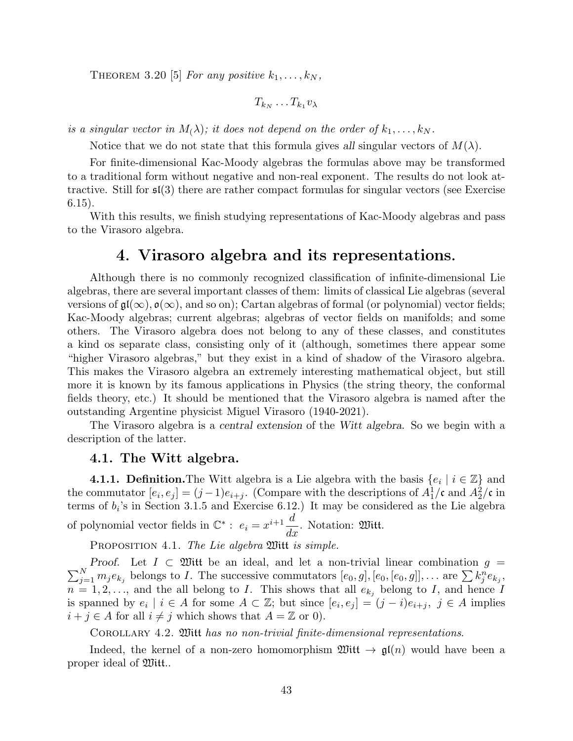THEOREM 3.20 [5] For any positive  $k_1, \ldots, k_N$ ,

$$
T_{k_N}\ldots T_{k_1}v_\lambda
$$

is a singular vector in  $M_{(\lambda)}$ ; it does not depend on the order of  $k_1, \ldots, k_N$ .

Notice that we do not state that this formula gives all singular vectors of  $M(\lambda)$ .

For finite-dimensional Kac-Moody algebras the formulas above may be transformed to a traditional form without negative and non-real exponent. The results do not look attractive. Still for sl(3) there are rather compact formulas for singular vectors (see Exercise 6.15).

With this results, we finish studying representations of Kac-Moody algebras and pass to the Virasoro algebra.

# 4. Virasoro algebra and its representations.

Although there is no commonly recognized classification of infinite-dimensional Lie algebras, there are several important classes of them: limits of classical Lie algebras (several versions of  $\mathfrak{gl}(\infty)$ ,  $\mathfrak{o}(\infty)$ , and so on); Cartan algebras of formal (or polynomial) vector fields; Kac-Moody algebras; current algebras; algebras of vector fields on manifolds; and some others. The Virasoro algebra does not belong to any of these classes, and constitutes a kind os separate class, consisting only of it (although, sometimes there appear some "higher Virasoro algebras," but they exist in a kind of shadow of the Virasoro algebra. This makes the Virasoro algebra an extremely interesting mathematical object, but still more it is known by its famous applications in Physics (the string theory, the conformal fields theory, etc.) It should be mentioned that the Virasoro algebra is named after the outstanding Argentine physicist Miguel Virasoro (1940-2021).

The Virasoro algebra is a central extension of the Witt algebra. So we begin with a description of the latter.

#### 4.1. The Witt algebra.

**4.1.1. Definition.** The Witt algebra is a Lie algebra with the basis  $\{e_i \mid i \in \mathbb{Z}\}\$  and the commutator  $[e_i, e_j] = (j-1)e_{i+j}$ . (Compare with the descriptions of  $A_1^1$ /c and  $A_2^2$ /c in terms of  $b_i$ 's in Section 3.1.5 and Exercise 6.12.) It may be considered as the Lie algebra of polynomial vector fields in  $\mathbb{C}^*$ :  $e_i = x^{i+1} \frac{d}{dt}$  $\frac{d}{dx}$ . Notation: 200 itt.

PROPOSITION 4.1. The Lie algebra  $\mathfrak M$ itt is simple.

 $\sum$ Proof. Let  $I \subset \mathfrak{W}$ itt be an ideal, and let a non-trivial linear combination  $g = N \choose j=1} m_j e_{k_j}$  belongs to I. The successive commutators  $[e_0, g]$ ,  $[e_0, [e_0, e_0, g]$ ,... are  $\sum k_j^n e_{k_j}$ ,  $n = 1, 2, \ldots$ , and the all belong to I. This shows that all  $e_{k_j}$  belong to I, and hence I is spanned by  $e_i \mid i \in A$  for some  $A \subset \mathbb{Z}$ ; but since  $[e_i, e_j] = (j - i)e_{i+j}, \ j \in A$  implies  $i + j \in A$  for all  $i \neq j$  which shows that  $A = \mathbb{Z}$  or 0).

Corollary 4.2. Witt has no non-trivial finite-dimensional representations.

Indeed, the kernel of a non-zero homomorphism  $\mathfrak{W}(\mathfrak{t}\to \mathfrak{gl}(n))$  would have been a proper ideal of Witt..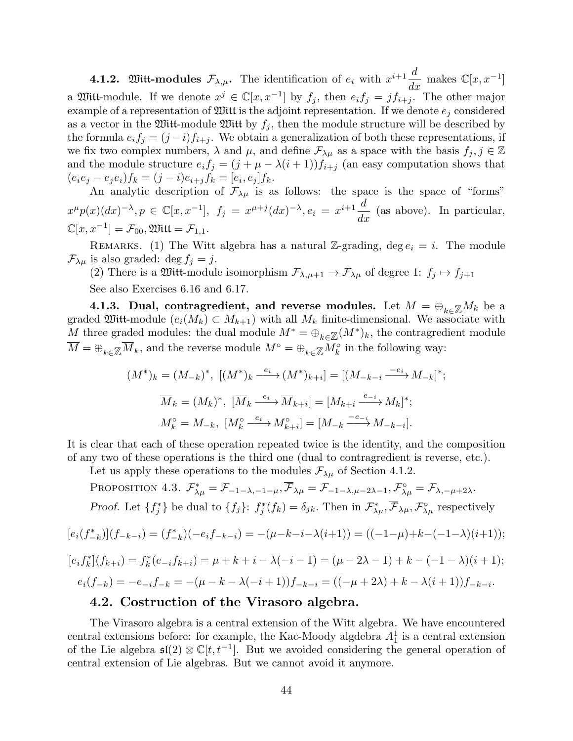**4.1.2.** Witt-modules  $\mathcal{F}_{\lambda,\mu}$ . The identification of  $e_i$  with  $x^{i+1} \frac{d}{dx}$  makes  $\mathbb{C}[x, x^{-1}]$ a Witt-module. If we denote  $x^j \in \mathbb{C}[x, x^{-1}]$  by  $f_j$ , then  $e_i f_j = j f_{i+j}$ . The other major example of a representation of  $\mathfrak{W}$  it is the adjoint representation. If we denote  $e_i$  considered as a vector in the Witt-module Witt by  $f_i$ , then the module structure will be described by the formula  $e_i f_j = (j - i) f_{i+j}$ . We obtain a generalization of both these representations, if we fix two complex numbers,  $\lambda$  and  $\mu$ , and define  $\mathcal{F}_{\lambda\mu}$  as a space with the basis  $f_j, j \in \mathbb{Z}$ and the module structure  $e_i f_j = (j + \mu - \lambda(i + 1)) f_{i+j}$  (an easy computation shows that  $(e_i e_j - e_j e_i) f_k = (j - i) e_{i+j} f_k = [e_i, e_j] f_k.$ 

An analytic description of  $\mathcal{F}_{\lambda\mu}$  is as follows: the space is the space of "forms"  $x^{\mu}p(x)(dx)^{-\lambda}, p \in \mathbb{C}[x, x^{-1}],$   $f_j = x^{\mu+j}(dx)^{-\lambda}, e_i = x^{i+1}\frac{d}{dx}$  $\frac{d}{dx}$  (as above). In particular,  $\mathbb{C}[x, x^{-1}] = \mathcal{F}_{00}, \mathfrak{W}$ itt $= \mathcal{F}_{1,1}.$ 

REMARKS. (1) The Witt algebra has a natural Z-grading, deg  $e_i = i$ . The module  $\mathcal{F}_{\lambda\mu}$  is also graded: deg  $f_j = j$ .

(2) There is a Witt-module isomorphism  $\mathcal{F}_{\lambda,\mu+1} \to \mathcal{F}_{\lambda\mu}$  of degree 1:  $f_j \mapsto f_{j+1}$ See also Exercises 6.16 and 6.17.

4.1.3. Dual, contragredient, and reverse modules. Let  $M = \bigoplus_{k \in \mathbb{Z}} M_k$  be a graded Witt-module  $(e_i(M_k) \subset M_{k+1})$  with all  $M_k$  finite-dimensional. We associate with M three graded modules: the dual module  $M^* = \bigoplus_{k \in \mathbb{Z}} (M^*)_k$ , the contragredient module  $\overline{M} = \bigoplus_{k \in \mathbb{Z}} \overline{M}_k$ , and the reverse module  $M^{\circ} = \bigoplus_{k \in \mathbb{Z}} M_k^{\circ}$  in the following way:

$$
(M^*)_k = (M_{-k})^*, [(M^*)_k \xrightarrow{e_i} (M^*)_k_{k+i}] = [(M_{-k-i} \xrightarrow{-e_i} M_{-k}]^*;
$$
  

$$
\overline{M}_k = (M_k)^*, [\overline{M}_k \xrightarrow{e_i} \overline{M}_{k+i}] = [M_{k+i} \xrightarrow{e_{-i}} M_k]^*;
$$
  

$$
M_k^\circ = M_{-k}, [M_k^\circ \xrightarrow{e_i} M_{k+i}^\circ] = [M_{-k} \xrightarrow{-e_{-i}} M_{-k-i}].
$$

It is clear that each of these operation repeated twice is the identity, and the composition of any two of these operations is the third one (dual to contragredient is reverse, etc.).

Let us apply these operations to the modules  $\mathcal{F}_{\lambda\mu}$  of Section 4.1.2.

PROPOSITION 4.3.  $\mathcal{F}_{\lambda\mu}^* = \mathcal{F}_{-1-\lambda,-1-\mu}, \overline{\mathcal{F}}_{\lambda\mu} = \mathcal{F}_{-1-\lambda,\mu-2\lambda-1}, \mathcal{F}_{\lambda\mu}^{\circ} = \mathcal{F}_{\lambda,-\mu+2\lambda}.$ Proof. Let  $\{f_j^*\}\$ be dual to  $\{f_j\}$ :  $f_j^*(f_k) = \delta_{jk}$ . Then in  $\mathcal{F}_{\lambda\mu}^*, \overline{\mathcal{F}}_{\lambda\mu}, \mathcal{F}_{\lambda\mu}^{\circ}$  respectively

$$
[e_i(f_{-k}^*)](f_{-k-i}) = (f_{-k}^*)(-e_if_{-k-i}) = -(\mu - k - i - \lambda(i+1)) = ((-1 - \mu) + k - (-1 - \lambda)(i+1));
$$

$$
[e_i f_k^*](f_{k+i}) = f_k^*(e_{-i} f_{k+i}) = \mu + k + i - \lambda(-i - 1) = (\mu - 2\lambda - 1) + k - (-1 - \lambda)(i + 1);
$$
  

$$
e_i(f_{-k}) = -e_{-i} f_{-k} = -(\mu - k - \lambda(-i + 1)) f_{-k-i} = ((-\mu + 2\lambda) + k - \lambda(i + 1)) f_{-k-i}.
$$

## 4.2. Costruction of the Virasoro algebra.

The Virasoro algebra is a central extension of the Witt algebra. We have encountered central extensions before: for example, the Kac-Moody algdebra  $A_1^1$  is a central extension of the Lie algebra  $\mathfrak{sl}(2) \otimes \mathbb{C}[t, t^{-1}]$ . But we avoided considering the general operation of central extension of Lie algebras. But we cannot avoid it anymore.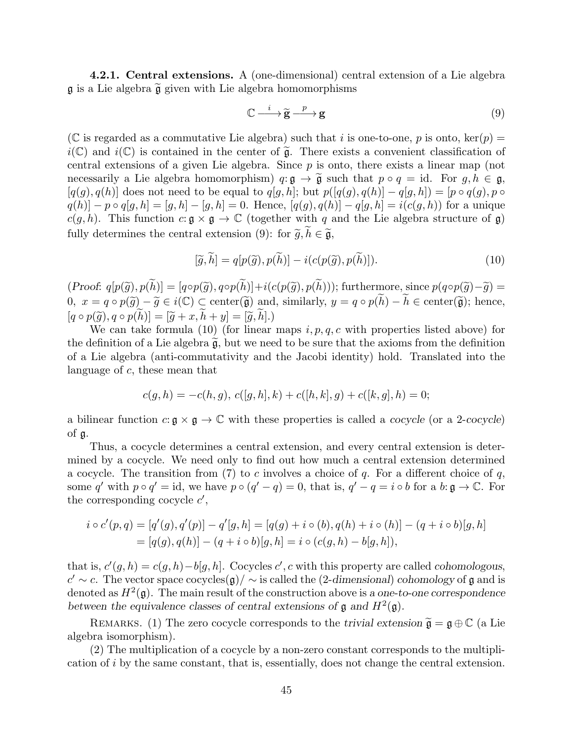4.2.1. Central extensions. A (one-dimensional) central extension of a Lie algebra  $\mathfrak g$  is a Lie algebra  $\widetilde{\mathfrak g}$  given with Lie algebra homomorphisms

$$
\mathbb{C} \xrightarrow{i} \widetilde{\mathbf{g}} \xrightarrow{p} \mathbf{g} \tag{9}
$$

(C is regarded as a commutative Lie algebra) such that i is one-to-one, p is onto, ker(p) =  $i(\mathbb{C})$  and  $i(\mathbb{C})$  is contained in the center of  $\tilde{\mathfrak{g}}$ . There exists a convenient classification of central extensions of a given Lie algebra. Since  $p$  is onto, there exists a linear map (not necessarily a Lie algebra homomorphism)  $q: \mathfrak{g} \to \tilde{\mathfrak{g}}$  such that  $p \circ q = id$ . For  $q, h \in \mathfrak{g}$ ,  $[q(g), q(h)]$  does not need to be equal to  $q[g, h]$ ; but  $p([q(g), q(h)] - q[g, h]) = [p \circ q(g), p \circ$  $q(h) - p \circ q[g, h] = [g, h] - [g, h] = 0.$  Hence,  $[q(g), q(h)] - q[g, h] = i(c(g, h))$  for a unique  $c(g, h)$ . This function  $c: \mathfrak{g} \times \mathfrak{g} \to \mathbb{C}$  (together with q and the Lie algebra structure of  $\mathfrak{g}$ ) fully determines the central extension (9): for  $\tilde{g}, h \in \tilde{\mathfrak{g}},$ 

$$
[\widetilde{g}, \widetilde{h}] = q[p(\widetilde{g}), p(\widetilde{h})] - i(c(p(\widetilde{g}), p(\widetilde{h}))). \tag{10}
$$

 $(Proof: q[p(\widetilde{g}), p(h)] = [q \circ p(\widetilde{g}), q \circ p(h)] + i(c(p(\widetilde{g}), p(h)))$ ; furthermore, since  $p(q \circ p(\widetilde{g}) - \widetilde{g}) =$  $0, x = q \circ p(\widetilde{g}) - \widetilde{g} \in i(\mathbb{C}) \subset \text{center}(\widetilde{\mathfrak{g}})$  and, similarly,  $y = q \circ p(\widetilde{h}) - \widetilde{h} \in \text{center}(\widetilde{\mathfrak{g}})$ ; hence,  $[q \circ p(\tilde{g}), q \circ p(h)] = [\tilde{g} + x, h + y] = [\tilde{g}, h].$ <br>We can take formula (10) (for linear

We can take formula (10) (for linear maps  $i, p, q, c$  with properties listed above) for the definition of a Lie algebra  $\tilde{g}$ , but we need to be sure that the axioms from the definition of a Lie algebra (anti-commutativity and the Jacobi identity) hold. Translated into the language of c, these mean that

$$
c(g, h) = -c(h, g), c([g, h], k) + c([h, k], g) + c([k, g], h) = 0;
$$

a bilinear function  $c: \mathfrak{g} \times \mathfrak{g} \to \mathbb{C}$  with these properties is called a cocycle (or a 2-cocycle) of g.

Thus, a cocycle determines a central extension, and every central extension is determined by a cocycle. We need only to find out how much a central extension determined a cocycle. The transition from (7) to c involves a choice of q. For a different choice of  $q$ , some q' with  $p \circ q' = id$ , we have  $p \circ (q' - q) = 0$ , that is,  $q' - q = i \circ b$  for a  $b: \mathfrak{g} \to \mathbb{C}$ . For the corresponding cocycle  $c'$ ,

$$
i \circ c'(p,q) = [q'(g), q'(p)] - q'[g,h] = [q(g) + i \circ (b), q(h) + i \circ (h)] - (q + i \circ b)[g,h]
$$
  
= [q(g), q(h)] - (q + i \circ b)[g,h] = i \circ (c(g,h) - b[g,h]),

that is,  $c'(g, h) = c(g, h) - b[g, h]$ . Cocycles c', c with this property are called cohomologous,  $c' \sim c$ . The vector space cocycles $(g) / \sim$  is called the (2-dimensional) cohomology of g and is denoted as  $H^2(\mathfrak{g})$ . The main result of the construction above is a one-to-one correspondence between the equivalence classes of central extensions of  $\mathfrak g$  and  $H^2(\mathfrak g)$ .

REMARKS. (1) The zero cocycle corresponds to the trivial extension  $\tilde{\mathfrak{g}} = \mathfrak{g} \oplus \mathbb{C}$  (a Lie algebra isomorphism).

(2) The multiplication of a cocycle by a non-zero constant corresponds to the multiplication of i by the same constant, that is, essentially, does not change the central extension.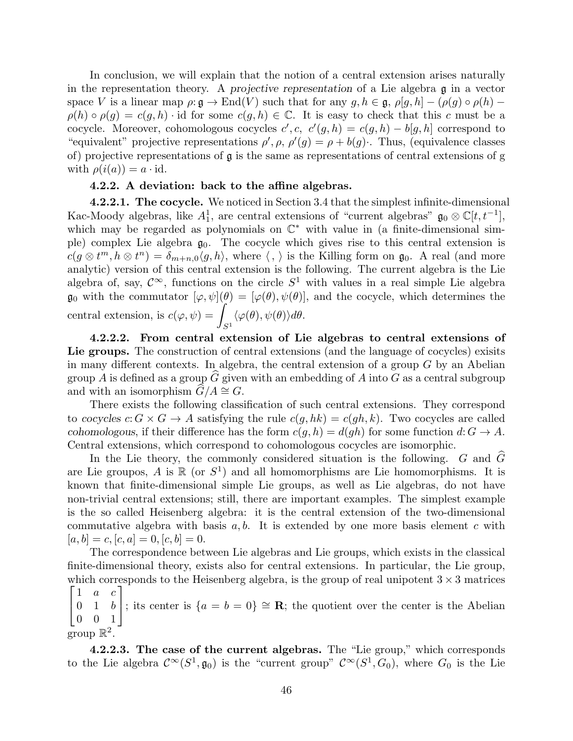In conclusion, we will explain that the notion of a central extension arises naturally in the representation theory. A projective representation of a Lie algebra g in a vector space V is a linear map  $\rho: \mathfrak{g} \to \text{End}(V)$  such that for any  $g, h \in \mathfrak{g}, \rho[g, h] - (\rho(g) \circ \rho(h) \rho(h) \circ \rho(g) = c(g, h) \cdot id$  for some  $c(g, h) \in \mathbb{C}$ . It is easy to check that this c must be a cocycle. Moreover, cohomologous cocycles  $c', c, c'(g, h) = c(g, h) - b[g, h]$  correspond to "equivalent" projective representations  $\rho'$ ,  $\rho$ ,  $\rho'(g) = \rho + b(g)$ . Thus, (equivalence classes of) projective representations of g is the same as representations of central extensions of g with  $\rho(i(a)) = a \cdot \text{id}$ .

#### 4.2.2. A deviation: back to the affine algebras.

4.2.2.1. The cocycle. We noticed in Section 3.4 that the simplest infinite-dimensional Kac-Moody algebras, like  $A_1^1$ , are central extensions of "current algebras"  $\mathfrak{g}_0 \otimes \mathbb{C}[t, t^{-1}]$ , which may be regarded as polynomials on  $\mathbb{C}^*$  with value in (a finite-dimensional simple) complex Lie algebra  $\mathfrak{g}_0$ . The cocycle which gives rise to this central extension is  $c(g \otimes t^m, h \otimes t^n) = \delta_{m+n,0} \langle g, h \rangle$ , where  $\langle , \rangle$  is the Killing form on  $\mathfrak{g}_0$ . A real (and more analytic) version of this central extension is the following. The current algebra is the Lie algebra of, say,  $\mathcal{C}^{\infty}$ , functions on the circle  $S^1$  with values in a real simple Lie algebra  $\mathfrak{g}_0$  with the commutator  $[\varphi, \psi](\theta) = [\varphi(\theta), \psi(\theta)]$ , and the cocycle, which determines the central extension, is  $c(\varphi, \psi) = \psi$  $S^1$  $\langle \varphi(\theta), \psi(\theta) \rangle d\theta.$ 

4.2.2.2. From central extension of Lie algebras to central extensions of Lie groups. The construction of central extensions (and the language of cocycles) exisits in many different contexts. In algebra, the central extension of a group  $G$  by an Abelian group A is defined as a group G given with an embedding of A into G as a central subgroup and with an isomorphism  $G/A \cong G$ .

There exists the following classification of such central extensions. They correspond to cocycles  $c: G \times G \to A$  satisfying the rule  $c(q, hk) = c(qh, k)$ . Two cocycles are called cohomologous, if their difference has the form  $c(g, h) = d(gh)$  for some function  $d: G \to A$ . Central extensions, which correspond to cohomologous cocycles are isomorphic.

In the Lie theory, the commonly considered situation is the following.  $G$  and  $\tilde{G}$ are Lie groupos, A is  $\mathbb R$  (or  $S^1$ ) and all homomorphisms are Lie homomorphisms. It is known that finite-dimensional simple Lie groups, as well as Lie algebras, do not have non-trivial central extensions; still, there are important examples. The simplest example is the so called Heisenberg algebra: it is the central extension of the two-dimensional commutative algebra with basis  $a, b$ . It is extended by one more basis element c with  $[a, b] = c, [c, a] = 0, [c, b] = 0.$ 

The correspondence between Lie algebras and Lie groups, which exists in the classical finite-dimensional theory, exists also for central extensions. In particular, the Lie group, which corresponds to the Heisenberg algebra, is the group of real unipotent  $3 \times 3$  matrices  $\begin{bmatrix} 1 & a & c \end{bmatrix}$ 

 $\overline{1}$ 0 1 b ; its center is  $\{a = b = 0\} \cong \mathbb{R}$ ; the quotient over the center is the Abelian 0 0 1 group  $\mathbb{R}^2$ .

4.2.2.3. The case of the current algebras. The "Lie group," which corresponds to the Lie algebra  $\mathcal{C}^{\infty}(S^1, \mathfrak{g}_0)$  is the "current group"  $\mathcal{C}^{\infty}(S^1, G_0)$ , where  $G_0$  is the Lie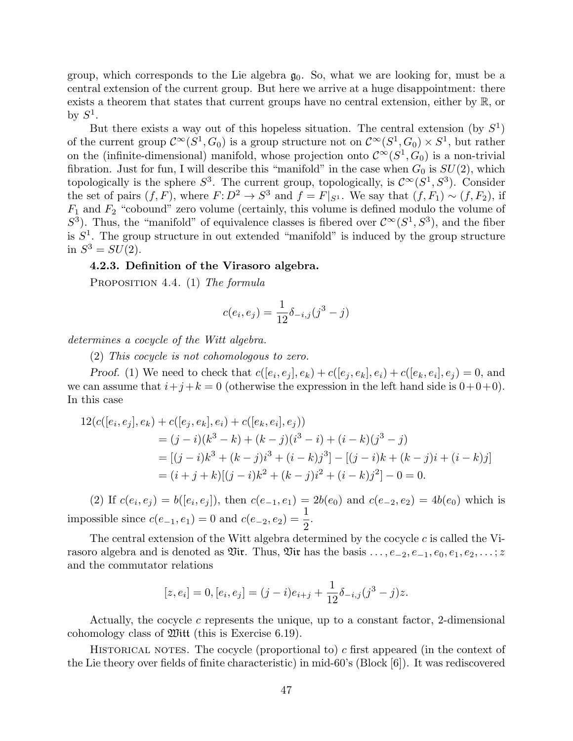group, which corresponds to the Lie algebra  $g_0$ . So, what we are looking for, must be a central extension of the current group. But here we arrive at a huge disappointment: there exists a theorem that states that current groups have no central extension, either by R, or by  $S^1$ .

But there exists a way out of this hopeless situation. The central extension (by  $S^1$ ) of the current group  $\mathcal{C}^{\infty}(S^1, G_0)$  is a group structure not on  $\mathcal{C}^{\infty}(S^1, G_0) \times S^1$ , but rather on the (infinite-dimensional) manifold, whose projection onto  $\mathcal{C}^{\infty}(S^1, G_0)$  is a non-trivial fibration. Just for fun, I will describe this "manifold" in the case when  $G_0$  is  $SU(2)$ , which topologically is the sphere  $S^3$ . The current group, topologically, is  $\mathcal{C}^{\infty}(S^1, S^3)$ . Consider the set of pairs  $(f, F)$ , where  $F: D^2 \to S^3$  and  $f = F|_{S^1}$ . We say that  $(f, F_1) \sim (f, F_2)$ , if  $F_1$  and  $F_2$  "cobound" zero volume (certainly, this volume is defined modulo the volume of  $S^3$ ). Thus, the "manifold" of equivalence classes is fibered over  $\mathcal{C}^{\infty}(S^1, S^3)$ , and the fiber is  $S<sup>1</sup>$ . The group structure in out extended "manifold" is induced by the group structure in  $S^3 = SU(2)$ .

#### 4.2.3. Definition of the Virasoro algebra.

PROPOSITION 4.4. (1) The formula

$$
c(e_i, e_j) = \frac{1}{12} \delta_{-i,j} (j^3 - j)
$$

determines a cocycle of the Witt algebra.

(2) This cocycle is not cohomologous to zero.

Proof. (1) We need to check that  $c([e_i, e_j], e_k) + c([e_j, e_k], e_i) + c([e_k, e_i], e_j) = 0$ , and we can assume that  $i+j+k = 0$  (otherwise the expression in the left hand side is  $0+0+0$ ). In this case

$$
12(c([e_i, e_j], e_k) + c([e_j, e_k], e_i) + c([e_k, e_i], e_j))
$$
  
=  $(j - i)(k^3 - k) + (k - j)(i^3 - i) + (i - k)(j^3 - j)$   
=  $[(j - i)k^3 + (k - j)i^3 + (i - k)j^3] - [(j - i)k + (k - j)i + (i - k)j]$   
=  $(i + j + k)[(j - i)k^2 + (k - j)i^2 + (i - k)j^2] - 0 = 0.$ 

(2) If  $c(e_i, e_j) = b([e_i, e_j])$ , then  $c(e_{-1}, e_1) = 2b(e_0)$  and  $c(e_{-2}, e_2) = 4b(e_0)$  which is impossible since  $c(e_{-1}, e_1) = 0$  and  $c(e_{-2}, e_2) = \frac{1}{2}$ .

The central extension of the Witt algebra determined by the cocycle  $c$  is called the Virasoro algebra and is denoted as  $\mathfrak{Vir}$ . Thus,  $\mathfrak{Vir}$  has the basis  $\ldots, e_{-2}, e_{-1}, e_0, e_1, e_2, \ldots; z$ and the commutator relations

$$
[z, e_i] = 0, [e_i, e_j] = (j - i)e_{i+j} + \frac{1}{12}\delta_{-i,j}(j^3 - j)z.
$$

Actually, the cocycle c represents the unique, up to a constant factor, 2-dimensional cohomology class of Witt (this is Exercise 6.19).

HISTORICAL NOTES. The cocycle (proportional to)  $c$  first appeared (in the context of the Lie theory over fields of finite characteristic) in mid-60's (Block [6]). It was rediscovered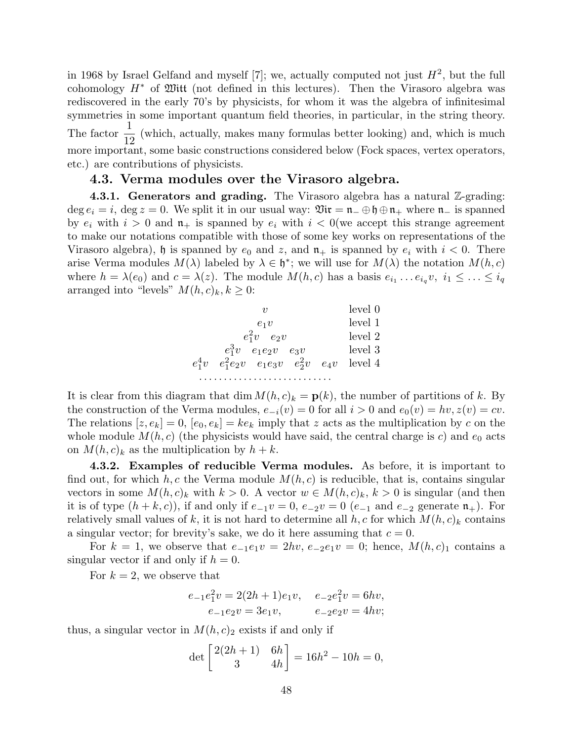in 1968 by Israel Gelfand and myself [7]; we, actually computed not just  $H^2$ , but the full cohomology  $H^*$  of  $\mathfrak M$ itt (not defined in this lectures). Then the Virasoro algebra was rediscovered in the early 70's by physicists, for whom it was the algebra of infinitesimal symmetries in some important quantum field theories, in particular, in the string theory. The factor  $\frac{1}{16}$ 12 (which, actually, makes many formulas better looking) and, which is much more important, some basic constructions considered below (Fock spaces, vertex operators, etc.) are contributions of physicists.

## 4.3. Verma modules over the Virasoro algebra.

**4.3.1. Generators and grading.** The Virasoro algebra has a natural  $\mathbb{Z}$ -grading: deg  $e_i = i$ , deg  $z = 0$ . We split it in our usual way:  $\mathfrak{Vir} = \mathfrak{n}_-\oplus \mathfrak{h}\oplus \mathfrak{n}_+$  where  $\mathfrak{n}_-$  is spanned by  $e_i$  with  $i > 0$  and  $\mathfrak{n}_+$  is spanned by  $e_i$  with  $i < 0$  (we accept this strange agreement to make our notations compatible with those of some key works on representations of the Virasoro algebra), h is spanned by  $e_0$  and  $z$ , and  $\mathfrak{n}_+$  is spanned by  $e_i$  with  $i < 0$ . There arise Verma modules  $M(\lambda)$  labeled by  $\lambda \in \mathfrak{h}^*$ ; we will use for  $M(\lambda)$  the notation  $M(h, c)$ where  $h = \lambda(e_0)$  and  $c = \lambda(z)$ . The module  $M(h, c)$  has a basis  $e_{i_1} \ldots e_{i_q} v, i_1 \leq \ldots \leq i_q$ arranged into "levels"  $M(h, c)_k, k \geq 0$ :



It is clear from this diagram that dim  $M(h, c)_k = \mathbf{p}(k)$ , the number of partitions of k. By the construction of the Verma modules,  $e_{-i}(v) = 0$  for all  $i > 0$  and  $e_0(v) = hv, z(v) = cv$ . The relations  $[z, e_k] = 0$ ,  $[e_0, e_k] = ke_k$  imply that z acts as the multiplication by c on the whole module  $M(h, c)$  (the physicists would have said, the central charge is c) and  $e_0$  acts on  $M(h, c)_k$  as the multiplication by  $h + k$ .

4.3.2. Examples of reducible Verma modules. As before, it is important to find out, for which h, c the Verma module  $M(h, c)$  is reducible, that is, contains singular vectors in some  $M(h, c)_k$  with  $k > 0$ . A vector  $w \in M(h, c)_k$ ,  $k > 0$  is singular (and then it is of type  $(h + k, c)$ , if and only if  $e_{-1}v = 0$ ,  $e_{-2}v = 0$   $(e_{-1}$  and  $e_{-2}$  generate  $\mathfrak{n}_+$ ). For relatively small values of k, it is not hard to determine all  $h, c$  for which  $M(h, c)_k$  contains a singular vector; for brevity's sake, we do it here assuming that  $c = 0$ .

For  $k = 1$ , we observe that  $e_{-1}e_1v = 2hv$ ,  $e_{-2}e_1v = 0$ ; hence,  $M(h, c)_1$  contains a singular vector if and only if  $h = 0$ .

For  $k = 2$ , we observe that

$$
e_{-1}e_1^2v = 2(2h+1)e_1v, \quad e_{-2}e_1^2v = 6hv,
$$
  

$$
e_{-1}e_2v = 3e_1v, \qquad e_{-2}e_2v = 4hv;
$$

thus, a singular vector in  $M(h, c)_2$  exists if and only if

$$
\det \begin{bmatrix} 2(2h+1) & 6h \\ 3 & 4h \end{bmatrix} = 16h^2 - 10h = 0,
$$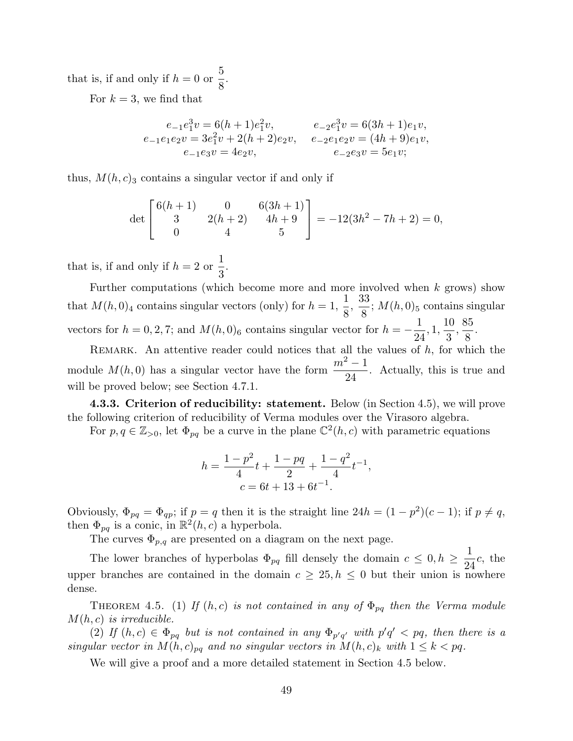that is, if and only if  $h = 0$  or 5 8 .

For  $k = 3$ , we find that

$$
e_{-1}e_1^3v = 6(h+1)e_1^2v, \t e_{-2}e_1^3v = 6(3h+1)e_1v,
$$
  
\n
$$
e_{-1}e_1e_2v = 3e_1^2v + 2(h+2)e_2v, \t e_{-2}e_1e_2v = (4h+9)e_1v,
$$
  
\n
$$
e_{-1}e_3v = 4e_2v, \t e_{-2}e_3v = 5e_1v;
$$

thus,  $M(h, c)$ <sub>3</sub> contains a singular vector if and only if

$$
\det\begin{bmatrix} 6(h+1) & 0 & 6(3h+1) \\ 3 & 2(h+2) & 4h+9 \\ 0 & 4 & 5 \end{bmatrix} = -12(3h^2 - 7h + 2) = 0,
$$

that is, if and only if  $h = 2$  or 1 3 .

Further computations (which become more and more involved when  $k$  grows) show that  $M(h, 0)_4$  contains singular vectors (only) for  $h = 1$ , 1 8 , 33  $\frac{36}{8}$ ;  $M(h, 0)_5$  contains singular vectors for  $h = 0, 2, 7$ ; and  $M(h, 0)_6$  contains singular vector for  $h = -\frac{1}{2}$ 24 , 1, 10 3 , 85 8 .

REMARK. An attentive reader could notices that all the values of  $h$ , for which the module  $M(h, 0)$  has a singular vector have the form  $\frac{m^2 - 1}{2}$ 24 . Actually, this is true and will be proved below; see Section 4.7.1.

4.3.3. Criterion of reducibility: statement. Below (in Section 4.5), we will prove the following criterion of reducibility of Verma modules over the Virasoro algebra.

For  $p, q \in \mathbb{Z}_{\geq 0}$ , let  $\Phi_{pq}$  be a curve in the plane  $\mathbb{C}^2(h,c)$  with parametric equations

$$
h = \frac{1 - p^2}{4}t + \frac{1 - pq}{2} + \frac{1 - q^2}{4}t^{-1},
$$
  

$$
c = 6t + 13 + 6t^{-1}.
$$

Obviously,  $\Phi_{pq} = \Phi_{qp}$ ; if  $p = q$  then it is the straight line  $24h = (1 - p^2)(c - 1)$ ; if  $p \neq q$ , then  $\Phi_{pq}$  is a conic, in  $\mathbb{R}^2(h,c)$  a hyperbola.

The curves  $\Phi_{p,q}$  are presented on a diagram on the next page.

The lower branches of hyperbolas  $\Phi_{pq}$  fill densely the domain  $c \leq 0, h \geq \frac{1}{2}$ 24 c, the upper branches are contained in the domain  $c \geq 25$ ,  $h \leq 0$  but their union is nowhere dense.

THEOREM 4.5. (1) If  $(h, c)$  is not contained in any of  $\Phi_{pq}$  then the Verma module  $M(h, c)$  is irreducible.

(2) If  $(h, c) \in \Phi_{pq}$  but is not contained in any  $\Phi_{p'q'}$  with  $p'q' < pq$ , then there is a singular vector in  $M(h, c)_{pq}$  and no singular vectors in  $M(h, c)_k$  with  $1 \leq k < pq$ .

We will give a proof and a more detailed statement in Section 4.5 below.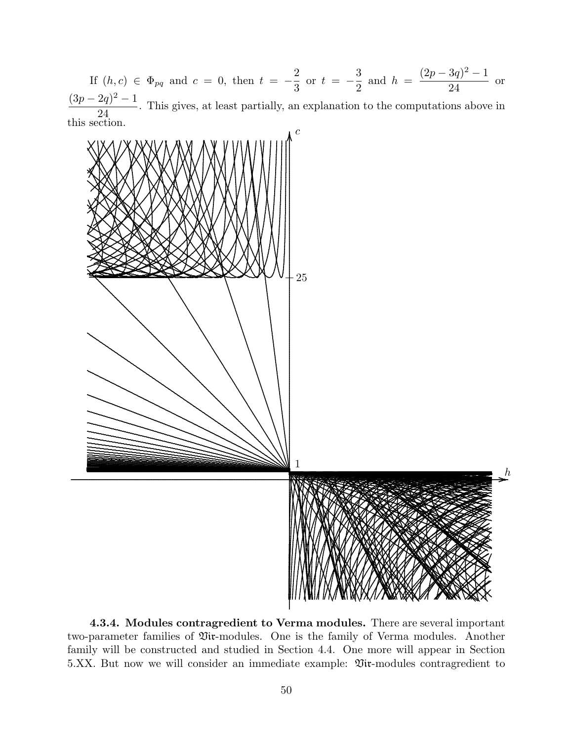If  $(h, c) \in \Phi_{pq}$  and  $c = 0$ , then  $t = -\frac{2}{3}$  or  $t = -\frac{3}{2}$  and  $h = \frac{(2p - 3q)^2 - 1}{24}$  or  $\frac{(3p-2q)^2-1}{24}$ . This gives, at least partially, an explanation to the computations above in this section.



4.3.4. Modules contragredient to Verma modules. There are several important two-parameter families of Viv-modules. One is the family of Verma modules. Another family will be constructed and studied in Section 4.4. One more will appear in Section 5.XX. But now we will consider an immediate example:  $\mathfrak{Vir}\text{-modules}$  contragredient to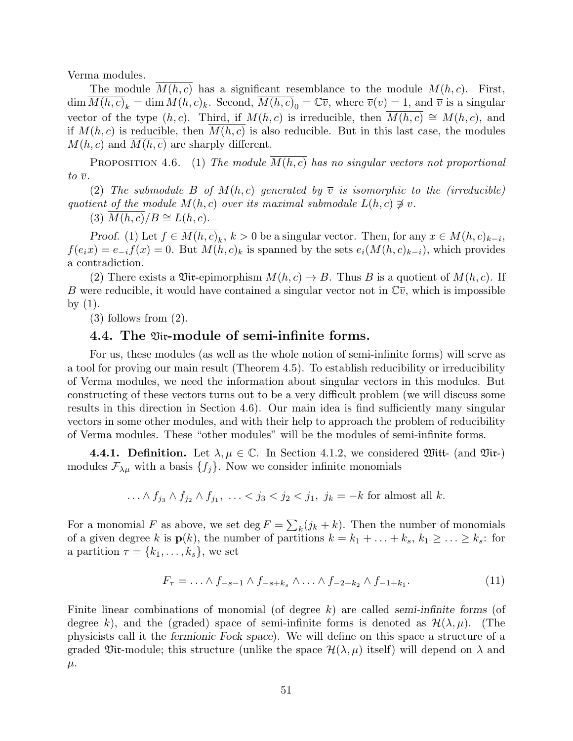Verma modules.

The module  $M(h, c)$  has a significant resemblance to the module  $M(h, c)$ . First,  $\dim \overline{M(h,c)}_k = \dim \overline{M(h,c)}_k$ . Second,  $\overline{M(h,c)}_0 = \mathbb{C}\overline{v}$ , where  $\overline{v}(v) = 1$ , and  $\overline{v}$  is a singular vector of the type  $(h, c)$ . Third, if  $M(h, c)$  is irreducible, then  $M(h, c) \cong M(h, c)$ , and if  $M(h, c)$  is reducible, then  $M(h, c)$  is also reducible. But in this last case, the modules  $M(h, c)$  and  $M(h, c)$  are sharply different.

PROPOSITION 4.6. (1) The module  $\overline{M(h,c)}$  has no singular vectors not proportional to  $\overline{v}$ .

(2) The submodule B of  $M(h, c)$  generated by  $\overline{v}$  is isomorphic to the (irreducible) quotient of the module  $M(h, c)$  over its maximal submodule  $L(h, c) \not\ni v$ .

(3)  $M(h, c)/B \cong L(h, c)$ .

Proof. (1) Let  $f \in M(h, c)_k$ ,  $k > 0$  be a singular vector. Then, for any  $x \in M(h, c)_{k-i}$ ,  $f(e_ix) = e_{-i}f(x) = 0$ . But  $M(h, c)_k$  is spanned by the sets  $e_i(M(h, c)_{k-i})$ , which provides a contradiction.

(2) There exists a Vix-epimorphism  $M(h, c) \to B$ . Thus B is a quotient of  $M(h, c)$ . If B were reducible, it would have contained a singular vector not in  $\mathbb{C}\bar{v}$ , which is impossible by  $(1)$ .

(3) follows from (2).

#### 4.4. The Vir-module of semi-infinite forms.

For us, these modules (as well as the whole notion of semi-infinite forms) will serve as a tool for proving our main result (Theorem 4.5). To establish reducibility or irreducibility of Verma modules, we need the information about singular vectors in this modules. But constructing of these vectors turns out to be a very difficult problem (we will discuss some results in this direction in Section 4.6). Our main idea is find sufficiently many singular vectors in some other modules, and with their help to approach the problem of reducibility of Verma modules. These "other modules" will be the modules of semi-infinite forms.

**4.4.1. Definition.** Let  $\lambda, \mu \in \mathbb{C}$ . In Section 4.1.2, we considered Witt- (and Vir-) modules  $\mathcal{F}_{\lambda\mu}$  with a basis  $\{f_j\}$ . Now we consider infinite monomials

... 
$$
\wedge f_{j_3} \wedge f_{j_2} \wedge f_{j_1}, \ldots < j_3 < j_2 < j_1, j_k = -k
$$
 for almost all  $k$ .

For a monomial F as above, we set  $\deg F = \sum_{k} (j_k + k)$ . Then the number of monomials of a given degree k is  $p(k)$ , the number of partitions  $k = k_1 + \ldots + k_s$ ,  $k_1 \geq \ldots \geq k_s$ : for a partition  $\tau = \{k_1, \ldots, k_s\}$ , we set

$$
F_{\tau} = \ldots \wedge f_{-s-1} \wedge f_{-s+k_s} \wedge \ldots \wedge f_{-2+k_2} \wedge f_{-1+k_1}.
$$
 (11)

Finite linear combinations of monomial (of degree  $k$ ) are called semi-infinite forms (of degree k), and the (graded) space of semi-infinite forms is denoted as  $\mathcal{H}(\lambda,\mu)$ . (The physicists call it the fermionic Fock space). We will define on this space a structure of a graded Vix-module; this structure (unlike the space  $\mathcal{H}(\lambda,\mu)$  itself) will depend on  $\lambda$  and  $\mu$ .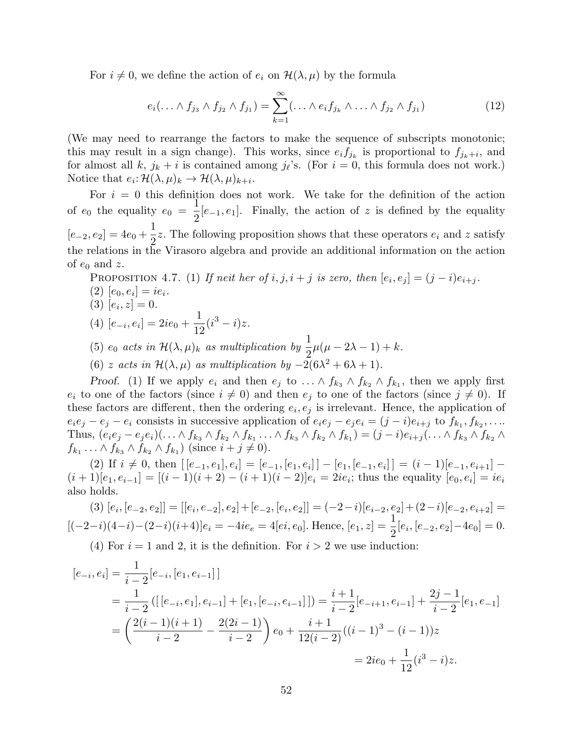For  $i \neq 0$ , we define the action of  $e_i$  on  $\mathcal{H}(\lambda, \mu)$  by the formula

$$
e_i(\ldots \wedge f_{j_3} \wedge f_{j_2} \wedge f_{j_1}) = \sum_{k=1}^{\infty} (\ldots \wedge e_i f_{j_k} \wedge \ldots \wedge f_{j_2} \wedge f_{j_1})
$$
(12)

(We may need to rearrange the factors to make the sequence of subscripts monotonic; this may result in a sign change). This works, since  $e_i f_{j_k}$  is proportional to  $f_{j_k+i}$ , and for almost all k,  $j_k + i$  is contained among  $j_{\ell}$ 's. (For  $i = 0$ , this formula does not work.) Notice that  $e_i: \mathcal{H}(\lambda, \mu)_k \to \mathcal{H}(\lambda, \mu)_{k+i}.$ 

For  $i = 0$  this definition does not work. We take for the definition of the action of  $e_0$  the equality  $e_0 =$  $\tilde{1}$  $\frac{1}{2}[e_{-1}, e_1]$ . Finally, the action of z is defined by the equality  $[e_{-2}, e_2] = 4e_0 +$ 1  $\frac{1}{2}z$ . The following proposition shows that these operators  $e_i$  and z satisfy the relations in the Virasoro algebra and provide an additional information on the action of  $e_0$  and z.

PROPOSITION 4.7. (1) If neither of 
$$
i, j, i + j
$$
 is zero, then  $[e_i, e_j] = (j - i)e_{i+j}$ .

- (2)  $[e_0, e_i] = ie_i.$
- (3)  $[e_i, z] = 0.$
- $(4)$   $[e_{-i}, e_i] = 2ie_0 +$ 1 12  $(i^3 - i)z$ .
- (5)  $e_0$  acts in  $\mathcal{H}(\lambda,\mu)_k$  as multiplication by  $\frac{1}{2}$  $\mu(\mu - 2\lambda - 1) + k.$
- (6) z acts in  $\mathcal{H}(\lambda,\mu)$  as multiplication by  $-2(6\lambda^2+6\lambda+1)$ .

*Proof.* (1) If we apply  $e_i$  and then  $e_j$  to  $\ldots \wedge f_{k_3} \wedge f_{k_2} \wedge f_{k_1}$ , then we apply first  $e_i$  to one of the factors (since  $i \neq 0$ ) and then  $e_j$  to one of the factors (since  $j \neq 0$ ). If these factors are different, then the ordering  $e_i, e_j$  is irrelevant. Hence, the application of  $e_i e_j - e_j - e_i$  consists in successive application of  $e_i e_j - e_j e_i = (j - i)e_{i+j}$  to  $f_{k_1}, f_{k_2}, \ldots$ Thus,  $(e_i e_j - e_j e_i)(... \wedge f_{k_3} \wedge f_{k_2} \wedge f_{k_1} ... \wedge f_{k_3} \wedge f_{k_2} \wedge f_{k_1}) = (j - i)e_{i+j}(... \wedge f_{k_3} \wedge f_{k_2} \wedge f_{k_3} \wedge f_{k_3} \wedge f_{k_4})$  $f_{k_1} \ldots \wedge f_{k_3} \wedge f_{k_2} \wedge f_{k_1}$  (since  $i + j \neq 0$ ).

(2) If  $i \neq 0$ , then  $[[e_{-1}, e_1], e_i] = [e_{-1}, [e_1, e_i]] - [e_1, [e_{-1}, e_i]] = (i - 1)[e_{-1}, e_{i+1}]$  $(i+1)[e_1, e_{i-1}] = [(i-1)(i+2) - (i+1)(i-2)]e_i = 2ie_i$ ; thus the equality  $[e_0, e_i] = ie_i$ also holds.

 $(3) [e_i, [e_{-2}, e_2]] = [[e_i, e_{-2}], e_2] + [e_{-2}, [e_i, e_2]] = (-2 - i)[e_{i-2}, e_2] + (2 - i)[e_{-2}, e_{i+2}] =$  $[(-2-i)(4-i)-(2-i)(i+4)]e_i = -4ie_e = 4[ei, e_0]$ . Hence,  $[e_1, z] = \frac{1}{2}[e_i, [e_{-2}, e_2] - 4e_0] = 0$ . (4) For  $i = 1$  and 2, it is the definition. For  $i > 2$  we use induction:

$$
[e_{-i}, e_i] = \frac{1}{i-2} [e_{-i}, [e_1, e_{i-1}]]
$$
  
=  $\frac{1}{i-2} ([[e_{-i}, e_1], e_{i-1}] + [e_1, [e_{-i}, e_{i-1}]]) = \frac{i+1}{i-2} [e_{-i+1}, e_{i-1}] + \frac{2j-1}{i-2} [e_1, e_{-1}]$   
=  $\left(\frac{2(i-1)(i+1)}{i-2} - \frac{2(2i-1)}{i-2}\right) e_0 + \frac{i+1}{12(i-2)} ((i-1)^3 - (i-1)) z$   
=  $2ie_0 + \frac{1}{12} (i^3 - i) z$ .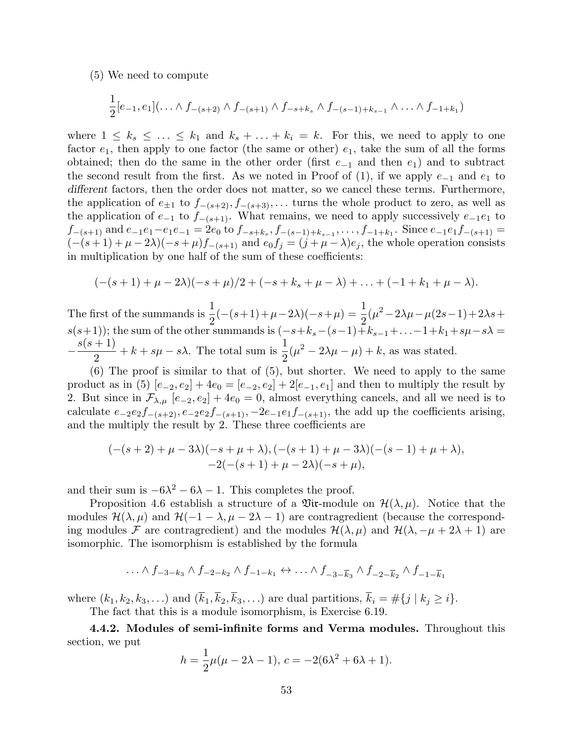(5) We need to compute

$$
\frac{1}{2}[e_{-1},e_1](\ldots \wedge f_{-(s+2)} \wedge f_{-(s+1)} \wedge f_{-s+k_s} \wedge f_{-(s-1)+k_{s-1}} \wedge \ldots \wedge f_{-1+k_1})
$$

where  $1 \leq k_s \leq \ldots \leq k_1$  and  $k_s + \ldots + k_i = k$ . For this, we need to apply to one factor  $e_1$ , then apply to one factor (the same or other)  $e_1$ , take the sum of all the forms obtained; then do the same in the other order (first  $e_{-1}$  and then  $e_1$ ) and to subtract the second result from the first. As we noted in Proof of  $(1)$ , if we apply  $e_{-1}$  and  $e_1$  to different factors, then the order does not matter, so we cancel these terms. Furthermore, the application of  $e_{\pm 1}$  to  $f_{-(s+2)}, f_{-(s+3)}, \ldots$  turns the whole product to zero, as well as the application of  $e_{-1}$  to  $f_{-(s+1)}$ . What remains, we need to apply successively  $e_{-1}e_1$  to  $f_{-(s+1)}$  and  $e_{-1}e_1 - e_1e_{-1} = 2e_0$  to  $f_{-s+k_s}, f_{-(s-1)+k_{s-1}}, \ldots, f_{-1+k_1}$ . Since  $e_{-1}e_1f_{-(s+1)} =$  $(-(s+1)+\mu-2\lambda)(-s+\mu)f_{-(s+1)}$  and  $e_0f_j=(j+\mu-\lambda)e_j$ , the whole operation consists in multiplication by one half of the sum of these coefficients:

$$
(-(s+1)+\mu-2\lambda)(-s+\mu)/2+(-s+k_s+\mu-\lambda)+\ldots+(-1+k_1+\mu-\lambda).
$$

The first of the summands is  $\frac{1}{2}$ 2  $(-(s+1)+\mu-2\lambda)(-s+\mu) = \frac{1}{2}$ 2  $(\mu^2 - 2\lambda\mu - \mu(2s-1) + 2\lambda s +$  $s(s+1)$ ; the sum of the other summands is  $(-s+k_s-(s-1)+k_{s-1}+\ldots-1+k_1+s\mu-s\lambda$  $-\frac{s(s+1)}{s}$ 2  $+ k + s\mu - s\lambda$ . The total sum is  $\frac{1}{2}$ 2  $(\mu^2 - 2\lambda\mu - \mu) + k$ , as was stated.

(6) The proof is similar to that of (5), but shorter. We need to apply to the same product as in (5)  $[e_{-2}, e_2] + 4e_0 = [e_{-2}, e_2] + 2[e_{-1}, e_1]$  and then to multiply the result by 2. But since in  $\mathcal{F}_{\lambda,\mu}$  [e<sub>-2</sub>, e<sub>2</sub>] + 4e<sub>0</sub> = 0, almost everything cancels, and all we need is to calculate  $e_{-2}e_2f_{-(s+2)}$ ,  $e_{-2}e_2f_{-(s+1)}$ ,  $-2e_{-1}e_1f_{-(s+1)}$ , the add up the coefficients arising, and the multiply the result by 2. These three coefficients are

$$
(-(s+2)+\mu-3\lambda)(-s+\mu+\lambda), (-(s+1)+\mu-3\lambda)(-(s-1)+\mu+\lambda),-2(-(s+1)+\mu-2\lambda)(-s+\mu),
$$

and their sum is  $-6\lambda^2 - 6\lambda - 1$ . This completes the proof.

Proposition 4.6 establish a structure of a  $\mathfrak{Vir}$ -module on  $\mathcal{H}(\lambda,\mu)$ . Notice that the modules  $\mathcal{H}(\lambda,\mu)$  and  $\mathcal{H}(-1-\lambda,\mu-2\lambda-1)$  are contragredient (because the corresponding modules F are contragredient) and the modules  $\mathcal{H}(\lambda, \mu)$  and  $\mathcal{H}(\lambda, -\mu + 2\lambda + 1)$  are isomorphic. The isomorphism is established by the formula

$$
\ldots \wedge f_{-3-k_3} \wedge f_{-2-k_2} \wedge f_{-1-k_1} \leftrightarrow \ldots \wedge f_{-3-\overline{k}_3} \wedge f_{-2-\overline{k}_2} \wedge f_{-1-\overline{k}_1}
$$

where  $(k_1, k_2, k_3, \ldots)$  and  $(\overline{k}_1, \overline{k}_2, \overline{k}_3, \ldots)$  are dual partitions,  $\overline{k}_i = \#\{j \mid k_j \geq i\}.$ 

The fact that this is a module isomorphism, is Exercise 6.19.

4.4.2. Modules of semi-infinite forms and Verma modules. Throughout this section, we put

$$
h = \frac{1}{2}\mu(\mu - 2\lambda - 1), c = -2(6\lambda^2 + 6\lambda + 1).
$$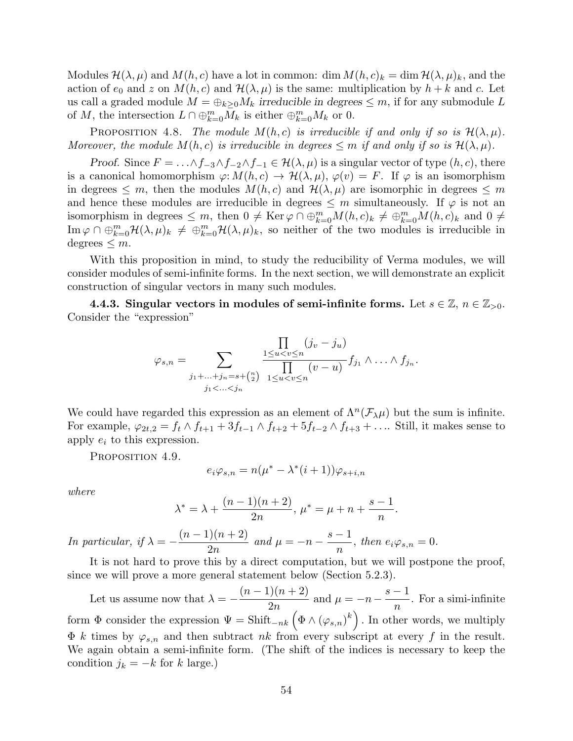Modules  $\mathcal{H}(\lambda,\mu)$  and  $M(h,c)$  have a lot in common: dim  $M(h,c)_k = \dim \mathcal{H}(\lambda,\mu)_k$ , and the action of  $e_0$  and z on  $M(h, c)$  and  $\mathcal{H}(\lambda, \mu)$  is the same: multiplication by  $h + k$  and c. Let us call a graded module  $M = \bigoplus_{k>0} M_k$  irreducible in degrees  $\leq m$ , if for any submodule L of M, the intersection  $L \cap \bigoplus_{k=0}^m M_k$  is either  $\bigoplus_{k=0}^m M_k$  or 0.

PROPOSITION 4.8. The module  $M(h, c)$  is irreducible if and only if so is  $\mathcal{H}(\lambda, \mu)$ . Moreover, the module  $M(h, c)$  is irreducible in degrees  $\leq m$  if and only if so is  $\mathcal{H}(\lambda, \mu)$ .

Proof. Since  $F = \ldots \wedge f_{-3} \wedge f_{-2} \wedge f_{-1} \in \mathcal{H}(\lambda, \mu)$  is a singular vector of type  $(h, c)$ , there is a canonical homomorphism  $\varphi: M(h, c) \to \mathcal{H}(\lambda, \mu), \varphi(v) = F$ . If  $\varphi$  is an isomorphism in degrees  $\leq m$ , then the modules  $M(h, c)$  and  $\mathcal{H}(\lambda, \mu)$  are isomorphic in degrees  $\leq m$ and hence these modules are irreducible in degrees  $\leq m$  simultaneously. If  $\varphi$  is not an isomorphism in degrees  $\leq m$ , then  $0 \neq \text{Ker }\varphi \cap \bigoplus_{k=0}^{m} M(h,c)_k \neq \bigoplus_{k=0}^{m} M(h,c)_k$  and  $0 \neq$  $\text{Im}\,\varphi\cap\oplus_{k=0}^m\mathcal{H}(\lambda,\mu)_k\,\neq\,\oplus_{k=0}^m\mathcal{H}(\lambda,\mu)_k$ , so neither of the two modules is irreducible in degrees  $\leq m$ .

With this proposition in mind, to study the reducibility of Verma modules, we will consider modules of semi-infinite forms. In the next section, we will demonstrate an explicit construction of singular vectors in many such modules.

4.4.3. Singular vectors in modules of semi-infinite forms. Let  $s \in \mathbb{Z}$ ,  $n \in \mathbb{Z}_{>0}$ . Consider the "expression"

$$
\varphi_{s,n} = \sum_{\substack{j_1+\ldots+j_n=s+\binom{n}{2} \\ j_1 < \ldots < j_n}} \frac{\prod\limits_{1 \le u < v \le n} (j_v - j_u)}{\prod\limits_{1 \le u < v \le n} (v - u)} f_{j_1} \wedge \ldots \wedge f_{j_n}
$$

.

We could have regarded this expression as an element of  $\Lambda^n(\mathcal{F}_{\lambda}\mu)$  but the sum is infinite. For example,  $\varphi_{2t,2} = f_t \wedge f_{t+1} + 3f_{t-1} \wedge f_{t+2} + 5f_{t-2} \wedge f_{t+3} + \dots$  Still, it makes sense to apply  $e_i$  to this expression.

PROPOSITION 4.9.

$$
e_i \varphi_{s,n} = n(\mu^* - \lambda^*(i+1))\varphi_{s+i,n}
$$

where

$$
\lambda^* = \lambda + \frac{(n-1)(n+2)}{2n}, \, \mu^* = \mu + n + \frac{s-1}{n}.
$$

In particular, if  $\lambda = (n-1)(n+2)$  $2n$ and  $\mu = -n$  $s-1$  $\frac{1}{n}$ , then  $e_i\varphi_{s,n}=0$ .

It is not hard to prove this by a direct computation, but we will postpone the proof, since we will prove a more general statement below (Section 5.2.3).

Let us assume now that  $\lambda = (n-1)(n+2)$  $2n$ and  $\mu = -n$  $s-1$ n . For a simi-infinite form  $\Phi$  consider the expression  $\Psi = \text{Shift}_{-nk} (\Phi \wedge (\varphi_{s,n})^k)$ . In other words, we multiply  $\Phi$  k times by  $\varphi_{s,n}$  and then subtract nk from every subscript at every f in the result. We again obtain a semi-infinite form. (The shift of the indices is necessary to keep the condition  $j_k = -k$  for k large.)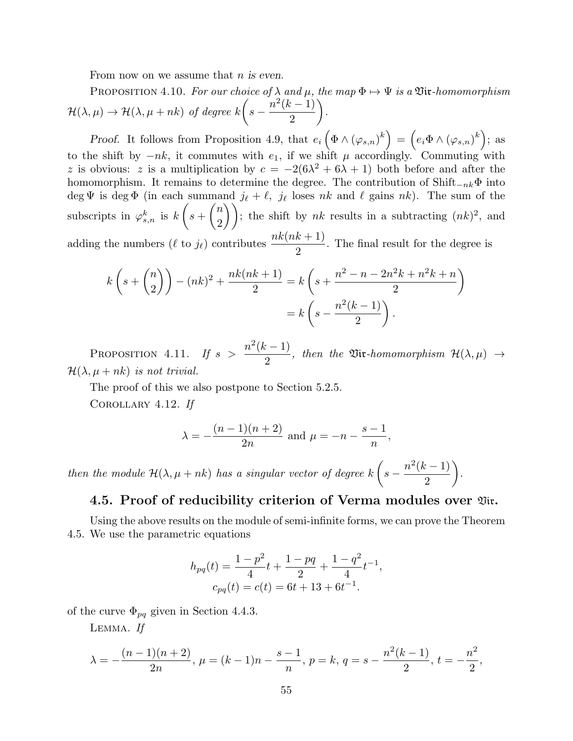From now on we assume that  $n$  is even.

PROPOSITION 4.10. For our choice of  $\lambda$  and  $\mu$ , the map  $\Phi \mapsto \Psi$  is a Vix-homomorphism  $\mathcal{H}(\lambda,\mu) \to \mathcal{H}(\lambda,\mu+nk)$  of degree k  $\sqrt{ }$  $s - \frac{n^2(k-1)}{2}$ 2  $\setminus$ .

Proof. It follows from Proposition 4.9, that  $e_i\left(\Phi \wedge (\varphi_{s,n})^k\right) = \left(e_i\Phi \wedge (\varphi_{s,n})^k\right);$  as to the shift by  $-nk$ , it commutes with  $e_1$ , if we shift  $\mu$  accordingly. Commuting with z is obvious: z is a multiplication by  $c = -2(6\lambda^2 + 6\lambda + 1)$  both before and after the homomorphism. It remains to determine the degree. The contribution of Shift<sub> $-nk$   $\Phi$  into</sub> deg  $\Psi$  is deg  $\Phi$  (in each summand  $j_{\ell} + \ell$ ,  $j_{\ell}$  loses nk and  $\ell$  gains nk). The sum of the subscripts in  $\varphi_{s,n}^k$  is  $k$  $\sqrt{ }$  $s +$  $\sqrt{n}$ 2 ); the shift by nk results in a subtracting  $(nk)^2$ , and adding the numbers ( $\ell$  to  $j_{\ell}$ ) contributes  $\frac{nk(nk + 1)}{2}$ . The final result for the degree is

$$
k\left(s + \binom{n}{2}\right) - (nk)^2 + \frac{nk(nk+1)}{2} = k\left(s + \frac{n^2 - n - 2n^2k + n^2k + n}{2}\right)
$$

$$
= k\left(s - \frac{n^2(k-1)}{2}\right).
$$

PROPOSITION 4.11. If  $s > \frac{n^2(k-1)}{2}$ 2 , then the  $\mathfrak{Vir}\textrm{-}homomorphism \hspace{0.1 cm} \mathcal{H}(\lambda,\mu) \rightarrow$  $\mathcal{H}(\lambda, \mu + nk)$  is not trivial.

The proof of this we also postpone to Section 5.2.5. Corollary 4.12. If

$$
\lambda = -\frac{(n-1)(n+2)}{2n}
$$
 and  $\mu = -n - \frac{s-1}{n}$ ,

then the module  $\mathcal{H}(\lambda, \mu + nk)$  has a singular vector of degree k  $\sqrt{ }$  $s - \frac{n^2(k-1)}{2}$ 2  $\setminus$ .

## 4.5. Proof of reducibility criterion of Verma modules over  $\mathfrak{Vir}.$

Using the above results on the module of semi-infinite forms, we can prove the Theorem 4.5. We use the parametric equations

$$
h_{pq}(t) = \frac{1 - p^2}{4}t + \frac{1 - pq}{2} + \frac{1 - q^2}{4}t^{-1},
$$
  

$$
c_{pq}(t) = c(t) = 6t + 13 + 6t^{-1}.
$$

of the curve  $\Phi_{pq}$  given in Section 4.4.3.

LEMMA. If

$$
\lambda = -\frac{(n-1)(n+2)}{2n}, \ \mu = (k-1)n - \frac{s-1}{n}, \ p = k, \ q = s - \frac{n^2(k-1)}{2}, \ t = -\frac{n^2}{2},
$$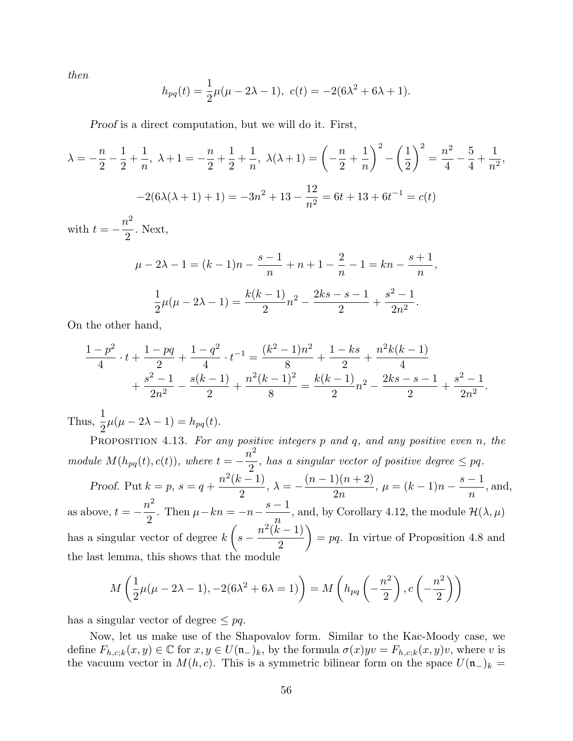then

$$
h_{pq}(t) = \frac{1}{2}\mu(\mu - 2\lambda - 1), \ c(t) = -2(6\lambda^2 + 6\lambda + 1).
$$

Proof is a direct computation, but we will do it. First,

$$
\lambda = -\frac{n}{2} - \frac{1}{2} + \frac{1}{n}, \ \lambda + 1 = -\frac{n}{2} + \frac{1}{2} + \frac{1}{n}, \ \lambda(\lambda + 1) = \left(-\frac{n}{2} + \frac{1}{n}\right)^2 - \left(\frac{1}{2}\right)^2 = \frac{n^2}{4} - \frac{5}{4} + \frac{1}{n^2},
$$
  
\n
$$
-2(6\lambda(\lambda + 1) + 1) = -3n^2 + 13 - \frac{12}{n^2} = 6t + 13 + 6t^{-1} = c(t)
$$
  
\nwith  $t = -\frac{n^2}{2}$ . Next,  
\n
$$
\mu - 2\lambda - 1 = (k - 1)n - \frac{s - 1}{n} + n + 1 - \frac{2}{n} - 1 = kn - \frac{s + 1}{n},
$$
  
\n
$$
\frac{1}{2}\mu(\mu - 2\lambda - 1) = \frac{k(k - 1)}{2}n^2 - \frac{2ks - s - 1}{2} + \frac{s^2 - 1}{2n^2}.
$$

On the other hand,

$$
\frac{1-p^2}{4} \cdot t + \frac{1-pq}{2} + \frac{1-q^2}{4} \cdot t^{-1} = \frac{(k^2-1)n^2}{8} + \frac{1-ks}{2} + \frac{n^2k(k-1)}{4} + \frac{s^2-1}{2n^2} - \frac{s(k-1)}{2} + \frac{n^2(k-1)^2}{8} = \frac{k(k-1)}{2}n^2 - \frac{2ks-s-1}{2} + \frac{s^2-1}{2n^2}.
$$

Thus,  $\frac{1}{2}$  $\frac{1}{2}\mu(\mu - 2\lambda - 1) = h_{pq}(t).$ 

PROPOSITION 4.13. For any positive integers  $p$  and  $q$ , and any positive even  $n$ , the module  $M(h_{pq}(t), c(t))$ , where  $t = -\frac{n^2}{2}$ 2 , has a singular vector of positive degree  $\leq$  pq. Proof. Put  $k = p$ ,  $s = q +$  $n^2(k-1)$ 2  $, \lambda = (n-1)(n+2)$  $2n$  $, \mu = (k-1)n$  $s-1$ n , and, as above,  $t=-\frac{n^2}{2}$ 2 . Then  $\mu - kn = -n$  $s-1$  $\overline{n}$ , and, by Corollary 4.12, the module  $\mathcal{H}(\lambda,\mu)$ has a singular vector of degree  $k$  $\sqrt{ }$  $s - \frac{n^2(k-1)}{2}$ 2  $\setminus$  $=$  pq. In virtue of Proposition 4.8 and the last lemma, this shows that the module

$$
M\left(\frac{1}{2}\mu(\mu-2\lambda-1), -2(6\lambda^2+6\lambda=1)\right) = M\left(h_{pq}\left(-\frac{n^2}{2}\right), c\left(-\frac{n^2}{2}\right)\right)
$$

has a singular vector of degree  $\leq$  pq.

Now, let us make use of the Shapovalov form. Similar to the Kac-Moody case, we define  $F_{h,c;k}(x,y) \in \mathbb{C}$  for  $x, y \in U(\mathfrak{n}_{-})_k$ , by the formula  $\sigma(x) yv = F_{h,c;k}(x,y)v$ , where v is the vacuum vector in  $M(h, c)$ . This is a symmetric bilinear form on the space  $U(\mathfrak{n}_{-})_k =$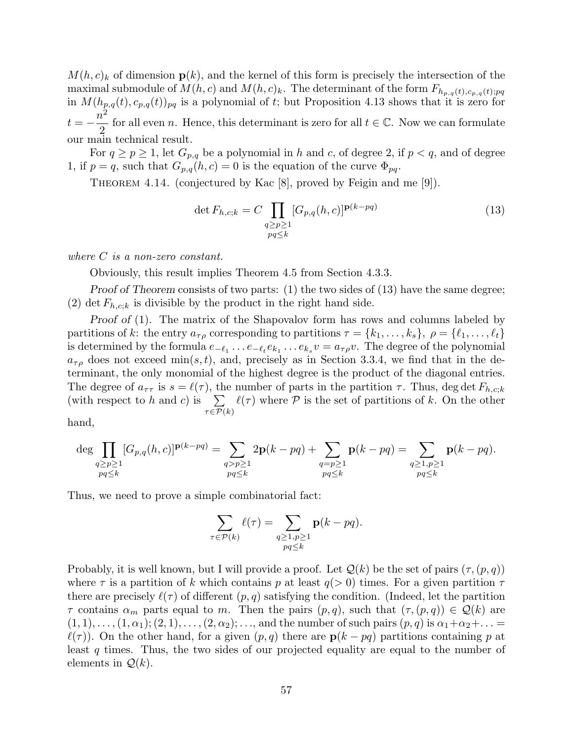$M(h, c)_k$  of dimension  $p(k)$ , and the kernel of this form is precisely the intersection of the maximal submodule of  $M(h, c)$  and  $M(h, c)_k$ . The determinant of the form  $F_{h_{p,q}(t),c_{p,q}(t);pq}$ in  $M(h_{p,q}(t), c_{p,q}(t))_{pq}$  is a polynomial of t; but Proposition 4.13 shows that it is zero for  $t=-\frac{n}{s}$ 2 2 for all even n. Hence, this determinant is zero for all  $t \in \mathbb{C}$ . Now we can formulate our main technical result.

For  $q \ge p \ge 1$ , let  $G_{p,q}$  be a polynomial in h and c, of degree 2, if  $p < q$ , and of degree 1, if  $p = q$ , such that  $G_{p,q}(h, c) = 0$  is the equation of the curve  $\Phi_{pq}$ .

THEOREM 4.14. (conjectured by Kac [8], proved by Feigin and me [9]).

$$
\det F_{h,c;k} = C \prod_{\substack{q \ge p \ge 1 \\ pq \le k}} [G_{p,q}(h,c)]^{\mathbf{p}(k-pq)} \tag{13}
$$

where C is a non-zero constant.

Obviously, this result implies Theorem 4.5 from Section 4.3.3.

Proof of Theorem consists of two parts: (1) the two sides of (13) have the same degree; (2) det  $F_{h,c;k}$  is divisible by the product in the right hand side.

Proof of (1). The matrix of the Shapovalov form has rows and columns labeled by partitions of k: the entry  $a_{\tau\rho}$  corresponding to partitions  $\tau = \{k_1, \ldots, k_s\}, \ \rho = \{\ell_1, \ldots, \ell_t\}$ is determined by the formula  $e_{-\ell_1} \ldots e_{-\ell_t} e_{k_1} \ldots e_{k_s} v = a_{\tau \rho} v$ . The degree of the polynomial  $a_{\tau\rho}$  does not exceed min $(s, t)$ , and, precisely as in Section 3.3.4, we find that in the determinant, the only monomial of the highest degree is the product of the diagonal entries. The degree of  $a_{\tau\tau}$  is  $s = \ell(\tau)$ , the number of parts in the partition  $\tau$ . Thus, deg det  $F_{h,c;k}$ (with respect to h and c) is  $\sum$  $\tau \in \mathcal{P}(k)$  $\ell(\tau)$  where P is the set of partitions of k. On the other

hand,

$$
\deg \prod_{\substack{q \geq p \geq 1 \\ pq \leq k}} [G_{p,q}(h,c)]^{\mathbf{p}(k-pq)} = \sum_{\substack{q > p \geq 1 \\ pq \leq k}} 2\mathbf{p}(k-pq) + \sum_{\substack{q = p \geq 1 \\ pq \leq k}} \mathbf{p}(k-pq) = \sum_{\substack{q \geq 1, p \geq 1 \\ pq \leq k}} \mathbf{p}(k-pq).
$$

Thus, we need to prove a simple combinatorial fact:

$$
\sum_{\tau \in \mathcal{P}(k)} \ell(\tau) = \sum_{\substack{q \geq 1, p \geq 1 \\ pq \leq k}} \mathbf{p}(k - pq).
$$

Probably, it is well known, but I will provide a proof. Let  $\mathcal{Q}(k)$  be the set of pairs  $(\tau,(p,q))$ where  $\tau$  is a partition of k which contains p at least  $q(> 0)$  times. For a given partition  $\tau$ there are precisely  $\ell(\tau)$  of different  $(p, q)$  satisfying the condition. (Indeed, let the partition  $\tau$  contains  $\alpha_m$  parts equal to m. Then the pairs  $(p, q)$ , such that  $(\tau, (p, q)) \in \mathcal{Q}(k)$  are  $(1, 1), \ldots, (1, \alpha_1); (2, 1), \ldots, (2, \alpha_2); \ldots$ , and the number of such pairs  $(p, q)$  is  $\alpha_1 + \alpha_2 + \ldots =$  $\ell(\tau)$ ). On the other hand, for a given  $(p, q)$  there are  $p(k - pq)$  partitions containing p at least q times. Thus, the two sides of our projected equality are equal to the number of elements in  $\mathcal{Q}(k)$ .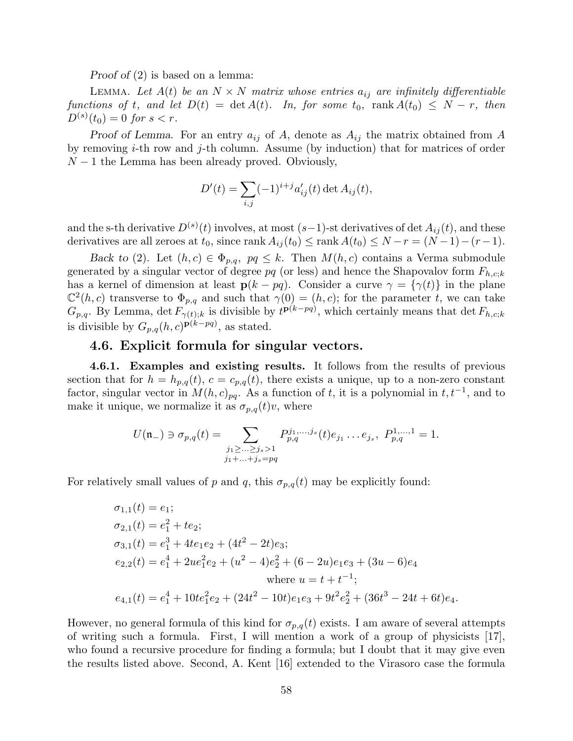Proof of (2) is based on a lemma:

LEMMA. Let  $A(t)$  be an  $N \times N$  matrix whose entries  $a_{ij}$  are infinitely differentiable functions of t, and let  $D(t) = \det A(t)$ . In, for some  $t_0$ , rank  $A(t_0) \leq N - r$ , then  $D^{(s)}(t_0) = 0$  for  $s < r$ .

Proof of Lemma. For an entry  $a_{ij}$  of A, denote as  $A_{ij}$  the matrix obtained from A by removing  $i$ -th row and  $j$ -th column. Assume (by induction) that for matrices of order  $N-1$  the Lemma has been already proved. Obviously,

$$
D'(t) = \sum_{i,j} (-1)^{i+j} a'_{ij}(t) \det A_{ij}(t),
$$

and the s-th derivative  $D^{(s)}(t)$  involves, at most  $(s-1)$ -st derivatives of det  $A_{ij}(t)$ , and these derivatives are all zeroes at  $t_0$ , since rank  $A_{ij}(t_0) \leq$  rank  $A(t_0) \leq N-r = (N-1)-(r-1)$ .

Back to (2). Let  $(h, c) \in \Phi_{p,q}, pq \leq k$ . Then  $M(h, c)$  contains a Verma submodule generated by a singular vector of degree pq (or less) and hence the Shapovalov form  $F_{h,c;k}$ has a kernel of dimension at least  $p(k - pq)$ . Consider a curve  $\gamma = {\gamma(t)}$  in the plane  $\mathbb{C}^2(h,c)$  transverse to  $\Phi_{p,q}$  and such that  $\gamma(0) = (h,c)$ ; for the parameter t, we can take  $G_{p,q}$ . By Lemma, det  $F_{\gamma(t);k}$  is divisible by  $t^{p(k-pq)}$ , which certainly means that det  $F_{h,c;k}$ is divisible by  $G_{p,q}(h,c)^{\mathbf{p}(k-pq)}$ , as stated.

### 4.6. Explicit formula for singular vectors.

4.6.1. Examples and existing results. It follows from the results of previous section that for  $h = h_{p,q}(t)$ ,  $c = c_{p,q}(t)$ , there exists a unique, up to a non-zero constant factor, singular vector in  $M(h, c)_{pq}$ . As a function of t, it is a polynomial in  $t, t^{-1}$ , and to make it unique, we normalize it as  $\sigma_{p,q}(t)v$ , where

$$
U(\mathfrak{n}_{-}) \ni \sigma_{p,q}(t) = \sum_{\substack{j_1 \geq \dots \geq j_s > 1 \\ j_1 + \dots + j_s = pq}} P_{p,q}^{j_1, \dots, j_s}(t) e_{j_1} \dots e_{j_s}, \ P_{p,q}^{1, \dots, 1} = 1.
$$

For relatively small values of p and q, this  $\sigma_{p,q}(t)$  may be explicitly found:

$$
\sigma_{1,1}(t) = e_1;
$$
  
\n
$$
\sigma_{2,1}(t) = e_1^2 + te_2;
$$
  
\n
$$
\sigma_{3,1}(t) = e_1^3 + 4te_1e_2 + (4t^2 - 2t)e_3;
$$
  
\n
$$
e_{2,2}(t) = e_1^4 + 2ue_1^2e_2 + (u^2 - 4)e_2^2 + (6 - 2u)e_1e_3 + (3u - 6)e_4
$$
  
\nwhere  $u = t + t^{-1};$   
\n
$$
e_{4,1}(t) = e_1^4 + 10te_1^2e_2 + (24t^2 - 10t)e_1e_3 + 9t^2e_2^2 + (36t^3 - 24t + 6t)e_4.
$$

However, no general formula of this kind for  $\sigma_{p,q}(t)$  exists. I am aware of several attempts of writing such a formula. First, I will mention a work of a group of physicists [17], who found a recursive procedure for finding a formula; but I doubt that it may give even the results listed above. Second, A. Kent [16] extended to the Virasoro case the formula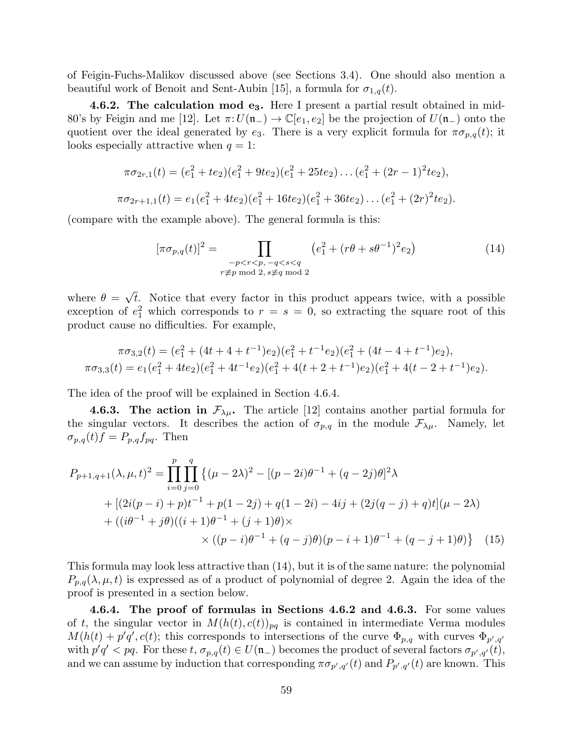of Feigin-Fuchs-Malikov discussed above (see Sections 3.4). One should also mention a beautiful work of Benoit and Sent-Aubin [15], a formula for  $\sigma_{1,q}(t)$ .

**4.6.2. The calculation mod e<sub>3</sub>.** Here I present a partial result obtained in mid-80's by Feigin and me [12]. Let  $\pi: U(\mathfrak{n}_-) \to \mathbb{C}[e_1, e_2]$  be the projection of  $U(\mathfrak{n}_-)$  onto the quotient over the ideal generated by  $e_3$ . There is a very explicit formula for  $\pi \sigma_{p,q}(t)$ ; it looks especially attractive when  $q = 1$ :

$$
\pi \sigma_{2r,1}(t) = (e_1^2 + te_2)(e_1^2 + 9te_2)(e_1^2 + 25te_2) \dots (e_1^2 + (2r - 1)^2 te_2),
$$
  

$$
\pi \sigma_{2r+1,1}(t) = e_1(e_1^2 + 4te_2)(e_1^2 + 16te_2)(e_1^2 + 36te_2) \dots (e_1^2 + (2r)^2 te_2).
$$

(compare with the example above). The general formula is this:

$$
[\pi \sigma_{p,q}(t)]^2 = \prod_{\substack{-p < r < p, \ -q < s < q \\ r \not\equiv p \bmod 2, \ s \not\equiv q \bmod 2}} \left( e_1^2 + (r\theta + s\theta^{-1})^2 e_2 \right) \tag{14}
$$

where  $\theta =$ √ t. Notice that every factor in this product appears twice, with a possible exception of  $e_1^2$  which corresponds to  $r = s = 0$ , so extracting the square root of this product cause no difficulties. For example,

$$
\pi\sigma_{3,2}(t) = (e_1^2 + (4t + 4 + t^{-1})e_2)(e_1^2 + t^{-1}e_2)(e_1^2 + (4t - 4 + t^{-1})e_2),
$$
  

$$
\pi\sigma_{3,3}(t) = e_1(e_1^2 + 4te_2)(e_1^2 + 4t^{-1}e_2)(e_1^2 + 4(t + 2 + t^{-1})e_2)(e_1^2 + 4(t - 2 + t^{-1})e_2).
$$

The idea of the proof will be explained in Section 4.6.4.

**4.6.3. The action in**  $\mathcal{F}_{\lambda\mu}$ . The article [12] contains another partial formula for the singular vectors. It describes the action of  $\sigma_{p,q}$  in the module  $\mathcal{F}_{\lambda\mu}$ . Namely, let  $\sigma_{p,q}(t)$ f =  $P_{p,q}$ f<sub>pq</sub>. Then

$$
P_{p+1,q+1}(\lambda,\mu,t)^2 = \prod_{i=0}^p \prod_{j=0}^q \left\{ (\mu - 2\lambda)^2 - [(p-2i)\theta^{-1} + (q-2j)\theta]^2 \lambda \right.+ \left[ (2i(p-i) + p)t^{-1} + p(1-2j) + q(1-2i) - 4ij + (2j(q-j) + q)t \right] (\mu - 2\lambda)+ \left( (i\theta^{-1} + j\theta)((i+1)\theta^{-1} + (j+1)\theta) \times \times \left( (p-i)\theta^{-1} + (q-j)\theta \right) (p-i+1)\theta^{-1} + (q-j+1)\theta \right\} (15)
$$

This formula may look less attractive than (14), but it is of the same nature: the polynomial  $P_{p,q}(\lambda, \mu, t)$  is expressed as of a product of polynomial of degree 2. Again the idea of the proof is presented in a section below.

4.6.4. The proof of formulas in Sections 4.6.2 and 4.6.3. For some values of t, the singular vector in  $M(h(t), c(t))_{pq}$  is contained in intermediate Verma modules  $M(h(t) + p'q', c(t))$ ; this corresponds to intersections of the curve  $\Phi_{p,q}$  with curves  $\Phi_{p',q'}$ with  $p'q' < pq$ . For these  $t, \sigma_{p,q}(t) \in U(\mathfrak{n}_-)$  becomes the product of several factors  $\sigma_{p',q'}(t)$ , and we can assume by induction that corresponding  $\pi \sigma_{p',q'}(t)$  and  $P_{p',q'}(t)$  are known. This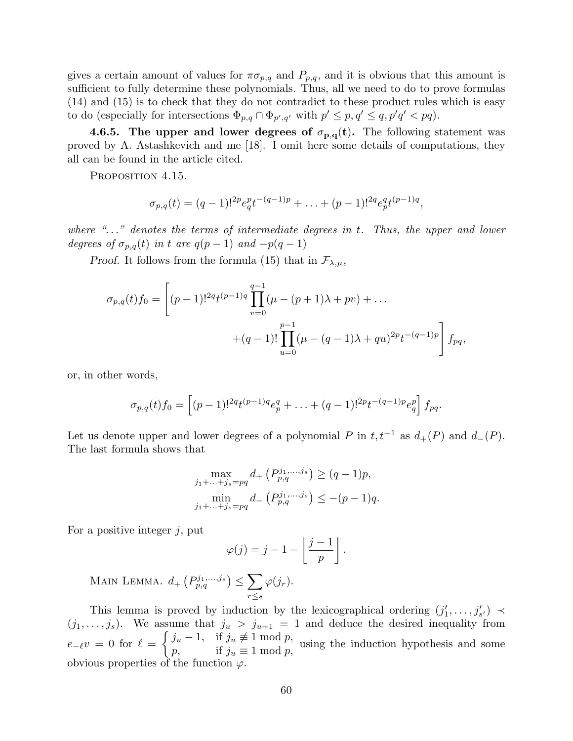gives a certain amount of values for  $\pi \sigma_{p,q}$  and  $P_{p,q}$ , and it is obvious that this amount is sufficient to fully determine these polynomials. Thus, all we need to do to prove formulas (14) and (15) is to check that they do not contradict to these product rules which is easy to do (especially for intersections  $\Phi_{p,q} \cap \Phi_{p',q'}$  with  $p' \leq p, q' \leq q, p'q' < pq$ ).

4.6.5. The upper and lower degrees of  $\sigma_{p,q}(t)$ . The following statement was proved by A. Astashkevich and me [18]. I omit here some details of computations, they all can be found in the article cited.

PROPOSITION 4.15.

$$
\sigma_{p,q}(t) = (q-1)!^{2p} e_q^{p} t^{-(q-1)p} + \ldots + (p-1)!^{2q} e_p^{q} t^{(p-1)q},
$$

where " $\ldots$ " denotes the terms of intermediate degrees in t. Thus, the upper and lower degrees of  $\sigma_{p,q}(t)$  in t are  $q(p-1)$  and  $-p(q-1)$ 

*Proof.* It follows from the formula (15) that in  $\mathcal{F}_{\lambda,\mu}$ ,

$$
\sigma_{p,q}(t)f_0 = \left[ (p-1)!^{2q} t^{(p-1)q} \prod_{v=0}^{q-1} (\mu - (p+1)\lambda + pv) + \dots + (q-1)! \prod_{u=0}^{p-1} (\mu - (q-1)\lambda + qu)^{2p} t^{-(q-1)p} \right] f_{pq},
$$

or, in other words,

$$
\sigma_{p,q}(t)f_0 = \left[ (p-1)!^{2q} t^{(p-1)q} e_p^q + \ldots + (q-1)!^{2p} t^{-(q-1)p} e_q^p \right] f_{pq}.
$$

Let us denote upper and lower degrees of a polynomial P in  $t, t^{-1}$  as  $d_{+}(P)$  and  $d_{-}(P)$ . The last formula shows that

$$
\max_{j_1 + \dots + j_s = pq} d_+ \left( P_{p,q}^{j_1, \dots, j_s} \right) \ge (q - 1)p,
$$
  

$$
\min_{j_1 + \dots + j_s = pq} d_- \left( P_{p,q}^{j_1, \dots, j_s} \right) \le -(p - 1)q.
$$

For a positive integer  $j$ , put

$$
\varphi(j) = j - 1 - \left\lfloor \frac{j-1}{p} \right\rfloor.
$$

MAIN LEMMA.  $d_{+}\left(P_{p,q}^{j_1,\ldots,j_s}\right) \leq \sum$ r≤s  $\varphi(j_r).$ 

This lemma is proved by induction by the lexicographical ordering  $(j'_1, \ldots, j'_{s'}) \prec$  $(j_1, \ldots, j_s)$ . We assume that  $j_u > j_{u+1} = 1$  and deduce the desired inequality from  $e_{-\ell}v = 0$  for  $\ell =$  $\int j_u - 1$ , if  $j_u \not\equiv 1 \mod p$ ,  $p,$  if  $j_u \neq 1 \mod p$ , using the induction hypothesis and some if  $j_u \equiv 1 \mod p$ , obvious properties of the function  $\varphi$ .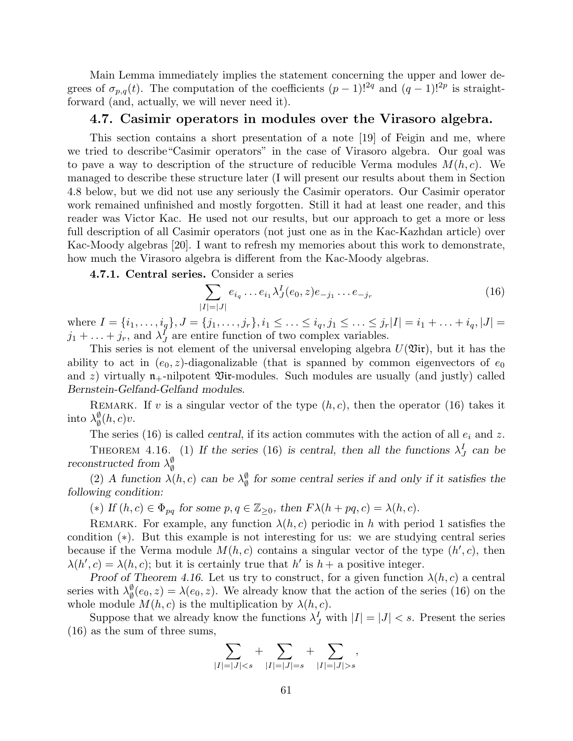Main Lemma immediately implies the statement concerning the upper and lower degrees of  $\sigma_{p,q}(t)$ . The computation of the coefficients  $(p-1)!^{2q}$  and  $(q-1)!^{2p}$  is straightforward (and, actually, we will never need it).

#### 4.7. Casimir operators in modules over the Virasoro algebra.

This section contains a short presentation of a note [19] of Feigin and me, where we tried to describe"Casimir operators" in the case of Virasoro algebra. Our goal was to pave a way to description of the structure of reducible Verma modules  $M(h, c)$ . We managed to describe these structure later (I will present our results about them in Section 4.8 below, but we did not use any seriously the Casimir operators. Our Casimir operator work remained unfinished and mostly forgotten. Still it had at least one reader, and this reader was Victor Kac. He used not our results, but our approach to get a more or less full description of all Casimir operators (not just one as in the Kac-Kazhdan article) over Kac-Moody algebras [20]. I want to refresh my memories about this work to demonstrate, how much the Virasoro algebra is different from the Kac-Moody algebras.

4.7.1. Central series. Consider a series

$$
\sum_{|I|=|J|} e_{i_q} \dots e_{i_1} \lambda_J^I(e_0, z) e_{-j_1} \dots e_{-j_r}
$$
\n(16)

where  $I = \{i_1, \ldots, i_q\}, J = \{j_1, \ldots, j_r\}, i_1 \leq \ldots \leq i_q, j_1 \leq \ldots \leq j_r|I| = i_1 + \ldots + i_q, |J| = i_1 + \ldots + i_q$  $j_1 + \ldots + j_r$ , and  $\lambda^I_J$  are entire function of two complex variables.

This series is not element of the universal enveloping algebra  $U(\mathfrak{Vir})$ , but it has the ability to act in  $(e_0, z)$ -diagonalizable (that is spanned by common eigenvectors of  $e_0$ and z) virtually  $n_+$ -nilpotent  $\mathfrak{Vir}$ -modules. Such modules are usually (and justly) called Bernstein-Gelfand-Gelfand modules.

REMARK. If v is a singular vector of the type  $(h, c)$ , then the operator (16) takes it into  $\lambda_{\emptyset}^{\emptyset}$  $\frac{\varnothing}{\varnothing}(h,c)v.$ 

The series (16) is called *central*, if its action commutes with the action of all  $e_i$  and z.

THEOREM 4.16. (1) If the series (16) is central, then all the functions  $\lambda_J^I$  can be reconstructed from  $\lambda_{\phi}^{\emptyset}$ ∅

(2) A function  $\lambda(h, c)$  can be  $\lambda_{\emptyset}^{\emptyset}$  $\frac{\emptyset}{\emptyset}$  for some central series if and only if it satisfies the following condition:

(\*) If  $(h, c) \in \Phi_{pq}$  for some  $p, q \in \mathbb{Z}_{\geq 0}$ , then  $F \lambda(h + pq, c) = \lambda(h, c)$ .

REMARK. For example, any function  $\lambda(h, c)$  periodic in h with period 1 satisfies the condition (∗). But this example is not interesting for us: we are studying central series because if the Verma module  $M(h, c)$  contains a singular vector of the type  $(h', c)$ , then  $\lambda(h', c) = \lambda(h, c)$ ; but it is certainly true that h' is  $h + a$  positive integer.

Proof of Theorem 4.16. Let us try to construct, for a given function  $\lambda(h, c)$  a central series with  $\lambda_{\emptyset}^{\emptyset}$  $\phi_{\emptyset}(e_0, z) = \lambda(e_0, z)$ . We already know that the action of the series (16) on the whole module  $M(h, c)$  is the multiplication by  $\lambda(h, c)$ .

Suppose that we already know the functions  $\lambda_J^I$  with  $|I| = |J| < s$ . Present the series (16) as the sum of three sums,

$$
\sum_{|I|=|J|s},
$$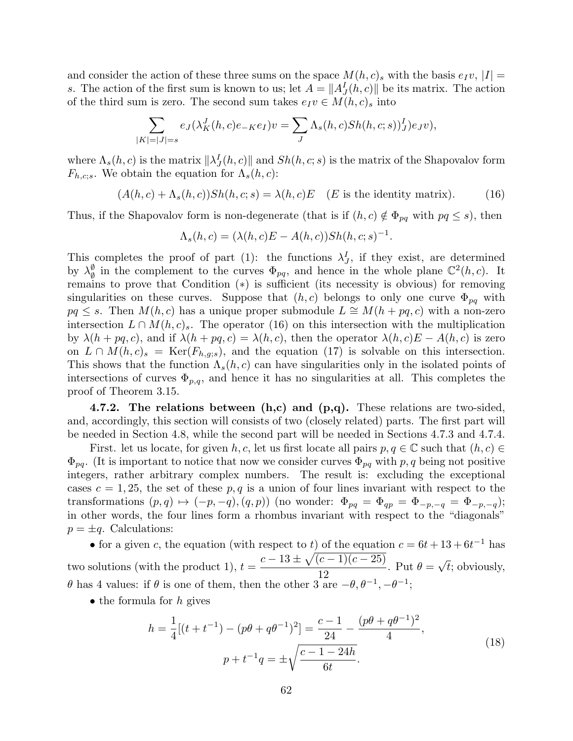and consider the action of these three sums on the space  $M(h, c)$ , with the basis  $e_I v$ ,  $|I|$  = s. The action of the first sum is known to us; let  $A = ||A_J<sup>I</sup>(h, c)||$  be its matrix. The action of the third sum is zero. The second sum takes  $e_I v \in M(h, c)_s$  into

$$
\sum_{|K|=|J|=s} e_J(\lambda_K^J(h,c)e_{-K}e_I)v = \sum_J \Lambda_s(h,c)Sh(h,c;s)J_J(e_Jv),
$$

where  $\Lambda_s(h, c)$  is the matrix  $\|\lambda_J^I(h, c)\|$  and  $Sh(h, c; s)$  is the matrix of the Shapovalov form  $F_{h,c;s}$ . We obtain the equation for  $\Lambda_s(h,c)$ :

$$
(A(h, c) + \Lambda_s(h, c)) Sh(h, c; s) = \lambda(h, c)E \quad (E \text{ is the identity matrix}). \tag{16}
$$

Thus, if the Shapovalov form is non-degenerate (that is if  $(h, c) \notin \Phi_{pq}$  with  $pq \leq s$ ), then

$$
\Lambda_s(h,c) = (\lambda(h,c)E - A(h,c))Sh(h,c;s)^{-1}.
$$

This completes the proof of part (1): the functions  $\lambda_J^I$ , if they exist, are determined by  $\lambda_{\emptyset}^{\emptyset}$  $\frac{\emptyset}{\emptyset}$  in the complement to the curves  $\Phi_{pq}$ , and hence in the whole plane  $\mathbb{C}^2(h,c)$ . It remains to prove that Condition (∗) is sufficient (its necessity is obvious) for removing singularities on these curves. Suppose that  $(h, c)$  belongs to only one curve  $\Phi_{pq}$  with  $pq \leq s$ . Then  $M(h, c)$  has a unique proper submodule  $L \cong M(h + pq, c)$  with a non-zero intersection  $L \cap M(h, c)$ . The operator (16) on this intersection with the multiplication by  $\lambda(h + pq, c)$ , and if  $\lambda(h + pq, c) = \lambda(h, c)$ , then the operator  $\lambda(h, c)E - A(h, c)$  is zero on  $L \cap M(h, c)_s = \text{Ker}(F_{h, q;s})$ , and the equation (17) is solvable on this intersection. This shows that the function  $\Lambda_s(h, c)$  can have singularities only in the isolated points of intersections of curves  $\Phi_{p,q}$ , and hence it has no singularities at all. This completes the proof of Theorem 3.15.

4.7.2. The relations between  $(h, c)$  and  $(p, q)$ . These relations are two-sided, and, accordingly, this section will consists of two (closely related) parts. The first part will be needed in Section 4.8, while the second part will be needed in Sections 4.7.3 and 4.7.4.

First. let us locate, for given h, c, let us first locate all pairs  $p, q \in \mathbb{C}$  such that  $(h, c) \in$  $\Phi_{pq}$ . (It is important to notice that now we consider curves  $\Phi_{pq}$  with p, q being not positive integers, rather arbitrary complex numbers. The result is: excluding the exceptional cases  $c = 1, 25$ , the set of these p, q is a union of four lines invariant with respect to the transformations  $(p, q) \mapsto (-p, -q), (q, p)$  (no wonder:  $\Phi_{pq} = \Phi_{qp} = \Phi_{-p,-q} = \Phi_{-p,-q}$ ); in other words, the four lines form a rhombus invariant with respect to the "diagonals"  $p = \pm q$ . Calculations:

• for a given c, the equation (with respect to t) of the equation  $c = 6t + 13 + 6t^{-1}$  has two solutions (with the product 1),  $t =$  $c - 13 \pm \sqrt{(c - 1)(c - 25)}$ 12 . Put  $\theta =$ √  $t$ ; obviously,  $\theta$  has 4 values: if  $\theta$  is one of them, then the other 3 are  $-\theta, \theta^{-1}, -\theta^{-1}$ ;

• the formula for  $h$  gives

$$
h = \frac{1}{4}[(t + t^{-1}) - (p\theta + q\theta^{-1})^2] = \frac{c - 1}{24} - \frac{(p\theta + q\theta^{-1})^2}{4},
$$
  

$$
p + t^{-1}q = \pm \sqrt{\frac{c - 1 - 24h}{6t}}.
$$
 (18)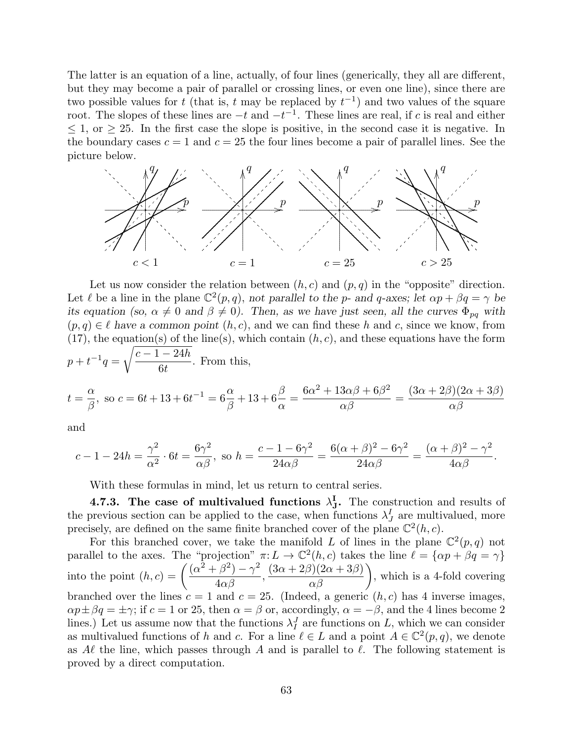The latter is an equation of a line, actually, of four lines (generically, they all are different, but they may become a pair of parallel or crossing lines, or even one line), since there are two possible values for t (that is, t may be replaced by  $t^{-1}$ ) and two values of the square root. The slopes of these lines are  $-t$  and  $-t^{-1}$ . These lines are real, if c is real and either  $\leq$  1, or  $\geq$  25. In the first case the slope is positive, in the second case it is negative. In the boundary cases  $c = 1$  and  $c = 25$  the four lines become a pair of parallel lines. See the picture below.



Let us now consider the relation between  $(h, c)$  and  $(p, q)$  in the "opposite" direction. Let  $\ell$  be a line in the plane  $\mathbb{C}^2(p,q)$ , not parallel to the p- and q-axes; let  $\alpha p + \beta q = \gamma$  be its equation (so,  $\alpha \neq 0$  and  $\beta \neq 0$ ). Then, as we have just seen, all the curves  $\Phi_{pq}$  with  $(p, q) \in \ell$  have a common point  $(h, c)$ , and we can find these h and c, since we know, from  $(17)$ , the equation(s) of the line(s), which contain  $(h, c)$ , and these equations have the form  $p + t^{-1}q =$  $\sqrt{c-1-24h}$  $6<sub>t</sub>$ . From this,

$$
t = \frac{\alpha}{\beta}
$$
, so  $c = 6t + 13 + 6t^{-1} = 6\frac{\alpha}{\beta} + 13 + 6\frac{\beta}{\alpha} = \frac{6\alpha^2 + 13\alpha\beta + 6\beta^2}{\alpha\beta} = \frac{(3\alpha + 2\beta)(2\alpha + 3\beta)}{\alpha\beta}$ 

and

$$
c - 1 - 24h = \frac{\gamma^2}{\alpha^2} \cdot 6t = \frac{6\gamma^2}{\alpha\beta}, \text{ so } h = \frac{c - 1 - 6\gamma^2}{24\alpha\beta} = \frac{6(\alpha + \beta)^2 - 6\gamma^2}{24\alpha\beta} = \frac{(\alpha + \beta)^2 - \gamma^2}{4\alpha\beta}.
$$

With these formulas in mind, let us return to central series.

4.7.3. The case of multivalued functions  $\lambda_{J}^{I}$ . The construction and results of the previous section can be applied to the case, when functions  $\lambda_J^I$  are multivalued, more precisely, are defined on the same finite branched cover of the plane  $\mathbb{C}^2(h,c)$ .

For this branched cover, we take the manifold L of lines in the plane  $\mathbb{C}^2(p,q)$  not parallel to the axes. The "projection"  $\pi: L \to \mathbb{C}^2(h, c)$  takes the line  $\ell = {\alpha p + \beta q = \gamma}$ into the point  $(h, c) = \left(\frac{(\alpha^2 + \beta^2) - \gamma^2}{4\alpha^2}\right)$  $\frac{\beta}{4\alpha\beta}$ ,  $\left(\frac{(3\alpha+2\beta)(2\alpha+3\beta)}{\alpha\beta}\right)$ , which is a 4-fold covering branched over the lines  $c = 1$  and  $c = 25$ . (Indeed, a generic  $(h, c)$  has 4 inverse images,  $\alpha p \pm \beta q = \pm \gamma$ ; if  $c = 1$  or 25, then  $\alpha = \beta$  or, accordingly,  $\alpha = -\beta$ , and the 4 lines become 2 lines.) Let us assume now that the functions  $\lambda_I^J$  are functions on L, which we can consider as multivalued functions of h and c. For a line  $\ell \in L$  and a point  $A \in \mathbb{C}^2(p,q)$ , we denote as A $\ell$  the line, which passes through A and is parallel to  $\ell$ . The following statement is proved by a direct computation.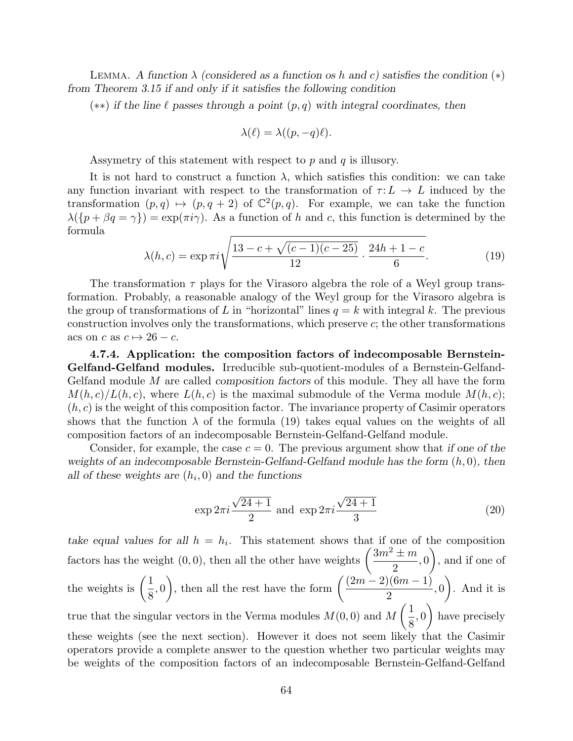LEMMA. A function  $\lambda$  (considered as a function os h and c) satisfies the condition  $(*)$ from Theorem 3.15 if and only if it satisfies the following condition

(\*\*) if the line  $\ell$  passes through a point  $(p, q)$  with integral coordinates, then

$$
\lambda(\ell) = \lambda((p, -q)\ell).
$$

Assymetry of this statement with respect to  $p$  and  $q$  is illusory.

It is not hard to construct a function  $\lambda$ , which satisfies this condition: we can take any function invariant with respect to the transformation of  $\tau: L \to L$  induced by the transformation  $(p, q) \mapsto (p, q + 2)$  of  $\mathbb{C}^2(p, q)$ . For example, we can take the function  $\lambda({p + \beta q = \gamma}) = \exp(\pi i \gamma)$ . As a function of h and c, this function is determined by the formula

$$
\lambda(h,c) = \exp \pi i \sqrt{\frac{13 - c + \sqrt{(c-1)(c-25)}}{12} \cdot \frac{24h + 1 - c}{6}}.
$$
 (19)

The transformation  $\tau$  plays for the Virasoro algebra the role of a Weyl group transformation. Probably, a reasonable analogy of the Weyl group for the Virasoro algebra is the group of transformations of L in "horizontal" lines  $q = k$  with integral k. The previous construction involves only the transformations, which preserve c; the other transformations acs on c as  $c \mapsto 26 - c$ .

4.7.4. Application: the composition factors of indecomposable Bernstein-Gelfand-Gelfand modules. Irreducible sub-quotient-modules of a Bernstein-Gelfand-Gelfand module M are called *composition factors* of this module. They all have the form  $M(h, c)/L(h, c)$ , where  $L(h, c)$  is the maximal submodule of the Verma module  $M(h, c)$ ;  $(h, c)$  is the weight of this composition factor. The invariance property of Casimir operators shows that the function  $\lambda$  of the formula (19) takes equal values on the weights of all composition factors of an indecomposable Bernstein-Gelfand-Gelfand module.

Consider, for example, the case  $c = 0$ . The previous argument show that if one of the weights of an indecomposable Bernstein-Gelfand-Gelfand module has the form  $(h, 0)$ , then all of these weights are  $(h_i, 0)$  and the functions

$$
\exp 2\pi i \frac{\sqrt{24+1}}{2}
$$
 and  $\exp 2\pi i \frac{\sqrt{24+1}}{3}$  (20)

take equal values for all  $h = h_i$ . This statement shows that if one of the composition factors has the weight (0,0), then all the other have weights  $\left(\frac{3m^2 \pm m}{2}\right)$ 2 , 0  $\setminus$ , and if one of the weights is  $\left(\frac{1}{2}\right)$ 8 , 0 ), then all the rest have the form  $\left(\frac{(2m-2)(6m-1)}{2}\right)$ 2 , 0  $\setminus$ . And it is true that the singular vectors in the Verma modules  $M(0,0)$  and M  $\sqrt{1}$ 8 , 0  $\setminus$ have precisely these weights (see the next section). However it does not seem likely that the Casimir operators provide a complete answer to the question whether two particular weights may be weights of the composition factors of an indecomposable Bernstein-Gelfand-Gelfand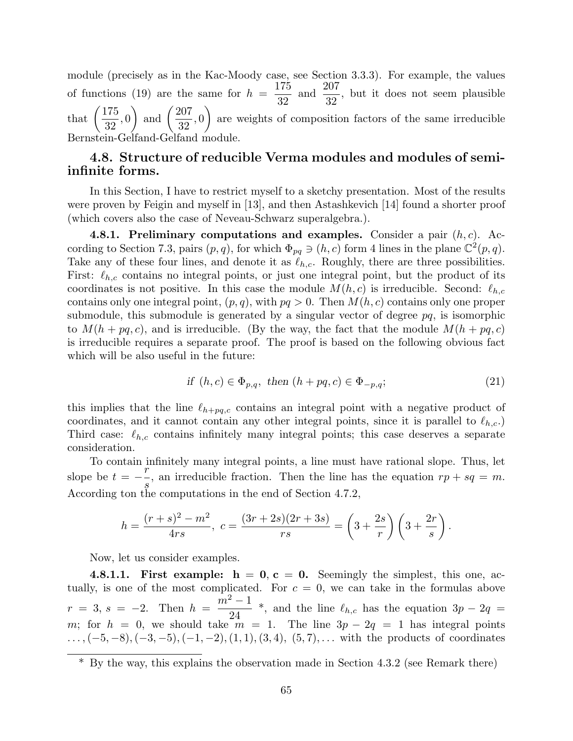module (precisely as in the Kac-Moody case, see Section 3.3.3). For example, the values of functions (19) are the same for  $h =$ 175 32 and  $\frac{207}{90}$ 32 , but it does not seem plausible that  $\left(\frac{175}{20}\right)$ 32 , 0 ) and  $\left(\frac{207}{20}\right)$ 32 , 0  $\setminus$ are weights of composition factors of the same irreducible Bernstein-Gelfand-Gelfand module.

## 4.8. Structure of reducible Verma modules and modules of semiinfinite forms.

In this Section, I have to restrict myself to a sketchy presentation. Most of the results were proven by Feigin and myself in [13], and then Astashkevich [14] found a shorter proof (which covers also the case of Neveau-Schwarz superalgebra.).

4.8.1. Preliminary computations and examples. Consider a pair  $(h, c)$ . According to Section 7.3, pairs  $(p, q)$ , for which  $\Phi_{pq} \ni (h, c)$  form 4 lines in the plane  $\mathbb{C}^2(p, q)$ . Take any of these four lines, and denote it as  $\ell_{h,c}$ . Roughly, there are three possibilities. First:  $\ell_{h,c}$  contains no integral points, or just one integral point, but the product of its coordinates is not positive. In this case the module  $M(h, c)$  is irreducible. Second:  $\ell_{h,c}$ contains only one integral point,  $(p, q)$ , with  $pq > 0$ . Then  $M(h, c)$  contains only one proper submodule, this submodule is generated by a singular vector of degree  $pq$ , is isomorphic to  $M(h + pq, c)$ , and is irreducible. (By the way, the fact that the module  $M(h + pq, c)$ is irreducible requires a separate proof. The proof is based on the following obvious fact which will be also useful in the future:

$$
\text{if } (h,c) \in \Phi_{p,q}, \text{ then } (h+pq,c) \in \Phi_{-p,q}; \tag{21}
$$

this implies that the line  $\ell_{h+pq,c}$  contains an integral point with a negative product of coordinates, and it cannot contain any other integral points, since it is parallel to  $\ell_{h,c}$ .) Third case:  $\ell_{h,c}$  contains infinitely many integral points; this case deserves a separate consideration.

To contain infinitely many integral points, a line must have rational slope. Thus, let slope be  $t = -\frac{r}{x}$ s , an irreducible fraction. Then the line has the equation  $rp + sq = m$ . According ton the computations in the end of Section 4.7.2,

$$
h = \frac{(r+s)^2 - m^2}{4rs}, \ c = \frac{(3r+2s)(2r+3s)}{rs} = \left(3 + \frac{2s}{r}\right)\left(3 + \frac{2r}{s}\right).
$$

Now, let us consider examples.

4.8.1.1. First example:  $h = 0$ ,  $c = 0$ . Seemingly the simplest, this one, actually, is one of the most complicated. For  $c = 0$ , we can take in the formulas above  $r = 3, s = -2.$  Then  $h =$  $m^2-1$  $\frac{1}{24}$  \*, and the line  $\ell_{h,c}$  has the equation  $3p - 2q =$ m; for  $h = 0$ , we should take  $\overline{m} = 1$ . The line  $3p - 2q = 1$  has integral points  $\ldots, (-5, -8), (-3, -5), (-1, -2), (1, 1), (3, 4), (5, 7), \ldots$  with the products of coordinates

<sup>\*</sup> By the way, this explains the observation made in Section 4.3.2 (see Remark there)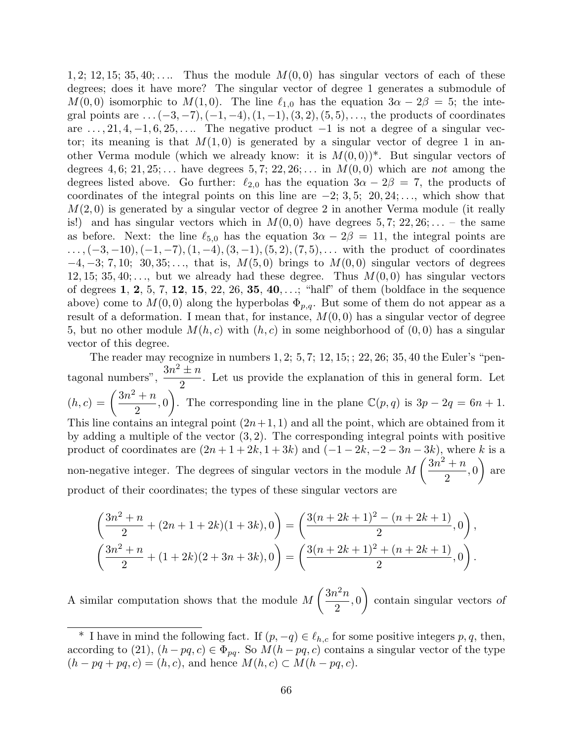1, 2; 12, 15; 35, 40; .... Thus the module  $M(0,0)$  has singular vectors of each of these degrees; does it have more? The singular vector of degree 1 generates a submodule of  $M(0, 0)$  isomorphic to  $M(1, 0)$ . The line  $\ell_{1,0}$  has the equation  $3\alpha - 2\beta = 5$ ; the integral points are  $\dots(-3,-7),(-1,-4),(1,-1),(3,2),(5,5),\dots$ , the products of coordinates are  $\dots$ , 21, 4,  $-1$ , 6, 25,  $\dots$ . The negative product  $-1$  is not a degree of a singular vector; its meaning is that  $M(1,0)$  is generated by a singular vector of degree 1 in another Verma module (which we already know: it is  $M(0,0)$ <sup>\*</sup>. But singular vectors of degrees 4, 6; 21, 25;... have degrees 5, 7; 22, 26;... in  $M(0,0)$  which are not among the degrees listed above. Go further:  $\ell_{2,0}$  has the equation  $3\alpha - 2\beta = 7$ , the products of coordinates of the integral points on this line are  $-2$ ; 3, 5; 20, 24; ..., which show that  $M(2,0)$  is generated by a singular vector of degree 2 in another Verma module (it really is!) and has singular vectors which in  $M(0,0)$  have degrees  $5,7; 22,26; \ldots$  – the same as before. Next: the line  $\ell_{5,0}$  has the equation  $3\alpha - 2\beta = 11$ , the integral points are  $\ldots, (-3,-10), (-1,-7), (1,-4), (3,-1), (5,2), (7,5), \ldots$  with the product of coordinates  $-4, -3; 7, 10; 30, 35; \ldots$ , that is,  $M(5, 0)$  brings to  $M(0, 0)$  singular vectors of degrees 12, 15; 35, 40;..., but we already had these degree. Thus  $M(0,0)$  has singular vectors of degrees 1, 2, 5, 7, 12, 15, 22, 26, 35, 40, ...; "half" of them (boldface in the sequence above) come to  $M(0,0)$  along the hyperbolas  $\Phi_{p,q}$ . But some of them do not appear as a result of a deformation. I mean that, for instance,  $M(0,0)$  has a singular vector of degree 5, but no other module  $M(h, c)$  with  $(h, c)$  in some neighborhood of  $(0, 0)$  has a singular vector of this degree.

The reader may recognize in numbers  $1, 2$ ;  $5, 7$ ;  $12, 15$ ;  $22, 26$ ;  $35, 40$  the Euler's "pentagonal numbers",  $\frac{3n^2 \pm n}{2}$ 2 . Let us provide the explanation of this in general form. Let  $(h, c) = \left(\frac{3n^2 + n}{2}\right)$ 2 , 0 ). The corresponding line in the plane  $\mathbb{C}(p,q)$  is  $3p - 2q = 6n + 1$ . This line contains an integral point  $(2n+1, 1)$  and all the point, which are obtained from it by adding a multiple of the vector  $(3, 2)$ . The corresponding integral points with positive product of coordinates are  $(2n + 1 + 2k, 1 + 3k)$  and  $\overline{(-1 - 2k, -2 - 3n - 3k)}$ , where k is a non-negative integer. The degrees of singular vectors in the module M  $\sqrt{3n^2 + n}$ 2 , 0  $\setminus$ are product of their coordinates; the types of these singular vectors are

$$
\left(\frac{3n^2+n}{2} + (2n+1+2k)(1+3k), 0\right) = \left(\frac{3(n+2k+1)^2 - (n+2k+1)}{2}, 0\right),\newline
$$

$$
\left(\frac{3n^2+n}{2} + (1+2k)(2+3n+3k), 0\right) = \left(\frac{3(n+2k+1)^2 + (n+2k+1)}{2}, 0\right).
$$

A similar computation shows that the module M  $\sqrt{3n^2n}$ 2 , 0  $\setminus$ contain singular vectors of

<sup>&</sup>lt;sup>\*</sup> I have in mind the following fact. If  $(p, -q) \in \ell_{h,c}$  for some positive integers p, q, then, according to (21),  $(h - pq, c) \in \Phi_{pq}$ . So  $M(h - pq, c)$  contains a singular vector of the type  $(h - pq + pq, c) = (h, c)$ , and hence  $M(h, c) \subset M(h - pq, c)$ .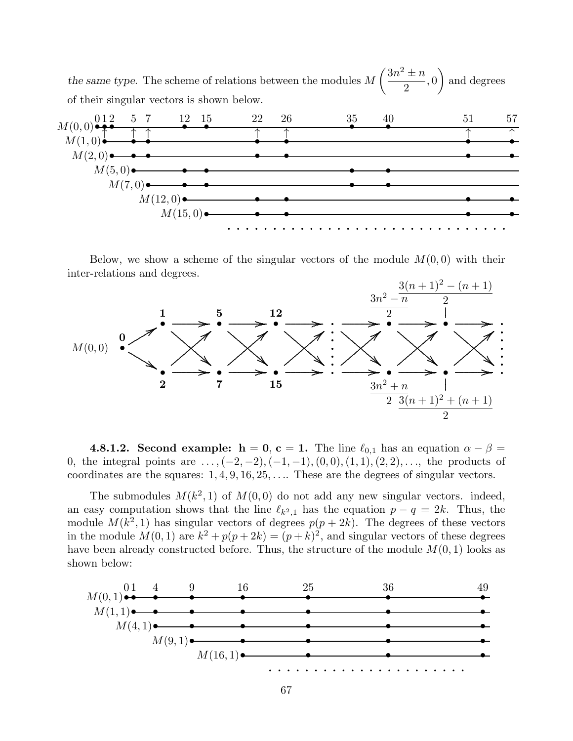the same type. The scheme of relations between the modules M  $\sqrt{3n^2} \pm n$ 2 , 0  $\setminus$ and degrees of their singular vectors is shown below.



Below, we show a scheme of the singular vectors of the module  $M(0,0)$  with their inter-relations and degrees.



**4.8.1.2. Second example:**  $h = 0$ ,  $c = 1$ . The line  $\ell_{0,1}$  has an equation  $\alpha - \beta =$ 0, the integral points are  $\dots,(-2,-2),(-1,-1),(0,0),(1,1),(2,2),\dots$ , the products of coordinates are the squares:  $1, 4, 9, 16, 25, \ldots$  These are the degrees of singular vectors.

The submodules  $M(k^2, 1)$  of  $M(0, 0)$  do not add any new singular vectors. indeed, an easy computation shows that the line  $\ell_{k^2,1}$  has the equation  $p - q = 2k$ . Thus, the module  $M(k^2, 1)$  has singular vectors of degrees  $p(p + 2k)$ . The degrees of these vectors in the module  $M(0, 1)$  are  $k^2 + p(p + 2k) = (p + k)^2$ , and singular vectors of these degrees have been already constructed before. Thus, the structure of the module  $M(0, 1)$  looks as shown below:

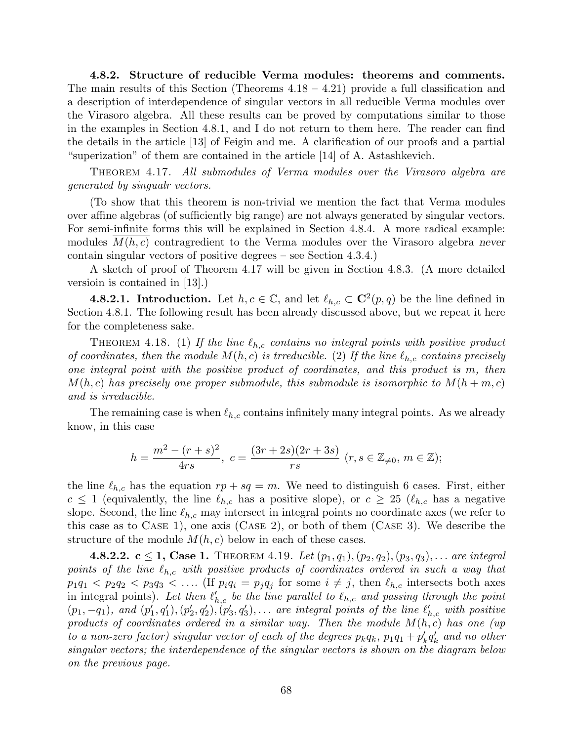4.8.2. Structure of reducible Verma modules: theorems and comments. The main results of this Section (Theorems  $4.18 - 4.21$ ) provide a full classification and a description of interdependence of singular vectors in all reducible Verma modules over the Virasoro algebra. All these results can be proved by computations similar to those in the examples in Section 4.8.1, and I do not return to them here. The reader can find the details in the article [13] of Feigin and me. A clarification of our proofs and a partial "superization" of them are contained in the article [14] of A. Astashkevich.

Theorem 4.17. All submodules of Verma modules over the Virasoro algebra are generated by singualr vectors.

(To show that this theorem is non-trivial we mention the fact that Verma modules over affine algebras (of sufficiently big range) are not always generated by singular vectors. For semi-infinite forms this will be explained in Section 4.8.4. A more radical example: modules  $M(h, c)$  contragredient to the Verma modules over the Virasoro algebra never contain singular vectors of positive degrees – see Section 4.3.4.)

A sketch of proof of Theorem 4.17 will be given in Section 4.8.3. (A more detailed versioin is contained in [13].)

**4.8.2.1.** Introduction. Let  $h, c \in \mathbb{C}$ , and let  $\ell_{h,c} \subset \mathbb{C}^2(p,q)$  be the line defined in Section 4.8.1. The following result has been already discussed above, but we repeat it here for the completeness sake.

THEOREM 4.18. (1) If the line  $\ell_{h,c}$  contains no integral points with positive product of coordinates, then the module  $M(h, c)$  is trreducible. (2) If the line  $\ell_{h,c}$  contains precisely one integral point with the positive product of coordinates, and this product is m, then  $M(h, c)$  has precisely one proper submodule, this submodule is isomorphic to  $M(h + m, c)$ and is irreducible.

The remaining case is when  $\ell_{h,c}$  contains infinitely many integral points. As we already know, in this case

$$
h = \frac{m^2 - (r+s)^2}{4rs}, \ c = \frac{(3r+2s)(2r+3s)}{rs} \ (r, s \in \mathbb{Z}_{\neq 0}, \ m \in \mathbb{Z});
$$

the line  $\ell_{h,c}$  has the equation  $rp + sq = m$ . We need to distinguish 6 cases. First, either  $c \le 1$  (equivalently, the line  $\ell_{h,c}$  has a positive slope), or  $c \ge 25$  ( $\ell_{h,c}$  has a negative slope. Second, the line  $\ell_{h,c}$  may intersect in integral points no coordinate axes (we refer to this case as to Case 1), one axis (Case 2), or both of them (Case 3). We describe the structure of the module  $M(h, c)$  below in each of these cases.

4.8.2.2.  $c \le 1$ , Case 1. THEOREM 4.19. Let  $(p_1, q_1), (p_2, q_2), (p_3, q_3), \ldots$  are integral points of the line  $\ell_{h,c}$  with positive products of coordinates ordered in such a way that  $p_1q_1 < p_2q_2 < p_3q_3 < \ldots$  (If  $p_iq_i = p_jq_j$  for some  $i \neq j$ , then  $\ell_{h,c}$  intersects both axes in integral points). Let then  $\ell'_{h,c}$  be the line parallel to  $\ell_{h,c}$  and passing through the point  $(p_1, -q_1)$ , and  $(p'_1, q'_1), (p'_2, q'_2), (p'_3, q'_3), \ldots$  are integral points of the line  $\ell'_{h,c}$  with positive products of coordinates ordered in a similar way. Then the module  $M(h, c)$  has one (up to a non-zero factor) singular vector of each of the degrees  $p_k q_k$ ,  $p_1 q_1 + p'_k q'_k$  and no other singular vectors; the interdependence of the singular vectors is shown on the diagram below on the previous page.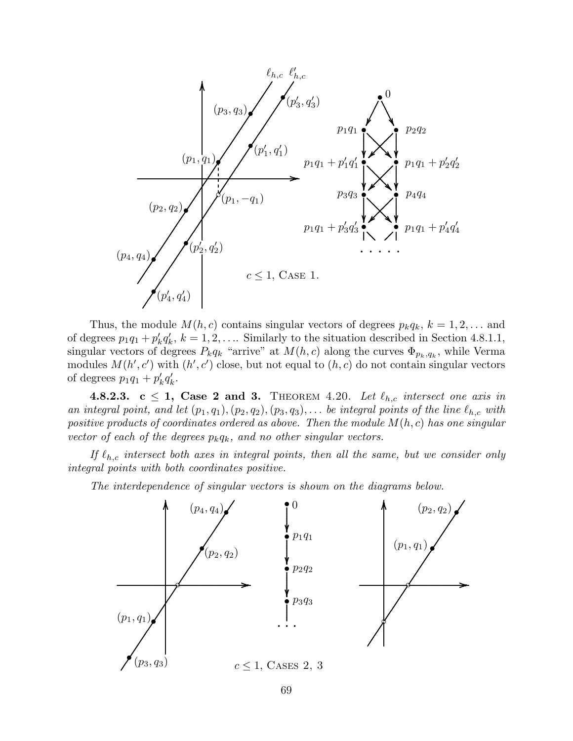

Thus, the module  $M(h, c)$  contains singular vectors of degrees  $p_kq_k$ ,  $k = 1, 2, \ldots$  and of degrees  $p_1q_1 + p'_kq'_k$ ,  $k = 1, 2, \ldots$  Similarly to the situation described in Section 4.8.1.1, singular vectors of degrees  $P_k q_k$  "arrive" at  $M(h, c)$  along the curves  $\Phi_{p_k,q_k}$ , while Verma modules  $M(h', c')$  with  $(h', c')$  close, but not equal to  $(h, c)$  do not contain singular vectors of degrees  $p_1q_1 + p'_kq'_k$ .

4.8.2.3. c  $\leq$  1, Case 2 and 3. THEOREM 4.20. Let  $\ell_{h,c}$  intersect one axis in an integral point, and let  $(p_1, q_1), (p_2, q_2), (p_3, q_3), \ldots$  be integral points of the line  $\ell_{h,c}$  with positive products of coordinates ordered as above. Then the module  $M(h, c)$  has one singular vector of each of the degrees  $p_kq_k$ , and no other singular vectors.

If  $\ell_{h,c}$  intersect both axes in integral points, then all the same, but we consider only integral points with both coordinates positive.

The interdependence of singular vectors is shown on the diagrams below.

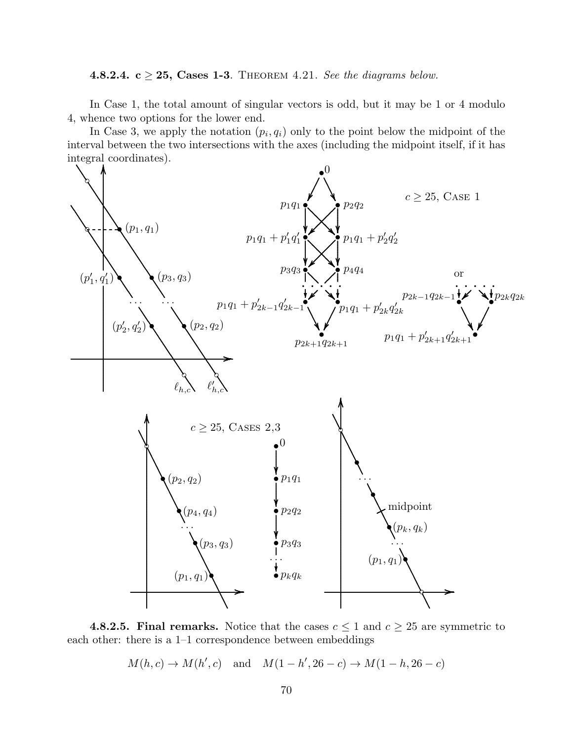4.8.2.4.  $c \geq 25$ , Cases 1-3. THEOREM 4.21. See the diagrams below.

In Case 1, the total amount of singular vectors is odd, but it may be 1 or 4 modulo 4, whence two options for the lower end.

In Case 3, we apply the notation  $(p_i, q_i)$  only to the point below the midpoint of the interval between the two intersections with the axes (including the midpoint itself, if it has integral coordinates). . .



**4.8.2.5. Final remarks.** Notice that the cases  $c \leq 1$  and  $c \geq 25$  are symmetric to each other: there is a 1–1 correspondence between embeddings

 $M(h, c) \to M(h', c)$  and  $M(1-h', 26-c) \to M(1-h, 26-c)$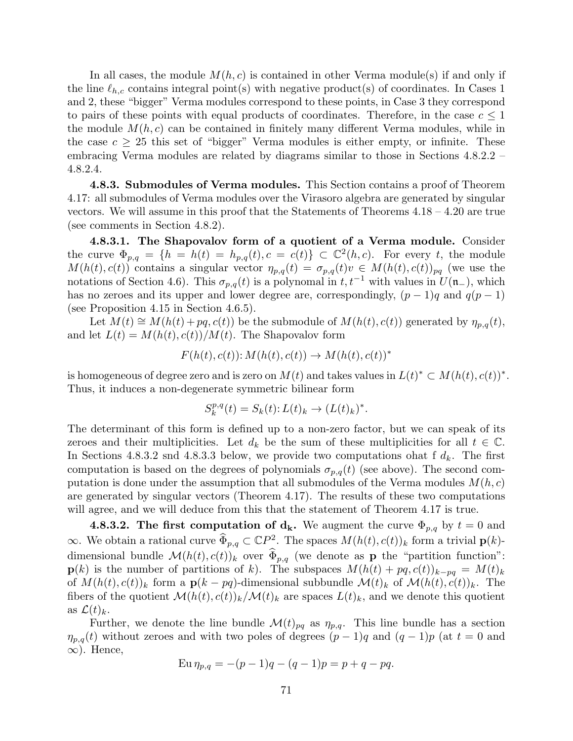In all cases, the module  $M(h, c)$  is contained in other Verma module(s) if and only if the line  $\ell_{h,c}$  contains integral point(s) with negative product(s) of coordinates. In Cases 1 and 2, these "bigger" Verma modules correspond to these points, in Case 3 they correspond to pairs of these points with equal products of coordinates. Therefore, in the case  $c \leq 1$ the module  $M(h, c)$  can be contained in finitely many different Verma modules, while in the case  $c \geq 25$  this set of "bigger" Verma modules is either empty, or infinite. These embracing Verma modules are related by diagrams similar to those in Sections 4.8.2.2 – 4.8.2.4.

4.8.3. Submodules of Verma modules. This Section contains a proof of Theorem 4.17: all submodules of Verma modules over the Virasoro algebra are generated by singular vectors. We will assume in this proof that the Statements of Theorems 4.18 – 4.20 are true (see comments in Section 4.8.2).

4.8.3.1. The Shapovalov form of a quotient of a Verma module. Consider the curve  $\Phi_{p,q} = \{h = h(t) = h_{p,q}(t), c = c(t)\} \subset \mathbb{C}^2(h,c)$ . For every t, the module  $M(h(t), c(t))$  contains a singular vector  $\eta_{p,q}(t) = \sigma_{p,q}(t)v \in M(h(t), c(t))_{pq}$  (we use the notations of Section 4.6). This  $\sigma_{p,q}(t)$  is a polynomal in  $t, t^{-1}$  with values in  $U(\mathfrak{n}_-)$ , which has no zeroes and its upper and lower degree are, correspondingly,  $(p-1)q$  and  $q(p-1)$ (see Proposition 4.15 in Section 4.6.5).

Let  $M(t) \cong M(h(t) + pq, c(t))$  be the submodule of  $M(h(t), c(t))$  generated by  $\eta_{p,q}(t)$ , and let  $L(t) = M(h(t), c(t))/M(t)$ . The Shapovalov form

$$
F(h(t), c(t)) : M(h(t), c(t)) \rightarrow M(h(t), c(t))^*
$$

is homogeneous of degree zero and is zero on  $M(t)$  and takes values in  $L(t)^* \subset M(h(t), c(t))^*$ . Thus, it induces a non-degenerate symmetric bilinear form

$$
S_k^{p,q}(t) = S_k(t) : L(t)_k \to (L(t)_k)^*.
$$

The determinant of this form is defined up to a non-zero factor, but we can speak of its zeroes and their multiplicities. Let  $d_k$  be the sum of these multiplicities for all  $t \in \mathbb{C}$ . In Sections 4.8.3.2 snd 4.8.3.3 below, we provide two computations ohat f  $d_k$ . The first computation is based on the degrees of polynomials  $\sigma_{p,q}(t)$  (see above). The second computation is done under the assumption that all submodules of the Verma modules  $M(h, c)$ are generated by singular vectors (Theorem 4.17). The results of these two computations will agree, and we will deduce from this that the statement of Theorem 4.17 is true.

**4.8.3.2.** The first computation of  $d_k$ . We augment the curve  $\Phi_{p,q}$  by  $t=0$  and  $\infty$ . We obtain a rational curve  $\widehat{\Phi}_{p,q} \subset \mathbb{C}P^2$ . The spaces  $M(h(t), c(t))_k$  form a trivial  $\mathbf{p}(k)$ dimensional bundle  $\mathcal{M}(h(t), c(t))_k$  over  $\widehat{\Phi}_{p,q}$  (we denote as **p** the "partition function":  $\mathbf{p}(k)$  is the number of partitions of k). The subspaces  $M(h(t) + pq, c(t))_{k-pq} = M(t)_k$ of  $M(h(t), c(t))_k$  form a  $p(k - pq)$ -dimensional subbundle  $\mathcal{M}(t)_k$  of  $\mathcal{M}(h(t), c(t))_k$ . The fibers of the quotient  $\mathcal{M}(h(t), c(t))_k / \mathcal{M}(t)_k$  are spaces  $L(t)_k$ , and we denote this quotient as  $\mathcal{L}(t)_k$ .

Further, we denote the line bundle  $\mathcal{M}(t)_{pq}$  as  $\eta_{p,q}$ . This line bundle has a section  $\eta_{p,q}(t)$  without zeroes and with two poles of degrees  $(p-1)q$  and  $(q-1)p$  (at  $t=0$  and  $\infty$ ). Hence,

$$
\operatorname{Eu}\eta_{p,q} = -(p-1)q - (q-1)p = p + q - pq.
$$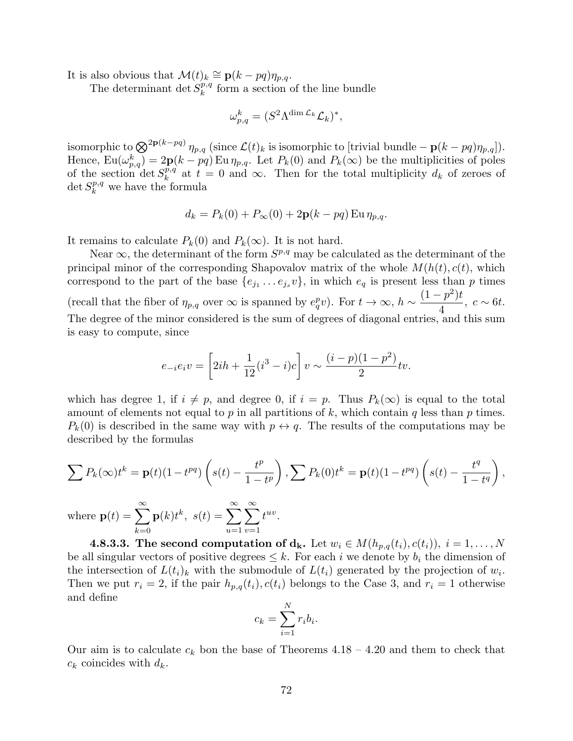It is also obvious that  $\mathcal{M}(t)_k \cong \mathbf{p}(k - pq)\eta_{p,q}$ .

The determinant det  $S_k^{p,q}$  $k^{p,q}$  form a section of the line bundle

$$
\omega_{p,q}^k = (S^2 \Lambda^{\dim \mathcal{L}_k} \mathcal{L}_k)^*,
$$

isomorphic to  $\bigotimes^{\mathbf{2p}(k-pq)} \eta_{p,q}$  (since  $\mathcal{L}(t)_k$  is isomorphic to [trivial bundle  $-\mathbf{p}(k-pq)\eta_{p,q}$ ]). Hence,  $Eu(\omega_{p,q}^k) = 2p(k - pq) Eu \eta_{p,q}$ . Let  $P_k(0)$  and  $P_k(\infty)$  be the multiplicities of poles of the section det  $S_k^{p,q}$  $k^{p,q}$  at  $t = 0$  and  $\infty$ . Then for the total multiplicity  $d_k$  of zeroes of  $\det S^{p,q}_k$  $k^{p,q}$  we have the formula

$$
d_k = P_k(0) + P_{\infty}(0) + 2\mathbf{p}(k - pq) \operatorname{Eu} \eta_{p,q}.
$$

It remains to calculate  $P_k(0)$  and  $P_k(\infty)$ . It is not hard.

Near  $\infty$ , the determinant of the form  $S^{p,q}$  may be calculated as the determinant of the principal minor of the corresponding Shapovalov matrix of the whole  $M(h(t), c(t))$ , which correspond to the part of the base  $\{e_{j_1} \ldots e_{j_s} v\}$ , in which  $e_q$  is present less than p times (recall that the fiber of  $\eta_{p,q}$  over  $\infty$  is spanned by  $e_q^p v$ ). For  $t \to \infty$ ,  $h \sim$  $(1-p^2)t$ 4  $, c \sim 6t.$ The degree of the minor considered is the sum of degrees of diagonal entries, and this sum is easy to compute, since

$$
e_{-i}e_iv = \left[2ih + \frac{1}{12}(i^3 - i)c\right]v \sim \frac{(i - p)(1 - p^2)}{2}tv.
$$

which has degree 1, if  $i \neq p$ , and degree 0, if  $i = p$ . Thus  $P_k(\infty)$  is equal to the total amount of elements not equal to p in all partitions of k, which contain q less than p times.  $P_k(0)$  is described in the same way with  $p \leftrightarrow q$ . The results of the computations may be described by the formulas

$$
\sum P_k(\infty) t^k = \mathbf{p}(t)(1 - t^{pq}) \left( s(t) - \frac{t^p}{1 - t^p} \right), \sum P_k(0) t^k = \mathbf{p}(t)(1 - t^{pq}) \left( s(t) - \frac{t^q}{1 - t^q} \right),
$$
  
where  $\mathbf{p}(t) = \sum_{k=0}^{\infty} \mathbf{p}(k) t^k$ ,  $s(t) = \sum_{u=1}^{\infty} \sum_{v=1}^{\infty} t^{uv}$ .

**4.8.3.3.** The second computation of  $d_k$ . Let  $w_i \in M(h_{p,q}(t_i), c(t_i)), i = 1, ..., N$ be all singular vectors of positive degrees  $\leq k$ . For each i we denote by  $b_i$  the dimension of the intersection of  $L(t_i)_k$  with the submodule of  $L(t_i)$  generated by the projection of  $w_i$ . Then we put  $r_i = 2$ , if the pair  $h_{p,q}(t_i)$ ,  $c(t_i)$  belongs to the Case 3, and  $r_i = 1$  otherwise and define  $\mathbf{v}$ 

$$
c_k = \sum_{i=1}^N r_i b_i.
$$

Our aim is to calculate  $c_k$  bon the base of Theorems 4.18 – 4.20 and them to check that  $c_k$  coincides with  $d_k$ .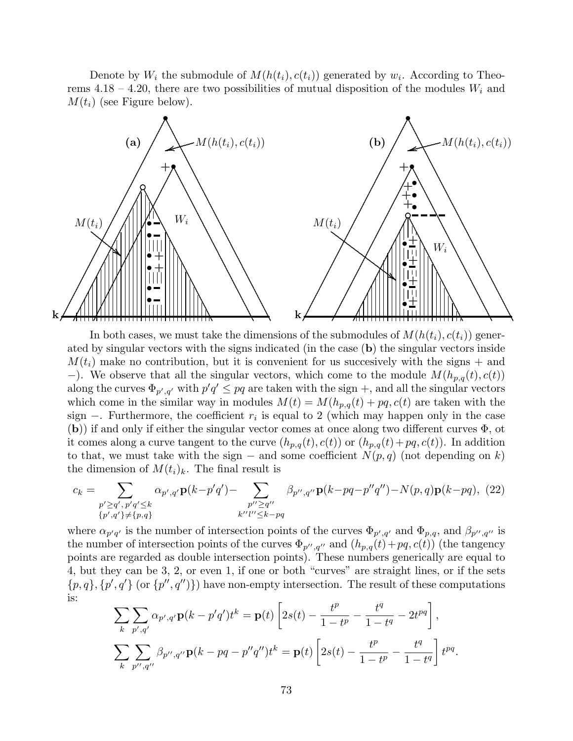Denote by  $W_i$  the submodule of  $M(h(t_i), c(t_i))$  generated by  $w_i$ . According to Theorems 4.18 – 4.20, there are two possibilities of mutual disposition of the modules  $W_i$  and  $M(t_i)$  (see Figure below).



In both cases, we must take the dimensions of the submodules of  $M(h(t_i), c(t_i))$  generated by singular vectors with the signs indicated (in the case (b) the singular vectors inside  $M(t_i)$  make no contribution, but it is convenient for us succesively with the signs  $+$  and −). We observe that all the singular vectors, which come to the module  $M(h_{p,q}(t), c(t))$ along the curves  $\Phi_{p',q'}$  with  $p'q' \leq pq$  are taken with the sign +, and all the singular vectors which come in the similar way in modules  $M(t) = M(h_{p,q}(t) + pq, c(t))$  are taken with the sign  $-$ . Furthermore, the coefficient  $r_i$  is equal to 2 (which may happen only in the case (b)) if and only if either the singular vector comes at once along two different curves Φ, ot it comes along a curve tangent to the curve  $(h_{p,q}(t), c(t))$  or  $(h_{p,q}(t)+pq, c(t))$ . In addition to that, we must take with the sign – and some coefficient  $N(p, q)$  (not depending on k) the dimension of  $M(t_i)_k$ . The final result is

$$
c_k = \sum_{\substack{p' \ge q', \, p'q' \le k \\ \{p', q'\} \ne \{p, q\}}} \alpha_{p', q'} \mathbf{p}(k - p'q') - \sum_{\substack{p'' \ge q'' \\ k''l'' \le k - pq}} \beta_{p'', q''} \mathbf{p}(k - pq - p''q'') - N(p, q)\mathbf{p}(k - pq), \tag{22}
$$

where  $\alpha_{p'q'}$  is the number of intersection points of the curves  $\Phi_{p',q'}$  and  $\Phi_{p,q}$ , and  $\beta_{p'',q''}$  is the number of intersection points of the curves  $\Phi_{p'',q''}$  and  $(h_{p,q}(t)+pq, c(t))$  (the tangency points are regarded as double intersection points). These numbers generically are equal to 4, but they can be 3, 2, or even 1, if one or both "curves" are straight lines, or if the sets  $\{p,q\}, \{p',q'\}$  (or  $\{p'',q''\}\$ ) have non-empty intersection. The result of these computations is:

$$
\sum_{k} \sum_{p',q'} \alpha_{p',q'} \mathbf{p}(k - p'q')t^{k} = \mathbf{p}(t) \left[ 2s(t) - \frac{t^{p}}{1 - t^{p}} - \frac{t^{q}}{1 - t^{q}} - 2t^{pq} \right],
$$
  

$$
\sum_{k} \sum_{p'',q''} \beta_{p'',q''} \mathbf{p}(k - pq - p''q'')t^{k} = \mathbf{p}(t) \left[ 2s(t) - \frac{t^{p}}{1 - t^{p}} - \frac{t^{q}}{1 - t^{q}} \right] t^{pq}.
$$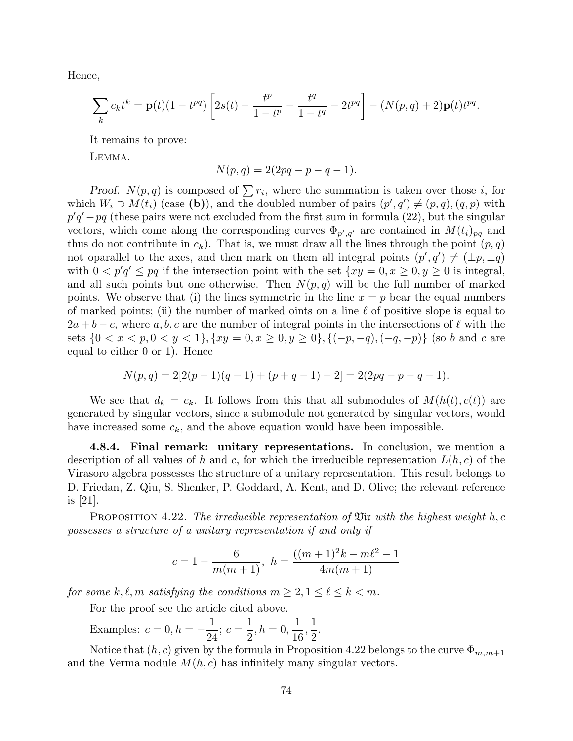Hence,

$$
\sum_{k} c_{k} t^{k} = \mathbf{p}(t)(1-t^{pq}) \left[ 2s(t) - \frac{t^{p}}{1-t^{p}} - \frac{t^{q}}{1-t^{q}} - 2t^{pq} \right] - (N(p,q) + 2)\mathbf{p}(t)t^{pq}.
$$

It remains to prove:

Lemma.

$$
N(p, q) = 2(2pq - p - q - 1).
$$

Proof.  $N(p,q)$  is composed of  $\sum r_i$ , where the summation is taken over those i, for which  $W_i \supset M(t_i)$  (case (b)), and the doubled number of pairs  $(p', q') \neq (p, q)$ ,  $(q, p)$  with  $p'q'-pq$  (these pairs were not excluded from the first sum in formula (22), but the singular vectors, which come along the corresponding curves  $\Phi_{p',q'}$  are contained in  $M(t_i)_{pq}$  and thus do not contribute in  $c_k$ ). That is, we must draw all the lines through the point  $(p, q)$ not oparallel to the axes, and then mark on them all integral points  $(p', q') \neq (\pm p, \pm q)$ with  $0 < p'q' \le pq$  if the intersection point with the set  $\{xy = 0, x \ge 0, y \ge 0\}$  is integral, and all such points but one otherwise. Then  $N(p,q)$  will be the full number of marked points. We observe that (i) the lines symmetric in the line  $x = p$  bear the equal numbers of marked points; (ii) the number of marked oints on a line  $\ell$  of positive slope is equal to  $2a + b - c$ , where a, b, c are the number of integral points in the intersections of  $\ell$  with the sets  $\{0 < x < p, 0 < y < 1\}, \{xy = 0, x \ge 0, y \ge 0\}, \{(-p, -q), (-q, -p)\}\)$  (so b and c are equal to either 0 or 1). Hence

$$
N(p,q) = 2[2(p-1)(q-1) + (p+q-1) - 2] = 2(2pq - p - q - 1).
$$

We see that  $d_k = c_k$ . It follows from this that all submodules of  $M(h(t), c(t))$  are generated by singular vectors, since a submodule not generated by singular vectors, would have increased some  $c_k$ , and the above equation would have been impossible.

4.8.4. Final remark: unitary representations. In conclusion, we mention a description of all values of h and c, for which the irreducible representation  $L(h, c)$  of the Virasoro algebra possesses the structure of a unitary representation. This result belongs to D. Friedan, Z. Qiu, S. Shenker, P. Goddard, A. Kent, and D. Olive; the relevant reference is [21].

PROPOSITION 4.22. The irreducible representation of  $\mathfrak{Vir}$  with the highest weight h, c possesses a structure of a unitary representation if and only if

$$
c = 1 - \frac{6}{m(m+1)}, \quad h = \frac{((m+1)^2k - m\ell^2 - 1)}{4m(m+1)}
$$

for some  $k, \ell, m$  satisfying the conditions  $m \geq 2, 1 \leq \ell \leq k < m$ .

For the proof see the article cited above.

Examples:  $c = 0, h = -\frac{1}{2}$ 24  $;c =$ 1 2  $, h = 0,$ 1 16 , 1 2 .

Notice that  $(h, c)$  given by the formula in Proposition 4.22 belongs to the curve  $\Phi_{m,m+1}$ and the Verma nodule  $M(h, c)$  has infinitely many singular vectors.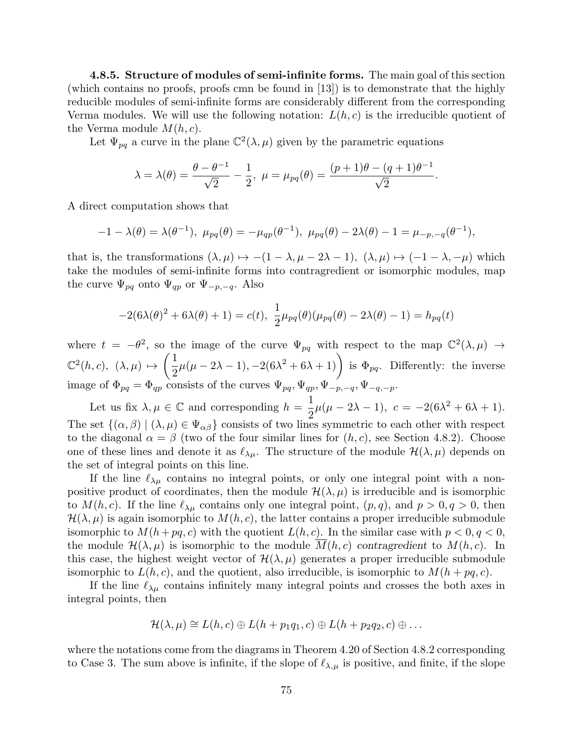4.8.5. Structure of modules of semi-infinite forms. The main goal of this section (which contains no proofs, proofs cmn be found in [13]) is to demonstrate that the highly reducible modules of semi-infinite forms are considerably different from the corresponding Verma modules. We will use the following notation:  $L(h, c)$  is the irreducible quotient of the Verma module  $M(h, c)$ .

Let  $\Psi_{pq}$  a curve in the plane  $\mathbb{C}^2(\lambda,\mu)$  given by the parametric equations

$$
\lambda = \lambda(\theta) = \frac{\theta - \theta^{-1}}{\sqrt{2}} - \frac{1}{2}, \ \mu = \mu_{pq}(\theta) = \frac{(p+1)\theta - (q+1)\theta^{-1}}{\sqrt{2}}.
$$

A direct computation shows that

$$
-1 - \lambda(\theta) = \lambda(\theta^{-1}), \ \mu_{pq}(\theta) = -\mu_{qp}(\theta^{-1}), \ \mu_{pq}(\theta) - 2\lambda(\theta) - 1 = \mu_{-p,-q}(\theta^{-1}),
$$

that is, the transformations  $(\lambda, \mu) \mapsto -(1 - \lambda, \mu - 2\lambda - 1), (\lambda, \mu) \mapsto (-1 - \lambda, -\mu)$  which take the modules of semi-infinite forms into contragredient or isomorphic modules, map the curve  $\Psi_{pq}$  onto  $\Psi_{qp}$  or  $\Psi_{-p,-q}$ . Also

$$
-2(6\lambda(\theta)^{2} + 6\lambda(\theta) + 1) = c(t), \ \frac{1}{2}\mu_{pq}(\theta)(\mu_{pq}(\theta) - 2\lambda(\theta) - 1) = h_{pq}(t)
$$

where  $t = -\theta^2$ , so the image of the curve  $\Psi_{pq}$  with respect to the map  $\mathbb{C}^2(\lambda,\mu) \to$  $\mathbb{C}^2(h,c), \; (\lambda,\mu) \mapsto$  $\sqrt{1}$ 2  $\mu(\mu-2\lambda-1), -2(6\lambda^2+6\lambda+1)$  is  $\Phi_{pq}$ . Differently: the inverse image of  $\Phi_{pq} = \Phi_{qp}$  consists of the curves  $\Psi_{pq}, \Psi_{qp}, \Psi_{-p,-q}, \Psi_{-q,-p}.$ 

Let us fix  $\lambda, \mu \in \mathbb{C}$  and corresponding  $h = \frac{1}{2}$ 2  $\mu(\mu - 2\lambda - 1), c = -2(6\lambda^2 + 6\lambda + 1).$ The set  $\{(\alpha,\beta) | (\lambda,\mu) \in \Psi_{\alpha\beta}\}\)$  consists of two lines symmetric to each other with respect to the diagonal  $\alpha = \beta$  (two of the four similar lines for  $(h, c)$ , see Section 4.8.2). Choose one of these lines and denote it as  $\ell_{\lambda\mu}$ . The structure of the module  $\mathcal{H}(\lambda, \mu)$  depends on the set of integral points on this line.

If the line  $\ell_{\lambda\mu}$  contains no integral points, or only one integral point with a nonpositive product of coordinates, then the module  $\mathcal{H}(\lambda,\mu)$  is irreducible and is isomorphic to  $M(h, c)$ . If the line  $\ell_{\lambda\mu}$  contains only one integral point,  $(p, q)$ , and  $p > 0, q > 0$ , then  $\mathcal{H}(\lambda,\mu)$  is again isomorphic to  $M(h,c)$ , the latter contains a proper irreducible submodule isomorphic to  $M(h+pq, c)$  with the quotient  $L(h, c)$ . In the similar case with  $p < 0, q < 0$ , the module  $\mathcal{H}(\lambda,\mu)$  is isomorphic to the module  $M(h,c)$  contragredient to  $M(h,c)$ . In this case, the highest weight vector of  $\mathcal{H}(\lambda,\mu)$  generates a proper irreducible submodule isomorphic to  $L(h, c)$ , and the quotient, also irreducible, is isomorphic to  $M(h + pq, c)$ .

If the line  $\ell_{\lambda\mu}$  contains infinitely many integral points and crosses the both axes in integral points, then

$$
\mathcal{H}(\lambda,\mu) \cong L(h,c) \oplus L(h+p_1q_1,c) \oplus L(h+p_2q_2,c) \oplus \dots
$$

where the notations come from the diagrams in Theorem 4.20 of Section 4.8.2 corresponding to Case 3. The sum above is infinite, if the slope of  $\ell_{\lambda,\mu}$  is positive, and finite, if the slope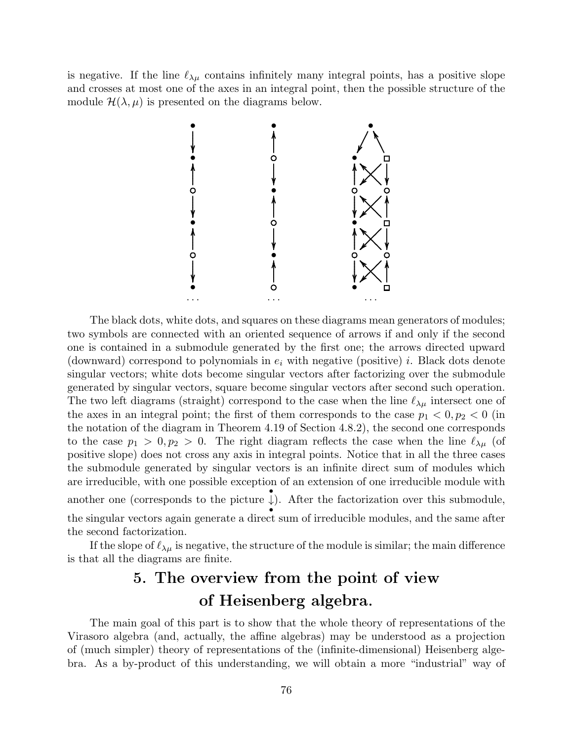is negative. If the line  $\ell_{\lambda\mu}$  contains infinitely many integral points, has a positive slope and crosses at most one of the axes in an integral point, then the possible structure of the module  $\mathcal{H}(\lambda,\mu)$  is presented on the diagrams below.



The black dots, white dots, and squares on these diagrams mean generators of modules; two symbols are connected with an oriented sequence of arrows if and only if the second one is contained in a submodule generated by the first one; the arrows directed upward (downward) correspond to polynomials in  $e_i$  with negative (positive) i. Black dots denote singular vectors; white dots become singular vectors after factorizing over the submodule generated by singular vectors, square become singular vectors after second such operation. The two left diagrams (straight) correspond to the case when the line  $\ell_{\lambda\mu}$  intersect one of the axes in an integral point; the first of them corresponds to the case  $p_1 < 0, p_2 < 0$  (in the notation of the diagram in Theorem 4.19 of Section 4.8.2), the second one corresponds to the case  $p_1 > 0, p_2 > 0$ . The right diagram reflects the case when the line  $\ell_{\lambda\mu}$  (of positive slope) does not cross any axis in integral points. Notice that in all the three cases the submodule generated by singular vectors is an infinite direct sum of modules which are irreducible, with one possible exception of an extension of one irreducible module with another one (corresponds to the picture  $\downarrow$ ). After the factorization over this submodule, • the singular vectors again generate a direct sum of irreducible modules, and the same after the second factorization.

If the slope of  $\ell_{\lambda\mu}$  is negative, the structure of the module is similar; the main difference is that all the diagrams are finite.

# 5. The overview from the point of view of Heisenberg algebra.

The main goal of this part is to show that the whole theory of representations of the Virasoro algebra (and, actually, the affine algebras) may be understood as a projection of (much simpler) theory of representations of the (infinite-dimensional) Heisenberg algebra. As a by-product of this understanding, we will obtain a more "industrial" way of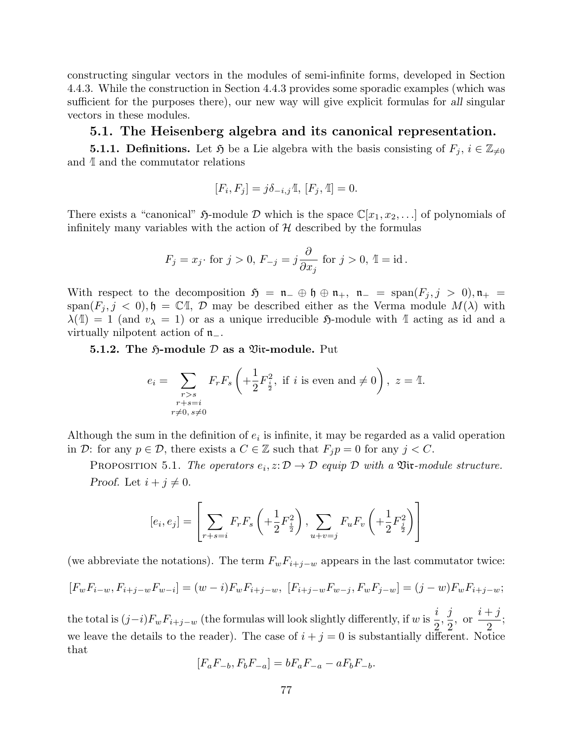constructing singular vectors in the modules of semi-infinite forms, developed in Section 4.4.3. While the construction in Section 4.4.3 provides some sporadic examples (which was sufficient for the purposes there), our new way will give explicit formulas for all singular vectors in these modules.

### 5.1. The Heisenberg algebra and its canonical representation.

**5.1.1. Definitions.** Let  $\mathfrak{H}$  be a Lie algebra with the basis consisting of  $F_j$ ,  $i \in \mathbb{Z}_{\neq 0}$ and  $\mathbb I$  and the commutator relations

$$
[F_i, F_j] = j\delta_{-i,j}\mathbb{I}, [F_j, \mathbb{I}] = 0.
$$

There exists a "canonical"  $\mathfrak{H}\text{-module } \mathcal{D}$  which is the space  $\mathbb{C}[x_1, x_2, \ldots]$  of polynomials of infinitely many variables with the action of  $H$  described by the formulas

$$
F_j = x_j \text{ for } j > 0, F_{-j} = j \frac{\partial}{\partial x_j} \text{ for } j > 0, \mathbb{1} = \text{id} \, .
$$

With respect to the decomposition  $\mathfrak{H} = \mathfrak{n}_- \oplus \mathfrak{h} \oplus \mathfrak{n}_+$ ,  $\mathfrak{n}_- = \text{span}(F_i, j > 0), \mathfrak{n}_+ =$  $\text{span}(F_j, j < 0), \mathfrak{h} = \mathbb{C}\mathbb{I}, \mathcal{D}$  may be described either as the Verma module  $M(\lambda)$  with  $\lambda(\mathbb{I}) = 1$  (and  $v_{\lambda} = 1$ ) or as a unique irreducible 5-module with  $\mathbb{I}$  acting as id and a virtually nilpotent action of n−.

5.1.2. The  $\mathfrak{H}\text{-module } \mathcal{D}$  as a  $\mathfrak{Vir}\text{-module. Put}$ 

$$
e_i = \sum_{\substack{r>s \ r+s=i}} F_r F_s \left( + \frac{1}{2} F_{\frac{i}{2}}^2, \text{ if } i \text{ is even and } \neq 0 \right), \ z = \mathbb{I}.
$$

Although the sum in the definition of  $e_i$  is infinite, it may be regarded as a valid operation in D: for any  $p \in \mathcal{D}$ , there exists a  $C \in \mathbb{Z}$  such that  $F_j p = 0$  for any  $j < C$ .

PROPOSITION 5.1. The operators  $e_i, z: \mathcal{D} \to \mathcal{D}$  equip  $\mathcal D$  with a  $\mathfrak{Vir}\text{-}module$  structure. Proof. Let  $i + j \neq 0$ .

$$
[e_i, e_j] = \left[ \sum_{r+s=i} F_r F_s \left( + \frac{1}{2} F_{\frac{i}{2}}^2 \right), \sum_{u+v=j} F_u F_v \left( + \frac{1}{2} F_{\frac{j}{2}}^2 \right) \right]
$$

(we abbreviate the notations). The term  $F_wF_{i+j-w}$  appears in the last commutator twice:

$$
[F_w F_{i-w}, F_{i+j-w} F_{w-i}] = (w-i) F_w F_{i+j-w}, [F_{i+j-w} F_{w-j}, F_w F_{j-w}] = (j-w) F_w F_{i+j-w};
$$

the total is  $(j-i)F_wF_{i+j-w}$  (the formulas will look slightly differently, if w is  $\frac{i}{2}$ 2 , j 2 , or  $i + j$ 2 ; we leave the details to the reader). The case of  $i + j = 0$  is substantially different. Notice that

$$
[F_a F_{-b}, F_b F_{-a}] = b F_a F_{-a} - a F_b F_{-b}.
$$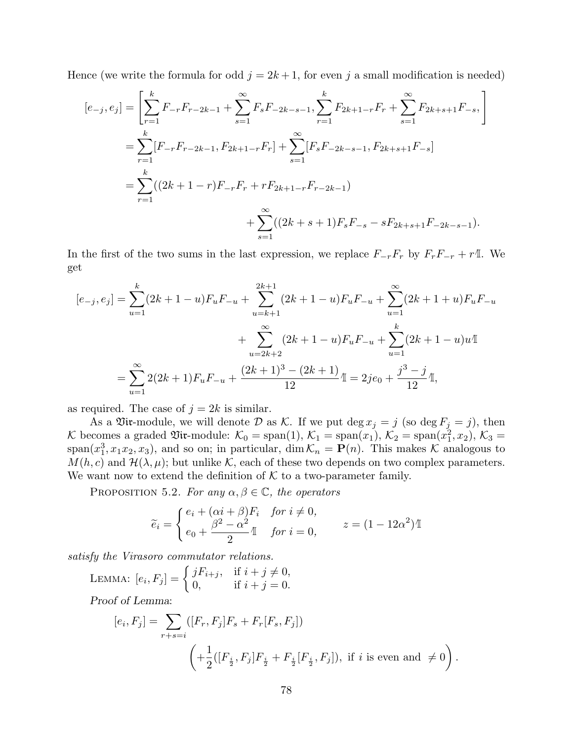Hence (we write the formula for odd  $j = 2k + 1$ , for even j a small modification is needed)

$$
[e_{-j}, e_j] = \left[\sum_{r=1}^k F_{-r} F_{r-2k-1} + \sum_{s=1}^\infty F_s F_{-2k-s-1}, \sum_{r=1}^k F_{2k+1-r} F_r + \sum_{s=1}^\infty F_{2k+s+1} F_{-s}, \right]
$$
  
= 
$$
\sum_{r=1}^k [F_{-r} F_{r-2k-1}, F_{2k+1-r} F_r] + \sum_{s=1}^\infty [F_s F_{-2k-s-1}, F_{2k+s+1} F_{-s}]
$$
  
= 
$$
\sum_{r=1}^k ((2k+1-r)F_{-r} F_r + r F_{2k+1-r} F_{r-2k-1})
$$
  
+ 
$$
\sum_{s=1}^\infty ((2k+s+1)F_s F_{-s} - sF_{2k+s+1} F_{-2k-s-1}).
$$

In the first of the two sums in the last expression, we replace  $F_{-r}F_r$  by  $F_rF_{-r} + r$ <sup> $\perp$ </sup>. We get

$$
[e_{-j}, e_j] = \sum_{u=1}^k (2k+1-u) F_u F_{-u} + \sum_{u=k+1}^{2k+1} (2k+1-u) F_u F_{-u} + \sum_{u=1}^\infty (2k+1+u) F_u F_{-u}
$$
  
+ 
$$
\sum_{u=2k+2}^\infty (2k+1-u) F_u F_{-u} + \sum_{u=1}^k (2k+1-u) u \mathbb{I}
$$
  
= 
$$
\sum_{u=1}^\infty 2(2k+1) F_u F_{-u} + \frac{(2k+1)^3 - (2k+1)}{12} \mathbb{I} = 2je_0 + \frac{j^3 - j}{12} \mathbb{I},
$$

as required. The case of  $j = 2k$  is similar.

As a Vix-module, we will denote D as K. If we put  $\deg x_j = j$  (so  $\deg F_j = j$ ), then K becomes a graded  $\mathfrak{Vir}$ -module:  $\mathcal{K}_0 = \text{span}(1)$ ,  $\mathcal{K}_1 = \text{span}(x_1)$ ,  $\mathcal{K}_2 = \text{span}(x_1^2, x_2)$ ,  $\mathcal{K}_3 =$ span( $x_1^3, x_1x_2, x_3$ ), and so on; in particular, dim  $\mathcal{K}_n = \mathbf{P}(n)$ . This makes  $\mathcal K$  analogous to  $M(h, c)$  and  $\mathcal{H}(\lambda, \mu)$ ; but unlike K, each of these two depends on two complex parameters. We want now to extend the definition of  $K$  to a two-parameter family.

PROPOSITION 5.2. For any  $\alpha, \beta \in \mathbb{C}$ , the operators

$$
\widetilde{e}_i = \begin{cases} e_i + (\alpha i + \beta) F_i & \text{for } i \neq 0, \\ e_0 + \frac{\beta^2 - \alpha^2}{2} \mathbb{I} & \text{for } i = 0, \end{cases} \qquad z = (1 - 12\alpha^2) \mathbb{I}
$$

satisfy the Virasoro commutator relations.

LEMMA: 
$$
[e_i, F_j] = \begin{cases} jF_{i+j}, & \text{if } i + j \neq 0, \\ 0, & \text{if } i + j = 0. \end{cases}
$$

Proof of Lemma:

$$
[e_i, F_j] = \sum_{r+s=i} ([F_r, F_j]F_s + F_r[F_s, F_j])
$$
  

$$
\left( + \frac{1}{2} ([F_{\frac{i}{2}}, F_j]F_{\frac{i}{2}} + F_{\frac{i}{2}}[F_{\frac{i}{2}}, F_j]), \text{ if } i \text{ is even and } \neq 0 \right).
$$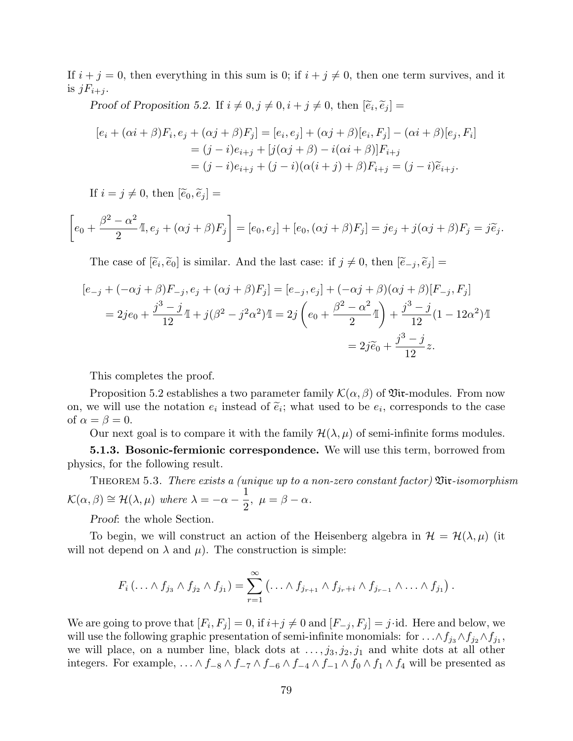If  $i + j = 0$ , then everything in this sum is 0; if  $i + j \neq 0$ , then one term survives, and it is  $jF_{i+j}$ .

Proof of Proposition 5.2. If  $i \neq 0, j \neq 0, i + j \neq 0$ , then  $[\tilde{e}_i, \tilde{e}_j] =$ 

$$
[e_i + (\alpha i + \beta)F_i, e_j + (\alpha j + \beta)F_j] = [e_i, e_j] + (\alpha j + \beta)[e_i, F_j] - (\alpha i + \beta)[e_j, F_i]
$$
  
=  $(j - i)e_{i+j} + [j(\alpha j + \beta) - i(\alpha i + \beta)]F_{i+j}$   
=  $(j - i)e_{i+j} + (j - i)(\alpha(i + j) + \beta)F_{i+j} = (j - i)\tilde{e}_{i+j}.$ 

If  $i = j \neq 0$ , then  $[\widetilde{e}_0, \widetilde{e}_j] =$ 

$$
\left[e_0 + \frac{\beta^2 - \alpha^2}{2}\mathbb{I}, e_j + (\alpha j + \beta)F_j\right] = [e_0, e_j] + [e_0, (\alpha j + \beta)F_j] = je_j + j(\alpha j + \beta)F_j = j\tilde{e}_j.
$$

The case of  $[\tilde{e}_i, \tilde{e}_0]$  is similar. And the last case: if  $j \neq 0$ , then  $[\tilde{e}_{-j}, \tilde{e}_j] =$ 

$$
[e_{-j} + (-\alpha j + \beta)F_{-j}, e_j + (\alpha j + \beta)F_j] = [e_{-j}, e_j] + (-\alpha j + \beta)(\alpha j + \beta)[F_{-j}, F_j]
$$
  
= 2je\_0 +  $\frac{j^3 - j}{12}$   $\mathbb{I}$  +  $j(\beta^2 - j^2\alpha^2)\mathbb{I}$  =  $2j(e_0 + \frac{\beta^2 - \alpha^2}{2}\mathbb{I}) + \frac{j^3 - j}{12}(1 - 12\alpha^2)\mathbb{I}$   
=  $2j\tilde{e}_0 + \frac{j^3 - j}{12}z$ .

This completes the proof.

Proposition 5.2 establishes a two parameter family  $\mathcal{K}(\alpha, \beta)$  of  $\mathfrak{Vir}\text{-modules.}$  From now on, we will use the notation  $e_i$  instead of  $\tilde{e}_i$ ; what used to be  $e_i$ , corresponds to the case of  $\alpha = \beta = 0$ .

Our next goal is to compare it with the family  $\mathcal{H}(\lambda,\mu)$  of semi-infinite forms modules.

5.1.3. Bosonic-fermionic correspondence. We will use this term, borrowed from physics, for the following result.

THEOREM 5.3. There exists a (unique up to a non-zero constant factor)  $\mathfrak{Vir}\text{-}isomorphism$  $\mathcal{K}(\alpha, \beta) \cong \mathcal{H}(\lambda, \mu)$  where  $\lambda = -\alpha - \frac{1}{2}$ 2 ,  $\mu = \beta - \alpha$ .

Proof: the whole Section.

To begin, we will construct an action of the Heisenberg algebra in  $\mathcal{H} = \mathcal{H}(\lambda, \mu)$  (it will not depend on  $\lambda$  and  $\mu$ ). The construction is simple:

$$
F_i(\ldots \wedge f_{j_3} \wedge f_{j_2} \wedge f_{j_1}) = \sum_{r=1}^{\infty} (\ldots \wedge f_{j_{r+1}} \wedge f_{j_r+i} \wedge f_{j_{r-1}} \wedge \ldots \wedge f_{j_1}).
$$

We are going to prove that  $[F_i, F_j] = 0$ , if  $i+j \neq 0$  and  $[F_{-j}, F_j] = j$  id. Here and below, we will use the following graphic presentation of semi-infinite monomials: for  $\ldots \wedge f_{j_3} \wedge f_{j_2} \wedge f_{j_1}$ , we will place, on a number line, black dots at  $..., j_3, j_2, j_1$  and white dots at all other integers. For example,  $\ldots \wedge f_{-8} \wedge f_{-7} \wedge f_{-6} \wedge f_{-4} \wedge f_{-1} \wedge f_0 \wedge f_1 \wedge f_4$  will be presented as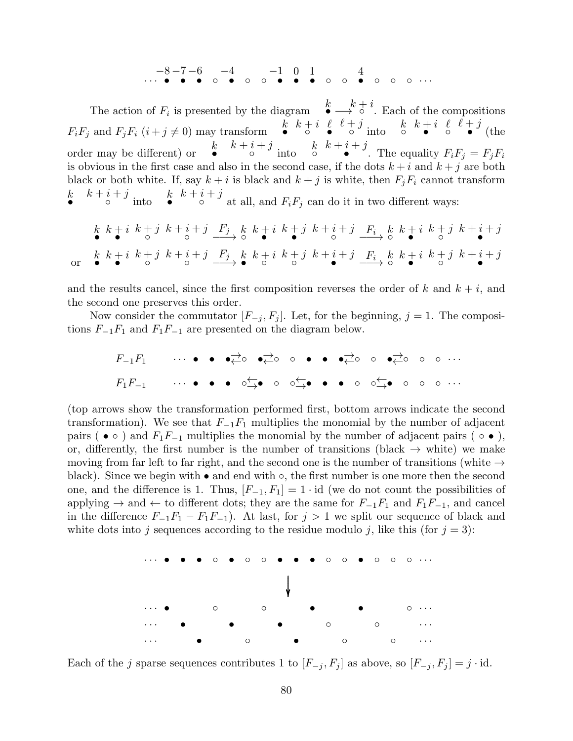. . . . . . • • • ◦ • ◦ ◦ • • • ◦ ◦ • ◦ ◦ ◦ −8 −7 −6 −4 −1 0 1 4

The action of  $F_i$  is presented by the diagram  $\stackrel{k}{\bullet} \longrightarrow \stackrel{k}{\circ} \stackrel{i}{\circ}$ . Each of the compositions  $F_i F_j$  and  $F_j F_i$   $(i + j \neq 0)$  may transform  $\bullet k + i \bullet \bullet$  $\ell + j$  into  $k + i$   $\ell$  $\ell + j$  $\bullet'$  (the order may be different) or  $\mathbf{k}$  $k + i + j$  into  $k$  $k + i + j$ • The equality  $F_iF_j = F_jF_i$ is obvious in the first case and also in the second case, if the dots  $k + i$  and  $k + j$  are both black or both white. If, say  $k + i$  is black and  $k + j$  is white, then  $F_jF_i$  cannot transform  $\boldsymbol{k}$  $k + i + j$  into  $k$  $k+i+j$  $\circ$  at all, and  $F_iF_j$  can do it in two different ways:

$$
\begin{array}{ccccccccc}\nk & k+i & k+j & k+i+j & \underline{F_j} & k & k+i & k+j & k+i+j & \underline{F_i} & k & k+i & k+j & k+i+j \\
\hline\n\text{or} & k & k+i & k+j & k+i+j & \underline{F_j} & k & k+i & k+j & k+i+j & \underline{F_i} & k & k+i & k+j & k+i+j \\
\end{array}
$$

and the results cancel, since the first composition reverses the order of k and  $k + i$ , and the second one preserves this order.

Now consider the commutator  $[F_{-i}, F_i]$ . Let, for the beginning,  $j = 1$ . The compositions  $F_{-1}F_1$  and  $F_1F_{-1}$  are presented on the diagram below.

$$
F_{-1}F_1 \qquad \cdots \qquad \bullet \qquad \bullet \xrightarrow{\rightarrow} \circ \qquad \bullet \xrightarrow{\rightarrow} \circ \qquad \bullet \qquad \bullet \qquad \bullet \xrightarrow{\rightarrow} \circ \qquad \circ \qquad \bullet \xrightarrow{\rightarrow} \circ \qquad \circ \qquad \circ \qquad \cdots
$$

$$
F_1F_{-1} \qquad \cdots \qquad \bullet \qquad \bullet \qquad \circ \xrightarrow{\leftarrow} \bullet \qquad \circ \qquad \circ \xrightarrow{\leftarrow} \bullet \qquad \bullet \qquad \bullet \qquad \circ \qquad \circ \xrightarrow{\leftarrow} \bullet \qquad \circ \qquad \circ \qquad \circ \qquad \cdots
$$

(top arrows show the transformation performed first, bottom arrows indicate the second transformation). We see that  $F_{-1}F_1$  multiplies the monomial by the number of adjacent pairs ( $\bullet \circ$ ) and  $F_1F_{-1}$  multiplies the monomial by the number of adjacent pairs ( $\circ \bullet$ ), or, differently, the first number is the number of transitions (black  $\rightarrow$  white) we make moving from far left to far right, and the second one is the number of transitions (white  $\rightarrow$ black). Since we begin with • and end with ◦, the first number is one more then the second one, and the difference is 1. Thus,  $[F_{-1}, F_1] = 1 \cdot id$  (we do not count the possibilities of applying  $\rightarrow$  and  $\leftarrow$  to different dots; they are the same for  $F_{-1}F_1$  and  $F_1F_{-1}$ , and cancel in the difference  $F_{-1}F_1 - F_1F_{-1}$ . At last, for  $j > 1$  we split our sequence of black and white dots into j sequences according to the residue modulo j, like this (for  $j = 3$ ):



Each of the j sparse sequences contributes 1 to  $[F_{-j}, F_j]$  as above, so  $[F_{-j}, F_j] = j \cdot id$ .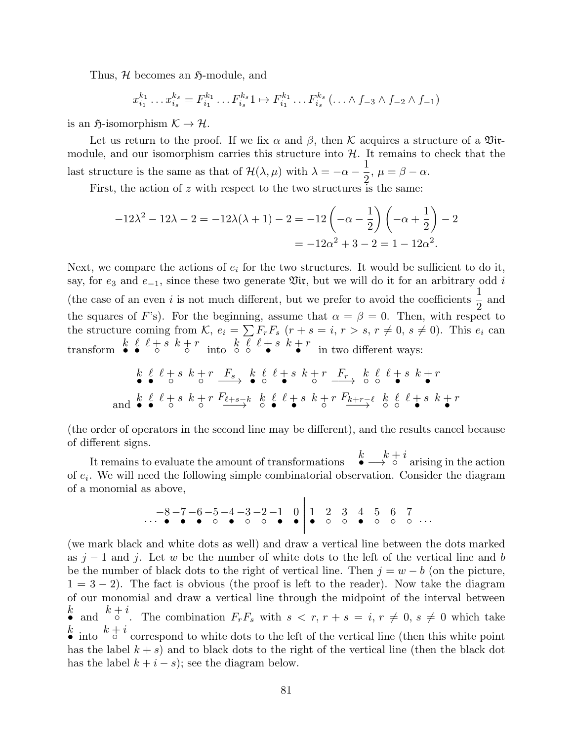Thus,  $H$  becomes an  $\mathfrak{H}\text{-module}$ , and

 $x_i^{k_1}$  $x_{i_1}^{k_1} \dots x_{i_s}^{k_s}$  $s_{i_s}^{k_s}=F_{i_1}^{k_1}$  $r_{i_1}^{k_1} \ldots F_{i_s}^{k_s} 1 \mapsto F_{i_1}^{k_1}$  $i_1^{k_1} \dots F_{i_s}^{k_s} (\dots \wedge f_{-3} \wedge f_{-2} \wedge f_{-1})$ 

is an  $\mathfrak{H}\text{-isomorphism } \mathcal{K} \to \mathcal{H}.$ 

Let us return to the proof. If we fix  $\alpha$  and  $\beta$ , then K acquires a structure of a  $\mathfrak{Vir}$ module, and our isomorphism carries this structure into  $H$ . It remains to check that the last structure is the same as that of  $\mathcal{H}(\lambda,\mu)$  with  $\lambda=-\alpha-\frac{1}{2}$ 2 ,  $\mu = \beta - \alpha$ .

First, the action of  $z$  with respect to the two structures is the same:

$$
-12\lambda^2 - 12\lambda - 2 = -12\lambda(\lambda + 1) - 2 = -12\left(-\alpha - \frac{1}{2}\right)\left(-\alpha + \frac{1}{2}\right) - 2
$$

$$
= -12\alpha^2 + 3 - 2 = 1 - 12\alpha^2.
$$

Next, we compare the actions of  $e_i$  for the two structures. It would be sufficient to do it, say, for  $e_3$  and  $e_{-1}$ , since these two generate  $\mathfrak{Vir}$ , but we will do it for an arbitrary odd i (the case of an even i is not much different, but we prefer to avoid the coefficients  $\frac{1}{2}$ 2 and the squares of F's). For the beginning, assume that  $\alpha = \beta = 0$ . Then, with respect to the structure coming from K,  $e_i = \sum F_r F_s$   $(r + s = i, r > s, r \neq 0, s \neq 0)$ . This  $e_i$  can transform  $\bullet \bullet \bullet \bullet \bullet \bullet^*$  into  $\circ \circ \bullet \bullet \bullet \bullet^*$  in two different ways:

$$
\begin{array}{ccccccccccccc}\nk & \ell & \ell+s & k+r & F_s & k & \ell & \ell+s & k+r & F_r & k & \ell & \ell+s & k+r \\
\end{array}
$$
 and 
$$
\begin{array}{ccccccccccccc}\nk & \ell & \ell+s & k+r & F_{\ell+s-k} & k & \ell & \ell+s & k+r & F_{k+r-\ell} & k & \ell & \ell+s & k+r \\
\end{array}
$$

(the order of operators in the second line may be different), and the results cancel because of different signs.

It remains to evaluate the amount of transformations <sup>k</sup>  $\stackrel{k}{\longrightarrow} \stackrel{k+i}{\circ}$  arising in the action of  $e_i$ . We will need the following simple combinatorial observation. Consider the diagram of a monomial as above, .

$$
\begin{array}{c|cccc}\n-8 & -7 & -6 & -5 & -4 & -3 & -2 & -1 & 0 & 1 & 2 & 3 & 4 & 5 & 6 & 7 \\
\hline\n\end{array}
$$

(we mark black and white dots as well) and draw a vertical line between the dots marked as  $j-1$  and j. Let w be the number of white dots to the left of the vertical line and b be the number of black dots to the right of vertical line. Then  $j = w - b$  (on the picture,  $1 = 3 - 2$ ). The fact is obvious (the proof is left to the reader). Now take the diagram of our monomial and draw a vertical line through the midpoint of the interval between • and  $k+i$ . The combination  $F_rF_s$  with  $s < r, r + s = i, r \neq 0, s \neq 0$  which take • into  $k + i$  correspond to white dots to the left of the vertical line (then this white point has the label  $k + s$ ) and to black dots to the right of the vertical line (then the black dot has the label  $k + i - s$ ; see the diagram below.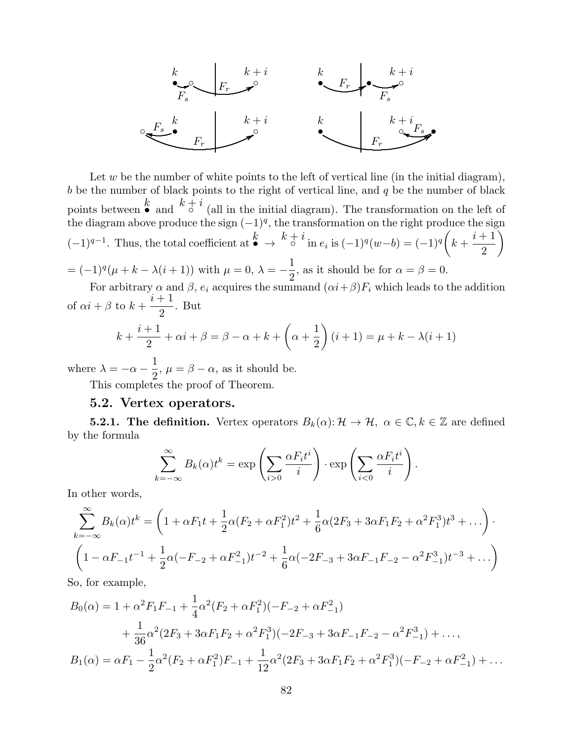

Let  $w$  be the number of white points to the left of vertical line (in the initial diagram),  $b$  be the number of black points to the right of vertical line, and  $q$  be the number of black points between  $\stackrel{k}{\bullet}$  and  $\stackrel{k}{\circ}^i$  (all in the initial diagram). The transformation on the left of the diagram above produce the sign  $(-1)^q$ , the transformation on the right produce the sign  $(-1)^{q-1}$ . Thus, the total coefficient at  $\stackrel{k}{\bullet} \rightarrow \stackrel{k+i}{\circ}$  in  $e_i$  is  $(-1)^q(w-b) = (-1)^q$  $k +$  $i+1$ 2  $\setminus$  $= (-1)^{q}(\mu + k - \lambda(i+1))$  with  $\mu = 0, \lambda = -\frac{1}{2}$ , as it should be for  $\alpha = \beta = 0$ .

2 For arbitrary  $\alpha$  and  $\beta$ ,  $e_i$  acquires the summand  $(\alpha i + \beta)F_i$  which leads to the addition of  $\alpha i + \beta$  to  $k +$  $i+1$ 2 . But

$$
k + \frac{i+1}{2} + \alpha i + \beta = \beta - \alpha + k + \left(\alpha + \frac{1}{2}\right)(i+1) = \mu + k - \lambda(i+1)
$$

where  $\lambda = -\alpha - \frac{1}{2}$ 2 ,  $\mu = \beta - \alpha$ , as it should be.

This completes the proof of Theorem.

### 5.2. Vertex operators.

**5.2.1. The definition.** Vertex operators  $B_k(\alpha): \mathcal{H} \to \mathcal{H}$ ,  $\alpha \in \mathbb{C}$ ,  $k \in \mathbb{Z}$  are defined by the formula

$$
\sum_{k=-\infty}^{\infty} B_k(\alpha) t^k = \exp\left(\sum_{i>0} \frac{\alpha F_i t^i}{i}\right) \cdot \exp\left(\sum_{i<0} \frac{\alpha F_i t^i}{i}\right).
$$

In other words,

$$
\sum_{k=-\infty}^{\infty} B_k(\alpha) t^k = \left(1 + \alpha F_1 t + \frac{1}{2} \alpha (F_2 + \alpha F_1^2) t^2 + \frac{1}{6} \alpha (2F_3 + 3\alpha F_1 F_2 + \alpha^2 F_1^3) t^3 + \ldots\right) \cdot \left(1 - \alpha F_{-1} t^{-1} + \frac{1}{2} \alpha (-F_{-2} + \alpha F_{-1}^2) t^{-2} + \frac{1}{6} \alpha (-2F_{-3} + 3\alpha F_{-1} F_{-2} - \alpha^2 F_{-1}^3) t^{-3} + \ldots\right)
$$

So, for example,

$$
B_0(\alpha) = 1 + \alpha^2 F_1 F_{-1} + \frac{1}{4} \alpha^2 (F_2 + \alpha F_1^2)(-F_{-2} + \alpha F_{-1}^2)
$$
  
+ 
$$
\frac{1}{36} \alpha^2 (2F_3 + 3\alpha F_1 F_2 + \alpha^2 F_1^3)(-2F_{-3} + 3\alpha F_{-1} F_{-2} - \alpha^2 F_{-1}^3) + ...,
$$
  

$$
B_1(\alpha) = \alpha F_1 - \frac{1}{2} \alpha^2 (F_2 + \alpha F_1^2) F_{-1} + \frac{1}{12} \alpha^2 (2F_3 + 3\alpha F_1 F_2 + \alpha^2 F_1^3)(-F_{-2} + \alpha F_{-1}^2) + ...
$$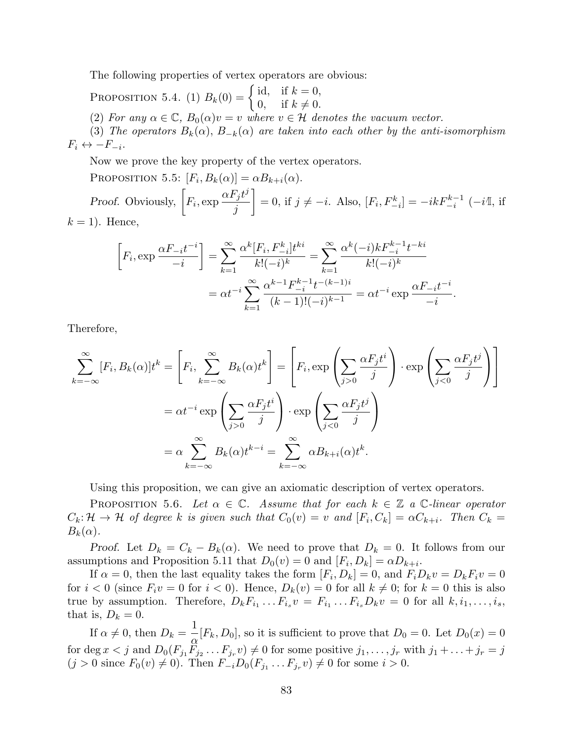The following properties of vertex operators are obvious:

PROPOSITION 5.4. (1)  $B_k(0) = \begin{cases} \text{id}, & \text{if } k = 0, \\ 0 & \text{if } k \neq 0. \end{cases}$ 0, if  $k \neq 0$ . (2) For any  $\alpha \in \mathbb{C}$ ,  $B_0(\alpha)v = v$  where  $v \in \mathcal{H}$  denotes the vacuum vector. (3) The operators  $B_k(\alpha)$ ,  $B_{-k}(\alpha)$  are taken into each other by the anti-isomorphism  $F_i \leftrightarrow -F_{-i}.$ 

Now we prove the key property of the vertex operators.

PROPOSITION 5.5:  $[F_i, B_k(\alpha)] = \alpha B_{k+i}(\alpha)$ .

*Proof.* Obviously,  $\left[F_i, \exp \frac{\alpha F_j t^j}{r}\right]$ j 1  $= 0$ , if  $j \neq -i$ . Also,  $[F_i, F_{-i}^k] = -ikF_{-i}^{k-1}(-i\mathbb{I}, \text{ if }$  $k = 1$ . Hence,

$$
\[F_i, \exp \frac{\alpha F_{-i}t^{-i}}{-i}\] = \sum_{k=1}^{\infty} \frac{\alpha^k [F_i, F_{-i}^k] t^{ki}}{k!(-i)^k} = \sum_{k=1}^{\infty} \frac{\alpha^k (-i) k F_{-i}^{k-1} t^{-ki}}{k!(-i)^k}
$$

$$
= \alpha t^{-i} \sum_{k=1}^{\infty} \frac{\alpha^{k-1} F_{-i}^{k-1} t^{-(k-1)i}}{(k-1)!(-i)^{k-1}} = \alpha t^{-i} \exp \frac{\alpha F_{-i} t^{-i}}{-i}.
$$

Therefore,

$$
\sum_{k=-\infty}^{\infty} [F_i, B_k(\alpha)]t^k = \left[F_i, \sum_{k=-\infty}^{\infty} B_k(\alpha)t^k\right] = \left[F_i, \exp\left(\sum_{j>0} \frac{\alpha F_j t^i}{j}\right) \cdot \exp\left(\sum_{j<0} \frac{\alpha F_j t^j}{j}\right)\right]
$$

$$
= \alpha t^{-i} \exp\left(\sum_{j>0} \frac{\alpha F_j t^i}{j}\right) \cdot \exp\left(\sum_{j<0} \frac{\alpha F_j t^j}{j}\right)
$$

$$
= \alpha \sum_{k=-\infty}^{\infty} B_k(\alpha)t^{k-i} = \sum_{k=-\infty}^{\infty} \alpha B_{k+i}(\alpha)t^k.
$$

Using this proposition, we can give an axiomatic description of vertex operators.

PROPOSITION 5.6. Let  $\alpha \in \mathbb{C}$ . Assume that for each  $k \in \mathbb{Z}$  a  $\mathbb{C}$ -linear operator  $C_k: \mathcal{H} \to \mathcal{H}$  of degree k is given such that  $C_0(v) = v$  and  $[F_i, C_k] = \alpha C_{k+i}$ . Then  $C_k =$  $B_k(\alpha)$ .

Proof. Let  $D_k = C_k - B_k(\alpha)$ . We need to prove that  $D_k = 0$ . It follows from our assumptions and Proposition 5.11 that  $D_0(v) = 0$  and  $[F_i, D_k] = \alpha D_{k+i}$ .

If  $\alpha = 0$ , then the last equality takes the form  $[F_i, D_k] = 0$ , and  $F_i D_k v = D_k F_i v = 0$ for  $i < 0$  (since  $F_i v = 0$  for  $i < 0$ ). Hence,  $D_k(v) = 0$  for all  $k \neq 0$ ; for  $k = 0$  this is also true by assumption. Therefore,  $D_k F_{i_1} \dots F_{i_s} v = F_{i_1} \dots F_{i_s} D_k v = 0$  for all  $k, i_1, \dots, i_s$ , that is,  $D_k = 0$ .

If  $\alpha \neq 0$ , then  $D_k = \frac{1}{2}$  $\frac{1}{\alpha}[F_k, D_0],$  so it is sufficient to prove that  $D_0 = 0$ . Let  $D_0(x) = 0$ for deg  $x < j$  and  $D_0(F_{j_1}F_{j_2}\dots F_{j_r}v) \neq 0$  for some positive  $j_1, \dots, j_r$  with  $j_1 + \dots + j_r = j$  $(j > 0$  since  $F_0(v) \neq 0$ . Then  $F_{-i}D_0(F_{j_1} \dots F_{j_r} v) \neq 0$  for some  $i > 0$ .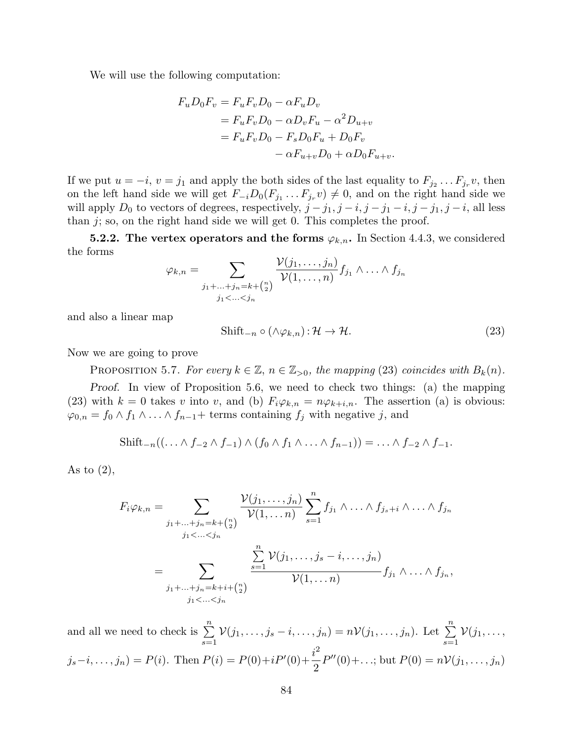We will use the following computation:

$$
F_u D_0 F_v = F_u F_v D_0 - \alpha F_u D_v
$$
  
=  $F_u F_v D_0 - \alpha D_v F_u - \alpha^2 D_{u+v}$   
=  $F_u F_v D_0 - F_s D_0 F_u + D_0 F_v$   
 $- \alpha F_{u+v} D_0 + \alpha D_0 F_{u+v}.$ 

If we put  $u = -i$ ,  $v = j_1$  and apply the both sides of the last equality to  $F_{j_2} \dots F_{j_r} v$ , then on the left hand side we will get  $F_{-i}D_0(F_{j_1}\dots F_{j_r}v) \neq 0$ , and on the right hand side we will apply  $D_0$  to vectors of degrees, respectively,  $j - j_1, j - i, j - j_1 - i, j - j_1, j - i$ , all less than  $j$ ; so, on the right hand side we will get 0. This completes the proof.

**5.2.2.** The vertex operators and the forms  $\varphi_{k,n}$ . In Section 4.4.3, we considered the forms

$$
\varphi_{k,n} = \sum_{\substack{j_1+\ldots+j_n=k+\binom{n}{2} \\ j_1<\ldots
$$

and also a linear map

$$
\text{Shift}_{-n} \circ (\wedge \varphi_{k,n}) : \mathcal{H} \to \mathcal{H}.
$$
\n
$$
(23)
$$

Now we are going to prove

PROPOSITION 5.7. For every  $k \in \mathbb{Z}$ ,  $n \in \mathbb{Z}_{>0}$ , the mapping (23) coincides with  $B_k(n)$ .

Proof. In view of Proposition 5.6, we need to check two things: (a) the mapping (23) with  $k = 0$  takes v into v, and (b)  $F_i \varphi_{k,n} = n \varphi_{k+i,n}$ . The assertion (a) is obvious:  $\varphi_{0,n} = f_0 \wedge f_1 \wedge \ldots \wedge f_{n-1} + \text{terms containing } f_j \text{ with negative } j, \text{ and }$ 

$$
\text{Shift}_{-n}((\ldots \wedge f_{-2} \wedge f_{-1}) \wedge (f_0 \wedge f_1 \wedge \ldots \wedge f_{n-1})) = \ldots \wedge f_{-2} \wedge f_{-1}.
$$

As to  $(2)$ ,

$$
F_i \varphi_{k,n} = \sum_{\substack{j_1 + \ldots + j_n = k + {n \choose 2} \\ j_1 < \ldots < j_n}} \frac{\mathcal{V}(j_1, \ldots, j_n)}{\mathcal{V}(1, \ldots, n)} \sum_{s=1}^n f_{j_1} \wedge \ldots \wedge f_{j_s+i} \wedge \ldots \wedge f_{j_n}
$$
\n
$$
= \sum_{\substack{j_1 + \ldots + j_n = k + i + {n \choose 2} \\ j_1 < \ldots < j_n}} \frac{\sum_{s=1}^n \mathcal{V}(j_1, \ldots, j_s - i, \ldots, j_n)}{\mathcal{V}(1, \ldots, n)} f_{j_1} \wedge \ldots \wedge f_{j_n},
$$

and all we need to check is  $\sum_{n=1}^{\infty}$  $s=1$  $\mathcal{V}(j_1,\ldots,j_s-i,\ldots,j_n)=n\mathcal{V}(j_1,\ldots,j_n).$  Let  $\sum_{n=1}^n$  $s=1$  $\mathcal{V}(j_1, \ldots,$  $j_s - i, \ldots, j_n) = P(i)$ . Then  $P(i) = P(0) + iP'(0) + \frac{i^2}{2}$ 2  $P''(0) + ...;$  but  $P(0) = nV(j_1, ..., j_n)$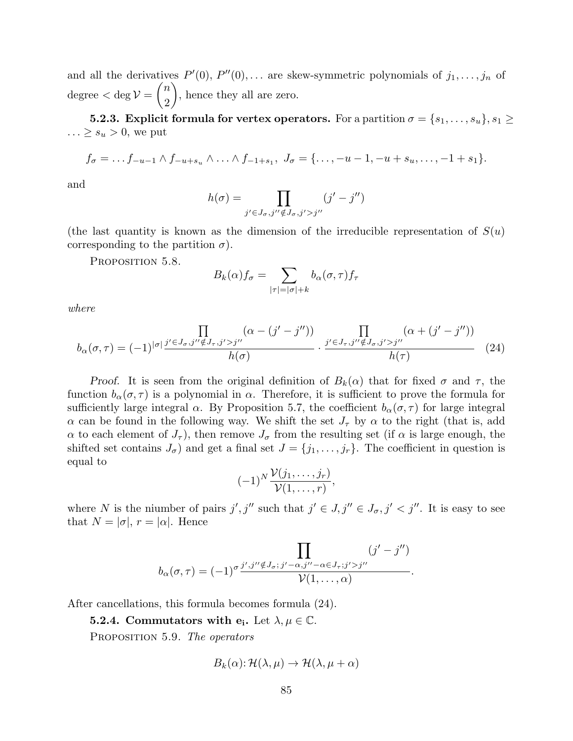and all the derivatives  $P'(0), P''(0), \ldots$  are skew-symmetric polynomials of  $j_1, \ldots, j_n$  of  $degree < deg V =$  $\sqrt{n}$ 2  $\setminus$ , hence they all are zero.

**5.2.3.** Explicit formula for vertex operators. For a partition  $\sigma = \{s_1, \ldots, s_u\}, s_1 \geq$  $\ldots \geq s_u > 0$ , we put

$$
f_{\sigma} = \ldots f_{-u-1} \wedge f_{-u+s_u} \wedge \ldots \wedge f_{-1+s_1}, \; J_{\sigma} = \{\ldots, -u-1, -u+s_u, \ldots, -1+s_1\}.
$$

and

$$
h(\sigma) = \prod_{j' \in J_{\sigma}, j'' \notin J_{\sigma}, j' > j''} (j' - j'')
$$

(the last quantity is known as the dimension of the irreducible representation of  $S(u)$ ) corresponding to the partition  $\sigma$ ).

PROPOSITION 5.8.

$$
B_k(\alpha) f_{\sigma} = \sum_{|\tau|=|\sigma|+k} b_{\alpha}(\sigma, \tau) f_{\tau}
$$

where

$$
b_{\alpha}(\sigma,\tau) = (-1)^{|\sigma|} \frac{\prod\limits_{j' \in J_{\sigma}, j'' \notin J_{\tau}, j' > j''} (\alpha - (j' - j''))}{h(\sigma)} \cdot \frac{\prod\limits_{j' \in J_{\tau}, j'' \notin J_{\sigma}, j' > j''} (\alpha + (j' - j''))}{h(\tau)}
$$
(24)

Proof. It is seen from the original definition of  $B_k(\alpha)$  that for fixed  $\sigma$  and  $\tau$ , the function  $b_{\alpha}(\sigma, \tau)$  is a polynomial in  $\alpha$ . Therefore, it is sufficient to prove the formula for sufficiently large integral  $\alpha$ . By Proposition 5.7, the coefficient  $b_{\alpha}(\sigma, \tau)$  for large integral  $\alpha$  can be found in the following way. We shift the set  $J_{\tau}$  by  $\alpha$  to the right (that is, add  $\alpha$  to each element of  $J_{\tau}$ ), then remove  $J_{\sigma}$  from the resulting set (if  $\alpha$  is large enough, the shifted set contains  $J_{\sigma}$ ) and get a final set  $J = \{j_1, \ldots, j_r\}$ . The coefficient in question is equal to

$$
(-1)^N \frac{\mathcal{V}(j_1,\ldots,j_r)}{\mathcal{V}(1,\ldots,r)},
$$

where N is the niumber of pairs  $j', j''$  such that  $j' \in J, j'' \in J_{\sigma}, j' < j''$ . It is easy to see that  $N = |\sigma|, r = |\alpha|$ . Hence

$$
b_{\alpha}(\sigma,\tau) = (-1)^{\sigma} \frac{\displaystyle\prod_{j',j''\notin J_{\sigma};\,j'-\alpha,j''-\alpha\in J_{\tau};j'>j''}}{\mathcal{V}(1,\ldots,\alpha)}(j'-j'').
$$

After cancellations, this formula becomes formula (24).

**5.2.4.** Commutators with  $\mathbf{e_i}$ . Let  $\lambda, \mu \in \mathbb{C}$ .

PROPOSITION 5.9. The operators

$$
B_k(\alpha) : \mathcal{H}(\lambda, \mu) \to \mathcal{H}(\lambda, \mu + \alpha)
$$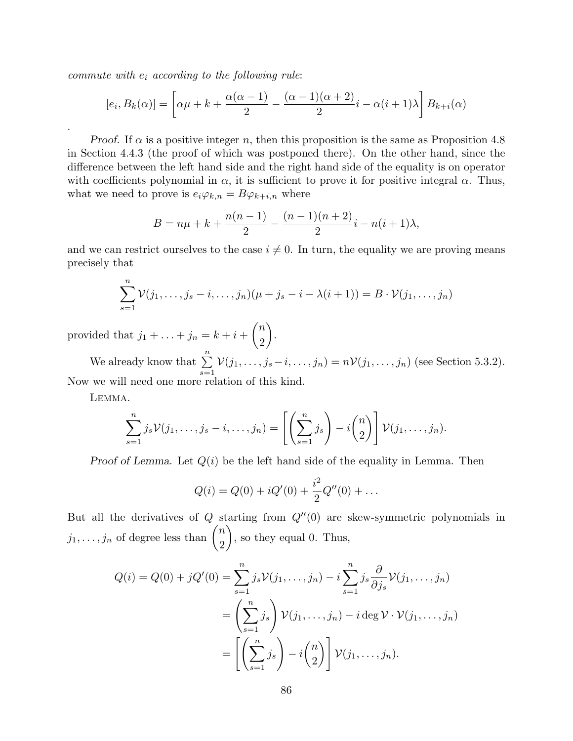commute with  $e_i$  according to the following rule:

$$
[e_i, B_k(\alpha)] = \left[\alpha\mu + k + \frac{\alpha(\alpha - 1)}{2} - \frac{(\alpha - 1)(\alpha + 2)}{2}i - \alpha(i + 1)\lambda\right]B_{k+i}(\alpha)
$$

*Proof.* If  $\alpha$  is a positive integer n, then this proposition is the same as Proposition 4.8 in Section 4.4.3 (the proof of which was postponed there). On the other hand, since the difference between the left hand side and the right hand side of the equality is on operator with coefficients polynomial in  $\alpha$ , it is sufficient to prove it for positive integral  $\alpha$ . Thus, what we need to prove is  $e_i\varphi_{k,n} = B\varphi_{k+i,n}$  where

$$
B = n\mu + k + \frac{n(n-1)}{2} - \frac{(n-1)(n+2)}{2}i - n(i+1)\lambda,
$$

and we can restrict ourselves to the case  $i \neq 0$ . In turn, the equality we are proving means precisely that

$$
\sum_{s=1}^n \mathcal{V}(j_1,\ldots,j_s-i,\ldots,j_n)(\mu+j_s-i-\lambda(i+1))=B\cdot\mathcal{V}(j_1,\ldots,j_n)
$$

provided that  $j_1 + \ldots + j_n = k + i +$  $\sqrt{n}$ 2  $\setminus$ .

We already know that  $\sum_{n=1}^{\infty}$  $s=1$  $V(j_1, ..., j_s - i, ..., j_n) = nV(j_1, ..., j_n)$  (see Section 5.3.2). Now we will need one more relation of this kind.

Lemma.

.

$$
\sum_{s=1}^n j_s \mathcal{V}(j_1,\ldots,j_s-i,\ldots,j_n) = \left[ \left( \sum_{s=1}^n j_s \right) - i \binom{n}{2} \right] \mathcal{V}(j_1,\ldots,j_n).
$$

Proof of Lemma. Let  $Q(i)$  be the left hand side of the equality in Lemma. Then

$$
Q(i) = Q(0) + iQ'(0) + \frac{i^2}{2}Q''(0) + \dots
$$

But all the derivatives of  $Q$  starting from  $Q''(0)$  are skew-symmetric polynomials in  $j_1, \ldots, j_n$  of degree less than  $\binom{n}{2}$ 2  $\setminus$ , so they equal 0. Thus,

$$
Q(i) = Q(0) + jQ'(0) = \sum_{s=1}^{n} j_s \mathcal{V}(j_1, \dots, j_n) - i \sum_{s=1}^{n} j_s \frac{\partial}{\partial j_s} \mathcal{V}(j_1, \dots, j_n)
$$
  
= 
$$
\left(\sum_{s=1}^{n} j_s \right) \mathcal{V}(j_1, \dots, j_n) - i \deg \mathcal{V} \cdot \mathcal{V}(j_1, \dots, j_n)
$$
  
= 
$$
\left[\left(\sum_{s=1}^{n} j_s \right) - i \binom{n}{2} \right] \mathcal{V}(j_1, \dots, j_n).
$$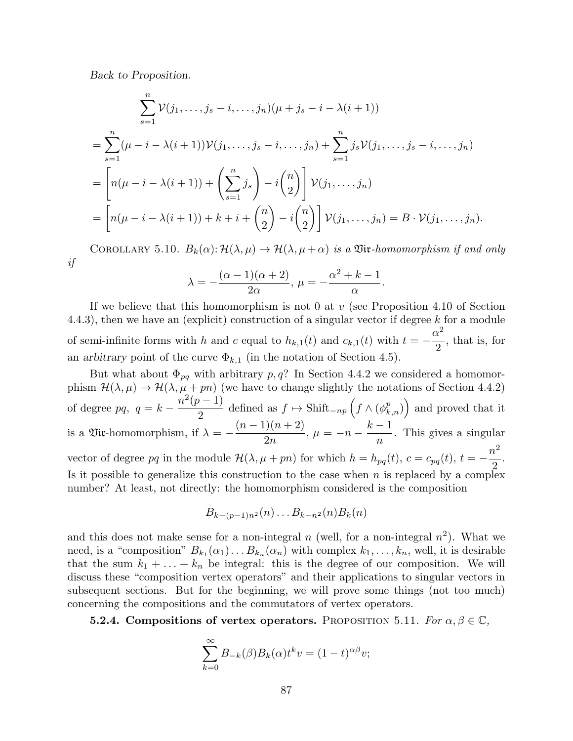Back to Proposition.

$$
\sum_{s=1}^{n} \mathcal{V}(j_1, \dots, j_s - i, \dots, j_n)(\mu + j_s - i - \lambda(i+1))
$$
  
= 
$$
\sum_{s=1}^{n} (\mu - i - \lambda(i+1)) \mathcal{V}(j_1, \dots, j_s - i, \dots, j_n) + \sum_{s=1}^{n} j_s \mathcal{V}(j_1, \dots, j_s - i, \dots, j_n)
$$
  
= 
$$
\left[ n(\mu - i - \lambda(i+1)) + \left( \sum_{s=1}^{n} j_s \right) - i \binom{n}{2} \right] \mathcal{V}(j_1, \dots, j_n)
$$
  
= 
$$
\left[ n(\mu - i - \lambda(i+1)) + k + i + \binom{n}{2} - i \binom{n}{2} \right] \mathcal{V}(j_1, \dots, j_n) = B \cdot \mathcal{V}(j_1, \dots, j_n).
$$

COROLLARY 5.10.  $B_k(\alpha): \mathcal{H}(\lambda, \mu) \to \mathcal{H}(\lambda, \mu + \alpha)$  is a Viv-homomorphism if and only if

$$
\lambda = -\frac{(\alpha - 1)(\alpha + 2)}{2\alpha}, \ \mu = -\frac{\alpha^2 + k - 1}{\alpha}.
$$

If we believe that this homomorphism is not 0 at  $v$  (see Proposition 4.10 of Section 4.4.3), then we have an (explicit) construction of a singular vector if degree k for a module of semi-infinite forms with h and c equal to  $h_{k,1}(t)$  and  $c_{k,1}(t)$  with  $t = -\frac{\alpha^2}{2}$ 2 , that is, for an arbitrary point of the curve  $\Phi_{k,1}$  (in the notation of Section 4.5).

But what about  $\Phi_{pq}$  with arbitrary p, q? In Section 4.4.2 we considered a homomorphism  $\mathcal{H}(\lambda,\mu) \to \mathcal{H}(\lambda,\mu+p n)$  (we have to change slightly the notations of Section 4.4.2) of degree pq,  $q = k - \frac{n^2(p-1)}{2}$  $\frac{(p-1)}{2}$  defined as  $f \mapsto \text{Shift}_{-np} \left( f \wedge (\phi_{k,n}^p) \right)$  and proved that it is a  $\mathfrak{Vir}\text{-}\mathrm{homomorphism}$ , if  $\lambda = (n-1)(n+2)$  $2n$  $, \mu = -n$  $k-1$ n . This gives a singular vector of degree pq in the module  $\mathcal{H}(\lambda, \mu + pn)$  for which  $h = h_{pq}(t)$ ,  $c = c_{pq}(t)$ ,  $t = -\frac{n^2}{2}$ 2 . Is it possible to generalize this construction to the case when  $n$  is replaced by a complex number? At least, not directly: the homomorphism considered is the composition

$$
B_{k-(p-1)n^2}(n)\dots B_{k-n^2}(n)B_k(n)
$$

and this does not make sense for a non-integral  $n$  (well, for a non-integral  $n^2$ ). What we need, is a "composition"  $B_{k_1}(\alpha_1) \ldots B_{k_n}(\alpha_n)$  with complex  $k_1, \ldots, k_n$ , well, it is desirable that the sum  $k_1 + \ldots + k_n$  be integral: this is the degree of our composition. We will discuss these "composition vertex operators" and their applications to singular vectors in subsequent sections. But for the beginning, we will prove some things (not too much) concerning the compositions and the commutators of vertex operators.

**5.2.4.** Compositions of vertex operators. PROPOSITION 5.11. For  $\alpha, \beta \in \mathbb{C}$ ,

$$
\sum_{k=0}^{\infty} B_{-k}(\beta) B_k(\alpha) t^k v = (1-t)^{\alpha \beta} v;
$$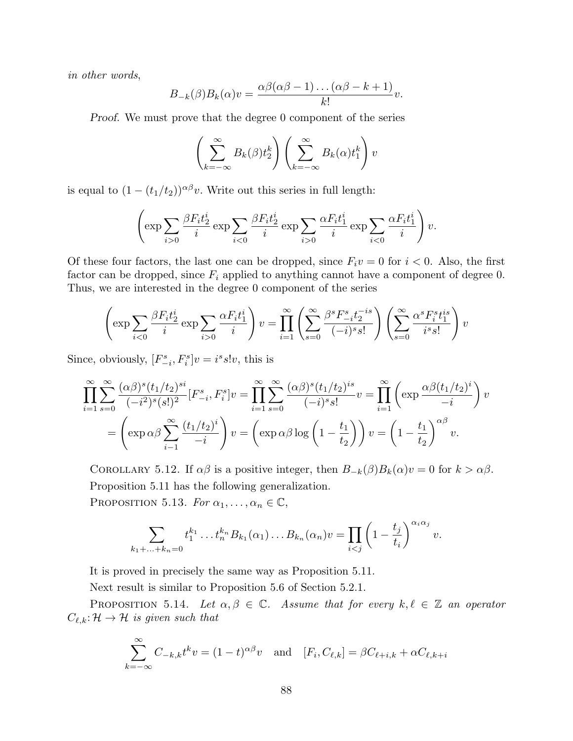in other words,

$$
B_{-k}(\beta)B_k(\alpha)v = \frac{\alpha\beta(\alpha\beta-1)\dots(\alpha\beta-k+1)}{k!}v.
$$

Proof. We must prove that the degree 0 component of the series

$$
\left(\sum_{k=-\infty}^{\infty} B_k(\beta) t_2^k \right) \left(\sum_{k=-\infty}^{\infty} B_k(\alpha) t_1^k \right) v
$$

is equal to  $(1 - (t_1/t_2))^{\alpha\beta}v$ . Write out this series in full length:

$$
\left(\exp\sum_{i>0}\frac{\beta F_it_2^i}{i}\exp\sum_{i<0}\frac{\beta F_it_2^i}{i}\exp\sum_{i>0}\frac{\alpha F_it_1^i}{i}\exp\sum_{i<0}\frac{\alpha F_it_1^i}{i}\right)v.
$$

Of these four factors, the last one can be dropped, since  $F_i v = 0$  for  $i < 0$ . Also, the first factor can be dropped, since  $F_i$  applied to anything cannot have a component of degree 0. Thus, we are interested in the degree 0 component of the series

$$
\left(\exp\sum_{i<0}\frac{\beta F_it_2^i}{i}\exp\sum_{i>0}\frac{\alpha F_it_1^i}{i}\right)v=\prod_{i=1}^{\infty}\left(\sum_{s=0}^{\infty}\frac{\beta^sF_{-i}^st_2^{-is}}{(-i)^s s!}\right)\left(\sum_{s=0}^{\infty}\frac{\alpha^sF_i^st_1^{is}}{i^s s!}\right)v
$$

Since, obviously,  $[F_{-i}^s, F_i^s]v = i^s s!v$ , this is

$$
\prod_{i=1}^{\infty} \sum_{s=0}^{\infty} \frac{(\alpha \beta)^s (t_1/t_2)^{si}}{(-i^2)^s (s!)^2} [F_{-i}^s, F_i^s] v = \prod_{i=1}^{\infty} \sum_{s=0}^{\infty} \frac{(\alpha \beta)^s (t_1/t_2)^{is}}{(-i)^s s!} v = \prod_{i=1}^{\infty} \left( \exp \frac{\alpha \beta (t_1/t_2)^i}{-i} \right) v
$$

$$
= \left( \exp \alpha \beta \sum_{i=1}^{\infty} \frac{(t_1/t_2)^i}{-i} \right) v = \left( \exp \alpha \beta \log \left( 1 - \frac{t_1}{t_2} \right) \right) v = \left( 1 - \frac{t_1}{t_2} \right)^{\alpha \beta} v.
$$

COROLLARY 5.12. If  $\alpha\beta$  is a positive integer, then  $B_{-k}(\beta)B_k(\alpha)v=0$  for  $k > \alpha\beta$ . Proposition 5.11 has the following generalization. PROPOSITION 5.13. For  $\alpha_1, \ldots, \alpha_n \in \mathbb{C}$ ,

$$
\sum_{k_1+\ldots+k_n=0} t_1^{k_1}\ldots t_n^{k_n} B_{k_1}(\alpha_1)\ldots B_{k_n}(\alpha_n)v = \prod_{i
$$

It is proved in precisely the same way as Proposition 5.11.

Next result is similar to Proposition 5.6 of Section 5.2.1.

PROPOSITION 5.14. Let  $\alpha, \beta \in \mathbb{C}$ . Assume that for every  $k, \ell \in \mathbb{Z}$  an operator  $C_{\ell,k}: \mathcal{H} \to \mathcal{H}$  is given such that

$$
\sum_{k=-\infty}^{\infty} C_{-k,k} t^k v = (1-t)^{\alpha \beta} v \text{ and } [F_i, C_{\ell,k}] = \beta C_{\ell+i,k} + \alpha C_{\ell,k+i}
$$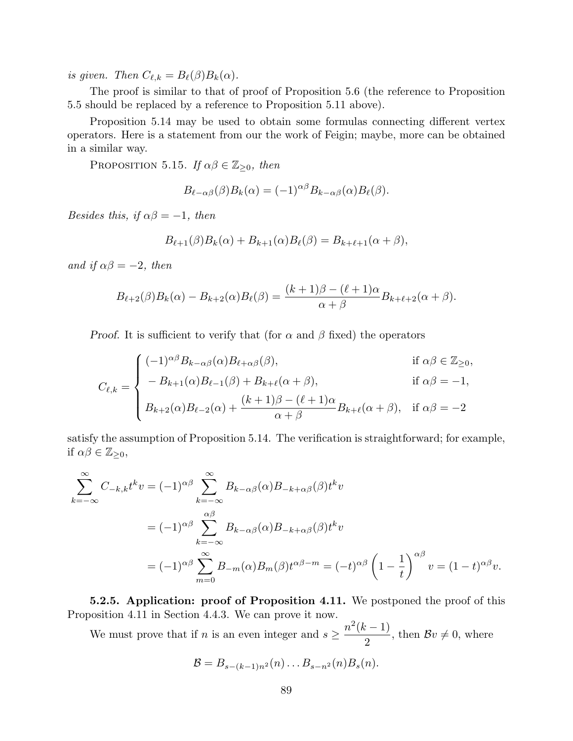is given. Then  $C_{\ell,k} = B_{\ell}(\beta)B_k(\alpha)$ .

The proof is similar to that of proof of Proposition 5.6 (the reference to Proposition 5.5 should be replaced by a reference to Proposition 5.11 above).

Proposition 5.14 may be used to obtain some formulas connecting different vertex operators. Here is a statement from our the work of Feigin; maybe, more can be obtained in a similar way.

PROPOSITION 5.15. If  $\alpha\beta \in \mathbb{Z}_{\geq 0}$ , then

$$
B_{\ell-\alpha\beta}(\beta)B_k(\alpha) = (-1)^{\alpha\beta}B_{k-\alpha\beta}(\alpha)B_{\ell}(\beta).
$$

Besides this, if  $\alpha\beta = -1$ , then

$$
B_{\ell+1}(\beta)B_k(\alpha) + B_{k+1}(\alpha)B_{\ell}(\beta) = B_{k+\ell+1}(\alpha+\beta),
$$

and if  $\alpha\beta = -2$ , then

$$
B_{\ell+2}(\beta)B_k(\alpha) - B_{k+2}(\alpha)B_{\ell}(\beta) = \frac{(k+1)\beta - (\ell+1)\alpha}{\alpha + \beta}B_{k+\ell+2}(\alpha + \beta).
$$

*Proof.* It is sufficient to verify that (for  $\alpha$  and  $\beta$  fixed) the operators

$$
C_{\ell,k} = \begin{cases} (-1)^{\alpha\beta} B_{k-\alpha\beta}(\alpha) B_{\ell+\alpha\beta}(\beta), & \text{if } \alpha\beta \in \mathbb{Z}_{\geq 0}, \\ -B_{k+1}(\alpha) B_{\ell-1}(\beta) + B_{k+\ell}(\alpha+\beta), & \text{if } \alpha\beta = -1, \\ B_{k+2}(\alpha) B_{\ell-2}(\alpha) + \frac{(k+1)\beta - (\ell+1)\alpha}{\alpha+\beta} B_{k+\ell}(\alpha+\beta), & \text{if } \alpha\beta = -2 \end{cases}
$$

satisfy the assumption of Proposition 5.14. The verification is straightforward; for example, if  $\alpha\beta \in \mathbb{Z}_{\geq 0}$ ,

$$
\sum_{k=-\infty}^{\infty} C_{-k,k} t^k v = (-1)^{\alpha \beta} \sum_{k=-\infty}^{\infty} B_{k-\alpha\beta}(\alpha) B_{-k+\alpha\beta}(\beta) t^k v
$$
  
=  $(-1)^{\alpha \beta} \sum_{k=-\infty}^{\alpha \beta} B_{k-\alpha\beta}(\alpha) B_{-k+\alpha\beta}(\beta) t^k v$   
=  $(-1)^{\alpha \beta} \sum_{m=0}^{\infty} B_{-m}(\alpha) B_m(\beta) t^{\alpha \beta - m} = (-t)^{\alpha \beta} \left(1 - \frac{1}{t}\right)^{\alpha \beta} v = (1 - t)^{\alpha \beta} v.$ 

5.2.5. Application: proof of Proposition 4.11. We postponed the proof of this Proposition 4.11 in Section 4.4.3. We can prove it now.

We must prove that if *n* is an even integer and  $s \geq \frac{n^2(k-1)}{2}$ 2 , then  $Bv \neq 0$ , where

$$
\mathcal{B}=B_{s-(k-1)n^2}(n)\ldots B_{s-n^2}(n)B_s(n).
$$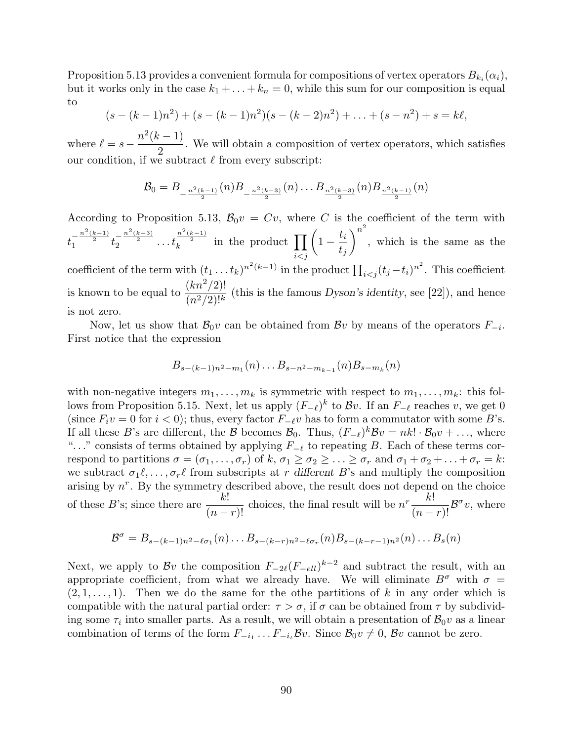Proposition 5.13 provides a convenient formula for compositions of vertex operators  $B_{k_i}(\alpha_i)$ , but it works only in the case  $k_1 + \ldots + k_n = 0$ , while this sum for our composition is equal to

$$
(s - (k-1)n2) + (s - (k-1)n2)(s - (k-2)n2) + ... + (s - n2) + s = k\ell,
$$

where  $\ell = s - \frac{n^2(k-1)}{s}$ 2 . We will obtain a composition of vertex operators, which satisfies our condition, if we subtract  $\ell$  from every subscript:

$$
\mathcal{B}_0 = B_{-\frac{n^2(k-1)}{2}}(n)B_{-\frac{n^2(k-3)}{2}}(n)\dots B_{\frac{n^2(k-3)}{2}}(n)B_{\frac{n^2(k-1)}{2}}(n)
$$

According to Proposition 5.13,  $\mathcal{B}_0v = Cv$ , where C is the coefficient of the term with  $t_1^{-\frac{n^2(k-1)}{2}}t_2^{-\frac{n^2(k-3)}{2}}\ldots t$  $\frac{n^2(k-1)}{2}$  in the product  $\prod$  $i < j$  $\sqrt{ }$  $1-\frac{t_i}{t}$  $t_j$  $\setminus^{n^2}$ , which is the same as the coefficient of the term with  $(t_1 \ldots t_k)^{n^2(k-1)}$  in the product  $\prod_{i < j} (t_j - t_i)^{n^2}$ . This coefficient is known to be equal to  $\frac{(kn^2/2)!}{(n^2/2)!}$  $\frac{(n\ell)^{2}}{(n^{2}/2)!^{k}}$  (this is the famous Dyson's identity, see [22]), and hence is not zero.

Now, let us show that  $\mathcal{B}_0 v$  can be obtained from  $\mathcal{B}v$  by means of the operators  $F_{-i}$ . First notice that the expression

$$
B_{s-(k-1)n^2-m_1}(n)\ldots B_{s-n^2-m_{k-1}}(n)B_{s-m_k}(n)
$$

with non-negative integers  $m_1, \ldots, m_k$  is symmetric with respect to  $m_1, \ldots, m_k$ : this follows from Proposition 5.15. Next, let us apply  $(F_{-\ell})^k$  to  $\mathcal{B}v$ . If an  $F_{-\ell}$  reaches v, we get 0 (since  $F_i v = 0$  for  $i < 0$ ); thus, every factor  $F_{-\ell}v$  has to form a commutator with some B's. If all these B's are different, the B becomes  $\mathcal{B}_0$ . Thus,  $(F_{-\ell})^k \mathcal{B}v = nk! \cdot \mathcal{B}_0v + \ldots$ , where "..." consists of terms obtained by applying  $F_{-\ell}$  to repeating B. Each of these terms correspond to partitions  $\sigma = (\sigma_1, \ldots, \sigma_r)$  of  $k, \sigma_1 \geq \sigma_2 \geq \ldots \geq \sigma_r$  and  $\sigma_1 + \sigma_2 + \ldots + \sigma_r = k$ : we subtract  $\sigma_1\ell, \ldots, \sigma_r\ell$  from subscripts at r different B's and multiply the composition arising by  $n^r$ . By the symmetry described above, the result does not depend on the choice of these B's; since there are  $\frac{k!}{k!}$  $\frac{k!}{(n-r)!}$  choices, the final result will be  $n^r \frac{k!}{(n-r)!} \mathcal{B}^{\sigma} v$ , where

$$
\mathcal{B}^{\sigma} = B_{s-(k-1)n^2 - \ell \sigma_1}(n) \dots B_{s-(k-r)n^2 - \ell \sigma_r}(n) B_{s-(k-r-1)n^2}(n) \dots B_s(n)
$$

Next, we apply to  $\mathcal{B}v$  the composition  $F_{-2\ell}(F_{-ell})^{k-2}$  and subtract the result, with an appropriate coefficient, from what we already have. We will eliminate  $B^{\sigma}$  with  $\sigma =$  $(2, 1, \ldots, 1)$ . Then we do the same for the othe partitions of k in any order which is compatible with the natural partial order:  $\tau > \sigma$ , if  $\sigma$  can be obtained from  $\tau$  by subdividing some  $\tau_i$  into smaller parts. As a result, we will obtain a presentation of  $\mathcal{B}_0 v$  as a linear combination of terms of the form  $F_{-i_1} \dots F_{-i_t}$ Bv. Since  $\mathcal{B}_0 v \neq 0$ , Bv cannot be zero.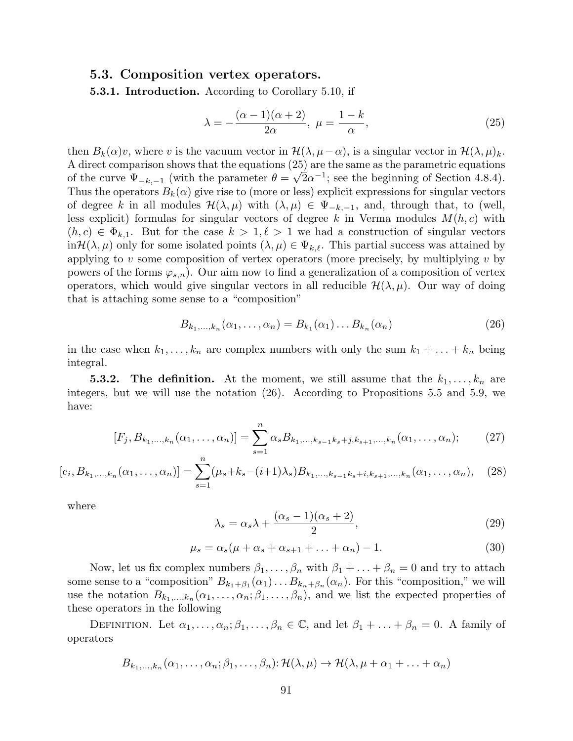### 5.3. Composition vertex operators.

5.3.1. Introduction. According to Corollary 5.10, if

$$
\lambda = -\frac{(\alpha - 1)(\alpha + 2)}{2\alpha}, \ \mu = \frac{1 - k}{\alpha},\tag{25}
$$

then  $B_k(\alpha)v$ , where v is the vacuum vector in  $\mathcal{H}(\lambda, \mu - \alpha)$ , is a singular vector in  $\mathcal{H}(\lambda, \mu)_k$ . A direct comparison shows that the equations  $(25)$  are the same as the parametric equations of the curve  $\Psi_{-k,-1}$  (with the parameter  $\theta = \sqrt{2\alpha^{-1}}$ ; see the beginning of Section 4.8.4). Thus the operators  $B_k(\alpha)$  give rise to (more or less) explicit expressions for singular vectors of degree k in all modules  $\mathcal{H}(\lambda,\mu)$  with  $(\lambda,\mu) \in \Psi_{-k,-1}$ , and, through that, to (well, less explicit) formulas for singular vectors of degree k in Verma modules  $M(h, c)$  with  $(h, c) \in \Phi_{k,1}$ . But for the case  $k > 1, \ell > 1$  we had a construction of singular vectors in  $\mathcal{H}(\lambda, \mu)$  only for some isolated points  $(\lambda, \mu) \in \Psi_{k,\ell}$ . This partial success was attained by applying to  $v$  some composition of vertex operators (more precisely, by multiplying  $v$  by powers of the forms  $\varphi_{s,n}$ ). Our aim now to find a generalization of a composition of vertex operators, which would give singular vectors in all reducible  $\mathcal{H}(\lambda,\mu)$ . Our way of doing that is attaching some sense to a "composition"

$$
B_{k_1,...,k_n}(\alpha_1,...,\alpha_n) = B_{k_1}(\alpha_1)...B_{k_n}(\alpha_n)
$$
\n(26)

in the case when  $k_1, \ldots, k_n$  are complex numbers with only the sum  $k_1 + \ldots + k_n$  being integral.

**5.3.2.** The definition. At the moment, we still assume that the  $k_1, \ldots, k_n$  are integers, but we will use the notation (26). According to Propositions 5.5 and 5.9, we have:

$$
[F_j, B_{k_1,\ldots,k_n}(\alpha_1,\ldots,\alpha_n)] = \sum_{s=1}^n \alpha_s B_{k_1,\ldots,k_{s-1}k_s+j,k_{s+1},\ldots,k_n}(\alpha_1,\ldots,\alpha_n); \qquad (27)
$$

$$
[e_i, B_{k_1,\ldots,k_n}(\alpha_1,\ldots,\alpha_n)] = \sum_{s=1}^n (\mu_s + k_s - (i+1)\lambda_s) B_{k_1,\ldots,k_{s-1}k_s + i,k_{s+1},\ldots,k_n}(\alpha_1,\ldots,\alpha_n), \quad (28)
$$

where

$$
\lambda_s = \alpha_s \lambda + \frac{(\alpha_s - 1)(\alpha_s + 2)}{2},\tag{29}
$$

$$
\mu_s = \alpha_s(\mu + \alpha_s + \alpha_{s+1} + \ldots + \alpha_n) - 1. \tag{30}
$$

Now, let us fix complex numbers  $\beta_1, \ldots, \beta_n$  with  $\beta_1 + \ldots + \beta_n = 0$  and try to attach some sense to a "composition"  $B_{k_1+\beta_1}(\alpha_1)\dots B_{k_n+\beta_n}(\alpha_n)$ . For this "composition," we will use the notation  $B_{k_1,\ldots,k_n}(\alpha_1,\ldots,\alpha_n;\beta_1,\ldots,\beta_n)$ , and we list the expected properties of these operators in the following

DEFINITION. Let  $\alpha_1, \ldots, \alpha_n; \beta_1, \ldots, \beta_n \in \mathbb{C}$ , and let  $\beta_1 + \ldots + \beta_n = 0$ . A family of operators

$$
B_{k_1,\ldots,k_n}(\alpha_1,\ldots,\alpha_n;\beta_1,\ldots,\beta_n): \mathcal{H}(\lambda,\mu) \to \mathcal{H}(\lambda,\mu+\alpha_1+\ldots+\alpha_n)
$$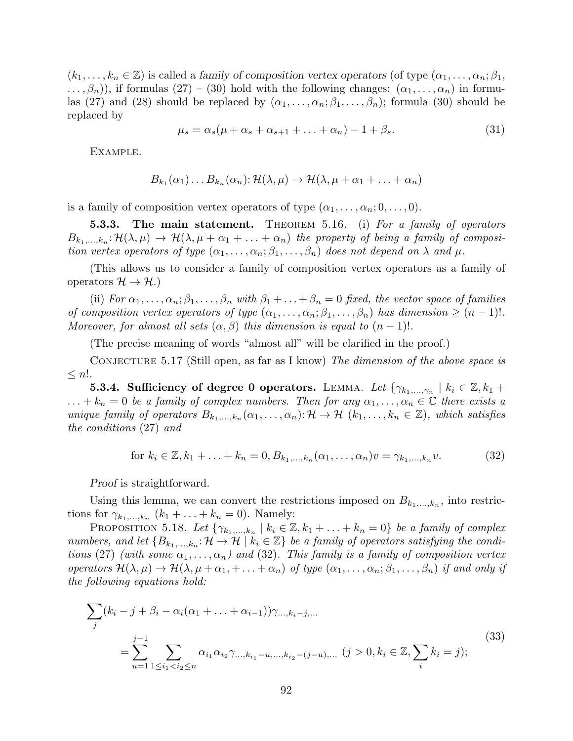$(k_1,\ldots,k_n\in\mathbb{Z})$  is called a family of composition vertex operators (of type  $(\alpha_1,\ldots,\alpha_n;\beta_1,\ldots,\beta_n;\beta_1)$  $\ldots, \beta_n)$ , if formulas  $(27) - (30)$  hold with the following changes:  $(\alpha_1, \ldots, \alpha_n)$  in formulas (27) and (28) should be replaced by  $(\alpha_1, \ldots, \alpha_n; \beta_1, \ldots, \beta_n)$ ; formula (30) should be replaced by

$$
\mu_s = \alpha_s(\mu + \alpha_s + \alpha_{s+1} + \ldots + \alpha_n) - 1 + \beta_s. \tag{31}
$$

Example.

$$
B_{k_1}(\alpha_1)\dots B_{k_n}(\alpha_n):\mathcal{H}(\lambda,\mu)\to\mathcal{H}(\lambda,\mu+\alpha_1+\ldots+\alpha_n)
$$

is a family of composition vertex operators of type  $(\alpha_1, \ldots, \alpha_n; 0, \ldots, 0)$ .

**5.3.3.** The main statement. THEOREM 5.16. (i) For a family of operators  $B_{k_1,\ldots,k_n}:\mathcal H(\lambda,\mu)\,\to\,\mathcal H(\lambda,\mu+\alpha_1+\ldots+\alpha_n)\,$  the property of being a family of composition vertex operators of type  $(\alpha_1, \ldots, \alpha_n; \beta_1, \ldots, \beta_n)$  does not depend on  $\lambda$  and  $\mu$ .

(This allows us to consider a family of composition vertex operators as a family of operators  $\mathcal{H} \to \mathcal{H}$ .)

(ii) For  $\alpha_1, \ldots, \alpha_n; \beta_1, \ldots, \beta_n$  with  $\beta_1 + \ldots + \beta_n = 0$  fixed, the vector space of families of composition vertex operators of type  $(\alpha_1, \ldots, \alpha_n; \beta_1, \ldots, \beta_n)$  has dimension  $\geq (n-1)!$ . Moreover, for almost all sets  $(\alpha, \beta)$  this dimension is equal to  $(n - 1)!$ .

(The precise meaning of words "almost all" will be clarified in the proof.)

CONJECTURE 5.17 (Still open, as far as I know) The dimension of the above space is  $\leq n!$ .

5.3.4. Sufficiency of degree 0 operators. LEMMA. Let  $\{\gamma_{k_1,...,\gamma_n} \mid k_i \in \mathbb{Z}, k_1 + \gamma_{k_1}, k_2 \leq \gamma_{k_2}\}$  $\ldots + k_n = 0$  be a family of complex numbers. Then for any  $\alpha_1, \ldots, \alpha_n \in \mathbb{C}$  there exists a unique family of operators  $B_{k_1,\ldots,k_n}(\alpha_1,\ldots,\alpha_n): \mathcal{H} \to \mathcal{H}$   $(k_1,\ldots,k_n \in \mathbb{Z})$ , which satisfies the conditions (27) and

for 
$$
k_i \in \mathbb{Z}, k_1 + \ldots + k_n = 0, B_{k_1, \ldots, k_n}(\alpha_1, \ldots, \alpha_n) v = \gamma_{k_1, \ldots, k_n} v.
$$
 (32)

Proof is straightforward.

Using this lemma, we can convert the restrictions imposed on  $B_{k_1,\dots,k_n}$ , into restrictions for  $\gamma_{k_1,\dots,k_n}$   $(k_1 + \dots + k_n = 0)$ . Namely:

PROPOSITION 5.18. Let  $\{\gamma_{k_1,...,k_n} \mid k_i \in \mathbb{Z}, k_1 + ... + k_n = 0\}$  be a family of complex numbers, and let  $\{B_{k_1,\ldots,k_n}: \mathcal{H} \to \mathcal{H} \mid k_i \in \mathbb{Z}\}\$ be a family of operators satisfying the conditions (27) (with some  $\alpha_1, \ldots, \alpha_n$ ) and (32). This family is a family of composition vertex operators  $\mathcal{H}(\lambda,\mu) \to \mathcal{H}(\lambda,\mu+\alpha_1,\ldots+\alpha_n)$  of type  $(\alpha_1,\ldots,\alpha_n;\beta_1,\ldots,\beta_n)$  if and only if the following equations hold:

$$
\sum_{j} (k_i - j + \beta_i - \alpha_i(\alpha_1 + \dots + \alpha_{i-1})) \gamma_{\dots, k_i - j, \dots}
$$
  
= 
$$
\sum_{u=1}^{j-1} \sum_{1 \le i_1 < i_2 \le n} \alpha_{i_1} \alpha_{i_2} \gamma_{\dots, k_{i_1} - u, \dots, k_{i_2} - (j-u), \dots} (j > 0, k_i \in \mathbb{Z}, \sum_i k_i = j);
$$
 (33)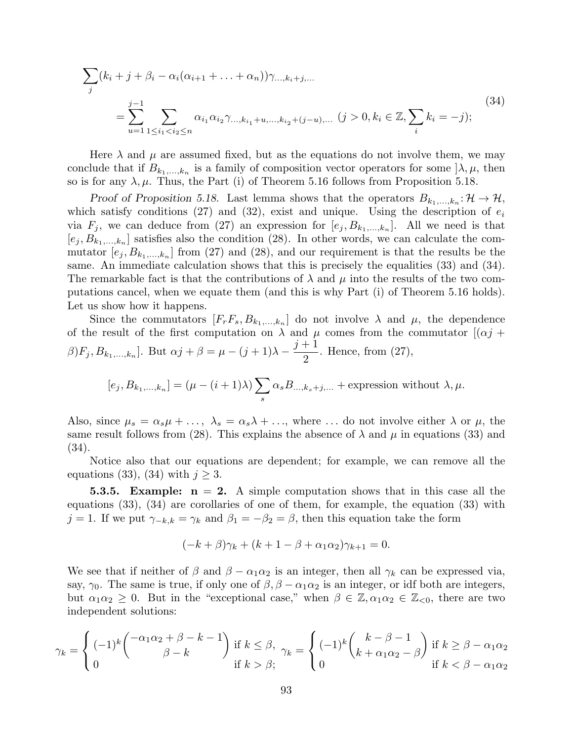$$
\sum_{j} (k_i + j + \beta_i - \alpha_i(\alpha_{i+1} + \dots + \alpha_n)) \gamma_{\dots, k_i + j, \dots}
$$
  
= 
$$
\sum_{u=1}^{j-1} \sum_{1 \le i_1 < i_2 \le n} \alpha_{i_1} \alpha_{i_2} \gamma_{\dots, k_{i_1} + u, \dots, k_{i_2} + (j-u), \dots} (j > 0, k_i \in \mathbb{Z}, \sum_i k_i = -j);
$$
 (34)

Here  $\lambda$  and  $\mu$  are assumed fixed, but as the equations do not involve them, we may conclude that if  $B_{k_1,\dots,k_n}$  is a family of composition vector operators for some  $]\lambda, \mu$ , then so is for any  $\lambda, \mu$ . Thus, the Part (i) of Theorem 5.16 follows from Proposition 5.18.

Proof of Proposition 5.18. Last lemma shows that the operators  $B_{k_1,\dots,k_n}$ :  $\mathcal{H} \to \mathcal{H}$ , which satisfy conditions (27) and (32), exist and unique. Using the description of  $e_i$ via  $F_j$ , we can deduce from (27) an expression for  $[e_j, B_{k_1,...,k_n}]$ . All we need is that  $[e_j, B_{k_1,\ldots,k_n}]$  satisfies also the condition (28). In other words, we can calculate the commutator  $[e_j, B_{k_1,\ldots,k_n}]$  from (27) and (28), and our requirement is that the results be the same. An immediate calculation shows that this is precisely the equalities  $(33)$  and  $(34)$ . The remarkable fact is that the contributions of  $\lambda$  and  $\mu$  into the results of the two computations cancel, when we equate them (and this is why Part (i) of Theorem 5.16 holds). Let us show how it happens.

Since the commutators  $[F_r F_s, B_{k_1,...,k_n}]$  do not involve  $\lambda$  and  $\mu$ , the dependence of the result of the first computation on  $\lambda$  and  $\mu$  comes from the commutator  $[(\alpha j +$  $\beta$ ) $F_j$ ,  $B_{k_1,...,k_n}$ . But  $\alpha j + \beta = \mu - (j+1)\lambda - \frac{j+1}{2}$ 2 . Hence, from (27),

$$
[e_j, B_{k_1,\ldots,k_n}] = (\mu - (i+1)\lambda) \sum_s \alpha_s B_{\ldots,k_s+j,\ldots} + \text{expression without } \lambda, \mu.
$$

Also, since  $\mu_s = \alpha_s \mu + \dots$ ,  $\lambda_s = \alpha_s \lambda + \dots$ , where  $\dots$  do not involve either  $\lambda$  or  $\mu$ , the same result follows from (28). This explains the absence of  $\lambda$  and  $\mu$  in equations (33) and (34).

Notice also that our equations are dependent; for example, we can remove all the equations (33), (34) with  $j \geq 3$ .

**5.3.5.** Example:  $n = 2$ . A simple computation shows that in this case all the equations (33), (34) are corollaries of one of them, for example, the equation (33) with j = 1. If we put  $\gamma_{-k,k} = \gamma_k$  and  $\beta_1 = -\beta_2 = \beta$ , then this equation take the form

$$
(-k+\beta)\gamma_k + (k+1-\beta+\alpha_1\alpha_2)\gamma_{k+1} = 0.
$$

We see that if neither of  $\beta$  and  $\beta - \alpha_1 \alpha_2$  is an integer, then all  $\gamma_k$  can be expressed via, say,  $\gamma_0$ . The same is true, if only one of  $\beta$ ,  $\beta - \alpha_1 \alpha_2$  is an integer, or idf both are integers, but  $\alpha_1\alpha_2 \geq 0$ . But in the "exceptional case," when  $\beta \in \mathbb{Z}, \alpha_1\alpha_2 \in \mathbb{Z}_{\leq 0}$ , there are two independent solutions:

$$
\gamma_k = \begin{cases}\n(-1)^k \binom{-\alpha_1 \alpha_2 + \beta - k - 1}{\beta - k} & \text{if } k \le \beta, \\
0 & \text{if } k > \beta;\n\end{cases}
$$
\n
$$
\gamma_k = \begin{cases}\n(-1)^k \binom{k - \beta - 1}{k + \alpha_1 \alpha_2 - \beta} & \text{if } k \ge \beta - \alpha_1 \alpha_2 \\
0 & \text{if } k < \beta - \alpha_1 \alpha_2\n\end{cases}
$$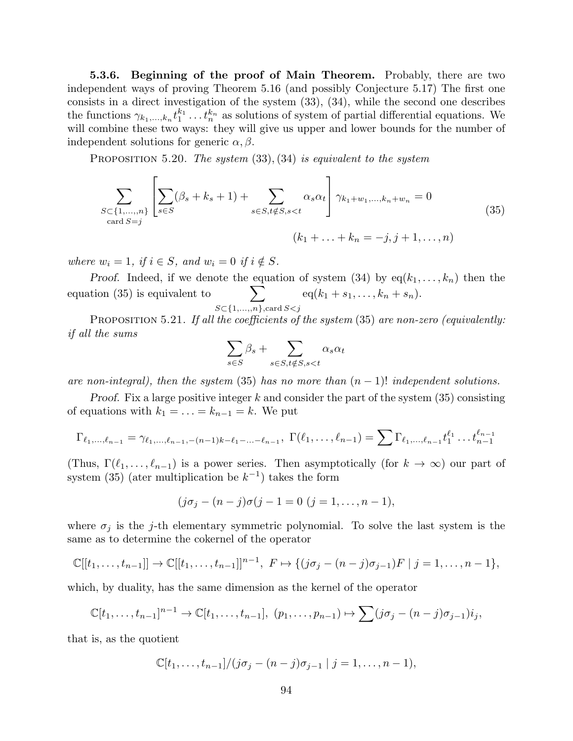5.3.6. Beginning of the proof of Main Theorem. Probably, there are two independent ways of proving Theorem 5.16 (and possibly Conjecture 5.17) The first one consists in a direct investigation of the system (33), (34), while the second one describes the functions  $\gamma_{k_1,\dots,k_n} t_1^{k_1} \dots t_n^{k_n}$  as solutions of system of partial differential equations. We will combine these two ways: they will give us upper and lower bounds for the number of independent solutions for generic  $\alpha, \beta$ .

PROPOSITION 5.20. The system  $(33), (34)$  is equivalent to the system

$$
\sum_{\substack{S \subset \{1,\ldots,n\} \\ \text{card } S = j}} \left[ \sum_{s \in S} (\beta_s + k_s + 1) + \sum_{s \in S, t \notin S, s < t} \alpha_s \alpha_t \right] \gamma_{k_1 + w_1, \ldots, k_n + w_n} = 0 \tag{35}
$$
\n
$$
(k_1 + \ldots + k_n = -j, j + 1, \ldots, n)
$$

where  $w_i = 1$ , if  $i \in S$ , and  $w_i = 0$  if  $i \notin S$ .

Proof. Indeed, if we denote the equation of system (34) by  $eq(k_1, \ldots, k_n)$  then the equation  $(35)$  is equivalent to  $S\subset \{1,\ldots,n\}$ , card  $S\subset j$  $eq(k_1 + s_1, \ldots, k_n + s_n).$ 

PROPOSITION 5.21. If all the coefficients of the system  $(35)$  are non-zero (equivalently: if all the sums

$$
\sum_{s \in S} \beta_s + \sum_{s \in S, t \notin S, s < t} \alpha_s \alpha_t
$$

are non-integral), then the system  $(35)$  has no more than  $(n-1)!$  independent solutions.

*Proof.* Fix a large positive integer k and consider the part of the system  $(35)$  consisting of equations with  $k_1 = \ldots = k_{n-1} = k$ . We put

$$
\Gamma_{\ell_1,\ldots,\ell_{n-1}} = \gamma_{\ell_1,\ldots,\ell_{n-1},-(n-1)k-\ell_1-\ldots-\ell_{n-1}}, \ \Gamma(\ell_1,\ldots,\ell_{n-1}) = \sum \Gamma_{\ell_1,\ldots,\ell_{n-1}} t_1^{\ell_1} \ldots t_{n-1}^{\ell_{n-1}}
$$

(Thus,  $\Gamma(\ell_1, \ldots, \ell_{n-1})$  is a power series. Then asymptotically (for  $k \to \infty$ ) our part of system (35) (ater multiplication be  $k^{-1}$ ) takes the form

$$
(j\sigma_j - (n-j)\sigma(j-1=0 \ (j=1,\ldots,n-1)),
$$

where  $\sigma_j$  is the j-th elementary symmetric polynomial. To solve the last system is the same as to determine the cokernel of the operator

$$
\mathbb{C}[[t_1,\ldots,t_{n-1}]]\to \mathbb{C}[[t_1,\ldots,t_{n-1}]]^{n-1},\ F\mapsto \{(j\sigma_j-(n-j)\sigma_{j-1})F\mid j=1,\ldots,n-1\},\
$$

which, by duality, has the same dimension as the kernel of the operator

$$
\mathbb{C}[t_1,\ldots,t_{n-1}]^{n-1}\to\mathbb{C}[t_1,\ldots,t_{n-1}],\ (p_1,\ldots,p_{n-1})\mapsto\sum(j\sigma_j-(n-j)\sigma_{j-1})i_j,
$$

that is, as the quotient

$$
\mathbb{C}[t_1,\ldots,t_{n-1}]/(j\sigma_j-(n-j)\sigma_{j-1} | j=1,\ldots,n-1),
$$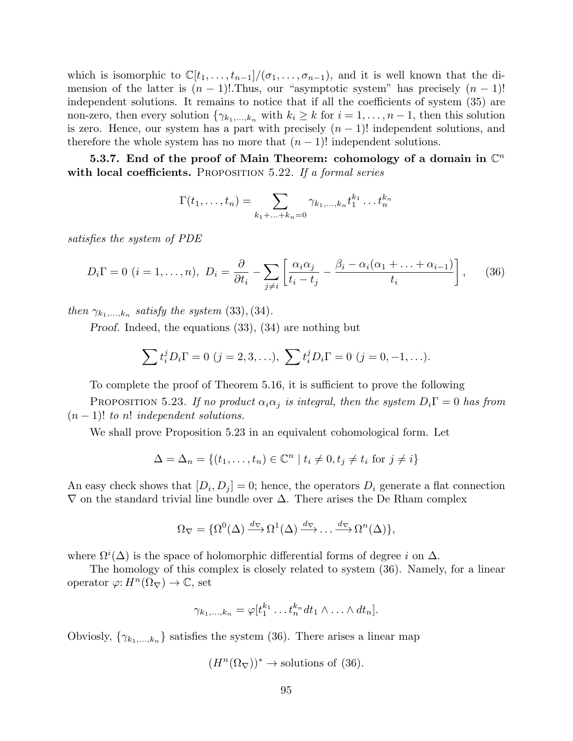which is isomorphic to  $\mathbb{C}[t_1,\ldots,t_{n-1}]/(\sigma_1,\ldots,\sigma_{n-1})$ , and it is well known that the dimension of the latter is  $(n - 1)!$ . Thus, our "asymptotic system" has precisely  $(n - 1)!$ independent solutions. It remains to notice that if all the coefficients of system (35) are non-zero, then every solution  $\{\gamma_{k_1,\dots,k_n}$  with  $k_i \geq k$  for  $i = 1,\dots,n-1$ , then this solution is zero. Hence, our system has a part with precisely  $(n - 1)!$  independent solutions, and therefore the whole system has no more that  $(n-1)!$  independent solutions.

5.3.7. End of the proof of Main Theorem: cohomology of a domain in  $\mathbb{C}^n$ with local coefficients. PROPOSITION  $5.22$ . If a formal series

$$
\Gamma(t_1,\ldots,t_n) = \sum_{k_1+\ldots+k_n=0} \gamma_{k_1,\ldots,k_n} t_1^{k_1} \ldots t_n^{k_n}
$$

satisfies the system of PDE

$$
D_i\Gamma = 0 \ (i = 1, ..., n), \ D_i = \frac{\partial}{\partial t_i} - \sum_{j \neq i} \left[ \frac{\alpha_i \alpha_j}{t_i - t_j} - \frac{\beta_i - \alpha_i (\alpha_1 + ... + \alpha_{i-1})}{t_i} \right], \tag{36}
$$

then  $\gamma_{k_1,...,k_n}$  satisfy the system (33), (34).

Proof. Indeed, the equations (33), (34) are nothing but

$$
\sum t_i^j D_i \Gamma = 0 \ (j = 2, 3, \ldots), \ \sum t_i^j D_i \Gamma = 0 \ (j = 0, -1, \ldots).
$$

To complete the proof of Theorem 5.16, it is sufficient to prove the following

PROPOSITION 5.23. If no product  $\alpha_i \alpha_j$  is integral, then the system  $D_i \Gamma = 0$  has from  $(n-1)!$  to n! independent solutions.

We shall prove Proposition 5.23 in an equivalent cohomological form. Let

$$
\Delta = \Delta_n = \{(t_1, \dots, t_n) \in \mathbb{C}^n \mid t_i \neq 0, t_j \neq t_i \text{ for } j \neq i\}
$$

An easy check shows that  $[D_i, D_j] = 0$ ; hence, the operators  $D_i$  generate a flat connection  $\nabla$  on the standard trivial line bundle over  $\Delta$ . There arises the De Rham complex

$$
\Omega_{\nabla} = \{ \Omega^0(\Delta) \xrightarrow{d_{\nabla}} \Omega^1(\Delta) \xrightarrow{d_{\nabla}} \dots \xrightarrow{d_{\nabla}} \Omega^n(\Delta) \},
$$

where  $\Omega^i(\Delta)$  is the space of holomorphic differential forms of degree i on  $\Delta$ .

The homology of this complex is closely related to system (36). Namely, for a linear operator  $\varphi: H^n(\Omega_{\nabla}) \to \mathbb{C}$ , set

$$
\gamma_{k_1,\ldots,k_n} = \varphi[t_1^{k_1} \ldots t_n^{k_n} dt_1 \wedge \ldots \wedge dt_n].
$$

Obviosly,  $\{\gamma_{k_1,\dots,k_n}\}$  satisfies the system (36). There arises a linear map

$$
(H^n(\Omega_{\nabla}))^* \to
$$
 solutions of (36).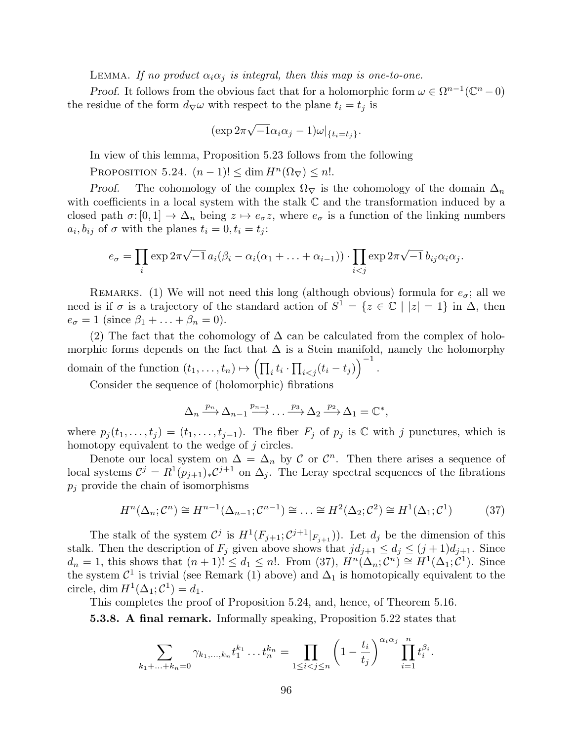LEMMA. If no product  $\alpha_i \alpha_j$  is integral, then this map is one-to-one.

*Proof.* It follows from the obvious fact that for a holomorphic form  $\omega \in \Omega^{n-1}(\mathbb{C}^n-0)$ the residue of the form  $d_{\nabla}\omega$  with respect to the plane  $t_i = t_j$  is

$$
(\exp 2\pi \sqrt{-1}\alpha_i \alpha_j - 1)\omega|_{\{t_i = t_j\}}.
$$

In view of this lemma, Proposition 5.23 follows from the following

PROPOSITION 5.24.  $(n-1)! \leq \dim H^{n}(\Omega_{\nabla}) \leq n!$ .

Proof. The cohomology of the complex  $\Omega_{\nabla}$  is the cohomology of the domain  $\Delta_n$ with coefficients in a local system with the stalk C and the transformation induced by a closed path  $\sigma: [0,1] \to \Delta_n$  being  $z \mapsto e_{\sigma}z$ , where  $e_{\sigma}$  is a function of the linking numbers  $a_i, b_{ij}$  of  $\sigma$  with the planes  $t_i = 0, t_i = t_j$ :

$$
e_{\sigma} = \prod_{i} \exp 2\pi \sqrt{-1} a_i (\beta_i - \alpha_i (\alpha_1 + \dots + \alpha_{i-1})) \cdot \prod_{i < j} \exp 2\pi \sqrt{-1} b_{ij} \alpha_i \alpha_j.
$$

REMARKS. (1) We will not need this long (although obvious) formula for  $e_{\sigma}$ ; all we need is if  $\sigma$  is a trajectory of the standard action of  $S^1 = \{z \in \mathbb{C} \mid |z| = 1\}$  in  $\Delta$ , then  $e_{\sigma} = 1$  (since  $\beta_1 + \ldots + \beta_n = 0$ ).

(2) The fact that the cohomology of  $\Delta$  can be calculated from the complex of holomorphic forms depends on the fact that  $\Delta$  is a Stein manifold, namely the holomorphy domain of the function  $(t_1, \ldots, t_n) \mapsto (\prod_i t_i \cdot \prod_{i < j} (t_i - t_j))^{-1}$ .

Consider the sequence of (holomorphic) fibrations

$$
\Delta_n \xrightarrow{p_n} \Delta_{n-1} \xrightarrow{p_{n-1}} \dots \xrightarrow{p_3} \Delta_2 \xrightarrow{p_2} \Delta_1 = \mathbb{C}^*,
$$

where  $p_j(t_1,\ldots,t_j) = (t_1,\ldots,t_{j-1})$ . The fiber  $F_j$  of  $p_j$  is  $\mathbb C$  with j punctures, which is homotopy equivalent to the wedge of  $j$  circles.

Denote our local system on  $\Delta = \Delta_n$  by C or  $\mathcal{C}^n$ . Then there arises a sequence of local systems  $\mathcal{C}^j = R^1(p_{j+1})_* \mathcal{C}^{j+1}$  on  $\Delta_j$ . The Leray spectral sequences of the fibrations  $p_i$  provide the chain of isomorphisms

$$
H^n(\Delta_n; \mathcal{C}^n) \cong H^{n-1}(\Delta_{n-1}; \mathcal{C}^{n-1}) \cong \dots \cong H^2(\Delta_2; \mathcal{C}^2) \cong H^1(\Delta_1; \mathcal{C}^1) \tag{37}
$$

The stalk of the system  $\mathcal{C}^j$  is  $H^1(F_{j+1}; \mathcal{C}^{j+1}|_{F_{j+1}})$ . Let  $d_j$  be the dimension of this stalk. Then the description of  $F_j$  given above shows that  $jd_{j+1} \leq d_j \leq (j+1)d_{j+1}$ . Since  $d_n = 1$ , this shows that  $(n+1)! \leq d_1 \leq n!$ . From (37),  $H^n(\Delta_n; \mathcal{C}^n) \cong H^1(\Delta_1; \mathcal{C}^1)$ . Since the system  $\mathcal{C}^1$  is trivial (see Remark (1) above) and  $\Delta_1$  is homotopically equivalent to the circle, dim  $H^1(\Delta_1; \mathcal{C}^1) = d_1$ .

This completes the proof of Proposition 5.24, and, hence, of Theorem 5.16.

5.3.8. A final remark. Informally speaking, Proposition 5.22 states that

$$
\sum_{k_1+\ldots+k_n=0} \gamma_{k_1,\ldots,k_n} t_1^{k_1} \ldots t_n^{k_n} = \prod_{1 \leq i < j \leq n} \left(1 - \frac{t_i}{t_j}\right)^{\alpha_i \alpha_j} \prod_{i=1}^n t_i^{\beta_i}.
$$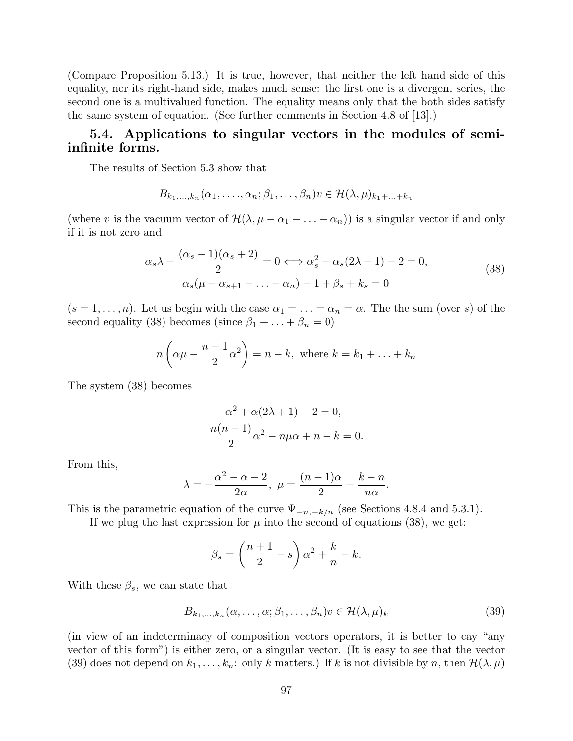(Compare Proposition 5.13.) It is true, however, that neither the left hand side of this equality, nor its right-hand side, makes much sense: the first one is a divergent series, the second one is a multivalued function. The equality means only that the both sides satisfy the same system of equation. (See further comments in Section 4.8 of [13].)

# 5.4. Applications to singular vectors in the modules of semiinfinite forms.

The results of Section 5.3 show that

$$
B_{k_1,\ldots,k_n}(\alpha_1,\ldots,\alpha_n;\beta_1,\ldots,\beta_n)v\in\mathcal{H}(\lambda,\mu)_{k_1+\ldots+k_n}
$$

(where v is the vacuum vector of  $\mathcal{H}(\lambda, \mu - \alpha_1 - \ldots - \alpha_n)$ ) is a singular vector if and only if it is not zero and

$$
\alpha_s \lambda + \frac{(\alpha_s - 1)(\alpha_s + 2)}{2} = 0 \Longleftrightarrow \alpha_s^2 + \alpha_s (2\lambda + 1) - 2 = 0,
$$
  
\n
$$
\alpha_s (\mu - \alpha_{s+1} - \dots - \alpha_n) - 1 + \beta_s + k_s = 0
$$
\n(38)

 $(s = 1, \ldots, n)$ . Let us begin with the case  $\alpha_1 = \ldots = \alpha_n = \alpha$ . The the sum (over s) of the second equality (38) becomes (since  $\beta_1 + \ldots + \beta_n = 0$ )

$$
n\left(\alpha\mu - \frac{n-1}{2}\alpha^2\right) = n - k, \text{ where } k = k_1 + \ldots + k_n
$$

The system (38) becomes

$$
\alpha^{2} + \alpha(2\lambda + 1) - 2 = 0,
$$
  

$$
\frac{n(n-1)}{2}\alpha^{2} - n\mu\alpha + n - k = 0.
$$

From this,

$$
\lambda=-\frac{\alpha^2-\alpha-2}{2\alpha}, \ \mu=\frac{(n-1)\alpha}{2}-\frac{k-n}{n\alpha}.
$$

This is the parametric equation of the curve  $\Psi_{-n,-k/n}$  (see Sections 4.8.4 and 5.3.1).

If we plug the last expression for  $\mu$  into the second of equations (38), we get:

$$
\beta_s = \left(\frac{n+1}{2} - s\right)\alpha^2 + \frac{k}{n} - k.
$$

With these  $\beta_s$ , we can state that

$$
B_{k_1,\ldots,k_n}(\alpha,\ldots,\alpha;\beta_1,\ldots,\beta_n)v \in \mathcal{H}(\lambda,\mu)_k
$$
\n(39)

(in view of an indeterminacy of composition vectors operators, it is better to cay "any vector of this form") is either zero, or a singular vector. (It is easy to see that the vector (39) does not depend on  $k_1, \ldots, k_n$ : only k matters.) If k is not divisible by n, then  $\mathcal{H}(\lambda, \mu)$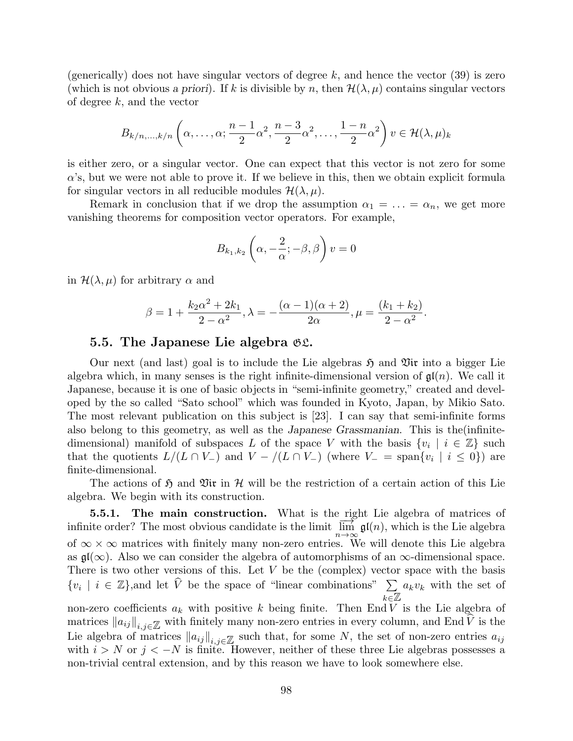(generically) does not have singular vectors of degree  $k$ , and hence the vector (39) is zero (which is not obvious a priori). If k is divisible by n, then  $\mathcal{H}(\lambda,\mu)$  contains singular vectors of degree  $k$ , and the vector

$$
B_{k/n,\dots,k/n}
$$
 $\left(\alpha,\dots,\alpha;\frac{n-1}{2}\alpha^2,\frac{n-3}{2}\alpha^2,\dots,\frac{1-n}{2}\alpha^2\right)v \in \mathcal{H}(\lambda,\mu)_k$ 

is either zero, or a singular vector. One can expect that this vector is not zero for some  $\alpha$ 's, but we were not able to prove it. If we believe in this, then we obtain explicit formula for singular vectors in all reducible modules  $\mathcal{H}(\lambda,\mu)$ .

Remark in conclusion that if we drop the assumption  $\alpha_1 = \ldots = \alpha_n$ , we get more vanishing theorems for composition vector operators. For example,

$$
B_{k_1,k_2}\left(\alpha,-\frac{2}{\alpha};-\beta,\beta\right)v=0
$$

in  $\mathcal{H}(\lambda,\mu)$  for arbitrary  $\alpha$  and

$$
\beta = 1 + \frac{k_2 \alpha^2 + 2k_1}{2 - \alpha^2}, \lambda = -\frac{(\alpha - 1)(\alpha + 2)}{2\alpha}, \mu = \frac{(k_1 + k_2)}{2 - \alpha^2}.
$$

## 5.5. The Japanese Lie algebra GL.

Our next (and last) goal is to include the Lie algebras  $\mathfrak{H}$  and  $\mathfrak{Vir}$  into a bigger Lie algebra which, in many senses is the right infinite-dimensional version of  $\mathfrak{gl}(n)$ . We call it Japanese, because it is one of basic objects in "semi-infinite geometry," created and developed by the so called "Sato school" which was founded in Kyoto, Japan, by Mikio Sato. The most relevant publication on this subject is [23]. I can say that semi-infinite forms also belong to this geometry, as well as the Japanese Grassmanian. This is the(infinitedimensional) manifold of subspaces L of the space V with the basis  $\{v_i \mid i \in \mathbb{Z}\}\$  such that the quotients  $L/(L \cap V_-)$  and  $V - / (L \cap V_-)$  (where  $V_- = \text{span}\{v_i \mid i \leq 0\}$ ) are finite-dimensional.

The actions of  $\mathfrak{H}$  and  $\mathfrak{Vir}$  in H will be the restriction of a certain action of this Lie algebra. We begin with its construction.

**5.5.1.** The main construction. What is the right Lie algebra of matrices of **b.o.f.** The main construction. What is the light life algebra of matrices of infinite order? The most obvious candidate is the limit  $\overline{\lim}_{n\to\infty} \mathfrak{gl}(n)$ , which is the Lie algebra of  $\infty \times \infty$  matrices with finitely many non-zero entries. We will denote this Lie algebra as  $\mathfrak{gl}(\infty)$ . Also we can consider the algebra of automorphisms of an  $\infty$ -dimensional space. There is two other versions of this. Let  $V$  be the (complex) vector space with the basis  $\{v_i \mid i \in \mathbb{Z}\}\$ , and let  $\hat{V}$  be the space of "linear combinations"  $\sum_{i \in \mathbb{Z}} a_k v_k$  with the set of  $\sum_{k\in\mathbb{Z}}$ non-zero coefficients  $a_k$  with positive k being finite. Then End V is the Lie algebra of matrices  $\|a_{ij}\|_{i,j\in\mathbb{Z}}$  with finitely many non-zero entries in every column, and End V is the Lie algebra of matrices  $\|a_{ij}\|_{i,j\in\mathbb{Z}}$  such that, for some N, the set of non-zero entries  $a_{ij}$ with  $i > N$  or  $j < -N$  is finite. However, neither of these three Lie algebras possesses a non-trivial central extension, and by this reason we have to look somewhere else.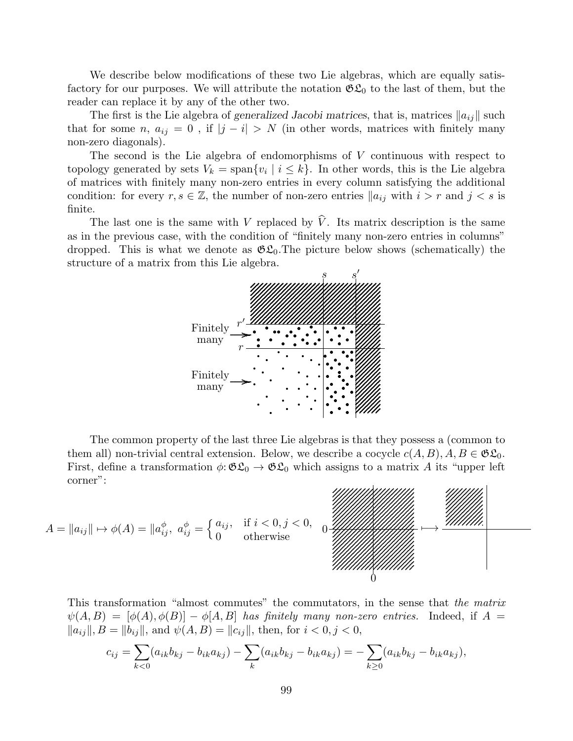We describe below modifications of these two Lie algebras, which are equally satisfactory for our purposes. We will attribute the notation  $\mathfrak{GL}_0$  to the last of them, but the reader can replace it by any of the other two.

The first is the Lie algebra of generalized Jacobi matrices, that is, matrices  $||a_{ij}||$  such that for some n,  $a_{ij} = 0$ , if  $|j - i| > N$  (in other words, matrices with finitely many non-zero diagonals).

The second is the Lie algebra of endomorphisms of V continuous with respect to topology generated by sets  $V_k = \text{span}\{v_i \mid i \leq k\}$ . In other words, this is the Lie algebra of matrices with finitely many non-zero entries in every column satisfying the additional condition: for every  $r, s \in \mathbb{Z}$ , the number of non-zero entries  $\|a_{ij}\|$  with  $i > r$  and  $j < s$  is finite.

The last one is the same with V replaced by  $\hat{V}$ . Its matrix description is the same as in the previous case, with the condition of "finitely many non-zero entries in columns" dropped. This is what we denote as  $\mathfrak{GL}_0$ . The picture below shows (schematically) the structure of a matrix from this Lie algebra.



The common property of the last three Lie algebras is that they possess a (common to them all) non-trivial central extension. Below, we describe a cocycle  $c(A, B), A, B \in \mathfrak{GL}_0$ . First, define a transformation  $\phi: \mathfrak{GL}_0 \to \mathfrak{GL}_0$  which assigns to a matrix A its "upper left" corner":

$$
A = \|a_{ij}\| \mapsto \phi(A) = \|a_{ij}^{\phi},\ a_{ij}^{\phi} = \left\{\begin{matrix} a_{ij}, & \text{if } i < 0, j < 0, \\ 0 & \text{otherwise} \end{matrix}\right\}
$$

This transformation "almost commutes" the commutators, in the sense that the matrix  $\psi(A, B) = [\phi(A), \phi(B)] - \phi[A, B]$  has finitely many non-zero entries. Indeed, if  $A =$  $||a_{ij}||, B = ||b_{ij}||$ , and  $\psi(A, B) = ||c_{ij}||$ , then, for  $i < 0, j < 0$ ,

$$
c_{ij} = \sum_{k < 0} (a_{ik}b_{kj} - b_{ik}a_{kj}) - \sum_k (a_{ik}b_{kj} - b_{ik}a_{kj}) = -\sum_{k \ge 0} (a_{ik}b_{kj} - b_{ik}a_{kj}),
$$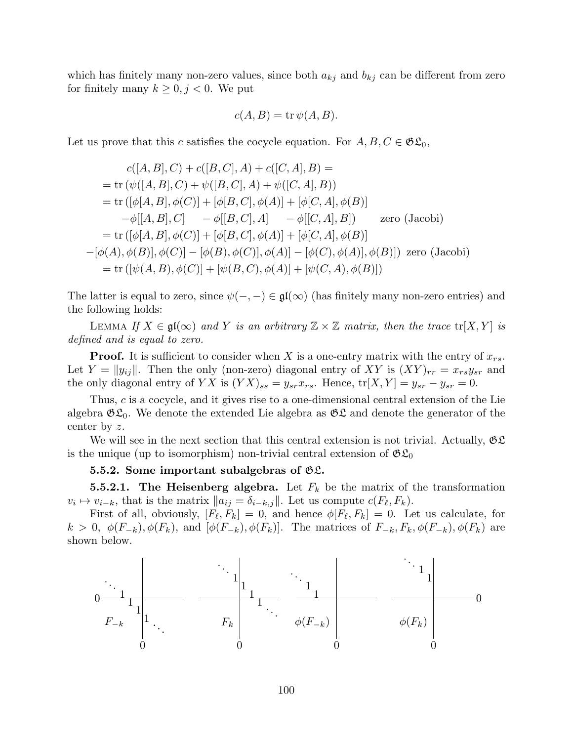which has finitely many non-zero values, since both  $a_{kj}$  and  $b_{kj}$  can be different from zero for finitely many  $k \geq 0, j < 0$ . We put

$$
c(A, B) = \operatorname{tr} \psi(A, B).
$$

Let us prove that this c satisfies the cocycle equation. For  $A, B, C \in \mathfrak{GL}_0$ ,

$$
c([A, B], C) + c([B, C], A) + c([C, A], B) =
$$
  
= tr ( $\psi([A, B], C) + \psi([B, C], A) + \psi([C, A], B)$ )  
= tr ( $[\phi[A, B], \phi(C)] + [\phi[B, C], \phi(A)] + [\phi[C, A], \phi(B)]$   
 $-\phi[[A, B], C] - \phi[[B, C], A] - \phi[[C, A], B])$  zero (Jacobi)  
= tr ( $[\phi[A, B], \phi(C)] + [\phi[B, C], \phi(A)] + [\phi[C, A], \phi(B)]$   
 $-\left[\phi(A), \phi(B)\right], \phi(C)] - [\phi(B), \phi(C)], \phi(A)] - [\phi(C), \phi(A)], \phi(B)]$ ) zero (Jacobi)  
= tr ( $[\psi(A, B), \phi(C)] + [\psi(B, C), \phi(A)] + [\psi(C, A), \phi(B)]$ )

The latter is equal to zero, since  $\psi(-, -) \in \mathfrak{gl}(\infty)$  (has finitely many non-zero entries) and the following holds:

LEMMA If  $X \in \mathfrak{gl}(\infty)$  and Y is an arbitrary  $\mathbb{Z} \times \mathbb{Z}$  matrix, then the trace  $tr[X, Y]$  is defined and is equal to zero.

**Proof.** It is sufficient to consider when X is a one-entry matrix with the entry of  $x_{rs}$ . Let  $Y = ||y_{ij}||$ . Then the only (non-zero) diagonal entry of XY is  $(XY)_{rr} = x_{rs}y_{sr}$  and the only diagonal entry of YX is  $(YX)_{ss} = y_{sr}x_{rs}$ . Hence,  $tr[X, Y] = y_{sr} - y_{sr} = 0$ .

Thus, c is a cocycle, and it gives rise to a one-dimensional central extension of the Lie algebra  $\mathfrak{GL}_0$ . We denote the extended Lie algebra as  $\mathfrak{GL}$  and denote the generator of the center by z.

We will see in the next section that this central extension is not trivial. Actually,  $\mathfrak{GL}$ is the unique (up to isomorphism) non-trivial central extension of  $\mathfrak{GL}_0$ 

### 5.5.2. Some important subalgebras of  $\mathfrak{GL}$ .

**5.5.2.1.** The Heisenberg algebra. Let  $F_k$  be the matrix of the transformation  $v_i \mapsto v_{i-k}$ , that is the matrix  $||a_{ij} = \delta_{i-k,j}||$ . Let us compute  $c(F_{\ell}, F_k)$ .

First of all, obviously,  $[F_\ell, F_k] = 0$ , and hence  $\phi[F_\ell, F_k] = 0$ . Let us calculate, for  $k > 0$ ,  $\phi(F_{-k}), \phi(F_k)$ , and  $[\phi(F_{-k}), \phi(F_k)]$ . The matrices of  $F_{-k}, F_k, \phi(F_{-k}), \phi(F_k)$  are shown below.

0 0 0 0 0 0 1 1 1 1 1 1 1 1 1 1 1 1 . . . . . . . . . . . . . . . . . . F<sup>−</sup><sup>k</sup> F<sup>k</sup> φ(F<sup>−</sup>k) φ(Fk)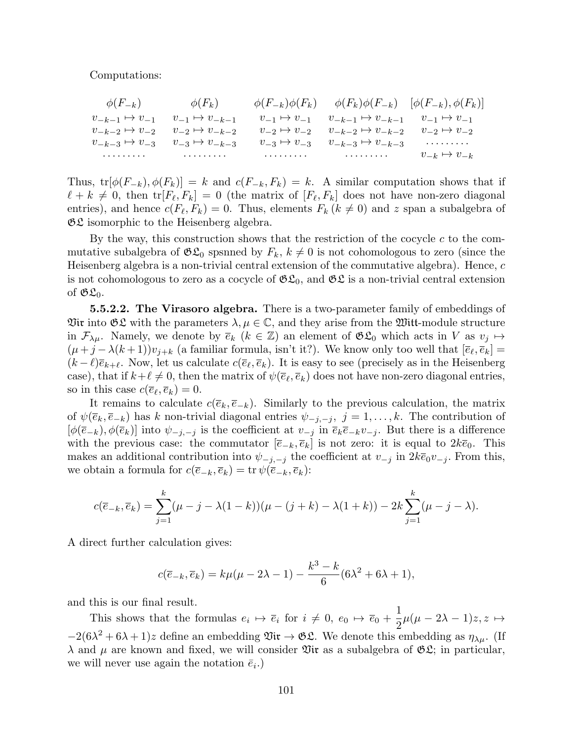### Computations:

| $\phi(F_{-k})$                                      | $\phi(F_k)$               | $\phi(F_{-k})\phi(F_k) \qquad \phi(F_k)\phi(F_{-k}) \quad [\phi(F_{-k}), \phi(F_k)]$                                                                                                                                             |                         |
|-----------------------------------------------------|---------------------------|----------------------------------------------------------------------------------------------------------------------------------------------------------------------------------------------------------------------------------|-------------------------|
| $v_{-k-1} \mapsto v_{-1}$                           | $v_{-1} \mapsto v_{-k-1}$ | $v_{-1} \mapsto v_{-1}$ $v_{-k-1} \mapsto v_{-k-1}$ $v_{-1} \mapsto v_{-1}$                                                                                                                                                      |                         |
| $v_{-k-2} \mapsto v_{-2}$ $v_{-2} \mapsto v_{-k-2}$ |                           | $v_{-2} \mapsto v_{-2}$ $v_{-k-2} \mapsto v_{-k-2}$ $v_{-2} \mapsto v_{-2}$                                                                                                                                                      |                         |
| $v_{-k-3} \mapsto v_{-3}$ $v_{-3} \mapsto v_{-k-3}$ |                           | $v_{-3} \mapsto v_{-3}$ $v_{-k-3} \mapsto v_{-k-3}$                                                                                                                                                                              | . <b>.</b>              |
| .                                                   |                           | $\cdots$ . The contract of the contract of the contract of the contract of the contract of the contract of the contract of the contract of the contract of the contract of the contract of the contract of the contract of the c | $v_{-k} \mapsto v_{-k}$ |

Thus,  $tr[\phi(F_{-k}), \phi(F_k)] = k$  and  $c(F_{-k}, F_k) = k$ . A similar computation shows that if  $\ell + k \neq 0$ , then  $\text{tr}[F_{\ell}, F_k] = 0$  (the matrix of  $[F_{\ell}, F_k]$  does not have non-zero diagonal entries), and hence  $c(F_{\ell}, F_k) = 0$ . Thus, elements  $F_k (k \neq 0)$  and z span a subalgebra of  $\mathfrak{GL}$  isomorphic to the Heisenberg algebra.

By the way, this construction shows that the restriction of the cocycle  $c$  to the commutative subalgebra of  $\mathfrak{GL}_0$  spsnned by  $F_k$ ,  $k \neq 0$  is not cohomologous to zero (since the Heisenberg algebra is a non-trivial central extension of the commutative algebra). Hence, c is not cohomologous to zero as a cocycle of  $\mathfrak{GL}_0$ , and  $\mathfrak{GL}$  is a non-trivial central extension of  $\mathfrak{GL}_0$ .

**5.5.2.2.** The Virasoro algebra. There is a two-parameter family of embeddings of Vir into  $\mathfrak{GL}$  with the parameters  $\lambda, \mu \in \mathbb{C}$ , and they arise from the Witt-module structure in  $\mathcal{F}_{\lambda\mu}$ . Namely, we denote by  $\overline{e}_k$   $(k \in \mathbb{Z})$  an element of  $\mathfrak{GL}_0$  which acts in V as  $v_j \mapsto$  $(\mu + j - \lambda(k+1))v_{i+k}$  (a familiar formula, isn't it?). We know only too well that  $[\overline{e}_{\ell}, \overline{e}_k] =$  $(k - \ell)\bar{e}_{k+\ell}$ . Now, let us calculate  $c(\bar{e}_\ell, \bar{e}_k)$ . It is easy to see (precisely as in the Heisenberg case), that if  $k+\ell \neq 0$ , then the matrix of  $\psi(\overline{e}_\ell, \overline{e}_k)$  does not have non-zero diagonal entries, so in this case  $c(\overline{e}_\ell, \overline{e}_k) = 0$ .

It remains to calculate  $c(\bar{e}_k, \bar{e}_{-k})$ . Similarly to the previous calculation, the matrix of  $\psi(\overline{e}_k, \overline{e}_{-k})$  has k non-trivial diagonal entries  $\psi_{-j,-j}, j = 1, \ldots, k$ . The contribution of  $[\phi(\overline{e}_{-k}), \phi(\overline{e}_k)]$  into  $\psi_{-j,-j}$  is the coefficient at  $v_{-j}$  in  $\overline{e}_k\overline{e}_{-k}v_{-j}$ . But there is a difference with the previous case: the commutator  $[\bar{e}_{-k}, \bar{e}_k]$  is not zero: it is equal to  $2k\bar{e}_0$ . This makes an additional contribution into  $\psi_{-j,-j}$  the coefficient at  $v_{-j}$  in  $2k\overline{e}_0v_{-j}$ . From this, we obtain a formula for  $c(\overline{e}_{-k}, \overline{e}_k) = \text{tr } \psi(\overline{e}_{-k}, \overline{e}_k)$ :

$$
c(\overline{e}_{-k}, \overline{e}_k) = \sum_{j=1}^k (\mu - j - \lambda(1 - k))(\mu - (j + k) - \lambda(1 + k)) - 2k \sum_{j=1}^k (\mu - j - \lambda).
$$

A direct further calculation gives:

$$
c(\overline{e}_{-k}, \overline{e}_k) = k\mu(\mu - 2\lambda - 1) - \frac{k^3 - k}{6}(6\lambda^2 + 6\lambda + 1),
$$

and this is our final result.

This shows that the formulas  $e_i \mapsto \overline{e}_i$  for  $i \neq 0$ ,  $e_0 \mapsto \overline{e}_0 + \frac{1}{2}$ 2  $\mu(\mu - 2\lambda - 1)z, z \mapsto$  $-2(6\lambda^2+6\lambda+1)z$  define an embedding  $\mathfrak{Vir}\to\mathfrak{GL}$ . We denote this embedding as  $\eta_{\lambda\mu}$ . (If  $\lambda$  and  $\mu$  are known and fixed, we will consider  $\mathfrak{Vir}$  as a subalgebra of  $\mathfrak{GL}$ ; in particular, we will never use again the notation  $\bar{e}_i$ .)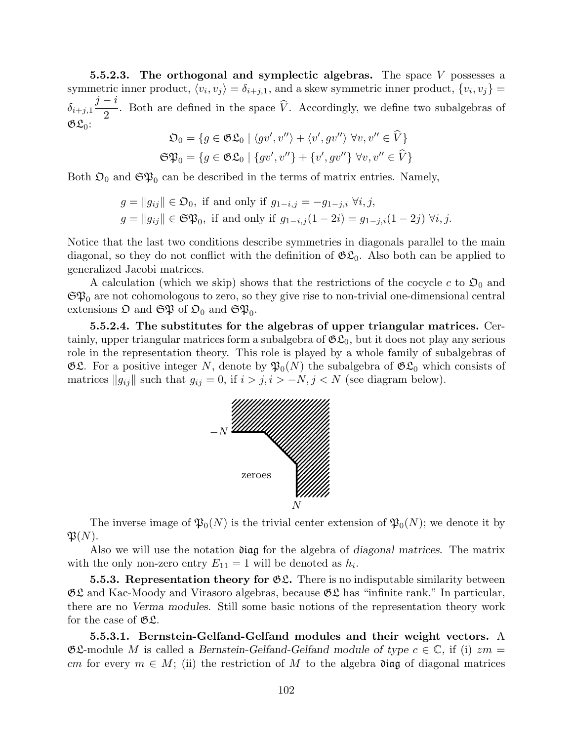**5.5.2.3.** The orthogonal and symplectic algebras. The space  $V$  possesses a symmetric inner product,  $\langle v_i, v_j \rangle = \delta_{i+j,1}$ , and a skew symmetric inner product,  $\{v_i, v_j\}$  $\delta_{i+j,1}$  $j - i$  $\frac{1}{2}$ . Both are defined in the space V. Accordingly, we define two subalgebras of  $\mathfrak{GL}_0$ :

$$
\mathfrak{O}_0 = \{ g \in \mathfrak{GL}_0 \mid \langle gv', v'' \rangle + \langle v', gv'' \rangle \ \forall v, v'' \in \widehat{V} \}
$$
  

$$
\mathfrak{SP}_0 = \{ g \in \mathfrak{SL}_0 \mid \{ gv', v'' \} + \{ v', gv'' \} \ \forall v, v'' \in \widehat{V} \}
$$

Both  $\mathfrak{O}_0$  and  $\mathfrak{S} \mathfrak{P}_0$  can be described in the terms of matrix entries. Namely,

$$
g = ||g_{ij}|| \in \mathfrak{O}_0, \text{ if and only if } g_{1-i,j} = -g_{1-j,i} \; \forall i, j,
$$
  

$$
g = ||g_{ij}|| \in \mathfrak{S}\mathfrak{P}_0, \text{ if and only if } g_{1-i,j}(1-2i) = g_{1-j,i}(1-2j) \; \forall i, j.
$$

Notice that the last two conditions describe symmetries in diagonals parallel to the main diagonal, so they do not conflict with the definition of  $\mathfrak{GL}_0$ . Also both can be applied to generalized Jacobi matrices.

A calculation (which we skip) shows that the restrictions of the cocycle c to  $\mathfrak{O}_0$  and  $\mathfrak{S}\mathfrak{P}_0$  are not cohomologous to zero, so they give rise to non-trivial one-dimensional central extensions  $\mathfrak O$  and  $\mathfrak{S} \mathfrak{P}$  of  $\mathfrak O_0$  and  $\mathfrak{S} \mathfrak{P}_0$ .

5.5.2.4. The substitutes for the algebras of upper triangular matrices. Certainly, upper triangular matrices form a subalgebra of  $\mathfrak{GL}_0$ , but it does not play any serious role in the representation theory. This role is played by a whole family of subalgebras of  $\mathfrak{GL}$ . For a positive integer N, denote by  $\mathfrak{P}_0(N)$  the subalgebra of  $\mathfrak{GL}_0$  which consists of matrices  $||g_{ij}||$  such that  $g_{ij} = 0$ , if  $i > j$ ,  $i > -N$ ,  $j < N$  (see diagram below).



The inverse image of  $\mathfrak{P}_0(N)$  is the trivial center extension of  $\mathfrak{P}_0(N)$ ; we denote it by  $\mathfrak{P}(N)$ .

Also we will use the notation  $\mathfrak{diag}$  for the algebra of diagonal matrices. The matrix with the only non-zero entry  $E_{11} = 1$  will be denoted as  $h_i$ .

**5.5.3. Representation theory for**  $\mathfrak{C} \mathfrak{L}$ **.** There is no indisputable similarity between  $\mathfrak{GL}$  and Kac-Moody and Virasoro algebras, because  $\mathfrak{GL}$  has "infinite rank." In particular, there are no Verma modules. Still some basic notions of the representation theory work for the case of  $\mathfrak{GL}$ .

5.5.3.1. Bernstein-Gelfand-Gelfand modules and their weight vectors. A  $\mathfrak{G} \mathfrak{L}$ -module M is called a Bernstein-Gelfand-Gelfand module of type  $c \in \mathbb{C}$ , if (i)  $zm =$ cm for every  $m \in M$ ; (ii) the restriction of M to the algebra  $\mathfrak{diag}$  of diagonal matrices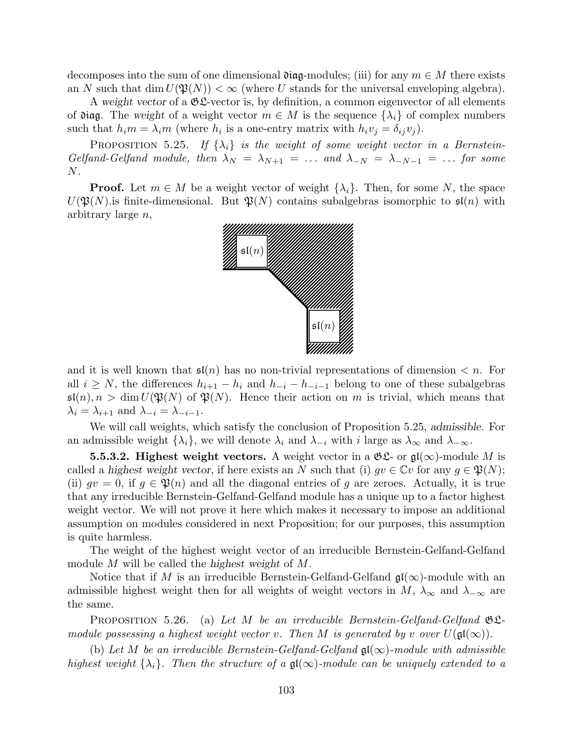decomposes into the sum of one dimensional  $\mathfrak{diag}$ -modules; (iii) for any  $m \in M$  there exists an N such that dim  $U(\mathfrak{P}(N)) < \infty$  (where U stands for the universal enveloping algebra).

A weight vector of a  $\mathfrak{G} \mathfrak{L}$ -vector is, by definition, a common eigenvector of all elements of diag. The weight of a weight vector  $m \in M$  is the sequence  $\{\lambda_i\}$  of complex numbers such that  $h_i m = \lambda_i m$  (where  $h_i$  is a one-entry matrix with  $h_i v_j = \delta_{ij} v_j$ ).

**PROPOSITION** 5.25. If  $\{\lambda_i\}$  is the weight of some weight vector in a Bernstein-Gelfand-Gelfand module, then  $\lambda_N = \lambda_{N+1} = \ldots$  and  $\lambda_{-N} = \lambda_{-N-1} = \ldots$  for some  $N$  .

**Proof.** Let  $m \in M$  be a weight vector of weight  $\{\lambda_i\}$ . Then, for some N, the space  $U(\mathfrak{P}(N))$  is finite-dimensional. But  $\mathfrak{P}(N)$  contains subalgebras isomorphic to  $\mathfrak{sl}(n)$  with arbitrary large n,



and it is well known that  $\mathfrak{sl}(n)$  has no non-trivial representations of dimension  $\langle n$ . For all  $i \geq N$ , the differences  $h_{i+1} - h_i$  and  $h_{-i} - h_{-i-1}$  belong to one of these subalgebras  $\mathfrak{sl}(n), n > \dim U(\mathfrak{P}(N))$  of  $\mathfrak{P}(N)$ . Hence their action on m is trivial, which means that  $\lambda_i = \lambda_{i+1}$  and  $\lambda_{-i} = \lambda_{-i-1}$ .

We will call weights, which satisfy the conclusion of Proposition 5.25, admissible. For an admissible weight  $\{\lambda_i\}$ , we will denote  $\lambda_i$  and  $\lambda_{-i}$  with i large as  $\lambda_{\infty}$  and  $\lambda_{-\infty}$ .

**5.5.3.2. Highest weight vectors.** A weight vector in a  $\mathfrak{GL}$ - or  $\mathfrak{gl}(\infty)$ -module M is called a highest weight vector, if here exists an N such that (i)  $gv \in \mathbb{C}v$  for any  $g \in \mathfrak{P}(N)$ ; (ii)  $qv = 0$ , if  $g \in \mathfrak{P}(n)$  and all the diagonal entries of g are zeroes. Actually, it is true that any irreducible Bernstein-Gelfand-Gelfand module has a unique up to a factor highest weight vector. We will not prove it here which makes it necessary to impose an additional assumption on modules considered in next Proposition; for our purposes, this assumption is quite harmless.

The weight of the highest weight vector of an irreducible Bernstein-Gelfand-Gelfand module M will be called the highest weight of M.

Notice that if M is an irreducible Bernstein-Gelfand-Gelfand  $\mathfrak{gl}(\infty)$ -module with an admissible highest weight then for all weights of weight vectors in  $M$ ,  $\lambda_{\infty}$  and  $\lambda_{-\infty}$  are the same.

**PROPOSITION** 5.26. (a) Let M be an irreducible Bernstein-Gelfand-Gelfand  $\mathfrak{G}\mathfrak{L}$ module possessing a highest weight vector v. Then M is generated by v over  $U(\mathfrak{gl}(\infty))$ .

(b) Let M be an irreducible Bernstein-Gelfand-Gelfand  $\mathfrak{gl}(\infty)$ -module with admissible highest weight  $\{\lambda_i\}$ . Then the structure of a  $\mathfrak{gl}(\infty)$ -module can be uniquely extended to a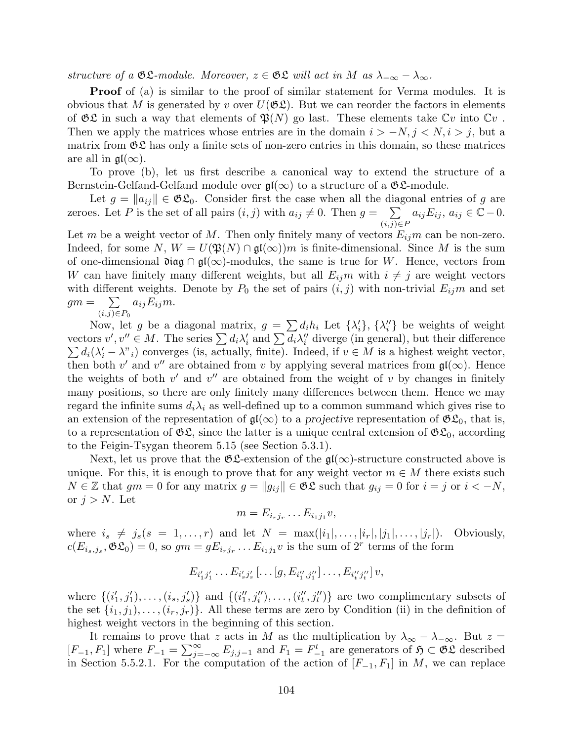structure of a  $\mathfrak{GL}$ -module. Moreover,  $z \in \mathfrak{GL}$  will act in M as  $\lambda_{-\infty} - \lambda_{\infty}$ .

**Proof** of (a) is similar to the proof of similar statement for Verma modules. It is obvious that M is generated by v over  $U(\mathfrak{GL})$ . But we can reorder the factors in elements of  $\mathfrak{GL}$  in such a way that elements of  $\mathfrak{P}(N)$  go last. These elements take  $\mathbb{C}v$  into  $\mathbb{C}v$ . Then we apply the matrices whose entries are in the domain  $i > -N, j < N, i > j$ , but a matrix from  $\mathfrak{GL}$  has only a finite sets of non-zero entries in this domain, so these matrices are all in  $\mathfrak{gl}(\infty)$ .

To prove (b), let us first describe a canonical way to extend the structure of a Bernstein-Gelfand-Gelfand module over  $\mathfrak{gl}(\infty)$  to a structure of a  $\mathfrak{GL}\nolimits$ -module.

Let  $g = ||a_{ij}|| \in \mathfrak{GL}_0$ . Consider first the case when all the diagonal entries of g are zeroes. Let P is the set of all pairs  $(i, j)$  with  $a_{ij} \neq 0$ . Then  $g = \sum$  $(i,j) \in P$  $a_{ij}E_{ij}, a_{ij} \in \overline{\mathbb{C}} - 0.$ 

Let m be a weight vector of M. Then only finitely many of vectors  $E_{ij}$  can be non-zero. Indeed, for some N,  $W = U(\mathfrak{P}(N) \cap \mathfrak{gl}(\infty))m$  is finite-dimensional. Since M is the sum of one-dimensional  $\mathfrak{diag} \cap \mathfrak{gl}(\infty)$ -modules, the same is true for W. Hence, vectors from W can have finitely many different weights, but all  $E_{ij}m$  with  $i \neq j$  are weight vectors with different weights. Denote by  $P_0$  the set of pairs  $(i, j)$  with non-trivial  $E_{ij}m$  and set  $gm = \sum$  $(i,j) \in P_0$  $a_{ij}E_{ij}m$ .

Now, let g be a diagonal matrix,  $g = \sum d_i h_i$  Let  $\{\lambda'_i\}$ ,  $\{\lambda''_i\}$  be weights of weight vectors  $v', v'' \in M$ . The series  $\sum d_i \lambda'_i$  and  $\sum d_i \lambda''_i$  diverge (in general), but their difference  $\sum d_i(\lambda'_i - \lambda''_i)$  converges (is, actually, finite). Indeed, if  $v \in M$  is a highest weight vector, then both v' and v'' are obtained from v by applying several matrices from  $\mathfrak{gl}(\infty)$ . Hence the weights of both  $v'$  and  $v''$  are obtained from the weight of v by changes in finitely many positions, so there are only finitely many differences between them. Hence we may regard the infinite sums  $d_i\lambda_i$  as well-defined up to a common summand which gives rise to an extension of the representation of  $\mathfrak{gl}(\infty)$  to a projective representation of  $\mathfrak{GL}_0$ , that is, to a representation of  $\mathfrak{GL}$ , since the latter is a unique central extension of  $\mathfrak{GL}_0$ , according to the Feigin-Tsygan theorem 5.15 (see Section 5.3.1).

Next, let us prove that the  $\mathfrak{C}$ -extension of the  $\mathfrak{gl}(\infty)$ -structure constructed above is unique. For this, it is enough to prove that for any weight vector  $m \in M$  there exists such  $N \in \mathbb{Z}$  that  $gm = 0$  for any matrix  $g = ||g_{ij}|| \in \mathfrak{GL}$  such that  $g_{ij} = 0$  for  $i = j$  or  $i < -N$ , or  $j > N$ . Let

$$
m=E_{i_rj_r}\ldots E_{i_1j_1}v,
$$

where  $i_s \neq j_s(s = 1, \ldots, r)$  and let  $N = \max(|i_1|, \ldots, |i_r|, |j_1|, \ldots, |j_r|)$ . Obviously,  $c(E_{i_s,j_s}, \mathfrak{GL}_0) = 0$ , so  $gm = gE_{i_rj_r} \dots E_{i_1j_1}v$  is the sum of  $2^r$  terms of the form

$$
E_{i'_1j'_1}\ldots E_{i'_sj'_s}[\ldots[g,E_{i''_1,j''_1}]\ldots,E_{i''_tj''_t}]v,
$$

where  $\{(i'_1, j'_1), \ldots, (i_s, j'_s)\}\$  and  $\{(i''_1, j''_i), \ldots, (i''_t, j''_t)\}\$ are two complimentary subsets of the set  $\{i_1, j_1), \ldots, (i_r, j_r)\}$ . All these terms are zero by Condition (ii) in the definition of highest weight vectors in the beginning of this section.

It remains to prove that z acts in M as the multiplication by  $\lambda_{\infty} - \lambda_{-\infty}$ . But  $z =$  $[F_{-1}, F_1]$  where  $F_{-1} = \sum_{j=-\infty}^{\infty} E_{j,j-1}$  and  $F_1 = F_{-1}^t$  are generators of  $\mathfrak{H} \subset \mathfrak{GL}$  described in Section 5.5.2.1. For the computation of the action of  $[F_{-1}, F_1]$  in M, we can replace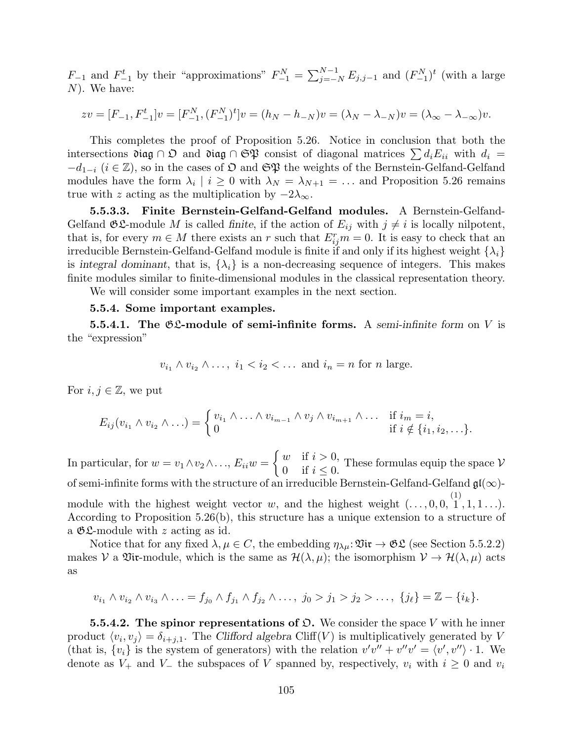$F_{-1}$  and  $F_{-1}^t$  by their "approximations"  $F_{-1}^N = \sum_{j=-N}^{N-1} E_{j,j-1}$  and  $(F_{-1}^N)^t$  (with a large N). We have:

$$
zv = [F_{-1}, F_{-1}^t]v = [F_{-1}^N, (F_{-1}^N)^t]v = (h_N - h_{-N})v = (\lambda_N - \lambda_{-N})v = (\lambda_\infty - \lambda_{-\infty})v.
$$

This completes the proof of Proposition 5.26. Notice in conclusion that both the intersections diag ∩  $\mathfrak{O}$  and diag ∩  $\mathfrak{S}\mathfrak{P}$  consist of diagonal matrices  $\sum d_i E_{ii}$  with  $d_i =$  $-d_{1-i}$  ( $i \in \mathbb{Z}$ ), so in the cases of  $\mathfrak{O}$  and  $\mathfrak{S}\mathfrak{P}$  the weights of the Bernstein-Gelfand-Gelfand modules have the form  $\lambda_i \mid i \geq 0$  with  $\lambda_N = \lambda_{N+1} = \ldots$  and Proposition 5.26 remains true with z acting as the multiplication by  $-2\lambda_{\infty}$ .

5.5.3.3. Finite Bernstein-Gelfand-Gelfand modules. A Bernstein-Gelfand-Gelfand  $\mathfrak{GL}$ -module M is called finite, if the action of  $E_{ij}$  with  $j \neq i$  is locally nilpotent, that is, for every  $m \in M$  there exists an r such that  $E_{ij}^r m = 0$ . It is easy to check that an irreducible Bernstein-Gelfand-Gelfand module is finite if and only if its highest weight  $\{\lambda_i\}$ is integral dominant, that is,  $\{\lambda_i\}$  is a non-decreasing sequence of integers. This makes finite modules similar to finite-dimensional modules in the classical representation theory.

We will consider some important examples in the next section.

### 5.5.4. Some important examples.

**5.5.4.1.** The  $\mathfrak{G}\mathfrak{L}\text{-module of semi-infinite forms. A semi-infinite form on }V$  is the "expression"

$$
v_{i_1} \wedge v_{i_2} \wedge \ldots, i_1 < i_2 < \ldots \text{ and } i_n = n \text{ for } n \text{ large.}
$$

For  $i, j \in \mathbb{Z}$ , we put

$$
E_{ij}(v_{i_1} \wedge v_{i_2} \wedge \ldots) = \begin{cases} v_{i_1} \wedge \ldots \wedge v_{i_{m-1}} \wedge v_j \wedge v_{i_{m+1}} \wedge \ldots & \text{if } i_m = i, \\ 0 & \text{if } i \notin \{i_1, i_2, \ldots\}.\end{cases}
$$

In particular, for  $w = v_1 \wedge v_2 \wedge \ldots$ ,  $E_{ii}w =$  $\begin{cases} w & \text{if } i > 0, \\ 0 & \text{if } i \leq 0. \end{cases}$  These formulas equip the space  $V$ of semi-infinite forms with the structure of an irreducible Bernstein-Gelfand-Gelfand  $\mathfrak{gl}(\infty)$ module with the highest weight vector w, and the highest weight  $(\ldots, 0, 0, 1, 1, 1, \ldots)$ . According to Proposition  $5.26(b)$ , this structure has a unique extension to a structure of

a  $\mathfrak{GL}$ -module with z acting as id.

Notice that for any fixed  $\lambda, \mu \in C$ , the embedding  $\eta_{\lambda\mu} \colon \mathfrak{Vir} \to \mathfrak{GL}$  (see Section 5.5.2.2) makes V a Vix-module, which is the same as  $\mathcal{H}(\lambda,\mu)$ ; the isomorphism  $\mathcal{V} \to \mathcal{H}(\lambda,\mu)$  acts as

$$
v_{i_1} \wedge v_{i_2} \wedge v_{i_3} \wedge \ldots = f_{j_0} \wedge f_{j_1} \wedge f_{j_2} \wedge \ldots, \ j_0 > j_1 > j_2 > \ldots, \ \{j_\ell\} = \mathbb{Z} - \{i_k\}.
$$

**5.5.4.2.** The spinor representations of  $\mathfrak{O}$ . We consider the space V with he inner product  $\langle v_i, v_j \rangle = \delta_{i+j,1}$ . The Clifford algebra Cliff(V) is multiplicatively generated by V (that is,  $\{v_i\}$  is the system of generators) with the relation  $v'v'' + v''v' = \langle v', v'' \rangle \cdot 1$ . We denote as  $V_+$  and  $V_-$  the subspaces of V spanned by, respectively,  $v_i$  with  $i \geq 0$  and  $v_i$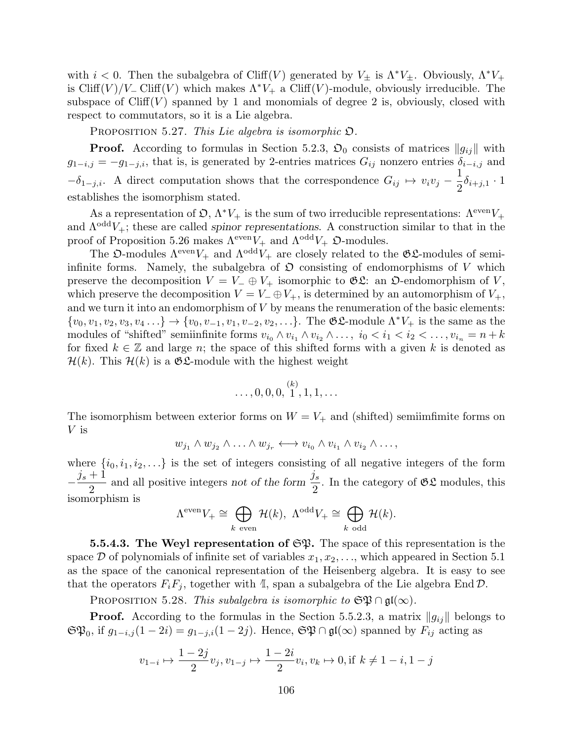with  $i < 0$ . Then the subalgebra of Cliff(V) generated by  $V_{\pm}$  is  $\Lambda^* V_{\pm}$ . Obviously,  $\Lambda^* V_{+}$ is Cliff(V)/V<sub>-</sub> Cliff(V) which makes  $\Lambda^*V_+$  a Cliff(V)-module, obviously irreducible. The subspace of  $Cliff(V)$  spanned by 1 and monomials of degree 2 is, obviously, closed with respect to commutators, so it is a Lie algebra.

PROPOSITION 5.27. This Lie algebra is isomorphic  $\mathfrak{O}$ .

**Proof.** According to formulas in Section 5.2.3,  $\mathfrak{O}_0$  consists of matrices  $||g_{ij}||$  with  $g_{1-i,j} = -g_{1-j,i}$ , that is, is generated by 2-entries matrices  $G_{ij}$  nonzero entries  $\delta_{i-i,j}$  and  $-\delta_{1-j,i}$ . A direct computation shows that the correspondence  $G_{ij} \mapsto v_i v_j - \frac{1}{2}$  $\frac{1}{2}\delta_{i+j,1} \cdot 1$ establishes the isomorphism stated.

As a representation of  $\mathfrak{O}, \Lambda^* V_+$  is the sum of two irreducible representations:  $\Lambda^{\text{even}} V_+$ and  $\Lambda^{odd}V_{+}$ ; these are called spinor representations. A construction similar to that in the proof of Proposition 5.26 makes  $\Lambda^{\text{even}} V_+$  and  $\Lambda^{\text{odd}} V_+$   $\mathfrak{O}$ -modules.

The  $\mathfrak{O}\text{-modules}$   $\Lambda^{\text{even}}V_+$  and  $\Lambda^{\text{odd}}V_+$  are closely related to the  $\mathfrak{GL}\text{-modules}$  of semiinfinite forms. Namely, the subalgebra of  $\mathfrak D$  consisting of endomorphisms of V which preserve the decomposition  $V = V_-\oplus V_+$  isomorphic to  $\mathfrak{GL}$ : an  $\mathfrak{O}$ -endomorphism of V, which preserve the decomposition  $V = V_-\oplus V_+$ , is determined by an automorphism of  $V_+,$ and we turn it into an endomorphism of  $V$  by means the renumeration of the basic elements:  ${v_0, v_1, v_2, v_3, v_4, ...} \rightarrow {v_0, v_{-1}, v_1, v_{-2}, v_2, ...}$ . The  $\mathfrak{GL}$ -module  $\Lambda^*V_+$  is the same as the modules of "shifted" semiinfinite forms  $v_{i_0} \wedge v_{i_1} \wedge v_{i_2} \wedge \ldots, i_0 < i_1 < i_2 < \ldots, v_{i_n} = n + k$ for fixed  $k \in \mathbb{Z}$  and large n; the space of this shifted forms with a given k is denoted as  $\mathcal{H}(k)$ . This  $\mathcal{H}(k)$  is a  $\mathfrak{G}\mathfrak{L}$ -module with the highest weight

$$
\ldots, 0, 0, 0, \stackrel{(k)}{1}, 1, 1, \ldots
$$

The isomorphism between exterior forms on  $W = V_+$  and (shifted) semiimfimite forms on V is

$$
w_{j_1} \wedge w_{j_2} \wedge \ldots \wedge w_{j_r} \longleftrightarrow v_{i_0} \wedge v_{i_1} \wedge v_{i_2} \wedge \ldots,
$$

where  $\{i_0, i_1, i_2, \ldots\}$  is the set of integers consisting of all negative integers of the form  $-\frac{j_s+1}{2}$ 2 and all positive integers not of the form  $\frac{j_s}{2}$ 2 . In the category of  $\mathfrak{GL}$  modules, this isomorphism is

$$
\Lambda^{\text{even}} V_{+} \cong \bigoplus_{k \text{ even}} \mathcal{H}(k), \ \Lambda^{\text{odd}} V_{+} \cong \bigoplus_{k \text{ odd}} \mathcal{H}(k).
$$

**5.5.4.3.** The Weyl representation of  $\mathfrak{S}\mathfrak{P}$ . The space of this representation is the space  $D$  of polynomials of infinite set of variables  $x_1, x_2, \ldots$ , which appeared in Section 5.1 as the space of the canonical representation of the Heisenberg algebra. It is easy to see that the operators  $F_i F_j$ , together with  $\mathbb{I}$ , span a subalgebra of the Lie algebra End  $\mathcal{D}$ .

PROPOSITION 5.28. This subalgebra is isomorphic to  $\mathfrak{SP} \cap \mathfrak{gl}(\infty)$ .

**Proof.** According to the formulas in the Section 5.5.2.3, a matrix  $||g_{ij}||$  belongs to  $\mathfrak{S}\mathfrak{P}_0$ , if  $g_{1-i,j}(1-2i)=g_{1-j,i}(1-2j)$ . Hence,  $\mathfrak{S}\mathfrak{P}\cap\mathfrak{gl}(\infty)$  spanned by  $F_{ij}$  acting as

$$
v_{1-i} \mapsto \frac{1-2j}{2}v_j, v_{1-j} \mapsto \frac{1-2i}{2}v_i, v_k \mapsto 0, \text{if } k \neq 1-i, 1-j
$$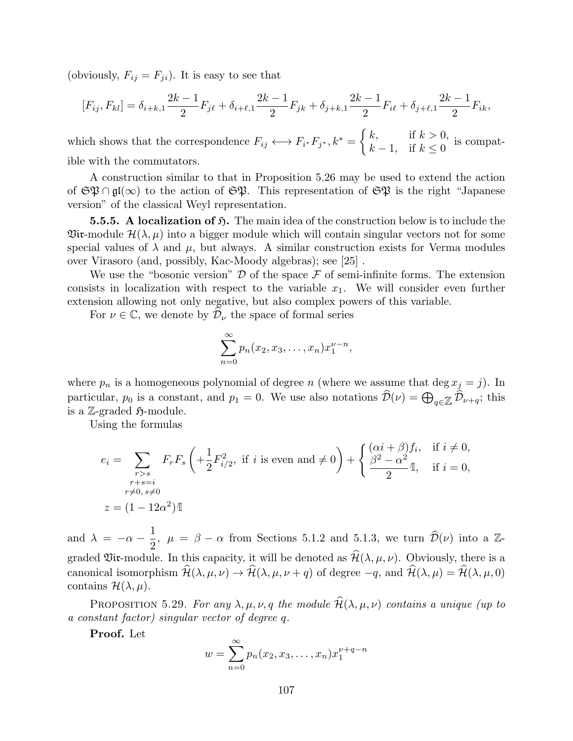(obviously,  $F_{ij} = F_{ji}$ ). It is easy to see that

$$
[F_{ij}, F_{kl}] = \delta_{i+k,1} \frac{2k-1}{2} F_{j\ell} + \delta_{i+\ell,1} \frac{2k-1}{2} F_{jk} + \delta_{j+k,1} \frac{2k-1}{2} F_{i\ell} + \delta_{j+\ell,1} \frac{2k-1}{2} F_{ik},
$$

which shows that the correspondence  $F_{ij} \longleftrightarrow F_{i^*} F_{j^*}, k^* = \begin{cases} k, & \text{if } k > 0, \\ k, & \text{if } k > 0. \end{cases}$  $k-1$ , if  $k \leq 0$  is compatible with the commutators.

A construction similar to that in Proposition 5.26 may be used to extend the action of  $\mathfrak{SP} \cap \mathfrak{gl}(\infty)$  to the action of  $\mathfrak{SP}$ . This representation of  $\mathfrak{SP}$  is the right "Japanese version" of the classical Weyl representation.

**5.5.5.** A localization of  $\mathfrak{H}$ . The main idea of the construction below is to include the  $\mathfrak{Vir}\text{-}\mathrm{module}\ \mathcal{H}(\lambda,\mu)$  into a bigger module which will contain singular vectors not for some special values of  $\lambda$  and  $\mu$ , but always. A similar construction exists for Verma modules over Virasoro (and, possibly, Kac-Moody algebras); see [25] .

We use the "bosonic version"  $\mathcal D$  of the space  $\mathcal F$  of semi-infinite forms. The extension consists in localization with respect to the variable  $x_1$ . We will consider even further extension allowing not only negative, but also complex powers of this variable.

For  $\nu \in \mathbb{C}$ , we denote by  $\mathcal{D}_{\nu}$  the space of formal series

$$
\sum_{n=0}^{\infty} p_n(x_2, x_3, \dots, x_n) x_1^{\nu - n},
$$

where  $p_n$  is a homogeneous polynomial of degree n (where we assume that deg  $x_j = j$ ). In particular,  $p_0$  is a constant, and  $p_1 = 0$ . We use also notations  $\mathcal{D}(\nu) = \bigoplus_{q \in \mathbb{Z}} \mathcal{D}_{\nu+q}$ ; this is a Z-graded  $\mathfrak{H}\text{-module.}$ 

Using the formulas

$$
e_i = \sum_{\substack{r>s \ r+s=i}} F_r F_s \left( + \frac{1}{2} F_{i/2}^2, \text{ if } i \text{ is even and } \neq 0 \right) + \begin{cases} (\alpha i + \beta) f_i, & \text{if } i \neq 0, \\ \frac{\beta^2 - \alpha^2}{2} \mathbb{I}, & \text{if } i = 0, \\ \frac{r+s=i}{2} \mathbb{I}, & \text{if } i = 0, \end{cases}
$$
  

$$
z = (1 - 12\alpha^2) \mathbb{I}
$$

and  $\lambda = -\alpha - \frac{1}{2}$  $\frac{1}{2}$ ,  $\mu = \beta - \alpha$  from Sections 5.1.2 and 5.1.3, we turn  $\widehat{\mathcal{D}}(\nu)$  into a  $\mathbb{Z}$ graded Vix-module. In this capacity, it will be denoted as  $\widehat{\mathcal{H}}(\lambda, \mu, \nu)$ . Obviously, there is a canonical isomorphism  $\widehat{\mathcal{H}}(\lambda, \mu, \nu) \rightarrow \widehat{\mathcal{H}}(\lambda, \mu, \nu + q)$  of degree  $-q$ , and  $\widehat{\mathcal{H}}(\lambda, \mu) = \widehat{\mathcal{H}}(\lambda, \mu, 0)$ contains  $\mathcal{H}(\lambda,\mu)$ .

PROPOSITION 5.29. For any  $\lambda, \mu, \nu, q$  the module  $\hat{\mathcal{H}}(\lambda, \mu, \nu)$  contains a unique (up to a constant factor) singular vector of degree q.

Proof. Let

$$
w = \sum_{n=0}^{\infty} p_n(x_2, x_3, \dots, x_n) x_1^{\nu+q-n}
$$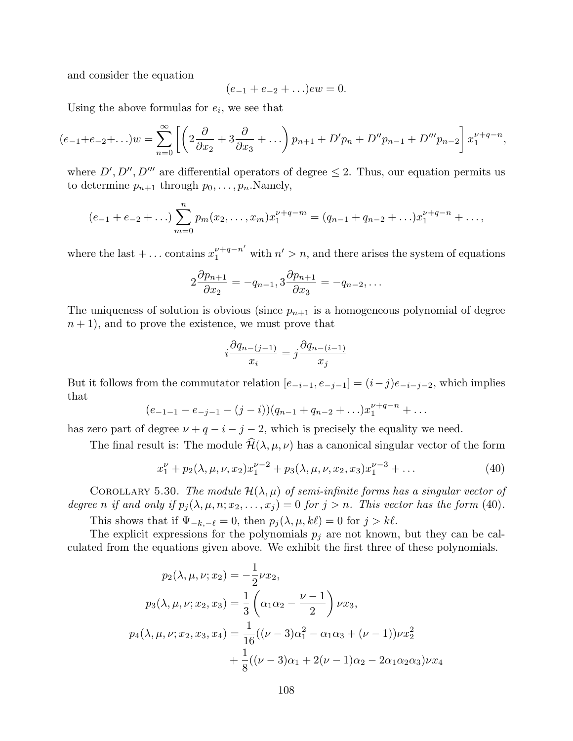and consider the equation

$$
(e_{-1} + e_{-2} + \ldots)ew = 0.
$$

Using the above formulas for  $e_i$ , we see that

$$
(e_{-1}+e_{-2}+\ldots)w = \sum_{n=0}^{\infty} \left[ \left( 2\frac{\partial}{\partial x_2} + 3\frac{\partial}{\partial x_3} + \ldots \right) p_{n+1} + D'p_n + D''p_{n-1} + D'''p_{n-2} \right] x_1^{\nu+q-n},
$$

where  $D', D'', D'''$  are differential operators of degree  $\leq 2$ . Thus, our equation permits us to determine  $p_{n+1}$  through  $p_0, \ldots, p_n$ . Namely,

$$
(e_{-1} + e_{-2} + \ldots) \sum_{m=0}^{n} p_m(x_2, \ldots, x_m) x_1^{\nu+q-m} = (q_{n-1} + q_{n-2} + \ldots) x_1^{\nu+q-n} + \ldots,
$$

where the last + ... contains  $x_1^{\nu+q-n'}$  with  $n' > n$ , and there arises the system of equations

$$
2\frac{\partial p_{n+1}}{\partial x_2} = -q_{n-1}, 3\frac{\partial p_{n+1}}{\partial x_3} = -q_{n-2}, \dots
$$

The uniqueness of solution is obvious (since  $p_{n+1}$  is a homogeneous polynomial of degree  $n+1$ , and to prove the existence, we must prove that

$$
i\frac{\partial q_{n-(j-1)}}{x_i} = j\frac{\partial q_{n-(i-1)}}{x_j}
$$

But it follows from the commutator relation  $[e_{-i-1}, e_{-j-1}] = (i-j)e_{-i-j-2}$ , which implies that

$$
(e_{-1-1}-e_{-j-1}-(j-i))(q_{n-1}+q_{n-2}+\ldots)x_1^{\nu+q-n}+\ldots
$$

has zero part of degree  $\nu + q - i - j - 2$ , which is precisely the equality we need.

The final result is: The module  $\widehat{\mathcal{H}}(\lambda, \mu, \nu)$  has a canonical singular vector of the form

$$
x_1^{\nu} + p_2(\lambda, \mu, \nu, x_2) x_1^{\nu - 2} + p_3(\lambda, \mu, \nu, x_2, x_3) x_1^{\nu - 3} + \dots
$$
 (40)

COROLLARY 5.30. The module  $\mathcal{H}(\lambda,\mu)$  of semi-infinite forms has a singular vector of degree n if and only if  $p_i(\lambda, \mu, n; x_2, \ldots, x_i) = 0$  for  $j > n$ . This vector has the form (40).

This shows that if  $\Psi_{-k,-\ell} = 0$ , then  $p_j(\lambda, \mu, k\ell) = 0$  for  $j > k\ell$ .

The explicit expressions for the polynomials  $p_j$  are not known, but they can be calculated from the equations given above. We exhibit the first three of these polynomials.

$$
p_2(\lambda, \mu, \nu; x_2) = -\frac{1}{2}\nu x_2,
$$
  
\n
$$
p_3(\lambda, \mu, \nu; x_2, x_3) = \frac{1}{3} \left( \alpha_1 \alpha_2 - \frac{\nu - 1}{2} \right) \nu x_3,
$$
  
\n
$$
p_4(\lambda, \mu, \nu; x_2, x_3, x_4) = \frac{1}{16} ((\nu - 3)\alpha_1^2 - \alpha_1 \alpha_3 + (\nu - 1))\nu x_2^2
$$
  
\n
$$
+ \frac{1}{8} ((\nu - 3)\alpha_1 + 2(\nu - 1)\alpha_2 - 2\alpha_1 \alpha_2 \alpha_3)\nu x_4
$$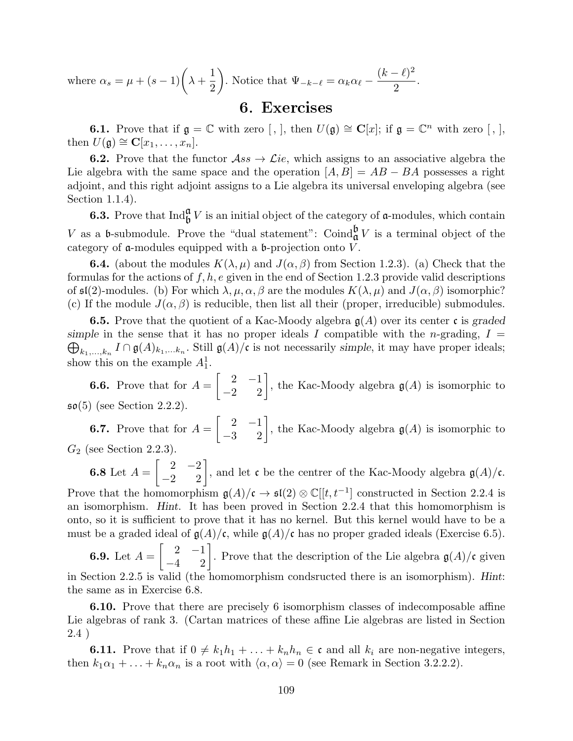where  $\alpha_s = \mu + (s-1) \left( \lambda + \right)$ 1 2  $\setminus$ . Notice that  $\Psi_{-k-\ell} = \alpha_k \alpha_\ell (k - \ell)^2$ 2 .

## 6. Exercises

**6.1.** Prove that if  $\mathfrak{g} = \mathbb{C}$  with zero  $[, ]$ , then  $U(\mathfrak{g}) \cong \mathbb{C}[x]$ ; if  $\mathfrak{g} = \mathbb{C}^n$  with zero  $[, ]$ , then  $U(\mathfrak{g}) \cong \mathbf{C}[x_1,\ldots,x_n].$ 

**6.2.** Prove that the functor  $\mathcal{A}ss \to \mathcal{L}ie$ , which assigns to an associative algebra the Lie algebra with the same space and the operation  $[A, B] = AB - BA$  possesses a right adjoint, and this right adjoint assigns to a Lie algebra its universal enveloping algebra (see Section 1.1.4).

**6.3.** Prove that  $\text{Ind}_{\mathfrak{b}}^{\mathfrak{a}} V$  is an initial object of the category of  $\mathfrak{a}$ -modules, which contain V as a b-submodule. Prove the "dual statement": Coind $_{\mathfrak{a}}^{\mathfrak{b}}V$  is a terminal object of the category of  $\alpha$ -modules equipped with a  $\beta$ -projection onto  $\ddot{V}$ .

**6.4.** (about the modules  $K(\lambda, \mu)$  and  $J(\alpha, \beta)$  from Section 1.2.3). (a) Check that the formulas for the actions of  $f, h, e$  given in the end of Section 1.2.3 provide valid descriptions of  $\mathfrak{sl}(2)$ -modules. (b) For which  $\lambda, \mu, \alpha, \beta$  are the modules  $K(\lambda, \mu)$  and  $J(\alpha, \beta)$  isomorphic? (c) If the module  $J(\alpha, \beta)$  is reducible, then list all their (proper, irreducible) submodules.

**6.5.** Prove that the quotient of a Kac-Moody algebra  $g(A)$  over its center c is graded simple in the sense that it has no proper ideals I compatible with the *n*-grading,  $I =$  $\bigoplus_{k_1,\ldots,k_n} I \cap \mathfrak{g}(A)_{k_1,\ldots,k_n}$ . Still  $\mathfrak{g}(A)/\mathfrak{c}$  is not necessarily simple, it may have proper ideals; show this on the example  $A_1^1$ .

**6.6.** Prove that for  $A =$  $\begin{bmatrix} 2 & -1 \\ -2 & 2 \end{bmatrix}$ , the Kac-Moody algebra  $\mathfrak{g}(A)$  is isomorphic to so(5) (see Section 2.2.2).

**6.7.** Prove that for  $A =$  $\begin{bmatrix} 2 & -1 \\ -3 & 2 \end{bmatrix}$ , the Kac-Moody algebra  $\mathfrak{g}(A)$  is isomorphic to  $G_2$  (see Section 2.2.3).

6.8 Let  $A =$  $\begin{bmatrix} 2 & -2 \\ -2 & 2 \end{bmatrix}$ , and let c be the centrer of the Kac-Moody algebra  $\mathfrak{g}(A)/\mathfrak{c}$ . Prove that the homomorphism  $g(A)/c \to \mathfrak{sl}(2) \otimes \mathbb{C}[[t, t^{-1}]$  constructed in Section 2.2.4 is an isomorphism. Hint. It has been proved in Section 2.2.4 that this homomorphism is onto, so it is sufficient to prove that it has no kernel. But this kernel would have to be a must be a graded ideal of  $\mathfrak{g}(A)/\mathfrak{c}$ , while  $\mathfrak{g}(A)/\mathfrak{c}$  has no proper graded ideals (Exercise 6.5).

6.9. Let  $A =$  $\begin{bmatrix} 2 & -1 \\ -4 & 2 \end{bmatrix}$ . Prove that the description of the Lie algebra  $\mathfrak{g}(A)/\mathfrak{c}$  given in Section 2.2.5 is valid (the homomorphism condsructed there is an isomorphism). Hint: the same as in Exercise 6.8.

6.10. Prove that there are precisely 6 isomorphism classes of indecomposable affine Lie algebras of rank 3. (Cartan matrices of these affine Lie algebras are listed in Section 2.4 )

**6.11.** Prove that if  $0 \neq k_1h_1 + \ldots + k_nh_n \in \mathfrak{c}$  and all  $k_i$  are non-negative integers, then  $k_1\alpha_1 + \ldots + k_n\alpha_n$  is a root with  $\langle \alpha, \alpha \rangle = 0$  (see Remark in Section 3.2.2.2).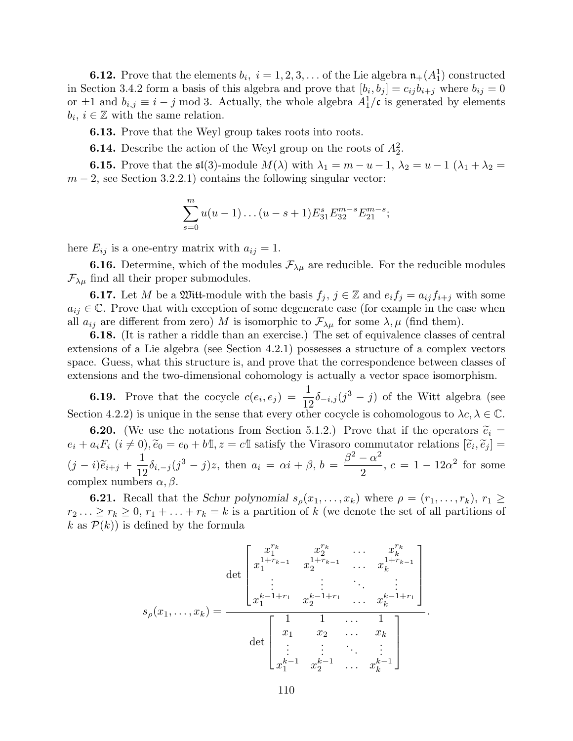**6.12.** Prove that the elements  $b_i$ ,  $i = 1, 2, 3, \ldots$  of the Lie algebra  $\mathfrak{n}_+(A_1^1)$  constructed in Section 3.4.2 form a basis of this algebra and prove that  $[b_i, b_j] = c_{ij}b_{i+j}$  where  $b_{ij} = 0$ or  $\pm 1$  and  $b_{i,j} \equiv i - j \mod 3$ . Actually, the whole algebra  $A_1^1/\mathfrak{c}$  is generated by elements  $b_i, i \in \mathbb{Z}$  with the same relation.

6.13. Prove that the Weyl group takes roots into roots.

**6.14.** Describe the action of the Weyl group on the roots of  $A_2^2$ .

**6.15.** Prove that the  $\mathfrak{sl}(3)$ -module  $M(\lambda)$  with  $\lambda_1 = m - u - 1$ ,  $\lambda_2 = u - 1$   $(\lambda_1 + \lambda_2 =$  $m-2$ , see Section 3.2.2.1) contains the following singular vector:

$$
\sum_{s=0}^{m} u(u-1)\dots(u-s+1)E_{31}^{s}E_{32}^{m-s}E_{21}^{m-s};
$$

here  $E_{ij}$  is a one-entry matrix with  $a_{ij} = 1$ .

**6.16.** Determine, which of the modules  $\mathcal{F}_{\lambda\mu}$  are reducible. For the reducible modules  $\mathcal{F}_{\lambda\mu}$  find all their proper submodules.

**6.17.** Let M be a Witt-module with the basis  $f_i$ ,  $j \in \mathbb{Z}$  and  $e_i f_j = a_{ij} f_{i+j}$  with some  $a_{ij} \in \mathbb{C}$ . Prove that with exception of some degenerate case (for example in the case when all  $a_{ij}$  are different from zero) M is isomorphic to  $\mathcal{F}_{\lambda\mu}$  for some  $\lambda, \mu$  (find them).

6.18. (It is rather a riddle than an exercise.) The set of equivalence classes of central extensions of a Lie algebra (see Section 4.2.1) possesses a structure of a complex vectors space. Guess, what this structure is, and prove that the correspondence between classes of extensions and the two-dimensional cohomology is actually a vector space isomorphism.

**6.19.** Prove that the cocycle  $c(e_i, e_j) = \frac{1}{12}\delta_{-i,j}(j^3 - j)$  of the Witt algebra (see Section 4.2.2) is unique in the sense that every other cocycle is cohomologous to  $\lambda c, \lambda \in \mathbb{C}$ .

**6.20.** (We use the notations from Section 5.1.2.) Prove that if the operators  $\tilde{e}_i$  =  $e_i + a_i F_i$   $(i \neq 0), \tilde{e}_0 = e_0 + b\mathbb{I}, z = c\mathbb{I}$  satisfy the Virasoro commutator relations  $[\tilde{e}_i$  $, \widetilde{e}_j ] =$  $(j-i)\widetilde{e}_{i+j} + \frac{1}{12}$  $\frac{1}{12}\delta_{i,-j}(j^3-j)z$ , then  $a_i = \alpha i + \beta$ ,  $b = \frac{\beta^2 - \alpha^2}{2}$ 2  $, c = 1 - 12\alpha^2$  for some complex numbers  $\alpha, \beta$ .

**6.21.** Recall that the Schur polynomial  $s_\rho(x_1, \ldots, x_k)$  where  $\rho = (r_1, \ldots, r_k)$ ,  $r_1 \geq$  $r_2 \ldots \geq r_k \geq 0, r_1 + \ldots + r_k = k$  is a partition of k (we denote the set of all partitions of k as  $\mathcal{P}(k)$  is defined by the formula

$$
s_{\rho}(x_1, \ldots, x_k) = \frac{\det\begin{bmatrix} x_1^{r_k} & x_2^{r_k} & \cdots & x_k^{r_k} \\ x_1^{1+r_{k-1}} & x_2^{1+r_{k-1}} & \cdots & x_k^{1+r_{k-1}} \\ \vdots & \vdots & \ddots & \vdots \\ x_1^{k-1+r_1} & x_2^{k-1+r_1} & \cdots & x_k^{k-1+r_1} \end{bmatrix}}{\det\begin{bmatrix} 1 & 1 & \cdots & 1 \\ x_1 & x_2 & \cdots & x_k \\ \vdots & \vdots & \ddots & \vdots \\ x_1^{k-1} & x_2^{k-1} & \cdots & x_k^{k-1} \end{bmatrix}}.
$$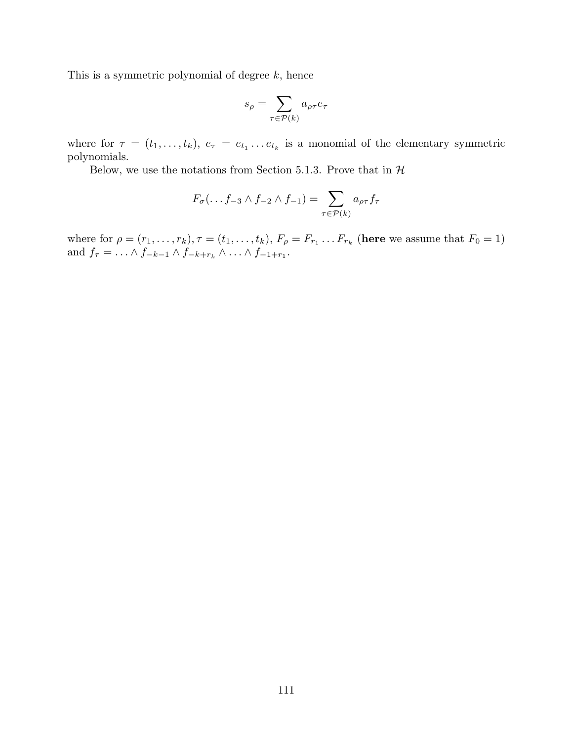This is a symmetric polynomial of degree  $k$ , hence

$$
s_{\rho} = \sum_{\tau \in \mathcal{P}(k)} a_{\rho \tau} e_{\tau}
$$

where for  $\tau = (t_1, \ldots, t_k)$ ,  $e_{\tau} = e_{t_1} \ldots e_{t_k}$  is a monomial of the elementary symmetric polynomials.

Below, we use the notations from Section 5.1.3. Prove that in  $H$ 

$$
F_{\sigma}(\ldots f_{-3} \wedge f_{-2} \wedge f_{-1}) = \sum_{\tau \in \mathcal{P}(k)} a_{\rho\tau} f_{\tau}
$$

where for  $\rho = (r_1, \ldots, r_k)$ ,  $\tau = (t_1, \ldots, t_k)$ ,  $F_\rho = F_{r_1} \ldots F_{r_k}$  (here we assume that  $F_0 = 1$ ) and  $f_{\tau} = \ldots \wedge f_{-k-1} \wedge f_{-k+r_k} \wedge \ldots \wedge f_{-1+r_1}$ .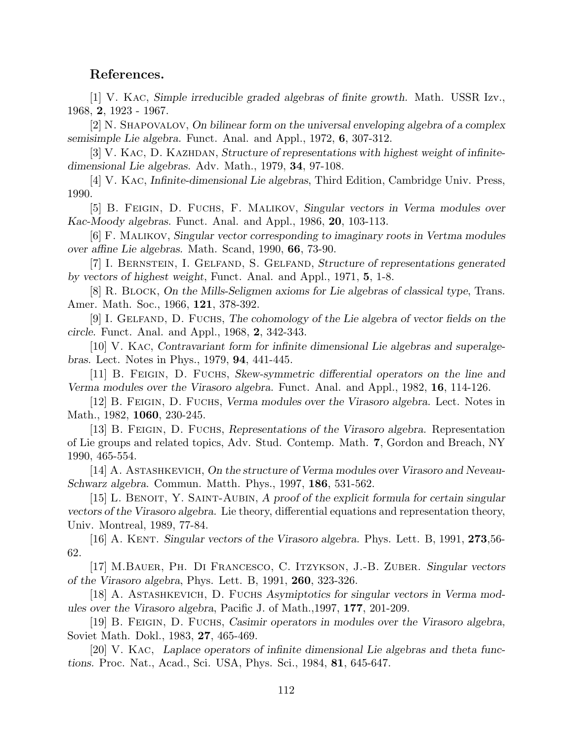## References.

[1] V. Kac, Simple irreducible graded algebras of finite growth. Math. USSR Izv., 1968, 2, 1923 - 1967.

[2] N. Shapovalov, On bilinear form on the universal enveloping algebra of a complex semisimple Lie algebra. Funct. Anal. and Appl., 1972, 6, 307-312.

[3] V. KAC, D. KAZHDAN, Structure of representations with highest weight of infinitedimensional Lie algebras. Adv. Math., 1979, 34, 97-108.

[4] V. Kac, Infinite-dimensional Lie algebras, Third Edition, Cambridge Univ. Press, 1990.

[5] B. Feigin, D. Fuchs, F. Malikov, Singular vectors in Verma modules over Kac-Moody algebras. Funct. Anal. and Appl., 1986, 20, 103-113.

[6] F. Malikov, Singular vector corresponding to imaginary roots in Vertma modules over affine Lie algebras. Math. Scand, 1990, 66, 73-90.

[7] I. Bernstein, I. Gelfand, S. Gelfand, Structure of representations generated by vectors of highest weight, Funct. Anal. and Appl., 1971, 5, 1-8.

[8] R. Block, On the Mills-Seligmen axioms for Lie algebras of classical type, Trans. Amer. Math. Soc., 1966, 121, 378-392.

[9] I. GELFAND, D. FUCHS, The cohomology of the Lie algebra of vector fields on the circle. Funct. Anal. and Appl., 1968, 2, 342-343.

[10] V. Kac, Contravariant form for infinite dimensional Lie algebras and superalgebras. Lect. Notes in Phys., 1979, 94, 441-445.

[11] B. Feigin, D. Fuchs, Skew-symmetric differential operators on the line and Verma modules over the Virasoro algebra. Funct. Anal. and Appl., 1982, 16, 114-126.

[12] B. Feigin, D. Fuchs, Verma modules over the Virasoro algebra. Lect. Notes in Math., 1982, **1060**, 230-245.

[13] B. Feigin, D. Fuchs, Representations of the Virasoro algebra. Representation of Lie groups and related topics, Adv. Stud. Contemp. Math. 7, Gordon and Breach, NY 1990, 465-554.

[14] A. Astashkevich, On the structure of Verma modules over Virasoro and Neveau-Schwarz algebra. Commun. Matth. Phys., 1997, 186, 531-562.

[15] L. BENOIT, Y. SAINT-AUBIN, A proof of the explicit formula for certain singular vectors of the Virasoro algebra. Lie theory, differential equations and representation theory, Univ. Montreal, 1989, 77-84.

[16] A. KENT. Singular vectors of the Virasoro algebra. Phys. Lett. B, 1991,  $273,56$ -62.

[17] M.Bauer, Ph. Di Francesco, C. Itzykson, J.-B. Zuber. Singular vectors of the Virasoro algebra, Phys. Lett. B, 1991, 260, 323-326.

[18] A. Astashkevich, D. Fuchs Asymiptotics for singular vectors in Verma modules over the Virasoro algebra, Pacific J. of Math.,1997, 177, 201-209.

[19] B. Feigin, D. Fuchs, Casimir operators in modules over the Virasoro algebra, Soviet Math. Dokl., 1983, 27, 465-469.

[20] V. Kac, Laplace operators of infinite dimensional Lie algebras and theta functions. Proc. Nat., Acad., Sci. USA, Phys. Sci., 1984, 81, 645-647.